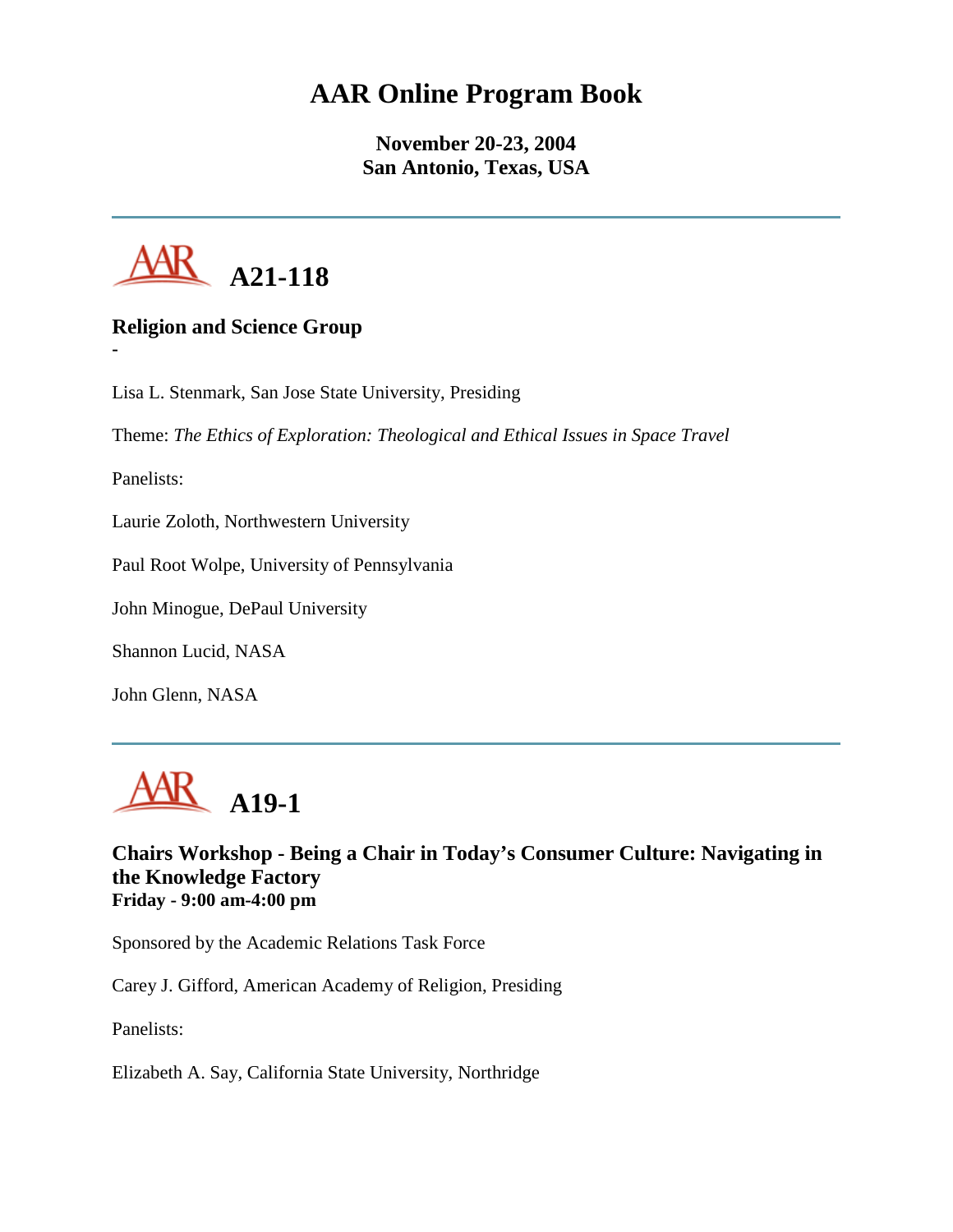# **AAR Online Program Book**

**November 20-23, 2004 San Antonio, Texas, USA**



# **Religion and Science Group**

Lisa L. Stenmark, San Jose State University, Presiding

Theme: *The Ethics of Exploration: Theological and Ethical Issues in Space Travel*

Panelists:

**-**

Laurie Zoloth, Northwestern University

Paul Root Wolpe, University of Pennsylvania

John Minogue, DePaul University

Shannon Lucid, NASA

John Glenn, NASA



**Chairs Workshop - Being a Chair in Today's Consumer Culture: Navigating in the Knowledge Factory Friday - 9:00 am-4:00 pm**

Sponsored by the Academic Relations Task Force

Carey J. Gifford, American Academy of Religion, Presiding

Panelists:

Elizabeth A. Say, California State University, Northridge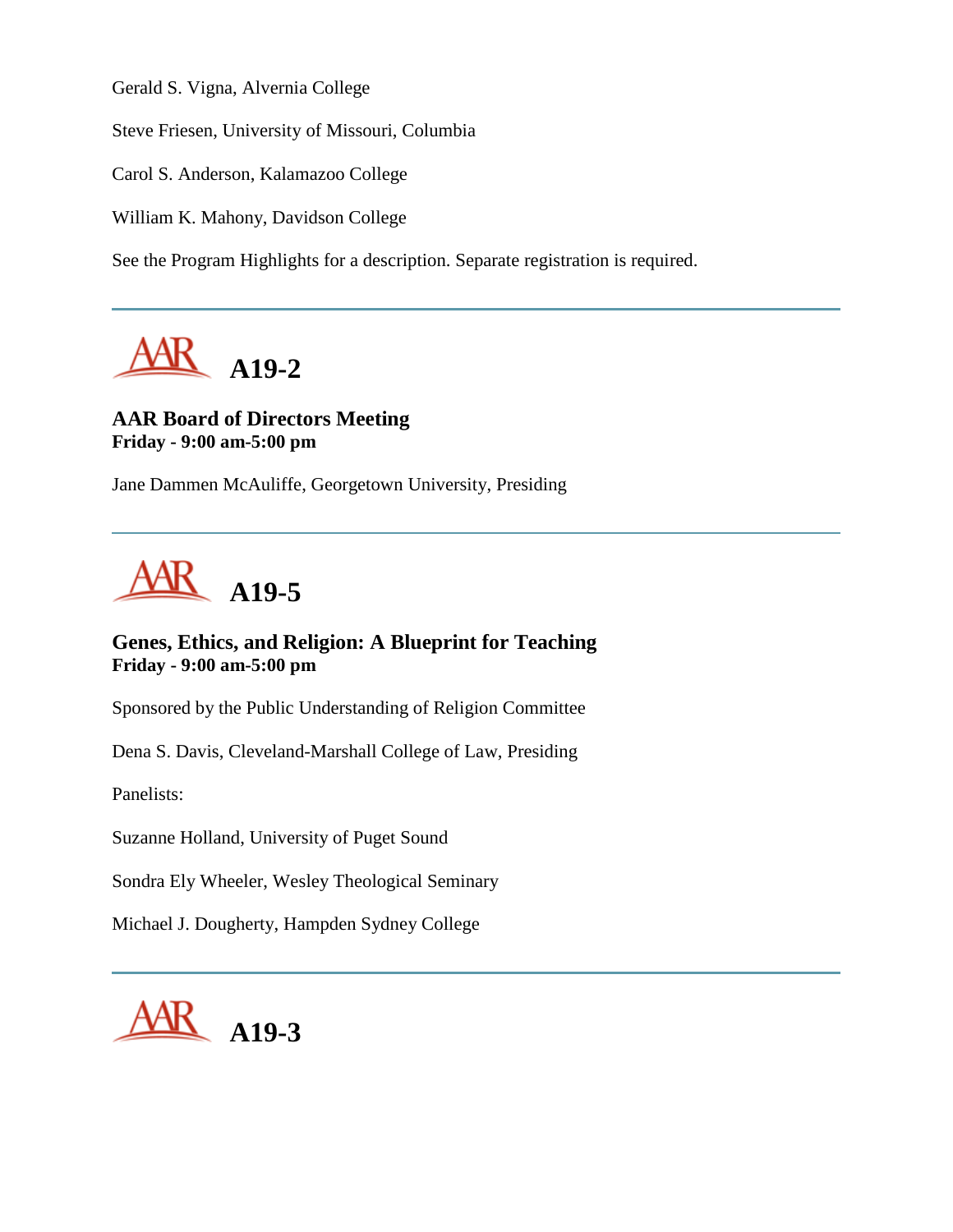Gerald S. Vigna, Alvernia College

Steve Friesen, University of Missouri, Columbia

Carol S. Anderson, Kalamazoo College

William K. Mahony, Davidson College

See the Program Highlights for a description. Separate registration is required.



# **AAR Board of Directors Meeting Friday - 9:00 am-5:00 pm**

Jane Dammen McAuliffe, Georgetown University, Presiding



# **Genes, Ethics, and Religion: A Blueprint for Teaching Friday - 9:00 am-5:00 pm**

Sponsored by the Public Understanding of Religion Committee

Dena S. Davis, Cleveland-Marshall College of Law, Presiding

Panelists:

Suzanne Holland, University of Puget Sound

Sondra Ely Wheeler, Wesley Theological Seminary

Michael J. Dougherty, Hampden Sydney College

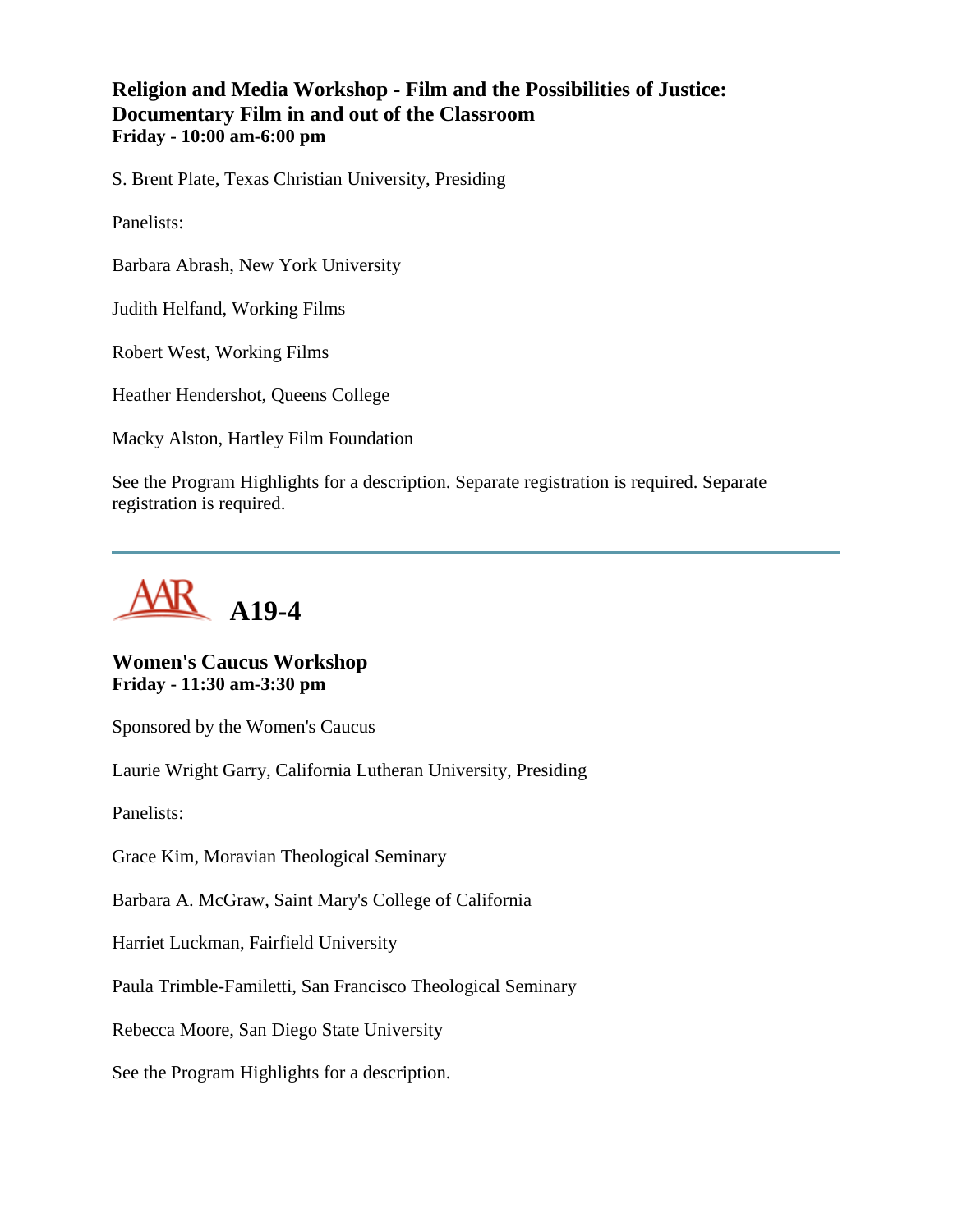# **Religion and Media Workshop - Film and the Possibilities of Justice: Documentary Film in and out of the Classroom Friday - 10:00 am-6:00 pm**

S. Brent Plate, Texas Christian University, Presiding

Panelists:

Barbara Abrash, New York University

Judith Helfand, Working Films

Robert West, Working Films

Heather Hendershot, Queens College

Macky Alston, Hartley Film Foundation

See the Program Highlights for a description. Separate registration is required. Separate registration is required.



# **Women's Caucus Workshop Friday - 11:30 am-3:30 pm**

Sponsored by the Women's Caucus

Laurie Wright Garry, California Lutheran University, Presiding

Panelists:

Grace Kim, Moravian Theological Seminary

Barbara A. McGraw, Saint Mary's College of California

Harriet Luckman, Fairfield University

Paula Trimble-Familetti, San Francisco Theological Seminary

Rebecca Moore, San Diego State University

See the Program Highlights for a description.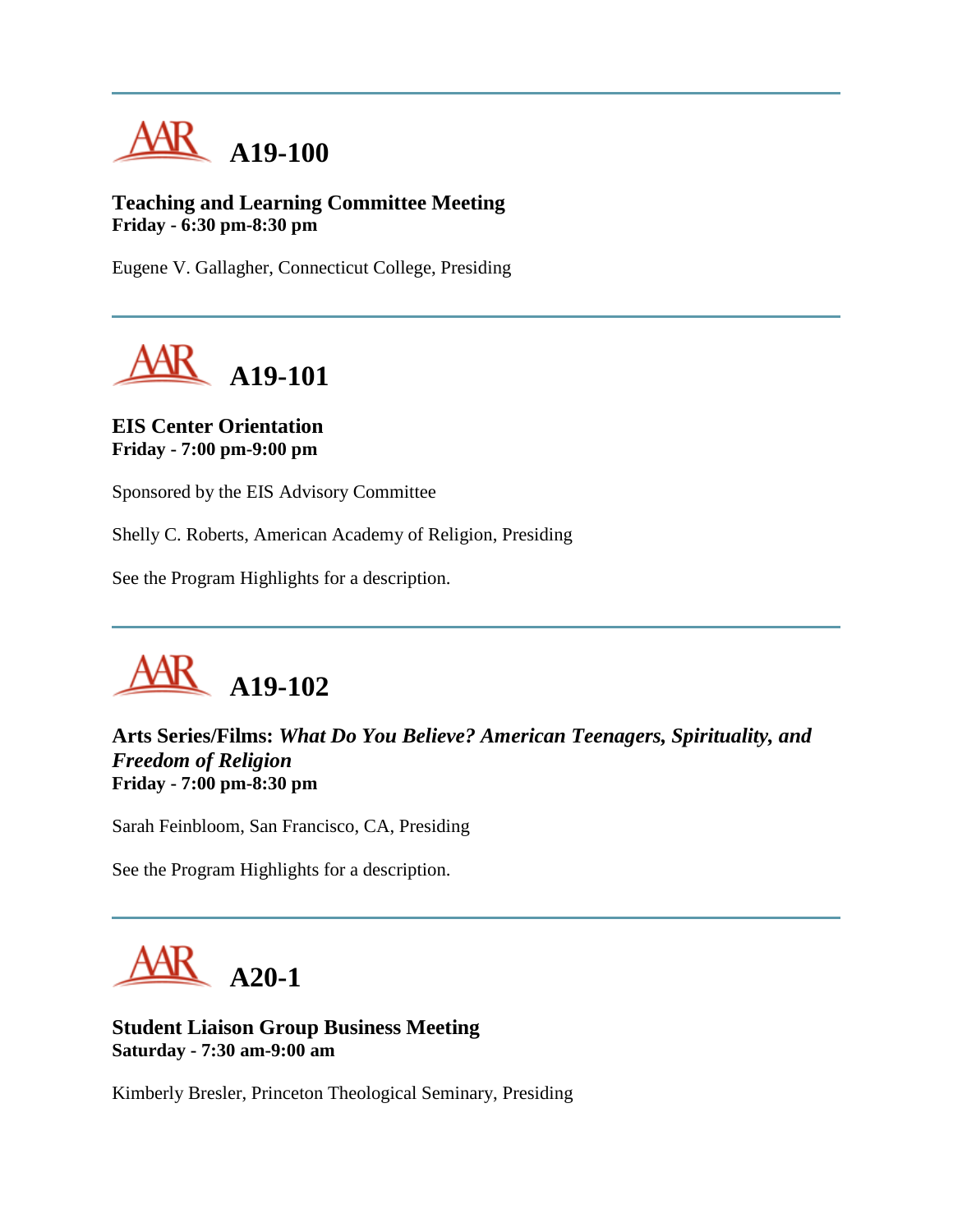

**Teaching and Learning Committee Meeting Friday - 6:30 pm-8:30 pm**

Eugene V. Gallagher, Connecticut College, Presiding



**EIS Center Orientation Friday - 7:00 pm-9:00 pm**

Sponsored by the EIS Advisory Committee

Shelly C. Roberts, American Academy of Religion, Presiding

See the Program Highlights for a description.



**Arts Series/Films:** *What Do You Believe? American Teenagers, Spirituality, and Freedom of Religion* **Friday - 7:00 pm-8:30 pm**

Sarah Feinbloom, San Francisco, CA, Presiding

See the Program Highlights for a description.



**Student Liaison Group Business Meeting Saturday - 7:30 am-9:00 am**

Kimberly Bresler, Princeton Theological Seminary, Presiding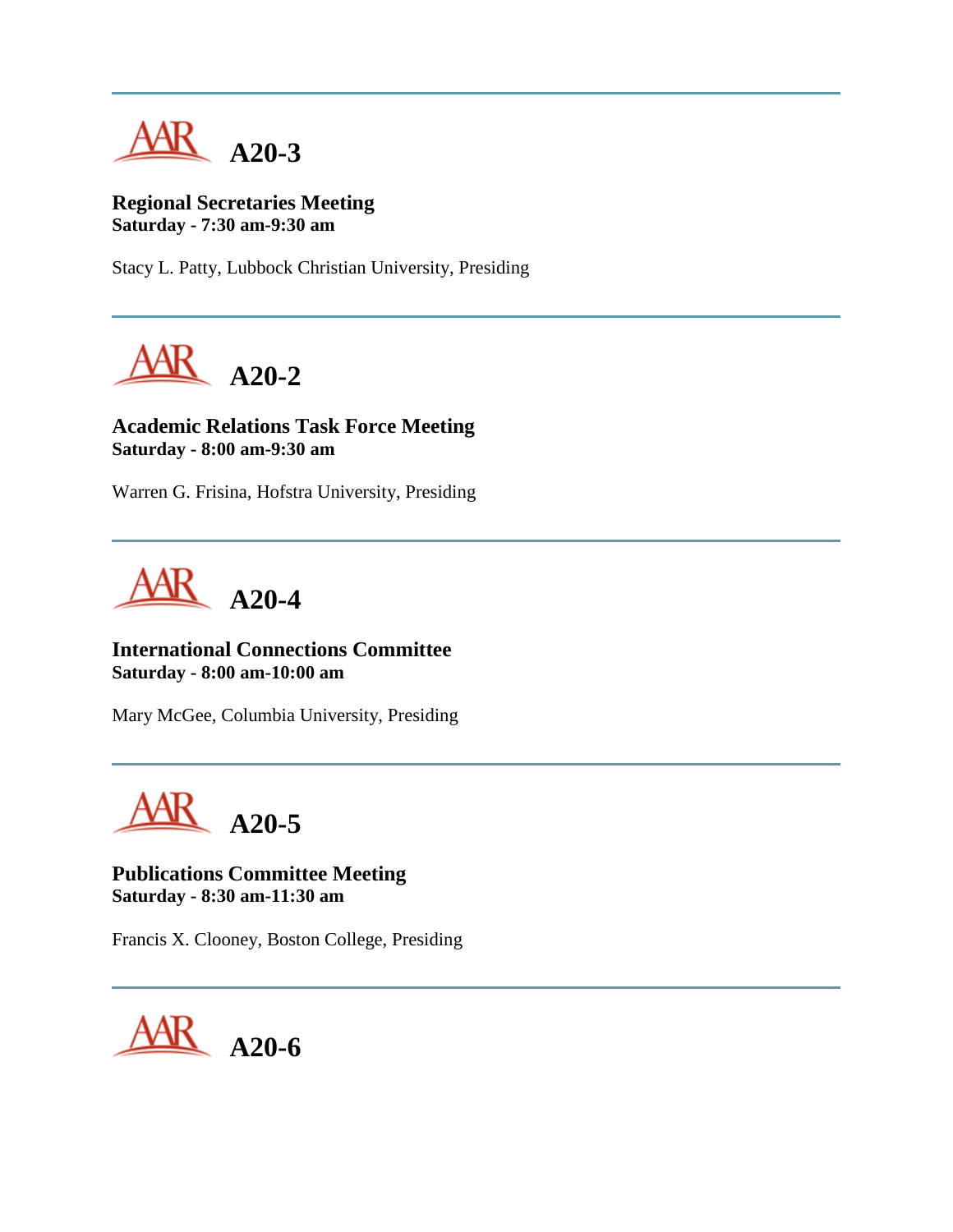

**Regional Secretaries Meeting Saturday - 7:30 am-9:30 am**

Stacy L. Patty, Lubbock Christian University, Presiding



**Academic Relations Task Force Meeting Saturday - 8:00 am-9:30 am**

Warren G. Frisina, Hofstra University, Presiding



**International Connections Committee Saturday - 8:00 am-10:00 am**

Mary McGee, Columbia University, Presiding

**A20-5**

**Publications Committee Meeting Saturday - 8:30 am-11:30 am**

Francis X. Clooney, Boston College, Presiding

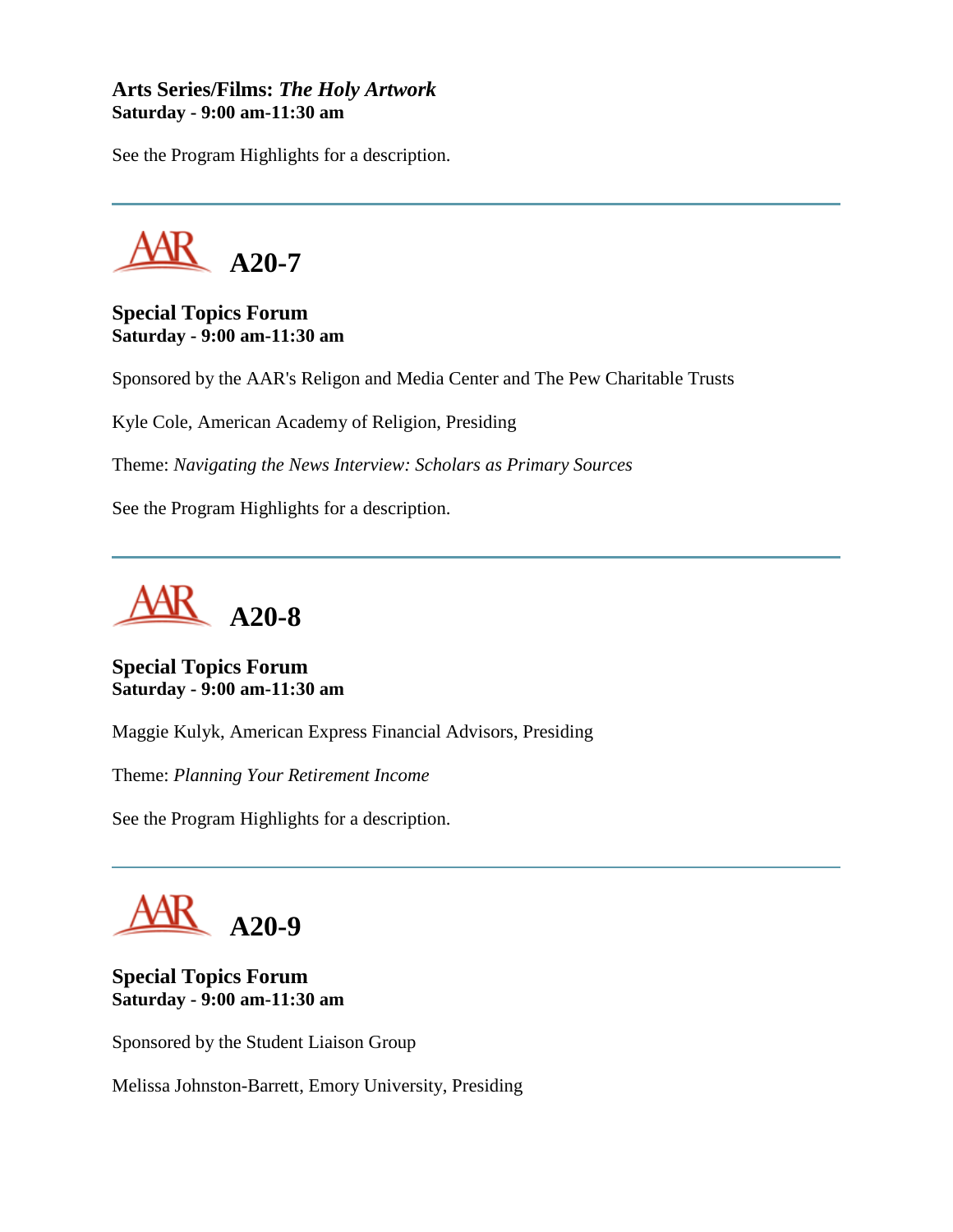## **Arts Series/Films:** *The Holy Artwork* **Saturday - 9:00 am-11:30 am**

See the Program Highlights for a description.



**Special Topics Forum Saturday - 9:00 am-11:30 am**

Sponsored by the AAR's Religon and Media Center and The Pew Charitable Trusts

Kyle Cole, American Academy of Religion, Presiding

Theme: *Navigating the News Interview: Scholars as Primary Sources*

See the Program Highlights for a description.



**Special Topics Forum Saturday - 9:00 am-11:30 am**

Maggie Kulyk, American Express Financial Advisors, Presiding

Theme: *Planning Your Retirement Income*

See the Program Highlights for a description.



# **Special Topics Forum Saturday - 9:00 am-11:30 am**

Sponsored by the Student Liaison Group

Melissa Johnston-Barrett, Emory University, Presiding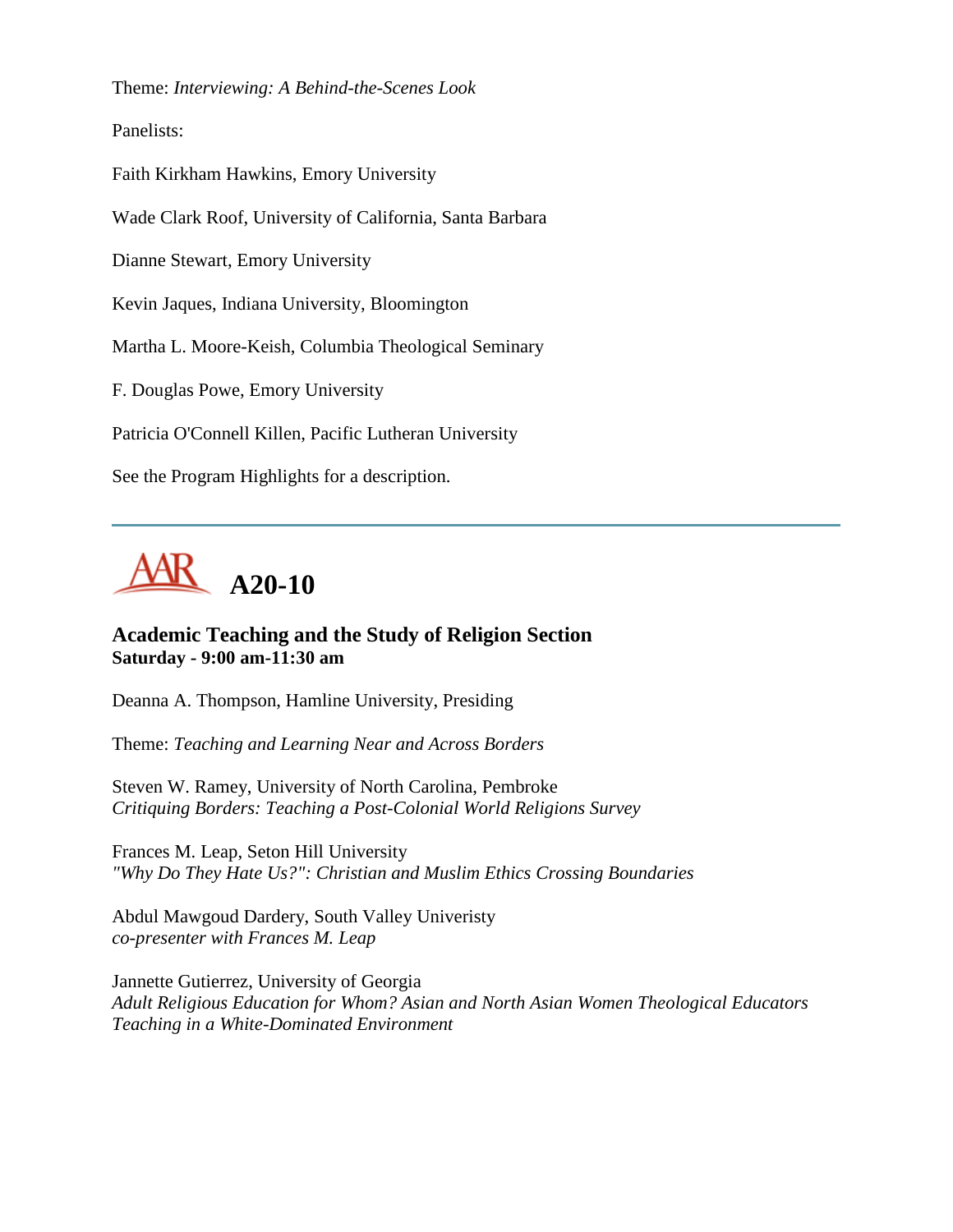Theme: *Interviewing: A Behind-the-Scenes Look*

Panelists:

Faith Kirkham Hawkins, Emory University

Wade Clark Roof, University of California, Santa Barbara

Dianne Stewart, Emory University

Kevin Jaques, Indiana University, Bloomington

Martha L. Moore-Keish, Columbia Theological Seminary

F. Douglas Powe, Emory University

Patricia O'Connell Killen, Pacific Lutheran University

See the Program Highlights for a description.



# **Academic Teaching and the Study of Religion Section Saturday - 9:00 am-11:30 am**

Deanna A. Thompson, Hamline University, Presiding

Theme: *Teaching and Learning Near and Across Borders*

Steven W. Ramey, University of North Carolina, Pembroke *Critiquing Borders: Teaching a Post-Colonial World Religions Survey*

Frances M. Leap, Seton Hill University *"Why Do They Hate Us?": Christian and Muslim Ethics Crossing Boundaries*

Abdul Mawgoud Dardery, South Valley Univeristy *co-presenter with Frances M. Leap*

Jannette Gutierrez, University of Georgia *Adult Religious Education for Whom? Asian and North Asian Women Theological Educators Teaching in a White-Dominated Environment*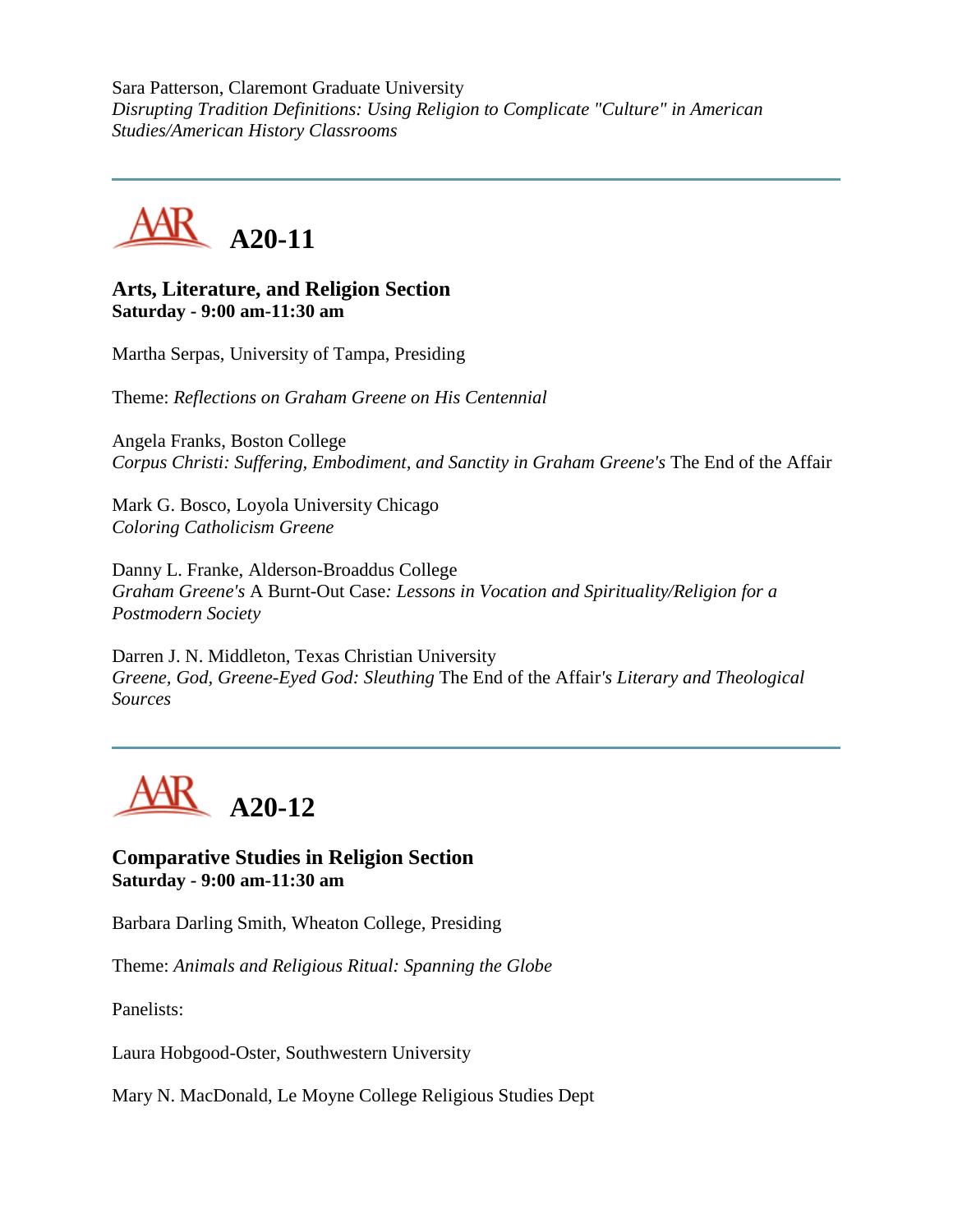Sara Patterson, Claremont Graduate University *Disrupting Tradition Definitions: Using Religion to Complicate "Culture" in American Studies/American History Classrooms*



#### **Arts, Literature, and Religion Section Saturday - 9:00 am-11:30 am**

Martha Serpas, University of Tampa, Presiding

Theme: *Reflections on Graham Greene on His Centennial*

Angela Franks, Boston College *Corpus Christi: Suffering, Embodiment, and Sanctity in Graham Greene's* The End of the Affair

Mark G. Bosco, Loyola University Chicago *Coloring Catholicism Greene*

Danny L. Franke, Alderson-Broaddus College *Graham Greene's* A Burnt-Out Case*: Lessons in Vocation and Spirituality/Religion for a Postmodern Society*

Darren J. N. Middleton, Texas Christian University *Greene, God, Greene-Eyed God: Sleuthing* The End of the Affair*'s Literary and Theological Sources*



**Comparative Studies in Religion Section Saturday - 9:00 am-11:30 am**

Barbara Darling Smith, Wheaton College, Presiding

Theme: *Animals and Religious Ritual: Spanning the Globe*

Panelists:

Laura Hobgood-Oster, Southwestern University

Mary N. MacDonald, Le Moyne College Religious Studies Dept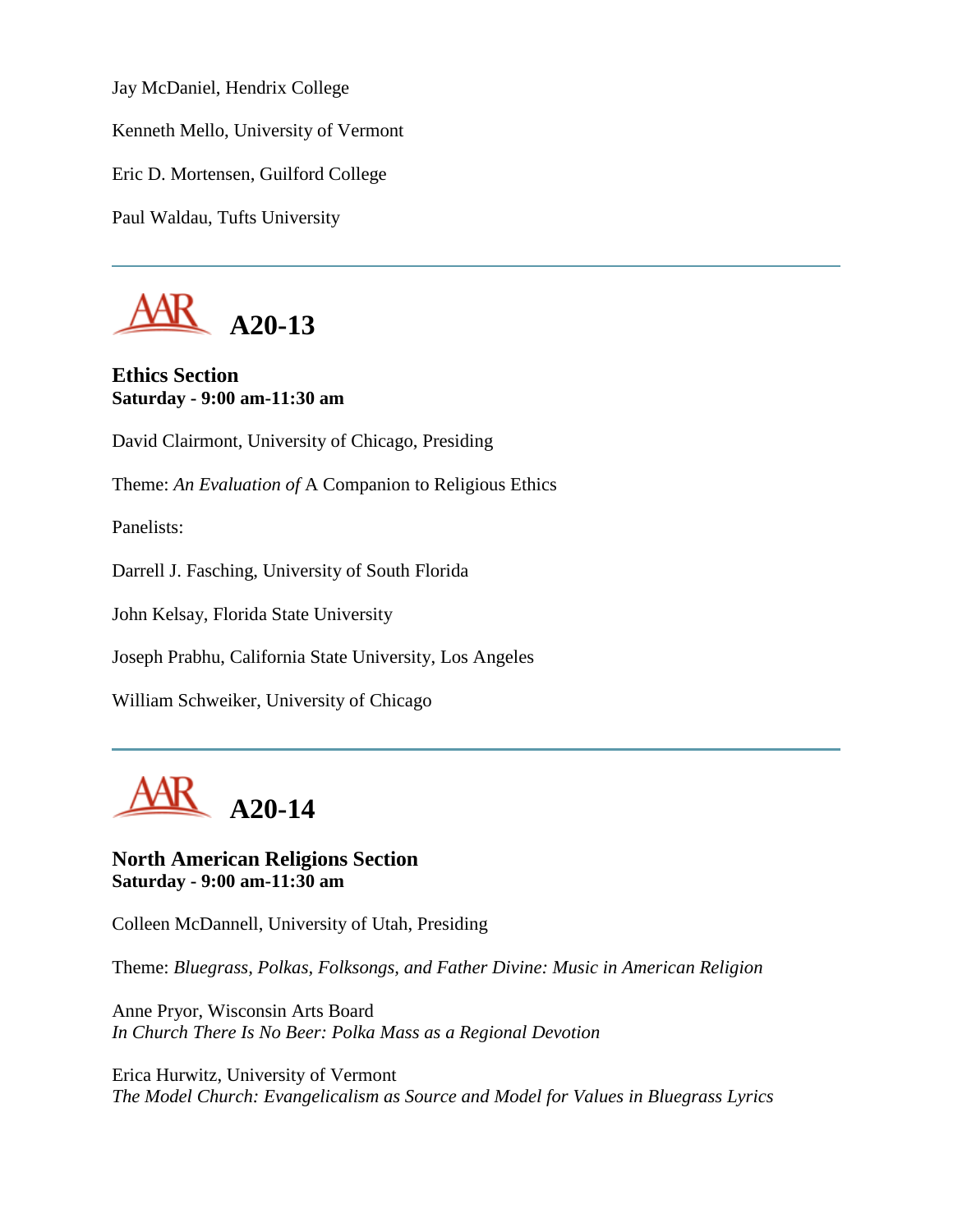Jay McDaniel, Hendrix College

Kenneth Mello, University of Vermont

Eric D. Mortensen, Guilford College

Paul Waldau, Tufts University



**Ethics Section Saturday - 9:00 am-11:30 am**

David Clairmont, University of Chicago, Presiding

Theme: *An Evaluation of* A Companion to Religious Ethics

Panelists:

Darrell J. Fasching, University of South Florida

John Kelsay, Florida State University

Joseph Prabhu, California State University, Los Angeles

William Schweiker, University of Chicago



**North American Religions Section Saturday - 9:00 am-11:30 am**

Colleen McDannell, University of Utah, Presiding

Theme: *Bluegrass, Polkas, Folksongs, and Father Divine: Music in American Religion*

Anne Pryor, Wisconsin Arts Board *In Church There Is No Beer: Polka Mass as a Regional Devotion*

Erica Hurwitz, University of Vermont *The Model Church: Evangelicalism as Source and Model for Values in Bluegrass Lyrics*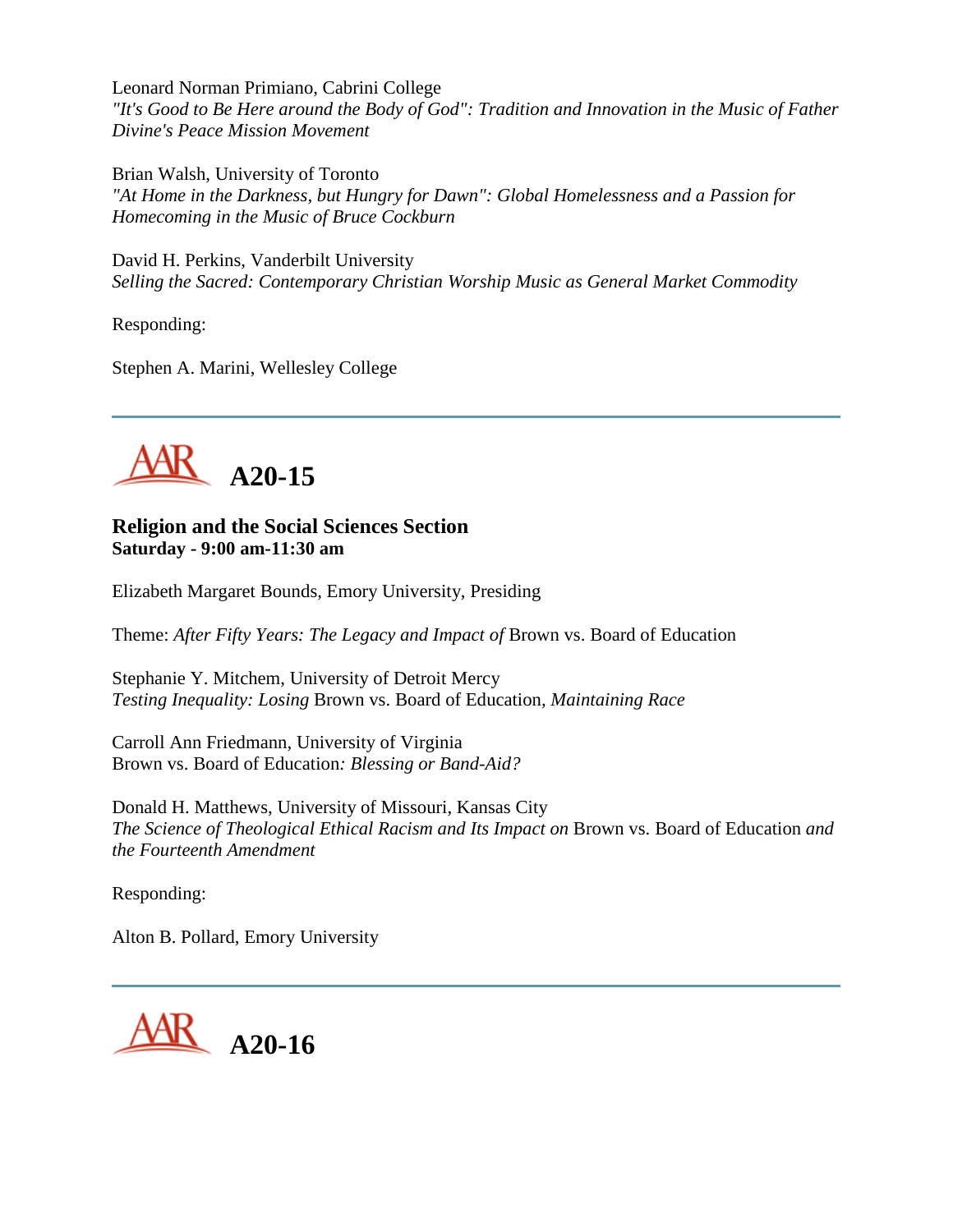Leonard Norman Primiano, Cabrini College *"It's Good to Be Here around the Body of God": Tradition and Innovation in the Music of Father Divine's Peace Mission Movement*

Brian Walsh, University of Toronto *"At Home in the Darkness, but Hungry for Dawn": Global Homelessness and a Passion for Homecoming in the Music of Bruce Cockburn*

David H. Perkins, Vanderbilt University *Selling the Sacred: Contemporary Christian Worship Music as General Market Commodity*

Responding:

Stephen A. Marini, Wellesley College



**Religion and the Social Sciences Section Saturday - 9:00 am-11:30 am**

Elizabeth Margaret Bounds, Emory University, Presiding

Theme: *After Fifty Years: The Legacy and Impact of* Brown vs. Board of Education

Stephanie Y. Mitchem, University of Detroit Mercy *Testing Inequality: Losing* Brown vs. Board of Education*, Maintaining Race*

Carroll Ann Friedmann, University of Virginia Brown vs. Board of Education*: Blessing or Band-Aid?*

Donald H. Matthews, University of Missouri, Kansas City *The Science of Theological Ethical Racism and Its Impact on* Brown vs. Board of Education *and the Fourteenth Amendment*

Responding:

Alton B. Pollard, Emory University

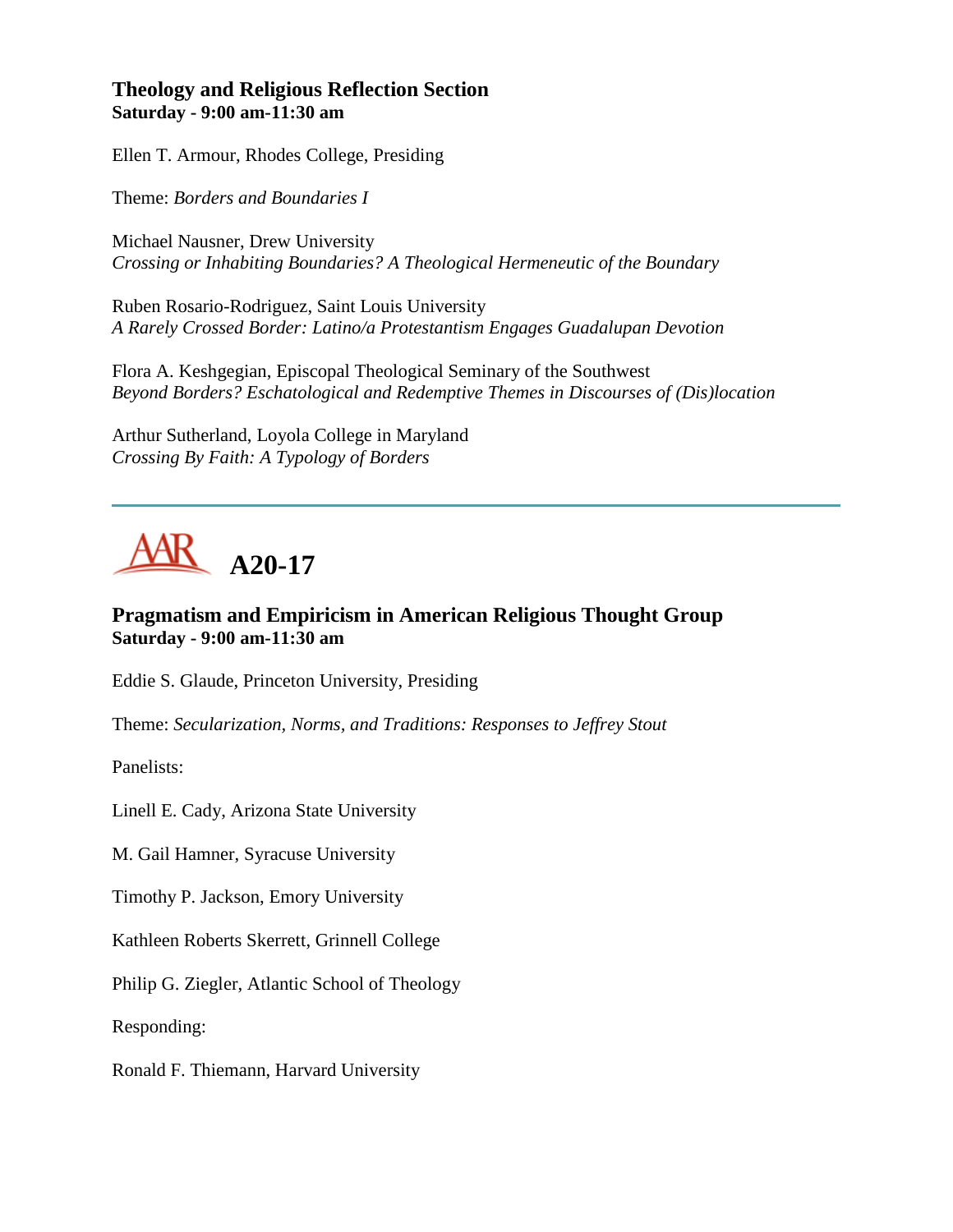# **Theology and Religious Reflection Section Saturday - 9:00 am-11:30 am**

Ellen T. Armour, Rhodes College, Presiding

Theme: *Borders and Boundaries I*

Michael Nausner, Drew University *Crossing or Inhabiting Boundaries? A Theological Hermeneutic of the Boundary*

Ruben Rosario-Rodriguez, Saint Louis University *A Rarely Crossed Border: Latino/a Protestantism Engages Guadalupan Devotion*

Flora A. Keshgegian, Episcopal Theological Seminary of the Southwest *Beyond Borders? Eschatological and Redemptive Themes in Discourses of (Dis)location*

Arthur Sutherland, Loyola College in Maryland *Crossing By Faith: A Typology of Borders*

# **A20-17**

# **Pragmatism and Empiricism in American Religious Thought Group Saturday - 9:00 am-11:30 am**

Eddie S. Glaude, Princeton University, Presiding

Theme: *Secularization, Norms, and Traditions: Responses to Jeffrey Stout*

Panelists:

Linell E. Cady, Arizona State University

M. Gail Hamner, Syracuse University

Timothy P. Jackson, Emory University

Kathleen Roberts Skerrett, Grinnell College

Philip G. Ziegler, Atlantic School of Theology

Responding:

Ronald F. Thiemann, Harvard University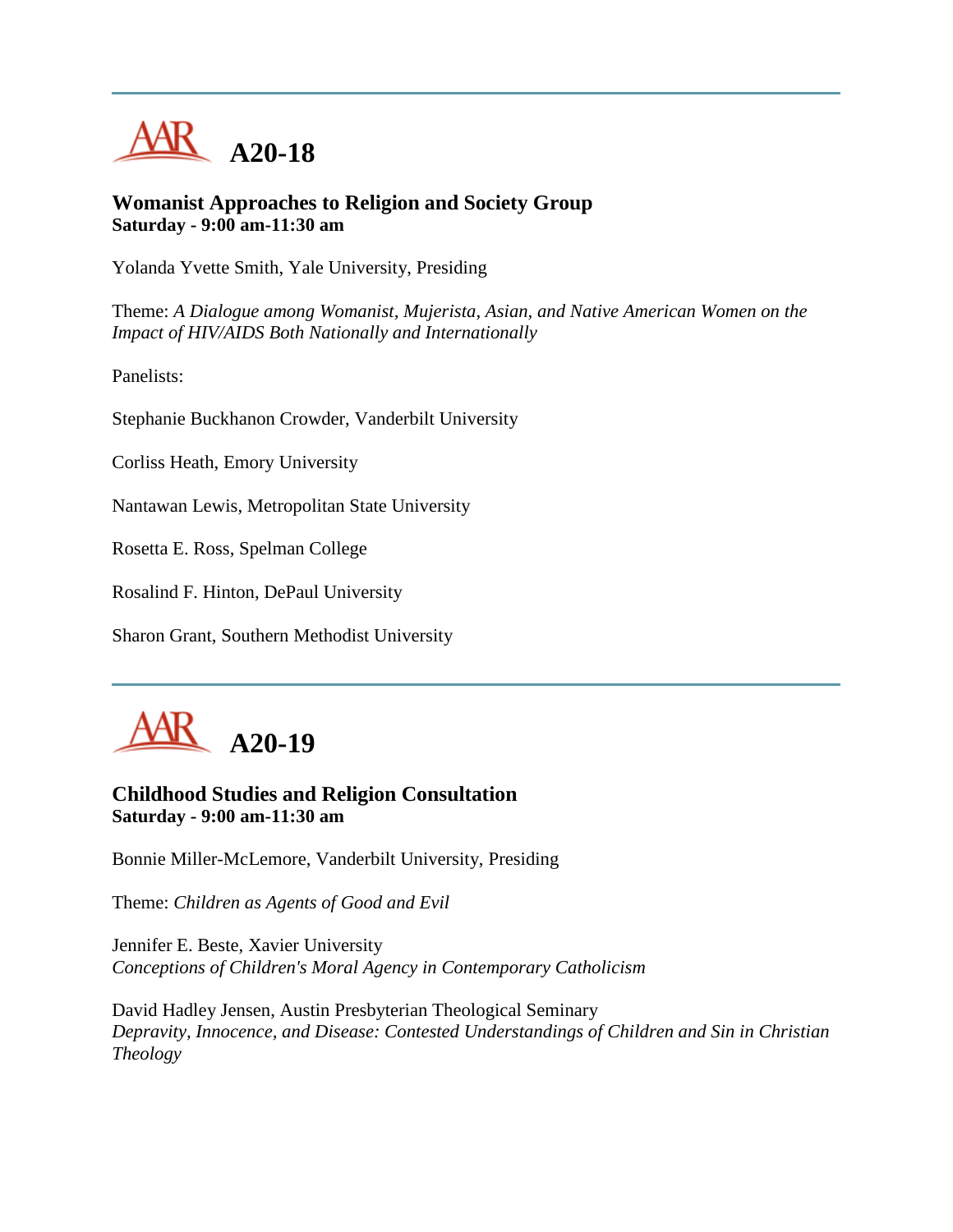

#### **Womanist Approaches to Religion and Society Group Saturday - 9:00 am-11:30 am**

Yolanda Yvette Smith, Yale University, Presiding

Theme: *A Dialogue among Womanist, Mujerista, Asian, and Native American Women on the Impact of HIV/AIDS Both Nationally and Internationally*

Panelists:

Stephanie Buckhanon Crowder, Vanderbilt University

Corliss Heath, Emory University

Nantawan Lewis, Metropolitan State University

Rosetta E. Ross, Spelman College

Rosalind F. Hinton, DePaul University

Sharon Grant, Southern Methodist University



## **Childhood Studies and Religion Consultation Saturday - 9:00 am-11:30 am**

Bonnie Miller-McLemore, Vanderbilt University, Presiding

Theme: *Children as Agents of Good and Evil*

Jennifer E. Beste, Xavier University *Conceptions of Children's Moral Agency in Contemporary Catholicism*

David Hadley Jensen, Austin Presbyterian Theological Seminary *Depravity, Innocence, and Disease: Contested Understandings of Children and Sin in Christian Theology*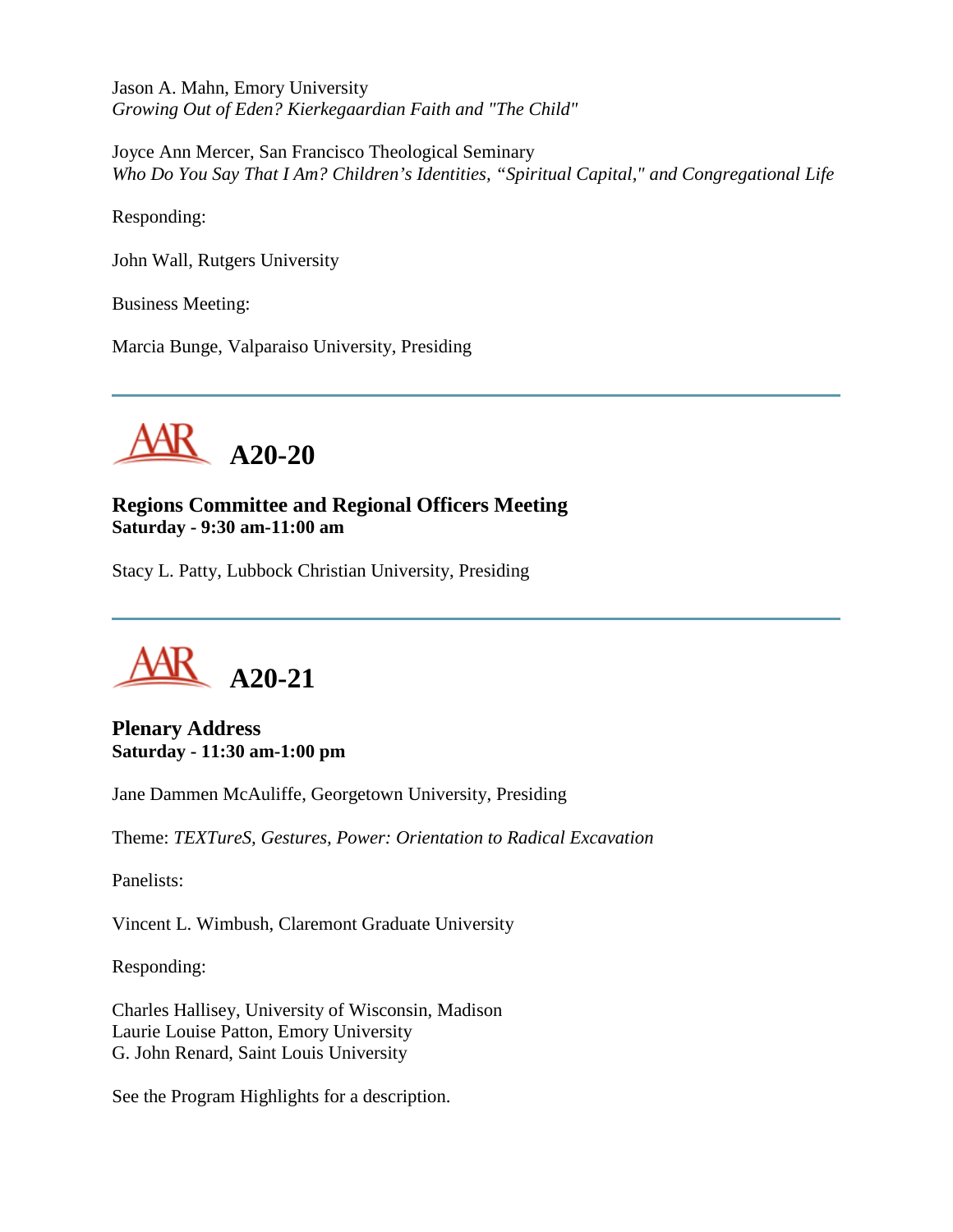Jason A. Mahn, Emory University *Growing Out of Eden? Kierkegaardian Faith and "The Child"*

Joyce Ann Mercer, San Francisco Theological Seminary *Who Do You Say That I Am? Children's Identities, "Spiritual Capital," and Congregational Life*

Responding:

John Wall, Rutgers University

Business Meeting:

Marcia Bunge, Valparaiso University, Presiding



**Regions Committee and Regional Officers Meeting Saturday - 9:30 am-11:00 am**

Stacy L. Patty, Lubbock Christian University, Presiding



**Plenary Address Saturday - 11:30 am-1:00 pm**

Jane Dammen McAuliffe, Georgetown University, Presiding

Theme: *TEXTureS, Gestures, Power: Orientation to Radical Excavation*

Panelists:

Vincent L. Wimbush, Claremont Graduate University

Responding:

Charles Hallisey, University of Wisconsin, Madison Laurie Louise Patton, Emory University G. John Renard, Saint Louis University

See the Program Highlights for a description.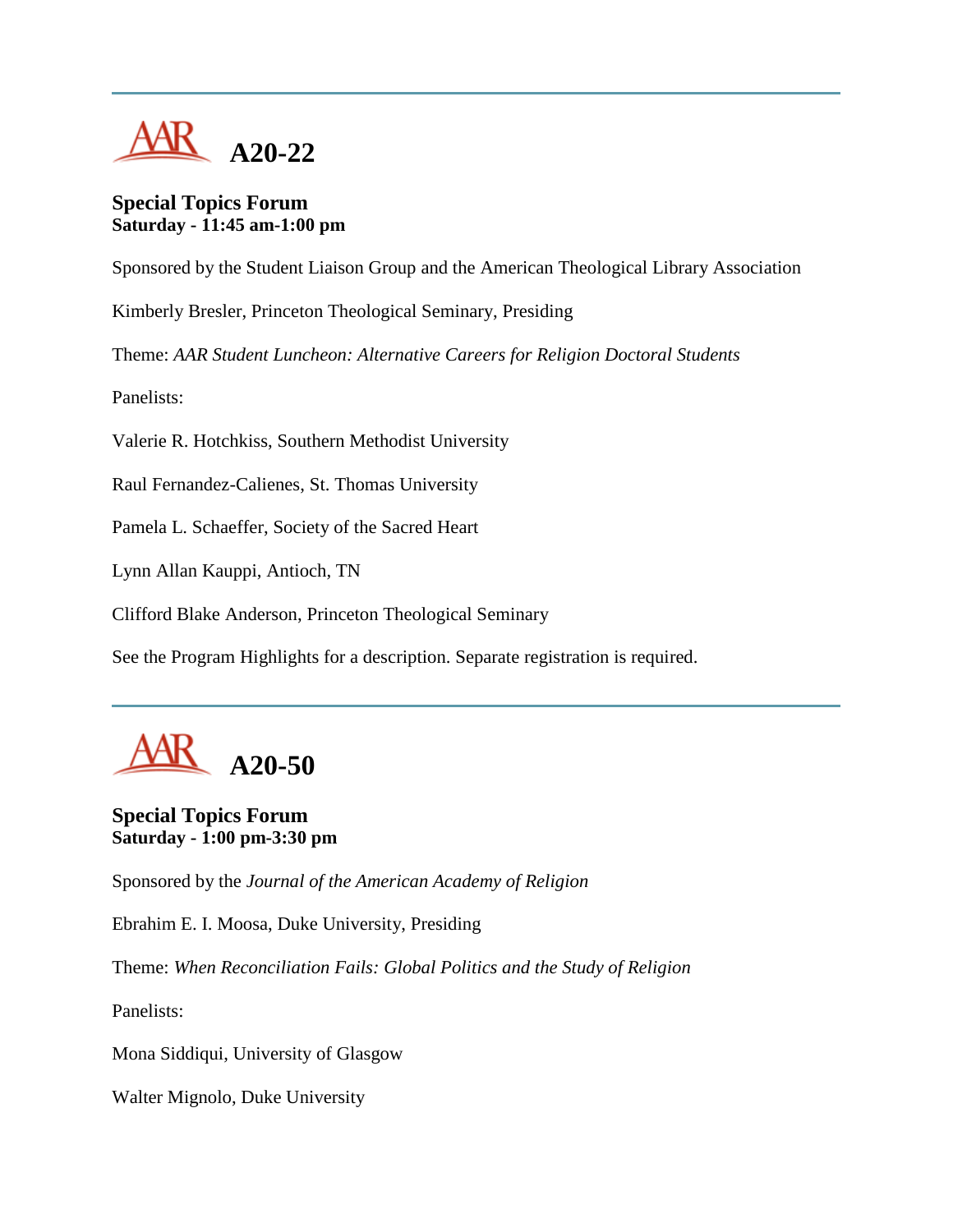

#### **Special Topics Forum Saturday - 11:45 am-1:00 pm**

Sponsored by the Student Liaison Group and the American Theological Library Association

Kimberly Bresler, Princeton Theological Seminary, Presiding

Theme: *AAR Student Luncheon: Alternative Careers for Religion Doctoral Students*

Panelists:

Valerie R. Hotchkiss, Southern Methodist University

Raul Fernandez-Calienes, St. Thomas University

Pamela L. Schaeffer, Society of the Sacred Heart

Lynn Allan Kauppi, Antioch, TN

Clifford Blake Anderson, Princeton Theological Seminary

See the Program Highlights for a description. Separate registration is required.

# **A20-50**

# **Special Topics Forum Saturday - 1:00 pm-3:30 pm**

Sponsored by the *Journal of the American Academy of Religion*

Ebrahim E. I. Moosa, Duke University, Presiding

Theme: *When Reconciliation Fails: Global Politics and the Study of Religion*

Panelists:

Mona Siddiqui, University of Glasgow

Walter Mignolo, Duke University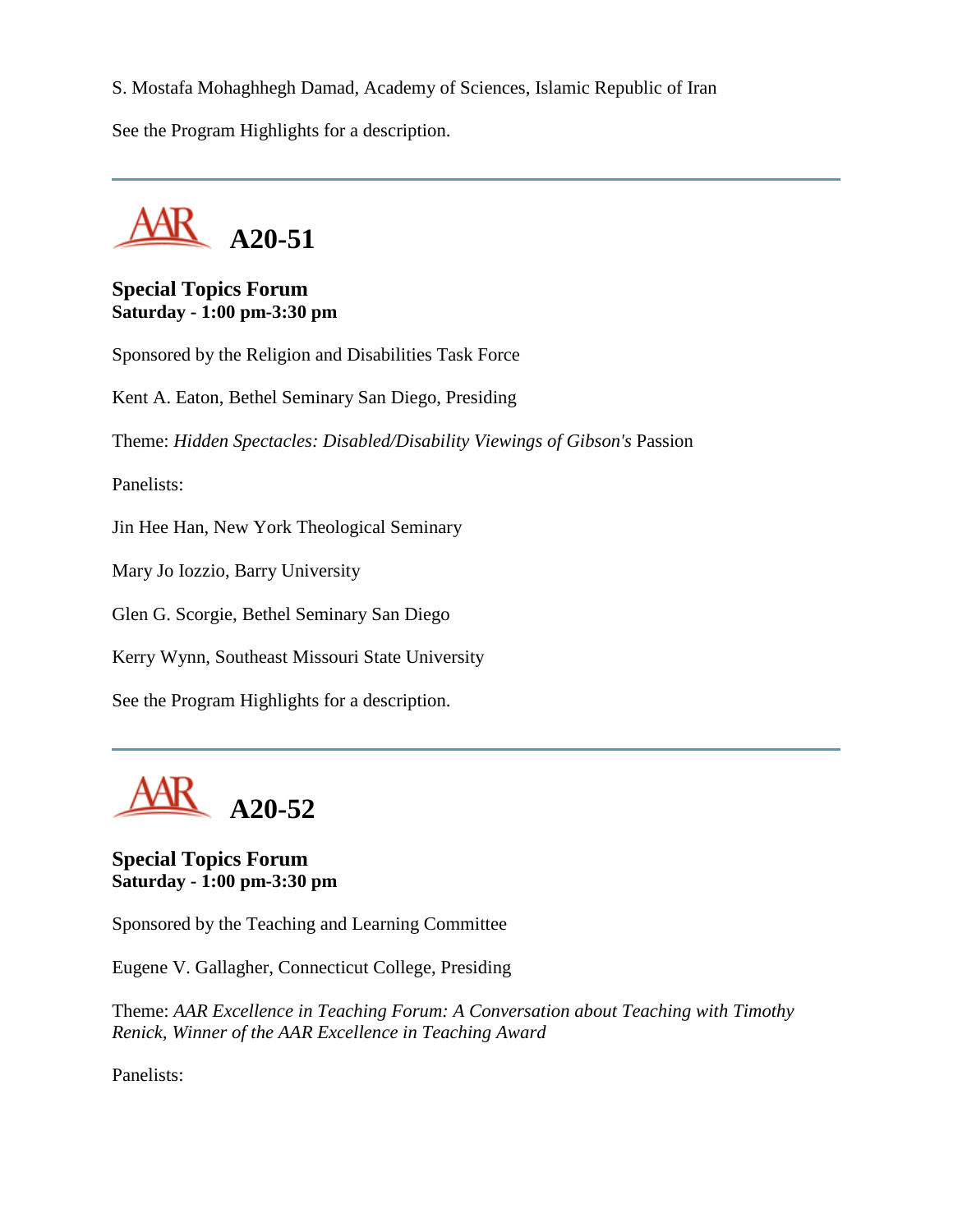S. Mostafa Mohaghhegh Damad, Academy of Sciences, Islamic Republic of Iran

See the Program Highlights for a description.



## **Special Topics Forum Saturday - 1:00 pm-3:30 pm**

Sponsored by the Religion and Disabilities Task Force

Kent A. Eaton, Bethel Seminary San Diego, Presiding

Theme: *Hidden Spectacles: Disabled/Disability Viewings of Gibson's* Passion

Panelists:

Jin Hee Han, New York Theological Seminary

Mary Jo Iozzio, Barry University

Glen G. Scorgie, Bethel Seminary San Diego

Kerry Wynn, Southeast Missouri State University

See the Program Highlights for a description.



# **Special Topics Forum Saturday - 1:00 pm-3:30 pm**

Sponsored by the Teaching and Learning Committee

Eugene V. Gallagher, Connecticut College, Presiding

Theme: *AAR Excellence in Teaching Forum: A Conversation about Teaching with Timothy Renick, Winner of the AAR Excellence in Teaching Award*

Panelists: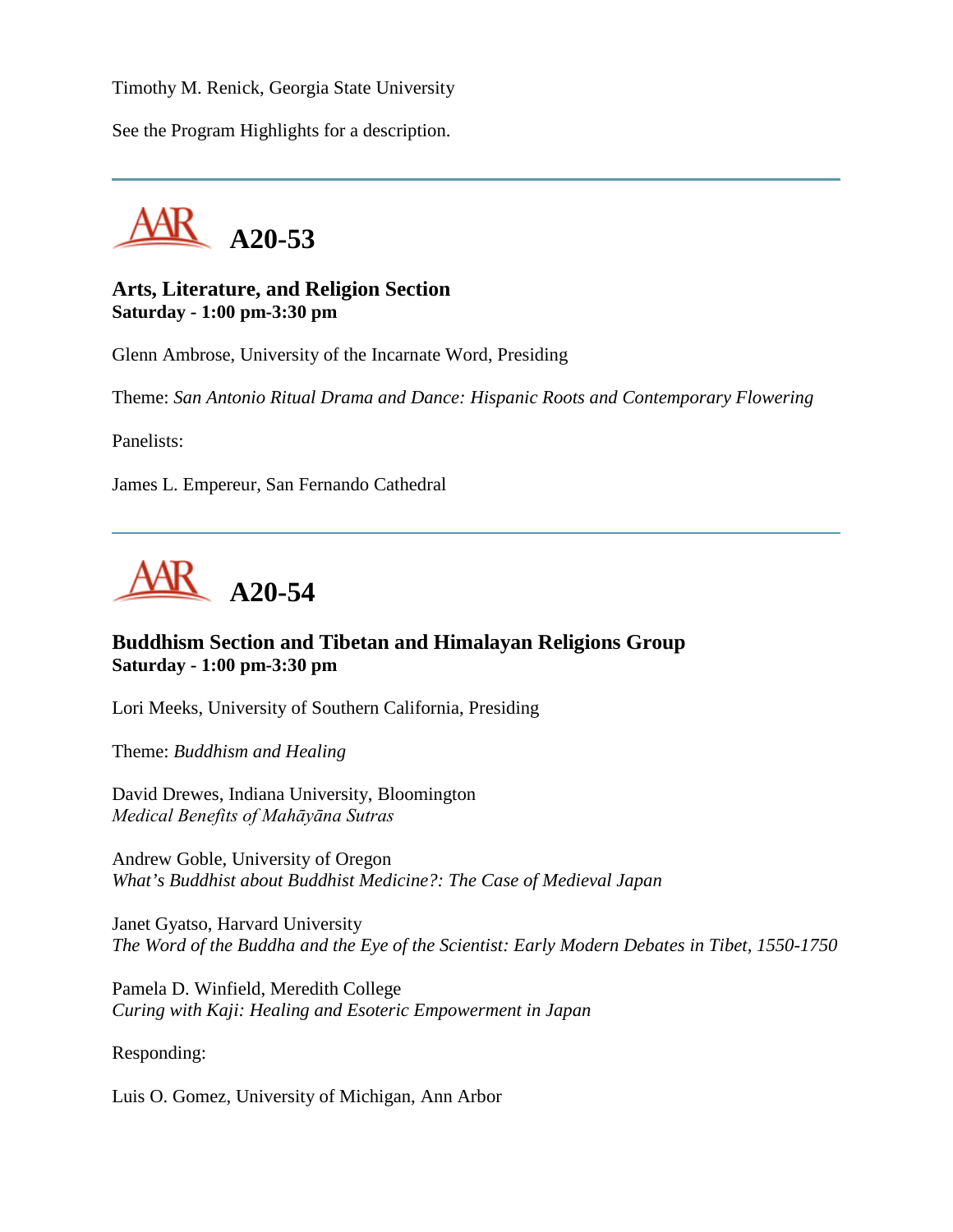Timothy M. Renick, Georgia State University

See the Program Highlights for a description.



#### **Arts, Literature, and Religion Section Saturday - 1:00 pm-3:30 pm**

Glenn Ambrose, University of the Incarnate Word, Presiding

Theme: *San Antonio Ritual Drama and Dance: Hispanic Roots and Contemporary Flowering*

Panelists:

James L. Empereur, San Fernando Cathedral



#### **Buddhism Section and Tibetan and Himalayan Religions Group Saturday - 1:00 pm-3:30 pm**

Lori Meeks, University of Southern California, Presiding

Theme: *Buddhism and Healing*

David Drewes, Indiana University, Bloomington *Medical Benefits of Mahāyāna Sutras*

Andrew Goble, University of Oregon *What's Buddhist about Buddhist Medicine?: The Case of Medieval Japan*

Janet Gyatso, Harvard University *The Word of the Buddha and the Eye of the Scientist: Early Modern Debates in Tibet, 1550-1750*

Pamela D. Winfield, Meredith College *Curing with Kaji: Healing and Esoteric Empowerment in Japan*

Responding:

Luis O. Gomez, University of Michigan, Ann Arbor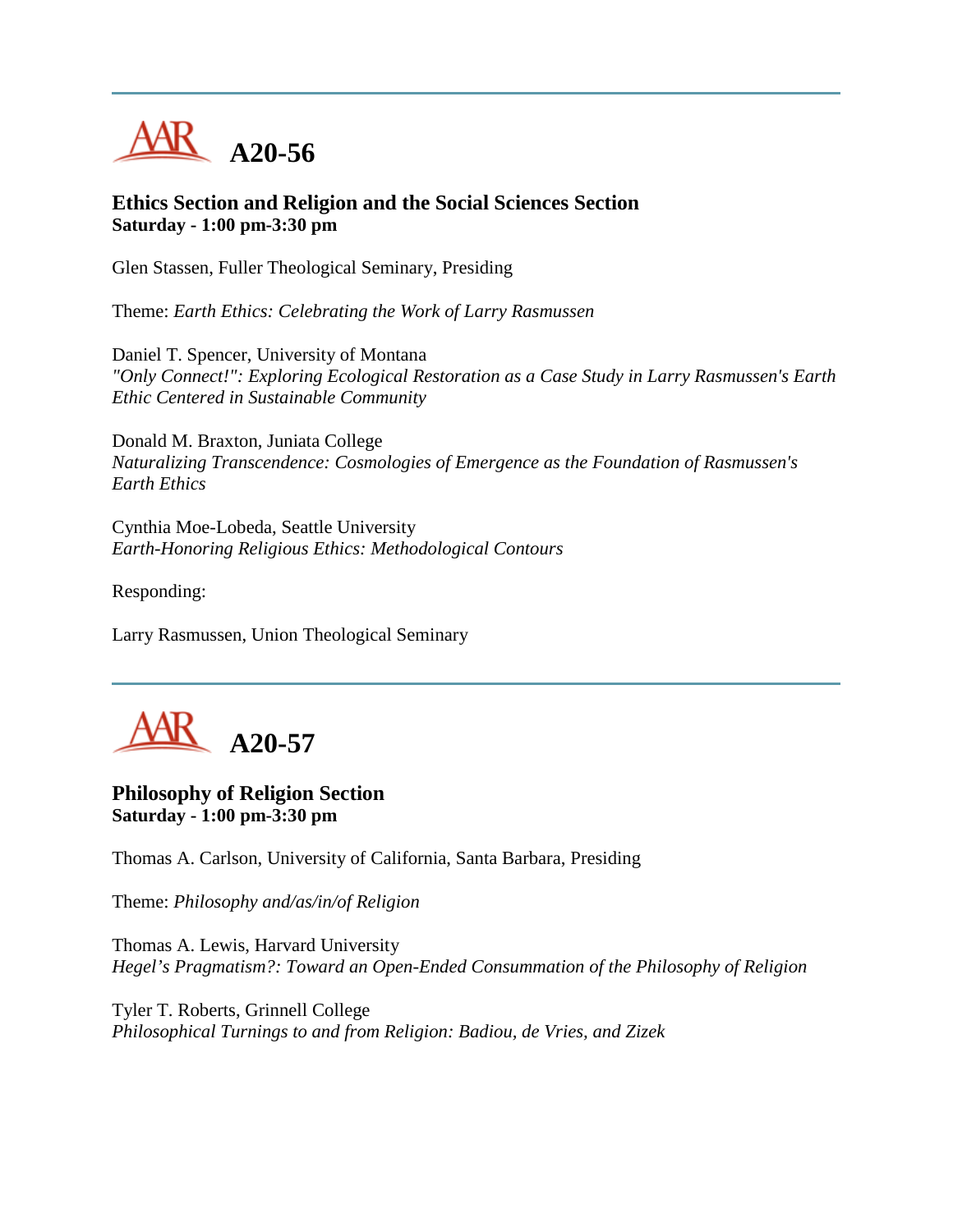

## **Ethics Section and Religion and the Social Sciences Section Saturday - 1:00 pm-3:30 pm**

Glen Stassen, Fuller Theological Seminary, Presiding

Theme: *Earth Ethics: Celebrating the Work of Larry Rasmussen*

Daniel T. Spencer, University of Montana *"Only Connect!": Exploring Ecological Restoration as a Case Study in Larry Rasmussen's Earth Ethic Centered in Sustainable Community*

Donald M. Braxton, Juniata College *Naturalizing Transcendence: Cosmologies of Emergence as the Foundation of Rasmussen's Earth Ethics*

Cynthia Moe-Lobeda, Seattle University *Earth-Honoring Religious Ethics: Methodological Contours*

Responding:

Larry Rasmussen, Union Theological Seminary



## **Philosophy of Religion Section Saturday - 1:00 pm-3:30 pm**

Thomas A. Carlson, University of California, Santa Barbara, Presiding

Theme: *Philosophy and/as/in/of Religion*

Thomas A. Lewis, Harvard University *Hegel's Pragmatism?: Toward an Open-Ended Consummation of the Philosophy of Religion*

Tyler T. Roberts, Grinnell College *Philosophical Turnings to and from Religion: Badiou, de Vries, and Zizek*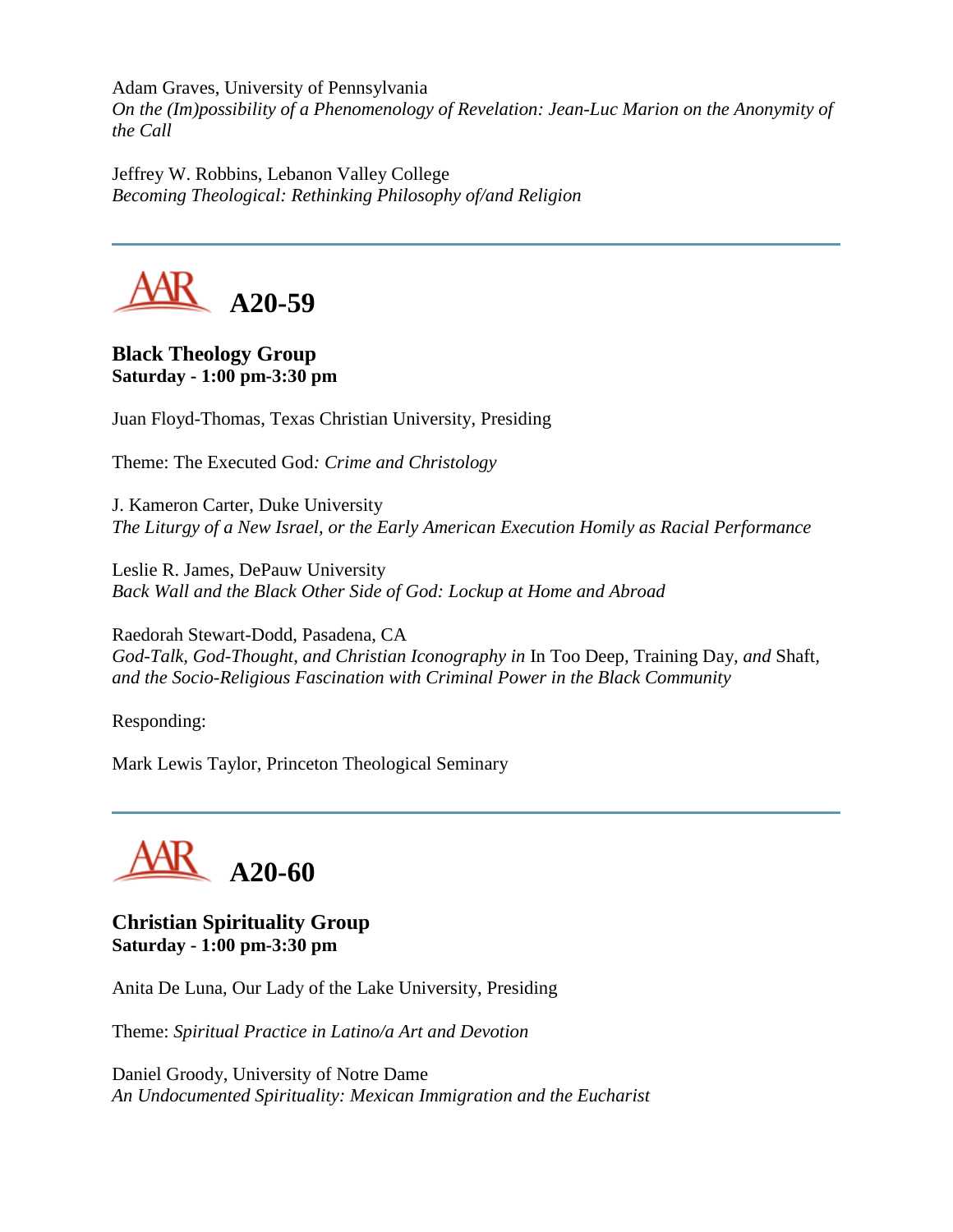Adam Graves, University of Pennsylvania *On the (Im)possibility of a Phenomenology of Revelation: Jean-Luc Marion on the Anonymity of the Call*

Jeffrey W. Robbins, Lebanon Valley College *Becoming Theological: Rethinking Philosophy of/and Religion*



**Black Theology Group Saturday - 1:00 pm-3:30 pm**

Juan Floyd-Thomas, Texas Christian University, Presiding

Theme: The Executed God*: Crime and Christology*

J. Kameron Carter, Duke University *The Liturgy of a New Israel, or the Early American Execution Homily as Racial Performance*

Leslie R. James, DePauw University *Back Wall and the Black Other Side of God: Lockup at Home and Abroad*

Raedorah Stewart-Dodd, Pasadena, CA *God-Talk, God-Thought, and Christian Iconography in* In Too Deep*,* Training Day*, and* Shaft*, and the Socio-Religious Fascination with Criminal Power in the Black Community*

Responding:

Mark Lewis Taylor, Princeton Theological Seminary



**Christian Spirituality Group Saturday - 1:00 pm-3:30 pm**

Anita De Luna, Our Lady of the Lake University, Presiding

Theme: *Spiritual Practice in Latino/a Art and Devotion*

Daniel Groody, University of Notre Dame *An Undocumented Spirituality: Mexican Immigration and the Eucharist*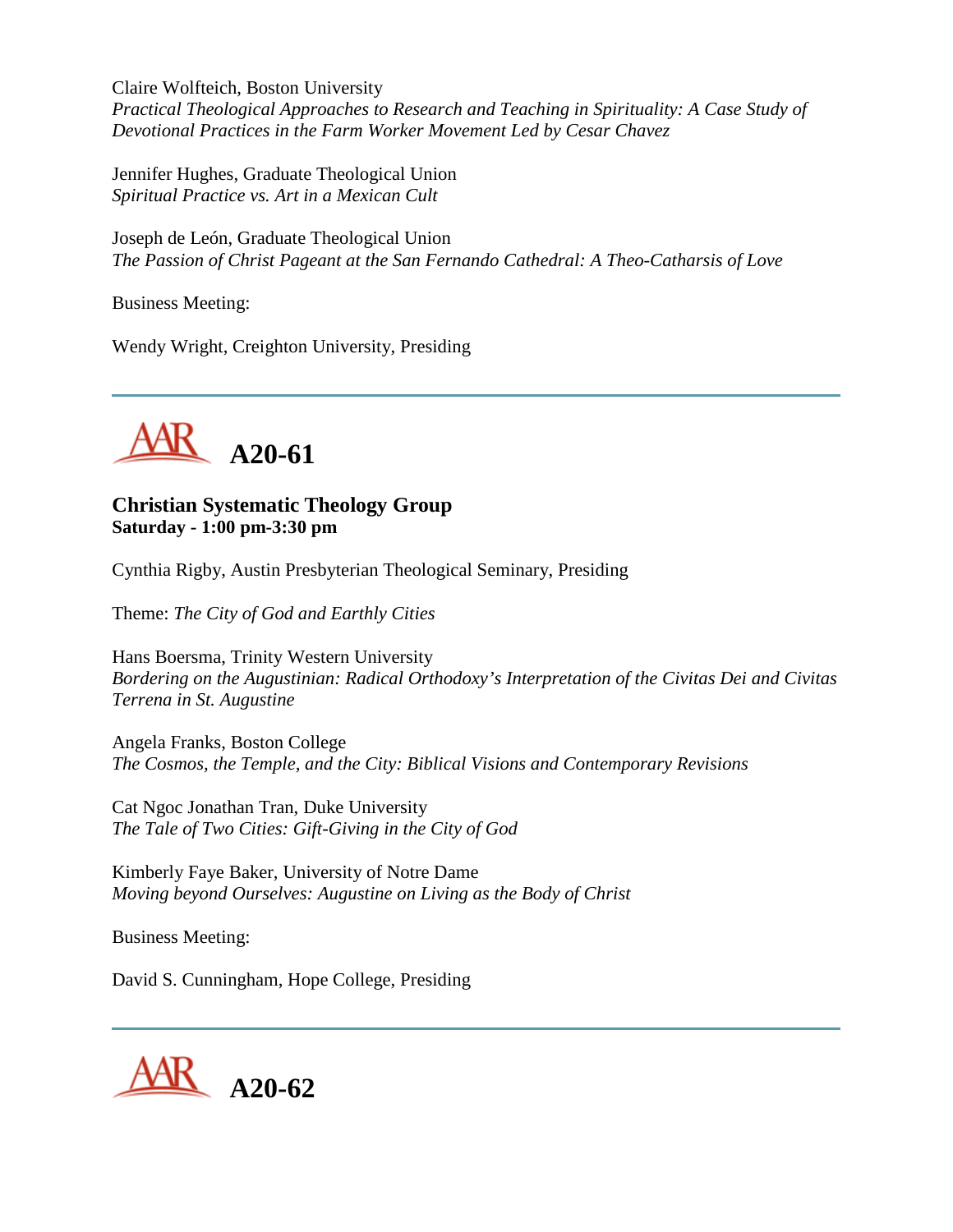Claire Wolfteich, Boston University *Practical Theological Approaches to Research and Teaching in Spirituality: A Case Study of Devotional Practices in the Farm Worker Movement Led by Cesar Chavez*

Jennifer Hughes, Graduate Theological Union *Spiritual Practice vs. Art in a Mexican Cult*

Joseph de León, Graduate Theological Union *The Passion of Christ Pageant at the San Fernando Cathedral: A Theo-Catharsis of Love*

Business Meeting:

Wendy Wright, Creighton University, Presiding



## **Christian Systematic Theology Group Saturday - 1:00 pm-3:30 pm**

Cynthia Rigby, Austin Presbyterian Theological Seminary, Presiding

Theme: *The City of God and Earthly Cities*

Hans Boersma, Trinity Western University *Bordering on the Augustinian: Radical Orthodoxy's Interpretation of the Civitas Dei and Civitas Terrena in St. Augustine*

Angela Franks, Boston College *The Cosmos, the Temple, and the City: Biblical Visions and Contemporary Revisions*

Cat Ngoc Jonathan Tran, Duke University *The Tale of Two Cities: Gift-Giving in the City of God*

Kimberly Faye Baker, University of Notre Dame *Moving beyond Ourselves: Augustine on Living as the Body of Christ*

Business Meeting:

David S. Cunningham, Hope College, Presiding

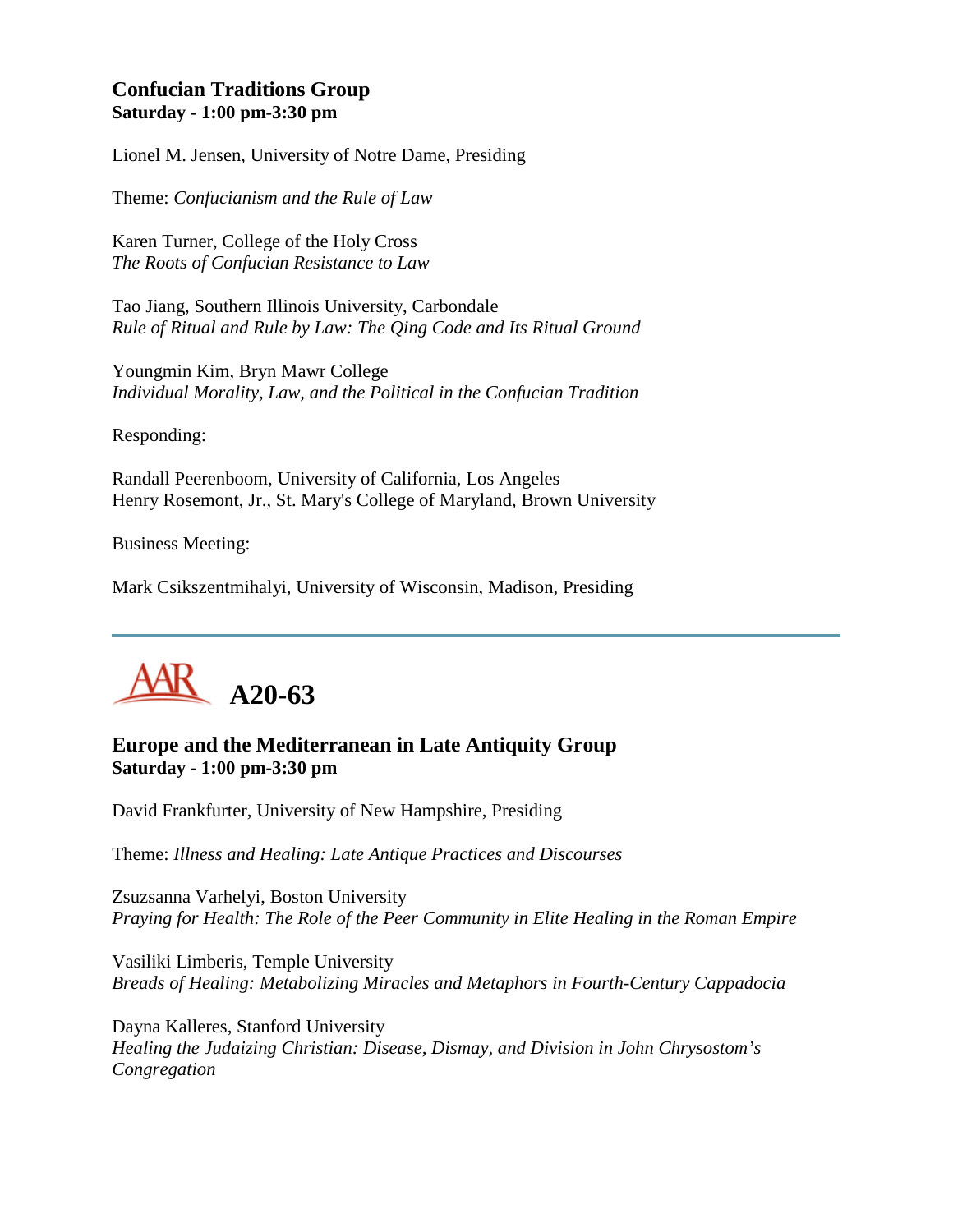# **Confucian Traditions Group Saturday - 1:00 pm-3:30 pm**

Lionel M. Jensen, University of Notre Dame, Presiding

Theme: *Confucianism and the Rule of Law*

Karen Turner, College of the Holy Cross *The Roots of Confucian Resistance to Law*

Tao Jiang, Southern Illinois University, Carbondale *Rule of Ritual and Rule by Law: The Qing Code and Its Ritual Ground*

Youngmin Kim, Bryn Mawr College *Individual Morality, Law, and the Political in the Confucian Tradition*

Responding:

Randall Peerenboom, University of California, Los Angeles Henry Rosemont, Jr., St. Mary's College of Maryland, Brown University

Business Meeting:

Mark Csikszentmihalyi, University of Wisconsin, Madison, Presiding



## **Europe and the Mediterranean in Late Antiquity Group Saturday - 1:00 pm-3:30 pm**

David Frankfurter, University of New Hampshire, Presiding

Theme: *Illness and Healing: Late Antique Practices and Discourses*

Zsuzsanna Varhelyi, Boston University *Praying for Health: The Role of the Peer Community in Elite Healing in the Roman Empire*

Vasiliki Limberis, Temple University *Breads of Healing: Metabolizing Miracles and Metaphors in Fourth-Century Cappadocia*

Dayna Kalleres, Stanford University *Healing the Judaizing Christian: Disease, Dismay, and Division in John Chrysostom's Congregation*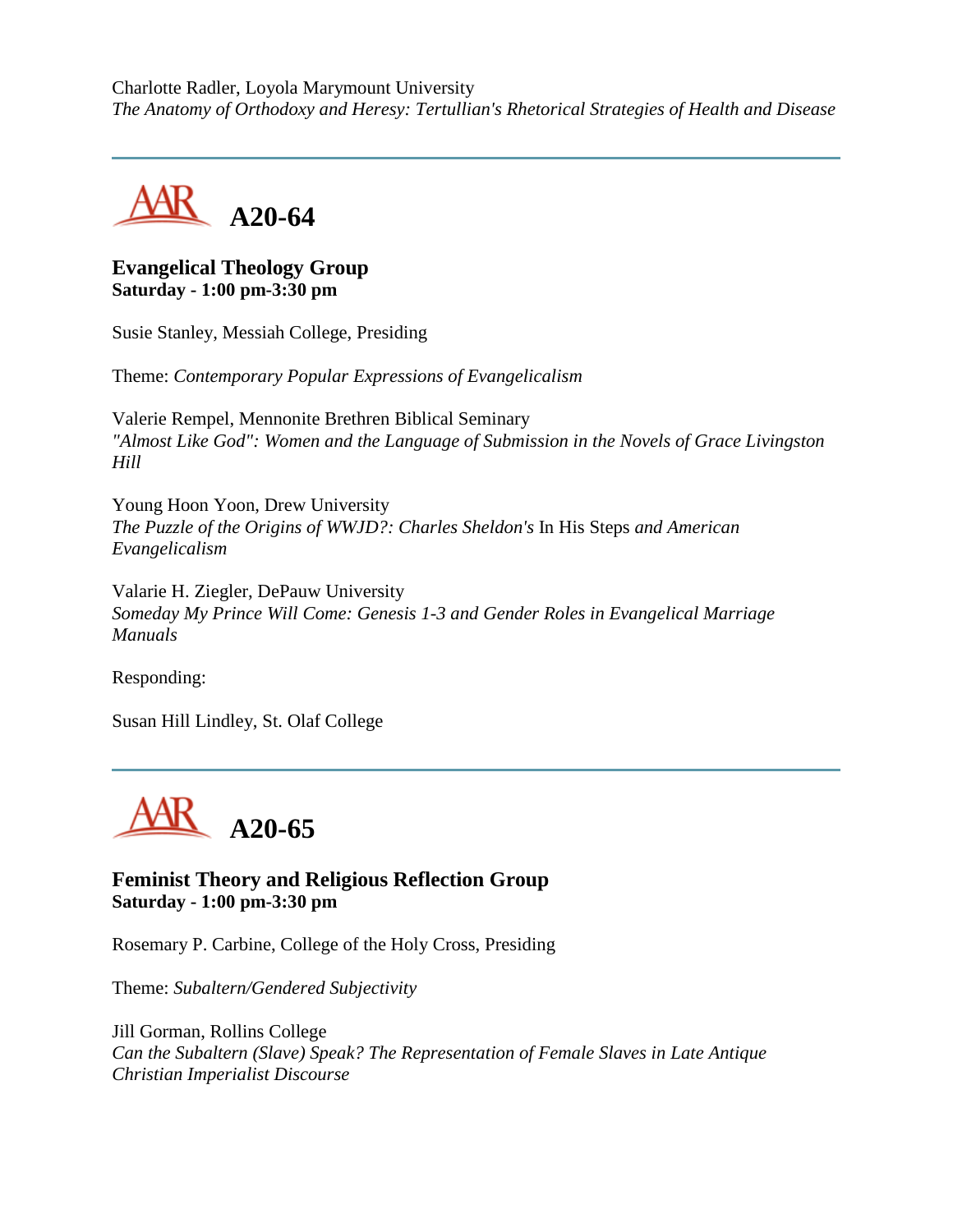Charlotte Radler, Loyola Marymount University *The Anatomy of Orthodoxy and Heresy: Tertullian's Rhetorical Strategies of Health and Disease*



## **Evangelical Theology Group Saturday - 1:00 pm-3:30 pm**

Susie Stanley, Messiah College, Presiding

Theme: *Contemporary Popular Expressions of Evangelicalism*

Valerie Rempel, Mennonite Brethren Biblical Seminary *"Almost Like God": Women and the Language of Submission in the Novels of Grace Livingston Hill*

Young Hoon Yoon, Drew University *The Puzzle of the Origins of WWJD?: Charles Sheldon's* In His Steps *and American Evangelicalism*

Valarie H. Ziegler, DePauw University *Someday My Prince Will Come: Genesis 1-3 and Gender Roles in Evangelical Marriage Manuals*

Responding:

Susan Hill Lindley, St. Olaf College



## **Feminist Theory and Religious Reflection Group Saturday - 1:00 pm-3:30 pm**

Rosemary P. Carbine, College of the Holy Cross, Presiding

Theme: *Subaltern/Gendered Subjectivity*

Jill Gorman, Rollins College *Can the Subaltern (Slave) Speak? The Representation of Female Slaves in Late Antique Christian Imperialist Discourse*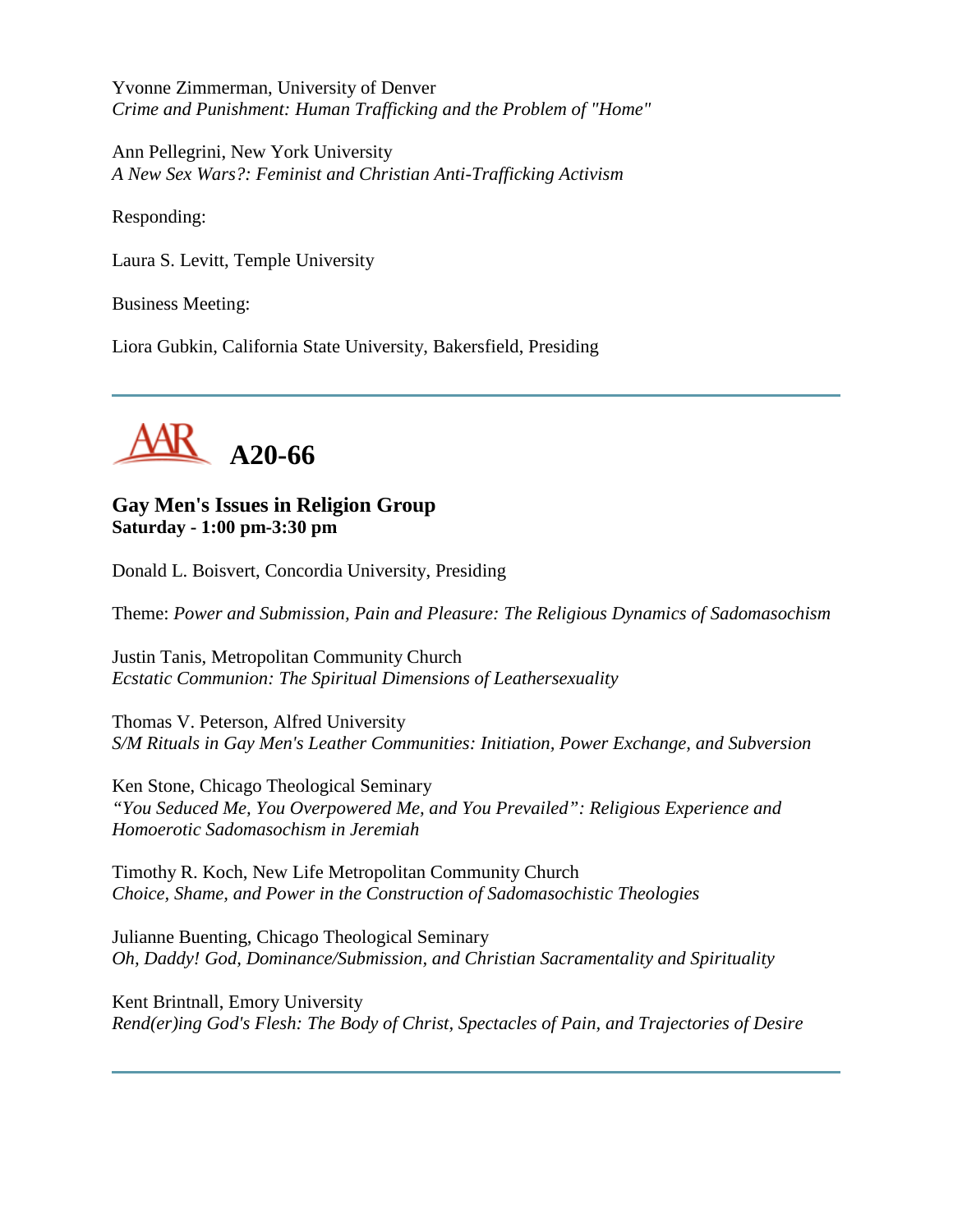Yvonne Zimmerman, University of Denver *Crime and Punishment: Human Trafficking and the Problem of "Home"*

Ann Pellegrini, New York University *A New Sex Wars?: Feminist and Christian Anti-Trafficking Activism*

Responding:

Laura S. Levitt, Temple University

Business Meeting:

Liora Gubkin, California State University, Bakersfield, Presiding



**Gay Men's Issues in Religion Group Saturday - 1:00 pm-3:30 pm**

Donald L. Boisvert, Concordia University, Presiding

Theme: *Power and Submission, Pain and Pleasure: The Religious Dynamics of Sadomasochism*

Justin Tanis, Metropolitan Community Church *Ecstatic Communion: The Spiritual Dimensions of Leathersexuality*

Thomas V. Peterson, Alfred University *S/M Rituals in Gay Men's Leather Communities: Initiation, Power Exchange, and Subversion*

Ken Stone, Chicago Theological Seminary *"You Seduced Me, You Overpowered Me, and You Prevailed": Religious Experience and Homoerotic Sadomasochism in Jeremiah*

Timothy R. Koch, New Life Metropolitan Community Church *Choice, Shame, and Power in the Construction of Sadomasochistic Theologies*

Julianne Buenting, Chicago Theological Seminary *Oh, Daddy! God, Dominance/Submission, and Christian Sacramentality and Spirituality*

Kent Brintnall, Emory University *Rend(er)ing God's Flesh: The Body of Christ, Spectacles of Pain, and Trajectories of Desire*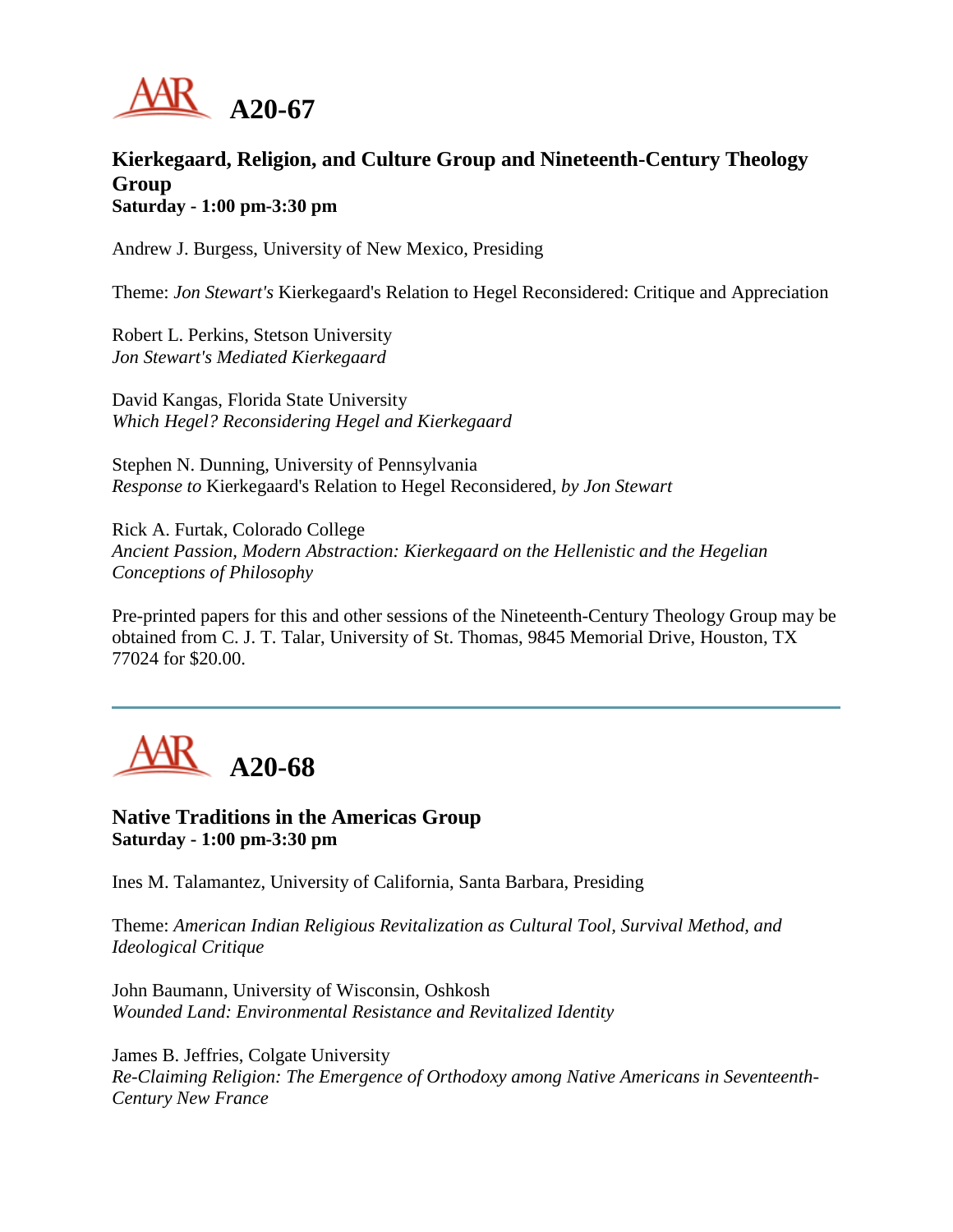

# **Kierkegaard, Religion, and Culture Group and Nineteenth-Century Theology Group Saturday - 1:00 pm-3:30 pm**

Andrew J. Burgess, University of New Mexico, Presiding

Theme: *Jon Stewart's* Kierkegaard's Relation to Hegel Reconsidered: Critique and Appreciation

Robert L. Perkins, Stetson University *Jon Stewart's Mediated Kierkegaard*

David Kangas, Florida State University *Which Hegel? Reconsidering Hegel and Kierkegaard*

Stephen N. Dunning, University of Pennsylvania *Response to* Kierkegaard's Relation to Hegel Reconsidered*, by Jon Stewart*

Rick A. Furtak, Colorado College *Ancient Passion, Modern Abstraction: Kierkegaard on the Hellenistic and the Hegelian Conceptions of Philosophy*

Pre-printed papers for this and other sessions of the Nineteenth-Century Theology Group may be obtained from C. J. T. Talar, University of St. Thomas, 9845 Memorial Drive, Houston, TX 77024 for \$20.00.



**Native Traditions in the Americas Group Saturday - 1:00 pm-3:30 pm**

Ines M. Talamantez, University of California, Santa Barbara, Presiding

Theme: *American Indian Religious Revitalization as Cultural Tool, Survival Method, and Ideological Critique*

John Baumann, University of Wisconsin, Oshkosh *Wounded Land: Environmental Resistance and Revitalized Identity*

James B. Jeffries, Colgate University *Re-Claiming Religion: The Emergence of Orthodoxy among Native Americans in Seventeenth-Century New France*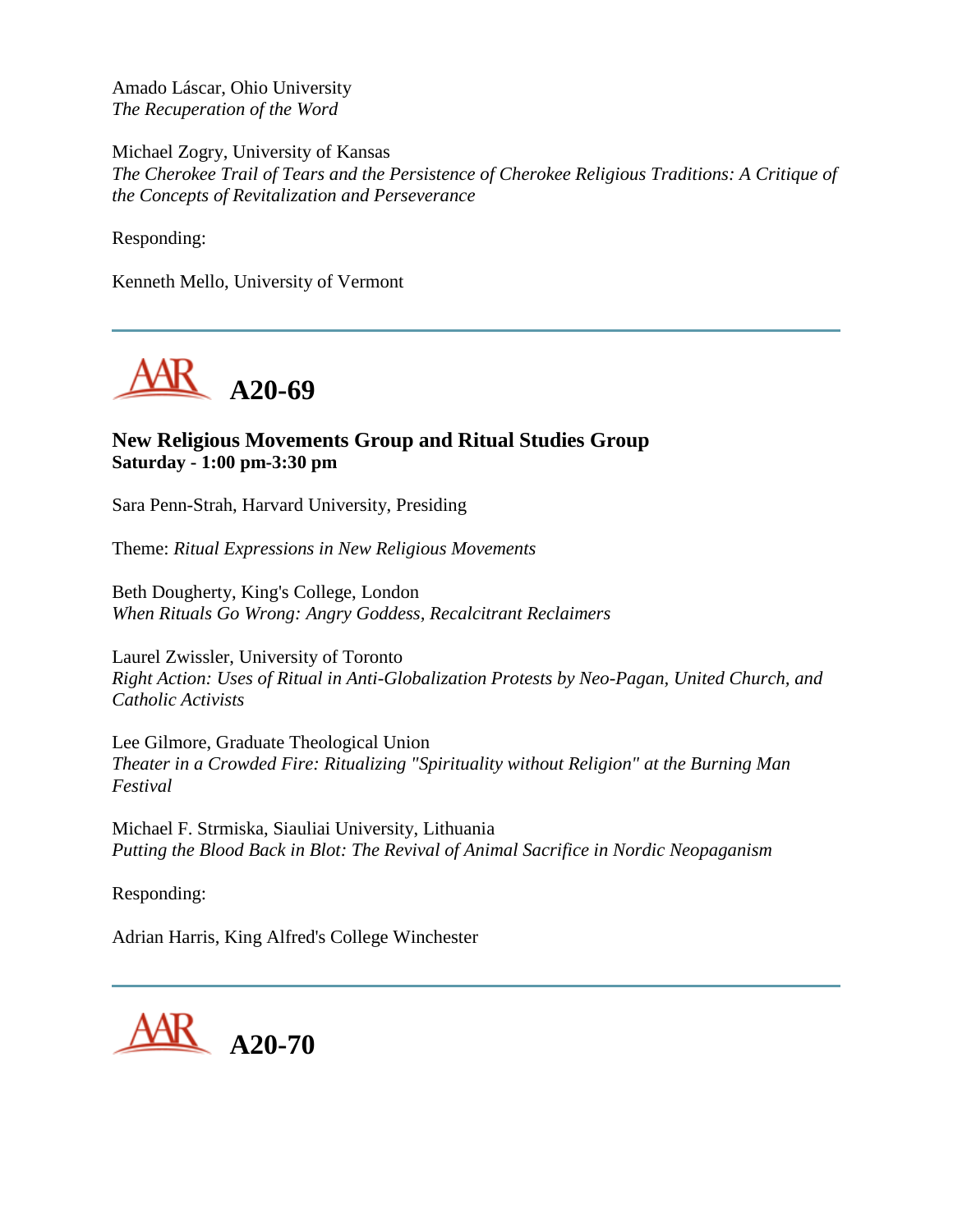Amado Láscar, Ohio University *The Recuperation of the Word*

Michael Zogry, University of Kansas *The Cherokee Trail of Tears and the Persistence of Cherokee Religious Traditions: A Critique of the Concepts of Revitalization and Perseverance*

Responding:

Kenneth Mello, University of Vermont



# **New Religious Movements Group and Ritual Studies Group Saturday - 1:00 pm-3:30 pm**

Sara Penn-Strah, Harvard University, Presiding

Theme: *Ritual Expressions in New Religious Movements*

Beth Dougherty, King's College, London *When Rituals Go Wrong: Angry Goddess, Recalcitrant Reclaimers*

Laurel Zwissler, University of Toronto *Right Action: Uses of Ritual in Anti-Globalization Protests by Neo-Pagan, United Church, and Catholic Activists*

Lee Gilmore, Graduate Theological Union *Theater in a Crowded Fire: Ritualizing "Spirituality without Religion" at the Burning Man Festival*

Michael F. Strmiska, Siauliai University, Lithuania *Putting the Blood Back in Blot: The Revival of Animal Sacrifice in Nordic Neopaganism*

Responding:

Adrian Harris, King Alfred's College Winchester

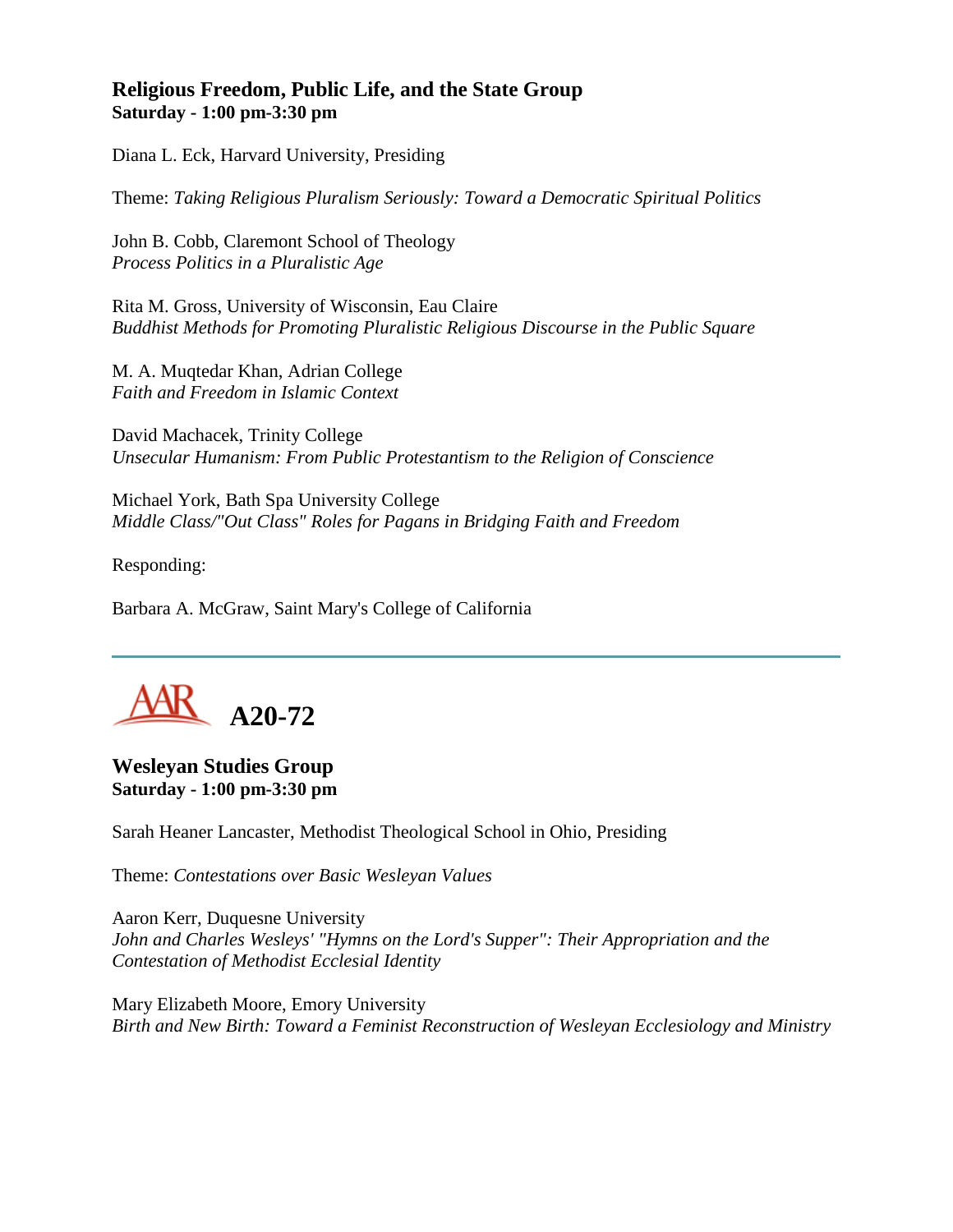# **Religious Freedom, Public Life, and the State Group Saturday - 1:00 pm-3:30 pm**

Diana L. Eck, Harvard University, Presiding

Theme: *Taking Religious Pluralism Seriously: Toward a Democratic Spiritual Politics*

John B. Cobb, Claremont School of Theology *Process Politics in a Pluralistic Age*

Rita M. Gross, University of Wisconsin, Eau Claire *Buddhist Methods for Promoting Pluralistic Religious Discourse in the Public Square*

M. A. Muqtedar Khan, Adrian College *Faith and Freedom in Islamic Context*

David Machacek, Trinity College *Unsecular Humanism: From Public Protestantism to the Religion of Conscience*

Michael York, Bath Spa University College *Middle Class/"Out Class" Roles for Pagans in Bridging Faith and Freedom*

Responding:

Barbara A. McGraw, Saint Mary's College of California



## **Wesleyan Studies Group Saturday - 1:00 pm-3:30 pm**

Sarah Heaner Lancaster, Methodist Theological School in Ohio, Presiding

Theme: *Contestations over Basic Wesleyan Values*

Aaron Kerr, Duquesne University *John and Charles Wesleys' "Hymns on the Lord's Supper": Their Appropriation and the Contestation of Methodist Ecclesial Identity*

Mary Elizabeth Moore, Emory University *Birth and New Birth: Toward a Feminist Reconstruction of Wesleyan Ecclesiology and Ministry*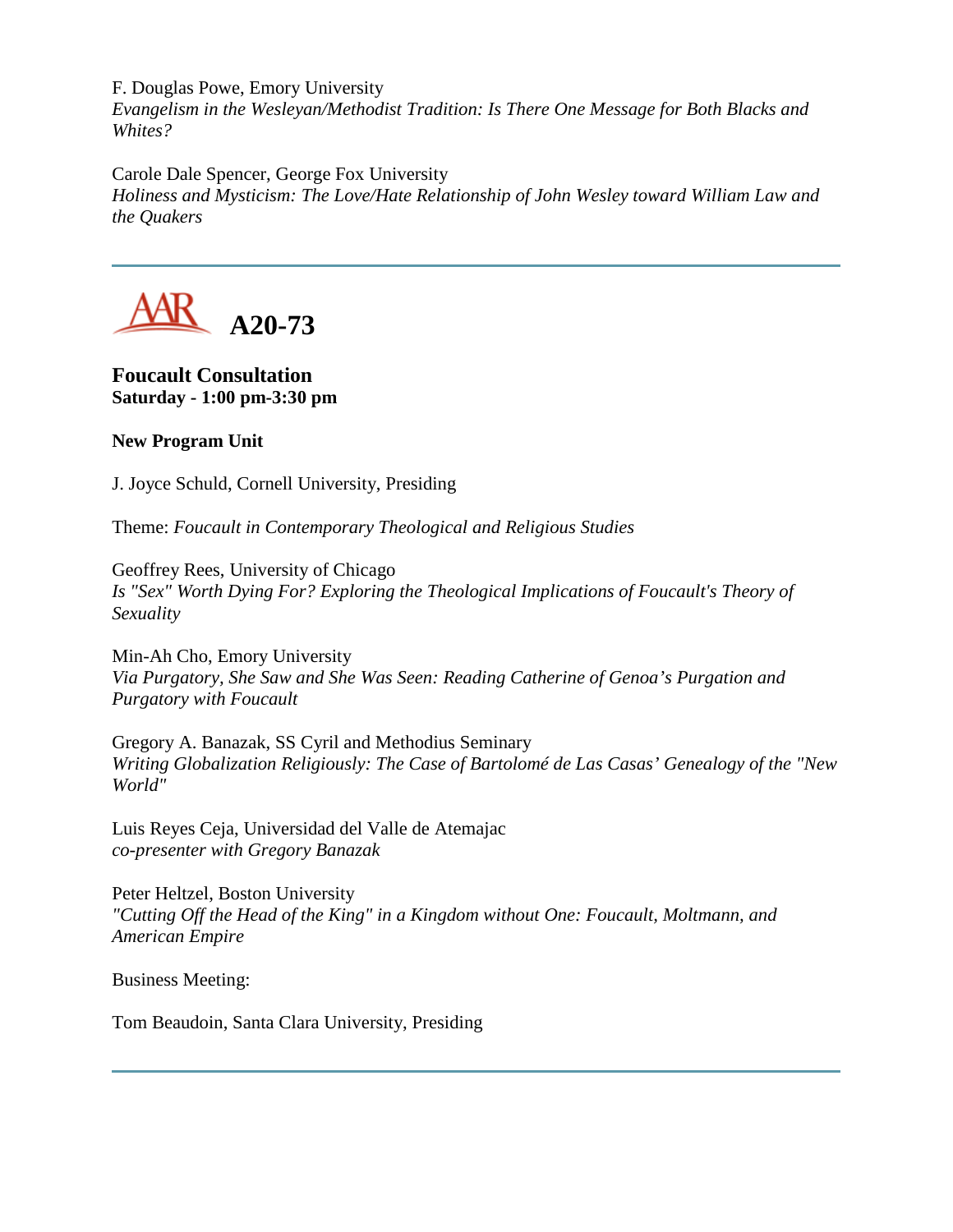F. Douglas Powe, Emory University

*Evangelism in the Wesleyan/Methodist Tradition: Is There One Message for Both Blacks and Whites?*

Carole Dale Spencer, George Fox University

*Holiness and Mysticism: The Love/Hate Relationship of John Wesley toward William Law and the Quakers*



**Foucault Consultation Saturday - 1:00 pm-3:30 pm**

## **New Program Unit**

J. Joyce Schuld, Cornell University, Presiding

Theme: *Foucault in Contemporary Theological and Religious Studies*

Geoffrey Rees, University of Chicago *Is "Sex" Worth Dying For? Exploring the Theological Implications of Foucault's Theory of Sexuality*

Min-Ah Cho, Emory University *Via Purgatory, She Saw and She Was Seen: Reading Catherine of Genoa's Purgation and Purgatory with Foucault*

Gregory A. Banazak, SS Cyril and Methodius Seminary *Writing Globalization Religiously: The Case of Bartolomé de Las Casas' Genealogy of the "New World"*

Luis Reyes Ceja, Universidad del Valle de Atemajac *co-presenter with Gregory Banazak*

Peter Heltzel, Boston University *"Cutting Off the Head of the King" in a Kingdom without One: Foucault, Moltmann, and American Empire*

Business Meeting:

Tom Beaudoin, Santa Clara University, Presiding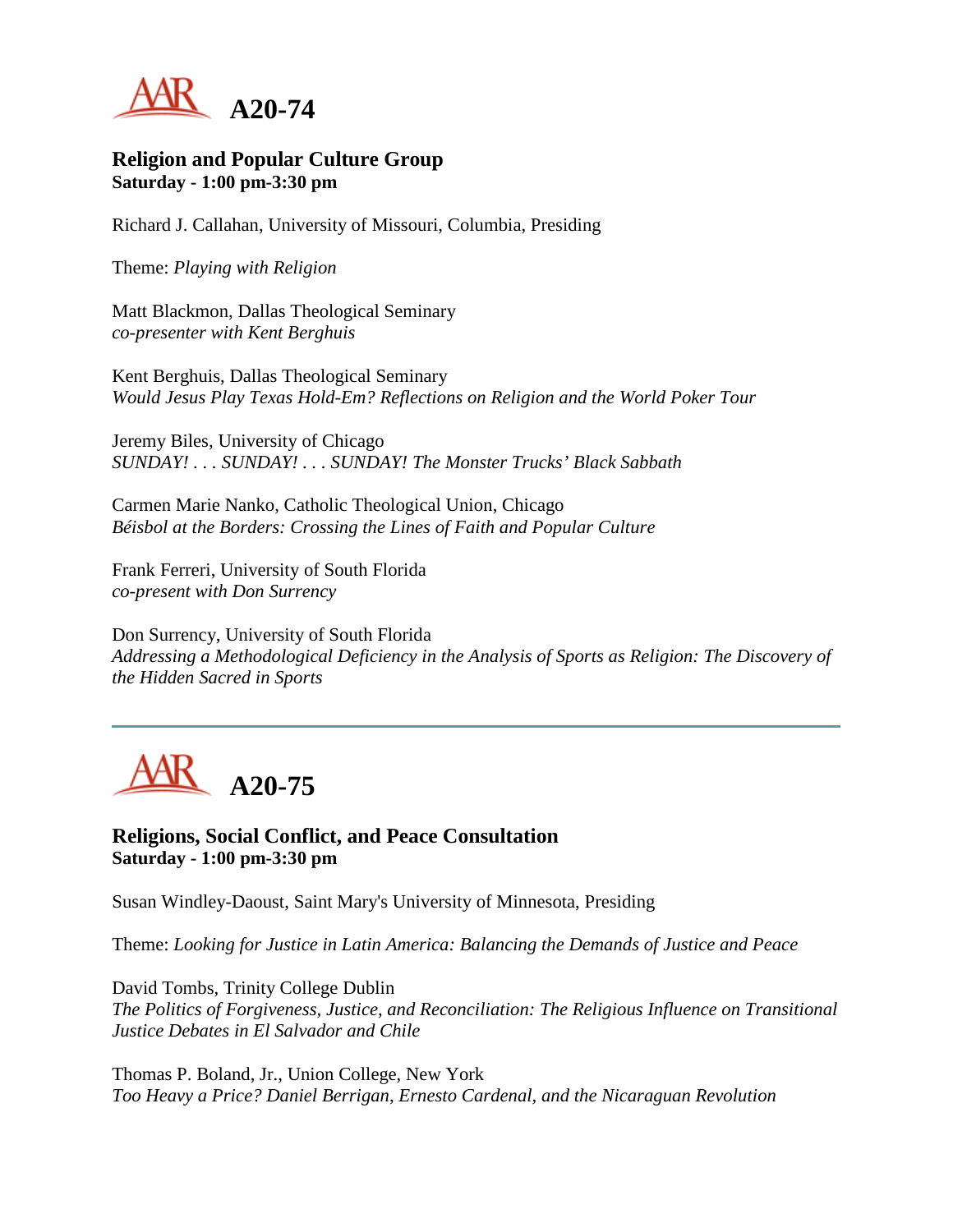

#### **Religion and Popular Culture Group Saturday - 1:00 pm-3:30 pm**

Richard J. Callahan, University of Missouri, Columbia, Presiding

Theme: *Playing with Religion*

Matt Blackmon, Dallas Theological Seminary *co-presenter with Kent Berghuis*

Kent Berghuis, Dallas Theological Seminary *Would Jesus Play Texas Hold-Em? Reflections on Religion and the World Poker Tour*

Jeremy Biles, University of Chicago *SUNDAY! . . . SUNDAY! . . . SUNDAY! The Monster Trucks' Black Sabbath*

Carmen Marie Nanko, Catholic Theological Union, Chicago *Béisbol at the Borders: Crossing the Lines of Faith and Popular Culture*

Frank Ferreri, University of South Florida *co-present with Don Surrency*

Don Surrency, University of South Florida *Addressing a Methodological Deficiency in the Analysis of Sports as Religion: The Discovery of the Hidden Sacred in Sports*



**Religions, Social Conflict, and Peace Consultation Saturday - 1:00 pm-3:30 pm**

Susan Windley-Daoust, Saint Mary's University of Minnesota, Presiding

Theme: *Looking for Justice in Latin America: Balancing the Demands of Justice and Peace*

David Tombs, Trinity College Dublin *The Politics of Forgiveness, Justice, and Reconciliation: The Religious Influence on Transitional Justice Debates in El Salvador and Chile*

Thomas P. Boland, Jr., Union College, New York *Too Heavy a Price? Daniel Berrigan, Ernesto Cardenal, and the Nicaraguan Revolution*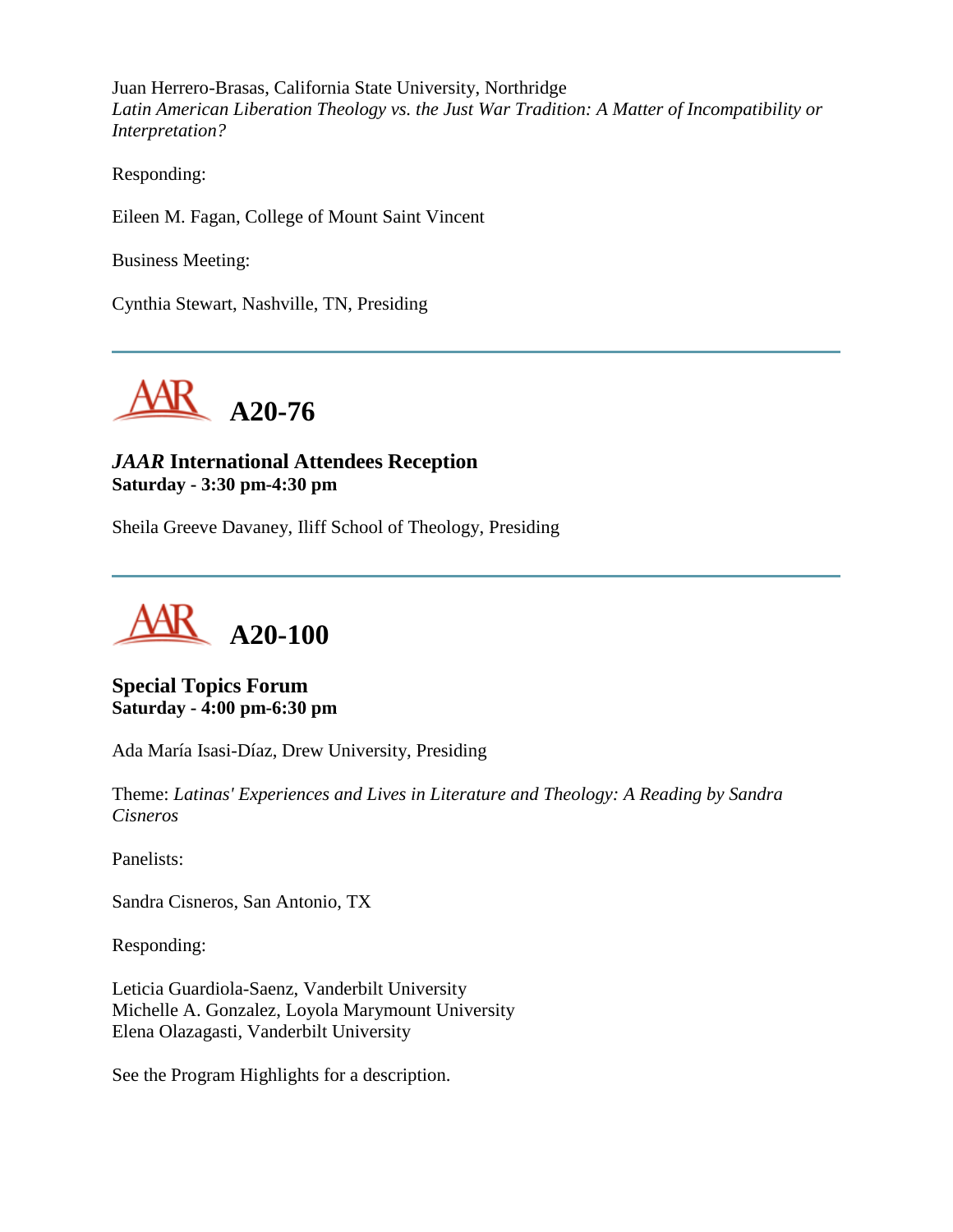Juan Herrero-Brasas, California State University, Northridge *Latin American Liberation Theology vs. the Just War Tradition: A Matter of Incompatibility or Interpretation?*

Responding:

Eileen M. Fagan, College of Mount Saint Vincent

Business Meeting:

Cynthia Stewart, Nashville, TN, Presiding



# *JAAR* **International Attendees Reception Saturday - 3:30 pm-4:30 pm**

Sheila Greeve Davaney, Iliff School of Theology, Presiding



**Special Topics Forum Saturday - 4:00 pm-6:30 pm**

Ada María Isasi-Díaz, Drew University, Presiding

Theme: *Latinas' Experiences and Lives in Literature and Theology: A Reading by Sandra Cisneros*

Panelists:

Sandra Cisneros, San Antonio, TX

Responding:

Leticia Guardiola-Saenz, Vanderbilt University Michelle A. Gonzalez, Loyola Marymount University Elena Olazagasti, Vanderbilt University

See the Program Highlights for a description.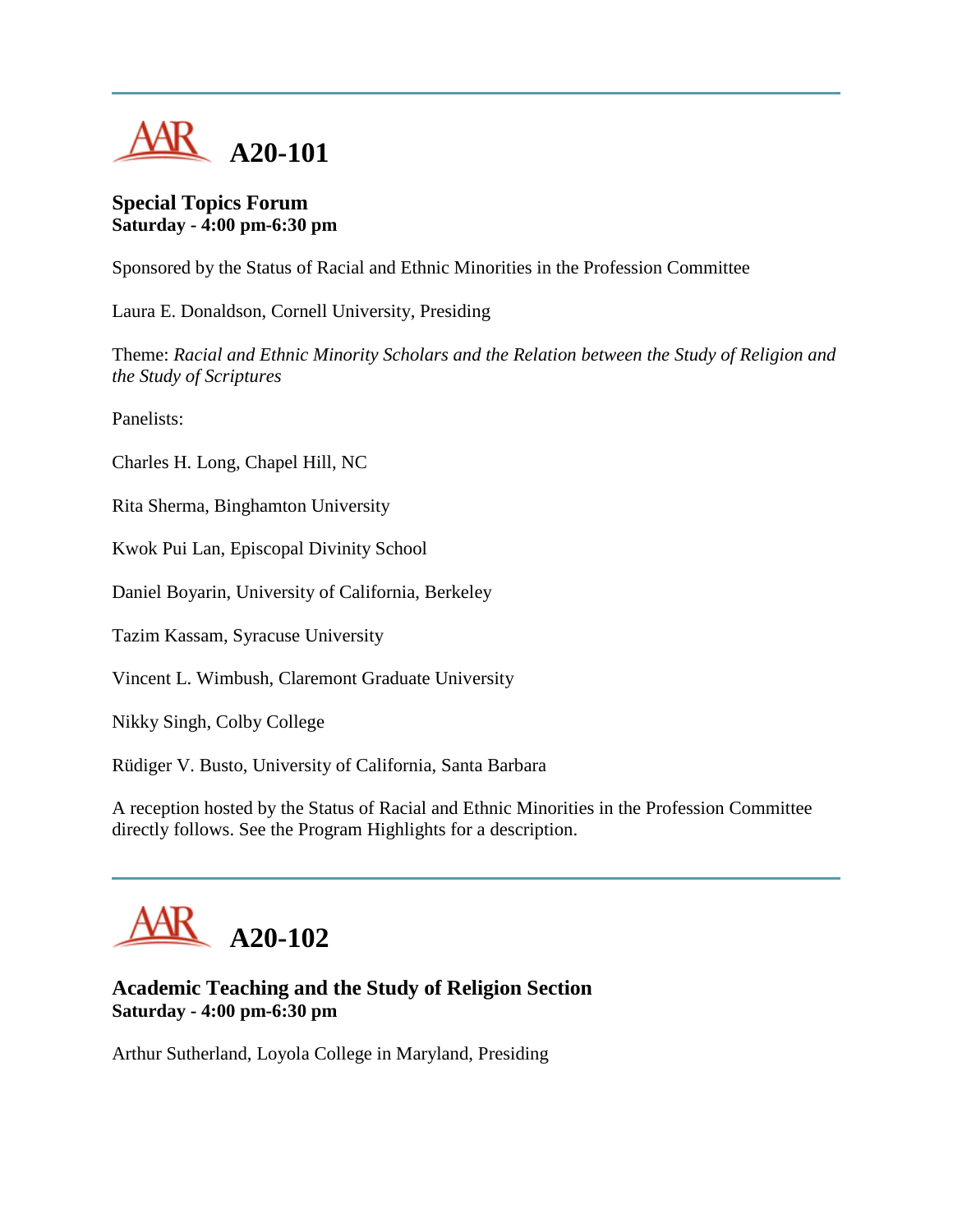

## **Special Topics Forum Saturday - 4:00 pm-6:30 pm**

Sponsored by the Status of Racial and Ethnic Minorities in the Profession Committee

Laura E. Donaldson, Cornell University, Presiding

Theme: *Racial and Ethnic Minority Scholars and the Relation between the Study of Religion and the Study of Scriptures*

Panelists:

Charles H. Long, Chapel Hill, NC

Rita Sherma, Binghamton University

Kwok Pui Lan, Episcopal Divinity School

Daniel Boyarin, University of California, Berkeley

Tazim Kassam, Syracuse University

Vincent L. Wimbush, Claremont Graduate University

Nikky Singh, Colby College

Rüdiger V. Busto, University of California, Santa Barbara

A reception hosted by the Status of Racial and Ethnic Minorities in the Profession Committee directly follows. See the Program Highlights for a description.



# **Academic Teaching and the Study of Religion Section Saturday - 4:00 pm-6:30 pm**

Arthur Sutherland, Loyola College in Maryland, Presiding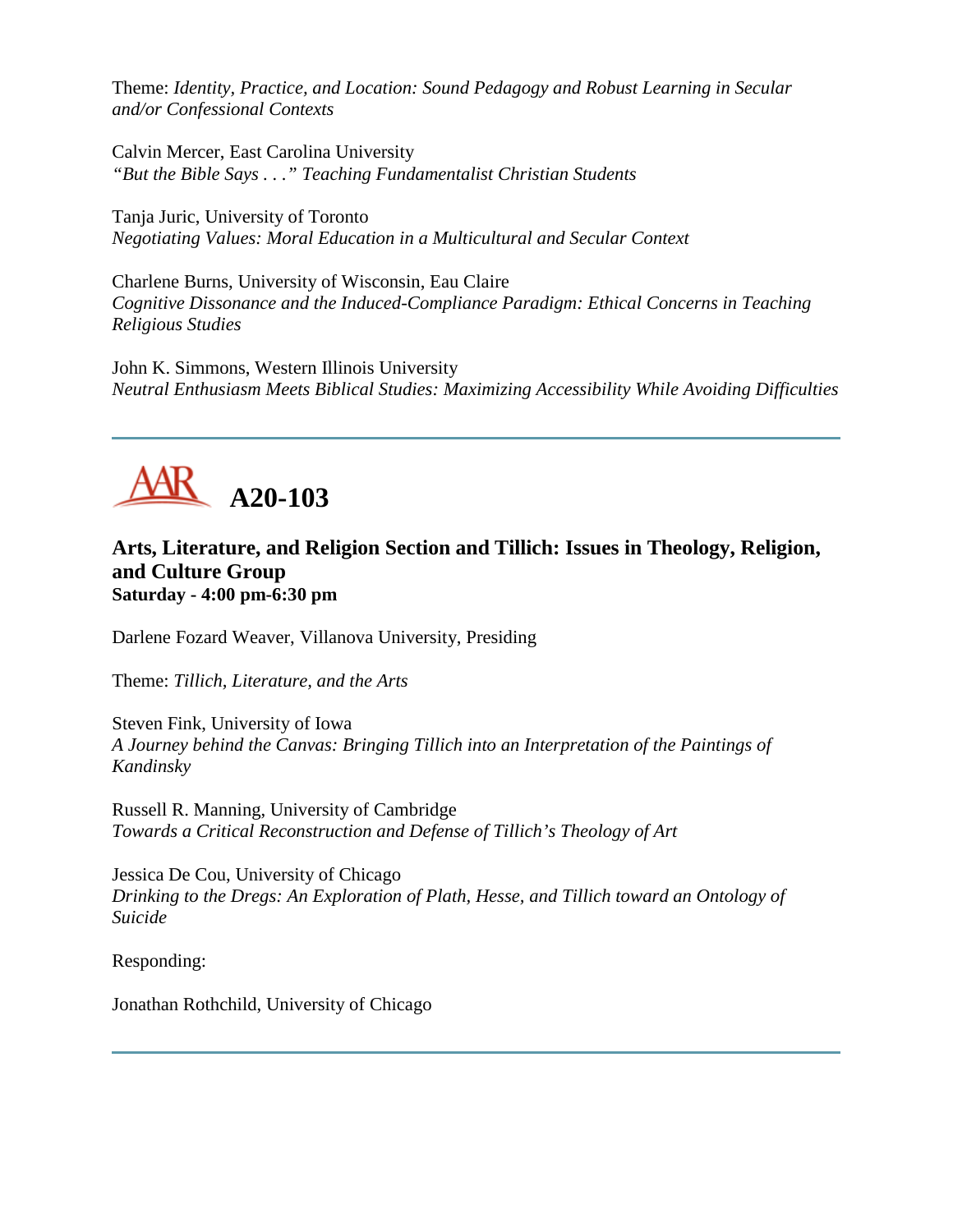Theme: *Identity, Practice, and Location: Sound Pedagogy and Robust Learning in Secular and/or Confessional Contexts*

Calvin Mercer, East Carolina University *"But the Bible Says . . ." Teaching Fundamentalist Christian Students*

Tanja Juric, University of Toronto *Negotiating Values: Moral Education in a Multicultural and Secular Context*

Charlene Burns, University of Wisconsin, Eau Claire *Cognitive Dissonance and the Induced-Compliance Paradigm: Ethical Concerns in Teaching Religious Studies*

John K. Simmons, Western Illinois University *Neutral Enthusiasm Meets Biblical Studies: Maximizing Accessibility While Avoiding Difficulties*



# **Arts, Literature, and Religion Section and Tillich: Issues in Theology, Religion, and Culture Group Saturday - 4:00 pm-6:30 pm**

Darlene Fozard Weaver, Villanova University, Presiding

Theme: *Tillich, Literature, and the Arts*

Steven Fink, University of Iowa *A Journey behind the Canvas: Bringing Tillich into an Interpretation of the Paintings of Kandinsky*

Russell R. Manning, University of Cambridge *Towards a Critical Reconstruction and Defense of Tillich's Theology of Art*

Jessica De Cou, University of Chicago *Drinking to the Dregs: An Exploration of Plath, Hesse, and Tillich toward an Ontology of Suicide*

Responding:

Jonathan Rothchild, University of Chicago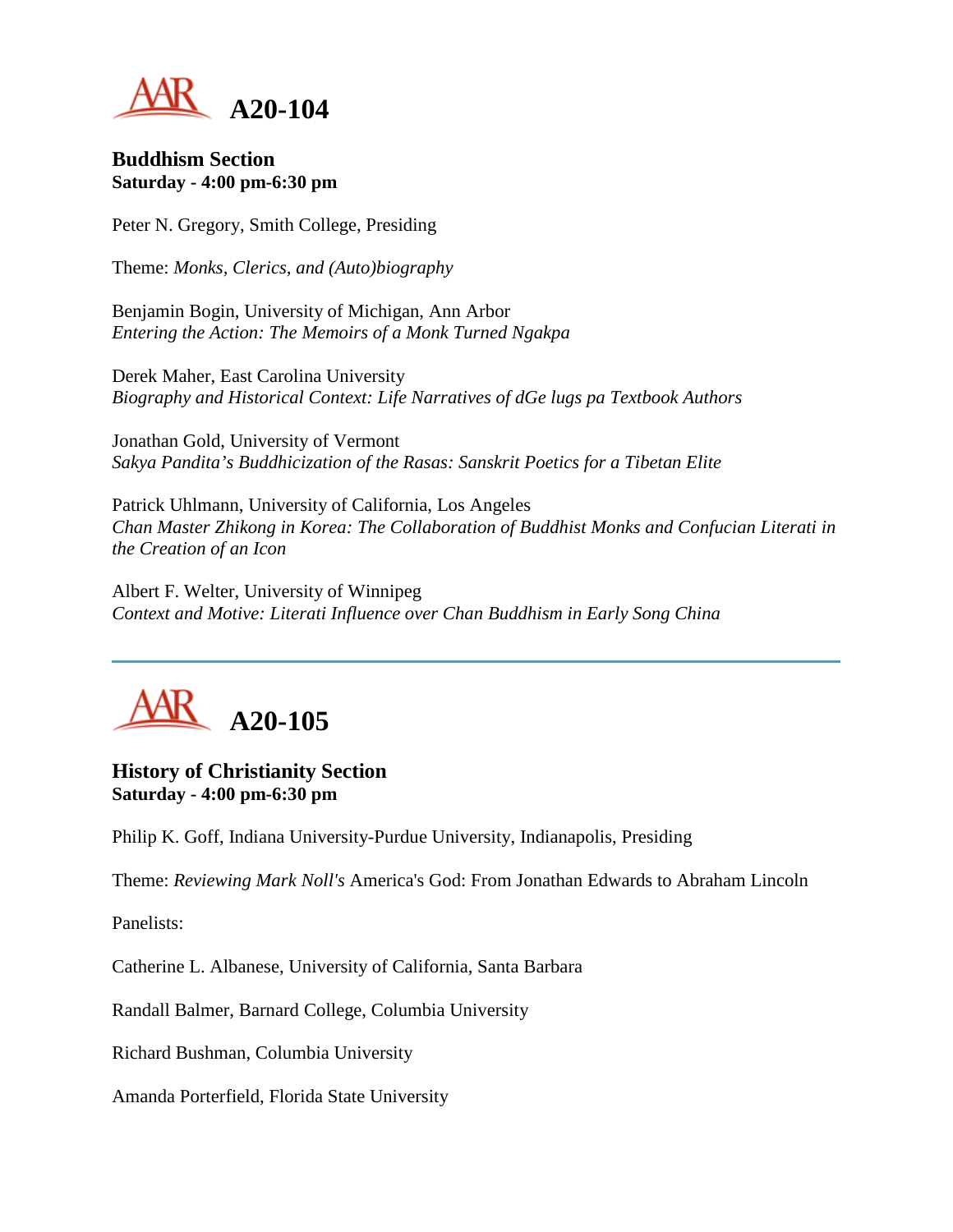

#### **Buddhism Section Saturday - 4:00 pm-6:30 pm**

Peter N. Gregory, Smith College, Presiding

Theme: *Monks, Clerics, and (Auto)biography*

Benjamin Bogin, University of Michigan, Ann Arbor *Entering the Action: The Memoirs of a Monk Turned Ngakpa*

Derek Maher, East Carolina University *Biography and Historical Context: Life Narratives of dGe lugs pa Textbook Authors*

Jonathan Gold, University of Vermont *Sakya Pandita's Buddhicization of the Rasas: Sanskrit Poetics for a Tibetan Elite*

Patrick Uhlmann, University of California, Los Angeles *Chan Master Zhikong in Korea: The Collaboration of Buddhist Monks and Confucian Literati in the Creation of an Icon*

Albert F. Welter, University of Winnipeg *Context and Motive: Literati Influence over Chan Buddhism in Early Song China*



**History of Christianity Section Saturday - 4:00 pm-6:30 pm**

Philip K. Goff, Indiana University-Purdue University, Indianapolis, Presiding

Theme: *Reviewing Mark Noll's* America's God: From Jonathan Edwards to Abraham Lincoln

Panelists:

Catherine L. Albanese, University of California, Santa Barbara

Randall Balmer, Barnard College, Columbia University

Richard Bushman, Columbia University

Amanda Porterfield, Florida State University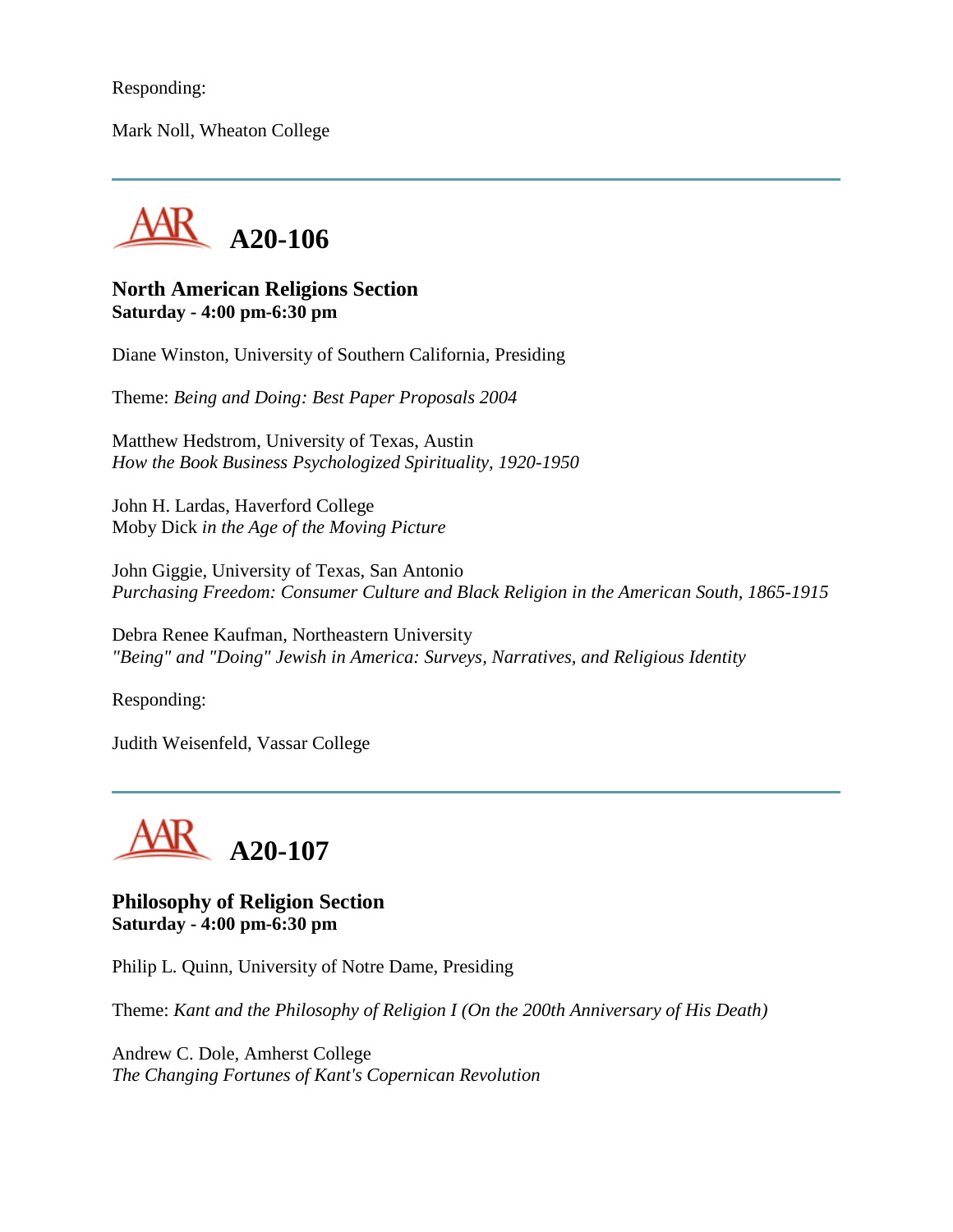Responding:

Mark Noll, Wheaton College



## **North American Religions Section Saturday - 4:00 pm-6:30 pm**

Diane Winston, University of Southern California, Presiding

Theme: *Being and Doing: Best Paper Proposals 2004*

Matthew Hedstrom, University of Texas, Austin *How the Book Business Psychologized Spirituality, 1920-1950*

John H. Lardas, Haverford College Moby Dick *in the Age of the Moving Picture*

John Giggie, University of Texas, San Antonio *Purchasing Freedom: Consumer Culture and Black Religion in the American South, 1865-1915*

Debra Renee Kaufman, Northeastern University *"Being" and "Doing" Jewish in America: Surveys, Narratives, and Religious Identity*

Responding:

Judith Weisenfeld, Vassar College



**Philosophy of Religion Section Saturday - 4:00 pm-6:30 pm**

Philip L. Quinn, University of Notre Dame, Presiding

Theme: *Kant and the Philosophy of Religion I (On the 200th Anniversary of His Death)*

Andrew C. Dole, Amherst College *The Changing Fortunes of Kant's Copernican Revolution*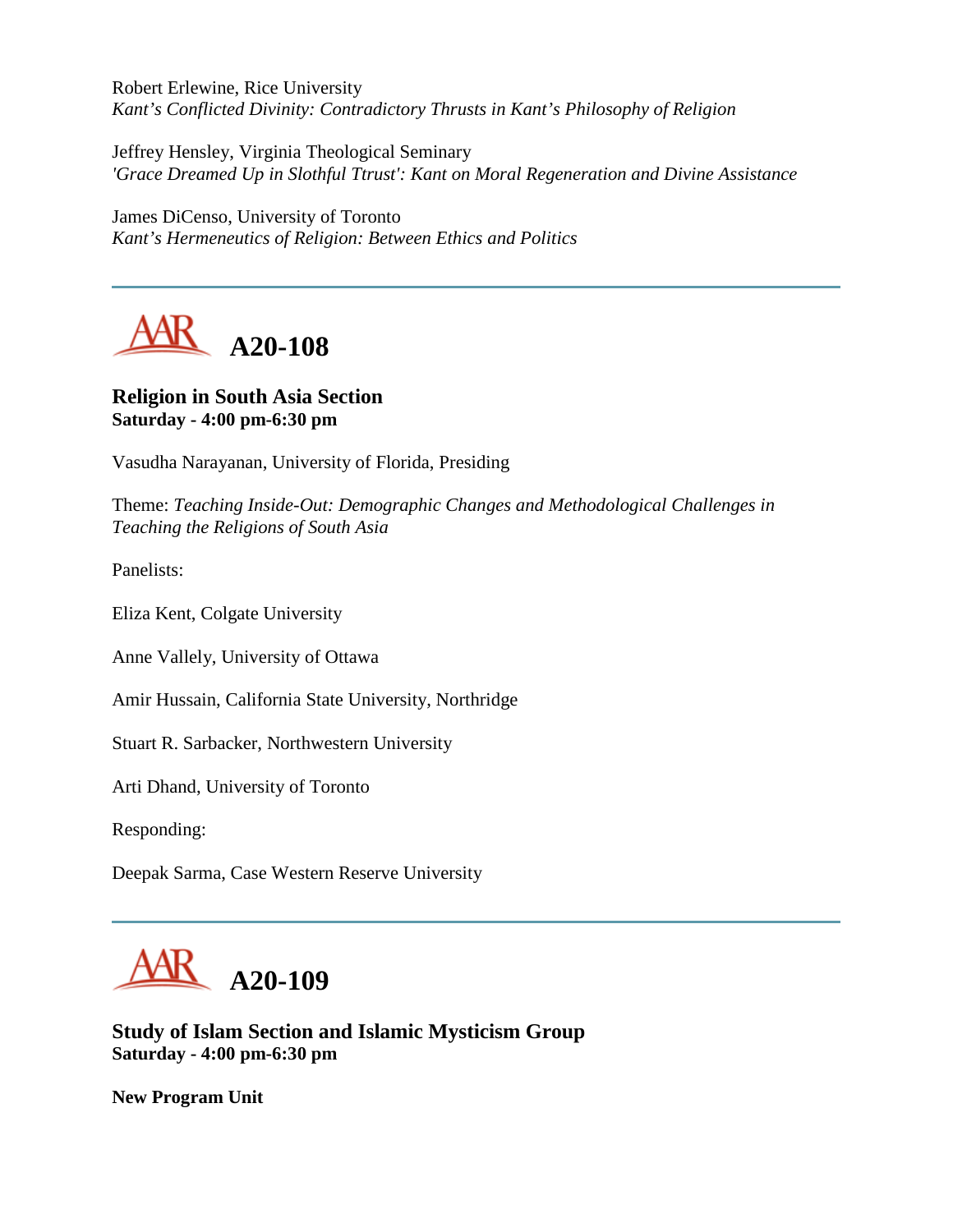Robert Erlewine, Rice University *Kant's Conflicted Divinity: Contradictory Thrusts in Kant's Philosophy of Religion*

Jeffrey Hensley, Virginia Theological Seminary *'Grace Dreamed Up in Slothful Ttrust': Kant on Moral Regeneration and Divine Assistance*

James DiCenso, University of Toronto *Kant's Hermeneutics of Religion: Between Ethics and Politics*



# **Religion in South Asia Section Saturday - 4:00 pm-6:30 pm**

Vasudha Narayanan, University of Florida, Presiding

Theme: *Teaching Inside-Out: Demographic Changes and Methodological Challenges in Teaching the Religions of South Asia*

Panelists:

Eliza Kent, Colgate University

Anne Vallely, University of Ottawa

Amir Hussain, California State University, Northridge

Stuart R. Sarbacker, Northwestern University

Arti Dhand, University of Toronto

Responding:

Deepak Sarma, Case Western Reserve University



**Study of Islam Section and Islamic Mysticism Group Saturday - 4:00 pm-6:30 pm**

**New Program Unit**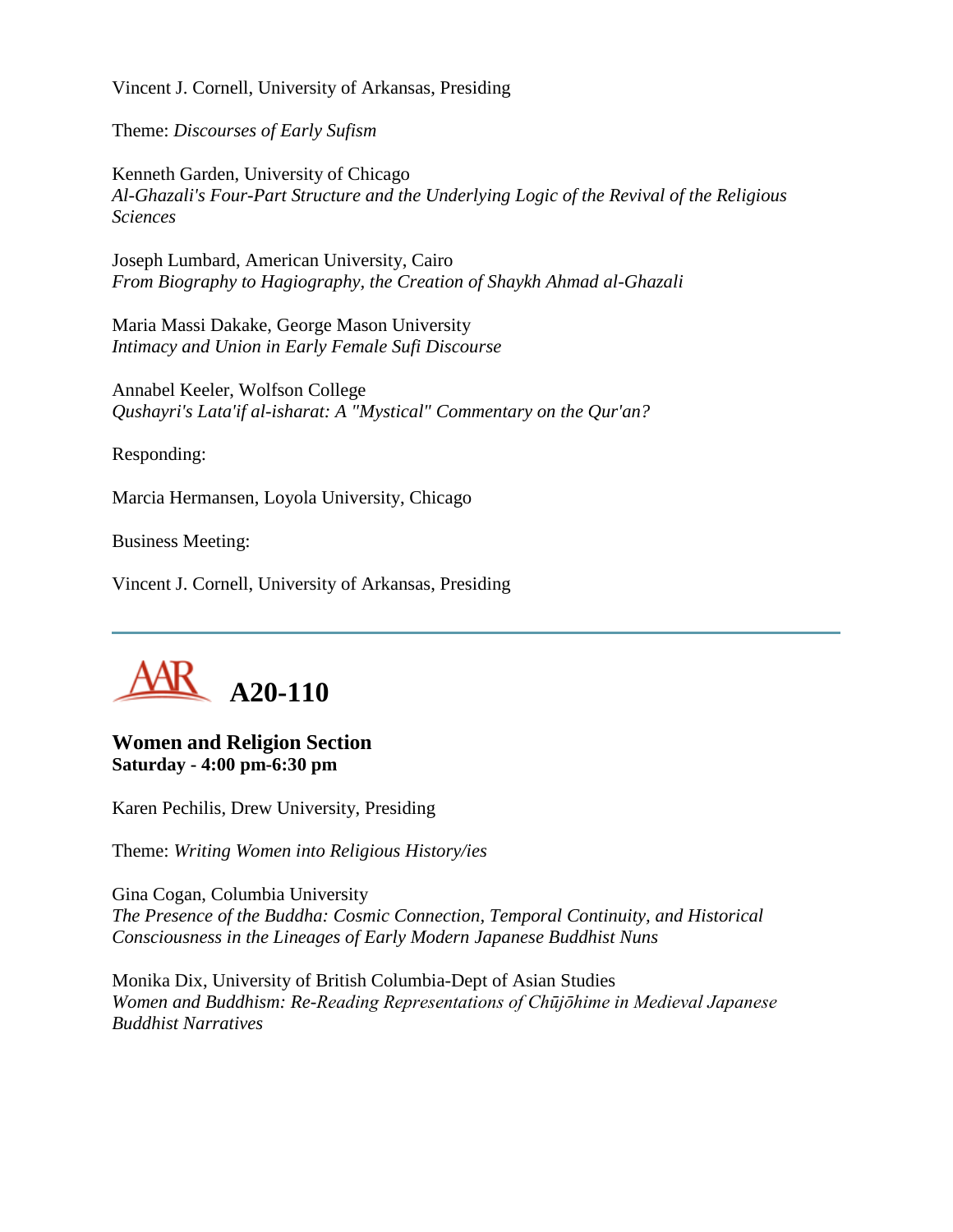Vincent J. Cornell, University of Arkansas, Presiding

Theme: *Discourses of Early Sufism*

Kenneth Garden, University of Chicago *Al-Ghazali's Four-Part Structure and the Underlying Logic of the Revival of the Religious Sciences*

Joseph Lumbard, American University, Cairo *From Biography to Hagiography, the Creation of Shaykh Ahmad al-Ghazali*

Maria Massi Dakake, George Mason University *Intimacy and Union in Early Female Sufi Discourse*

Annabel Keeler, Wolfson College *Qushayri's Lata'if al-isharat: A "Mystical" Commentary on the Qur'an?*

Responding:

Marcia Hermansen, Loyola University, Chicago

Business Meeting:

Vincent J. Cornell, University of Arkansas, Presiding



## **Women and Religion Section Saturday - 4:00 pm-6:30 pm**

Karen Pechilis, Drew University, Presiding

Theme: *Writing Women into Religious History/ies*

Gina Cogan, Columbia University *The Presence of the Buddha: Cosmic Connection, Temporal Continuity, and Historical Consciousness in the Lineages of Early Modern Japanese Buddhist Nuns*

Monika Dix, University of British Columbia-Dept of Asian Studies *Women and Buddhism: Re-Reading Representations of Chūjōhime in Medieval Japanese Buddhist Narratives*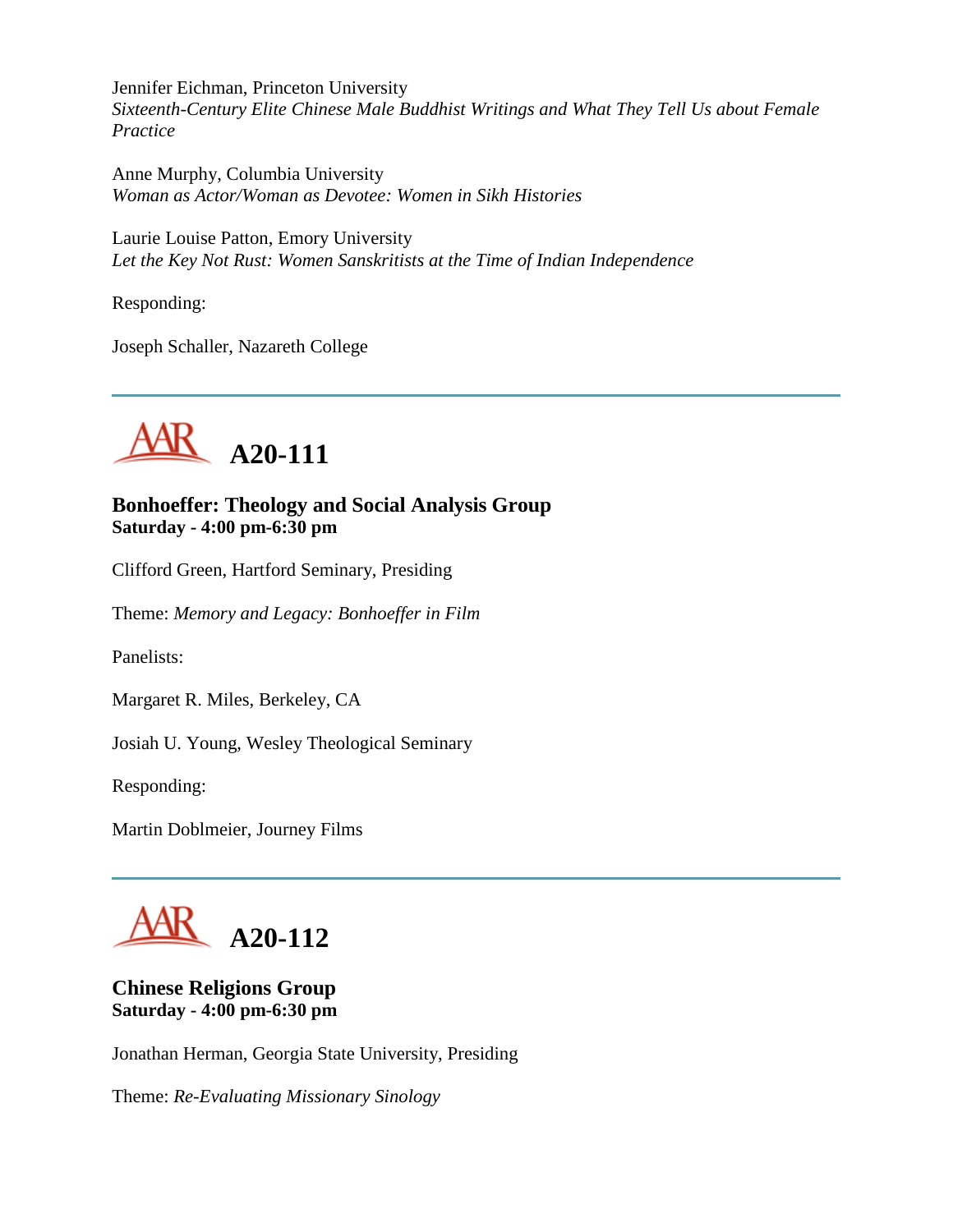Jennifer Eichman, Princeton University *Sixteenth-Century Elite Chinese Male Buddhist Writings and What They Tell Us about Female Practice*

Anne Murphy, Columbia University *Woman as Actor/Woman as Devotee: Women in Sikh Histories*

Laurie Louise Patton, Emory University *Let the Key Not Rust: Women Sanskritists at the Time of Indian Independence*

Responding:

Joseph Schaller, Nazareth College



# **Bonhoeffer: Theology and Social Analysis Group Saturday - 4:00 pm-6:30 pm**

Clifford Green, Hartford Seminary, Presiding

Theme: *Memory and Legacy: Bonhoeffer in Film*

Panelists:

Margaret R. Miles, Berkeley, CA

Josiah U. Young, Wesley Theological Seminary

Responding:

Martin Doblmeier, Journey Films

**A20-112**

# **Chinese Religions Group Saturday - 4:00 pm-6:30 pm**

Jonathan Herman, Georgia State University, Presiding

Theme: *Re-Evaluating Missionary Sinology*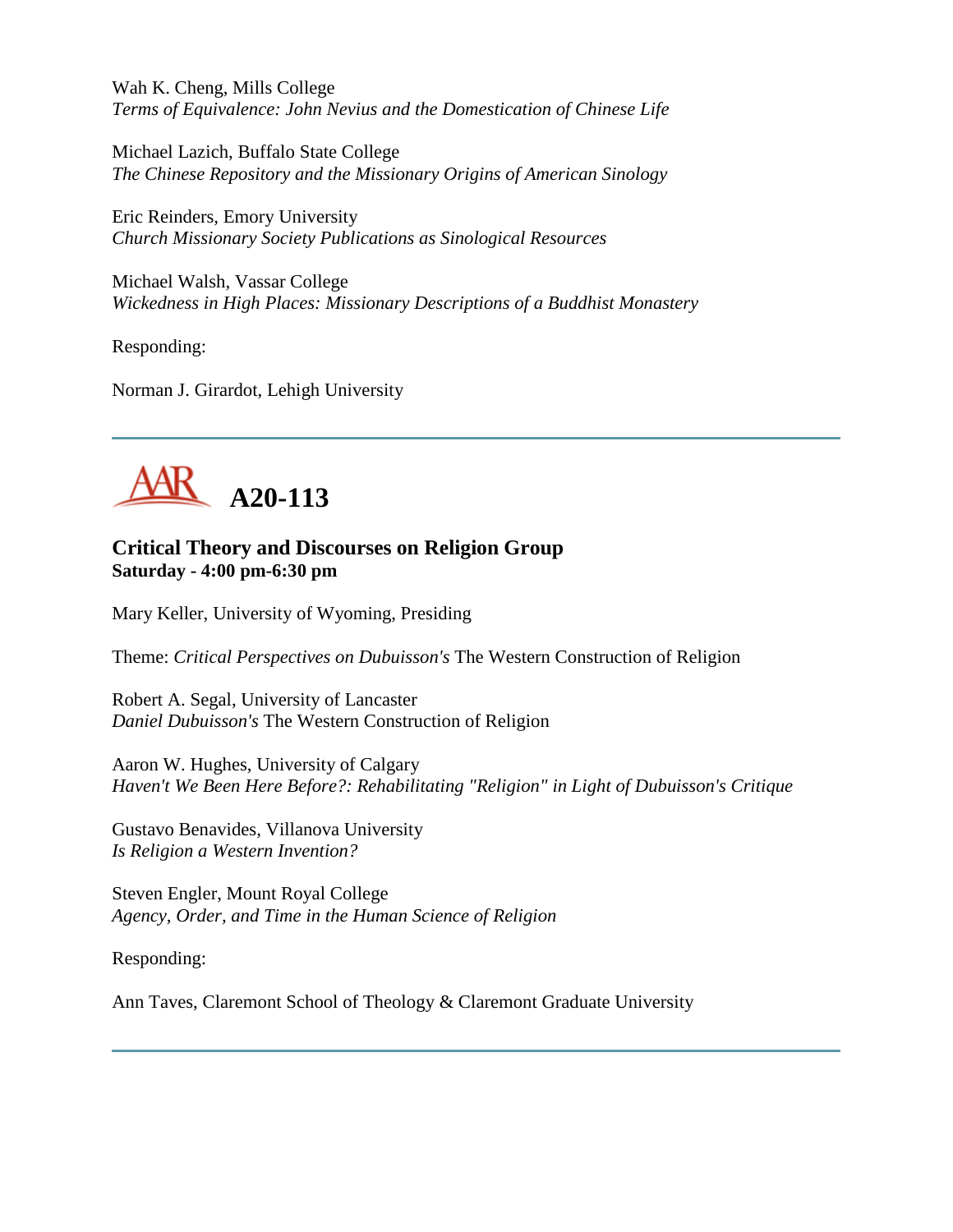Wah K. Cheng, Mills College *Terms of Equivalence: John Nevius and the Domestication of Chinese Life*

Michael Lazich, Buffalo State College *The Chinese Repository and the Missionary Origins of American Sinology*

Eric Reinders, Emory University *Church Missionary Society Publications as Sinological Resources*

Michael Walsh, Vassar College *Wickedness in High Places: Missionary Descriptions of a Buddhist Monastery*

Responding:

Norman J. Girardot, Lehigh University



# **Critical Theory and Discourses on Religion Group Saturday - 4:00 pm-6:30 pm**

Mary Keller, University of Wyoming, Presiding

Theme: *Critical Perspectives on Dubuisson's* The Western Construction of Religion

Robert A. Segal, University of Lancaster *Daniel Dubuisson's* The Western Construction of Religion

Aaron W. Hughes, University of Calgary *Haven't We Been Here Before?: Rehabilitating "Religion" in Light of Dubuisson's Critique*

Gustavo Benavides, Villanova University *Is Religion a Western Invention?*

Steven Engler, Mount Royal College *Agency, Order, and Time in the Human Science of Religion*

Responding:

Ann Taves, Claremont School of Theology & Claremont Graduate University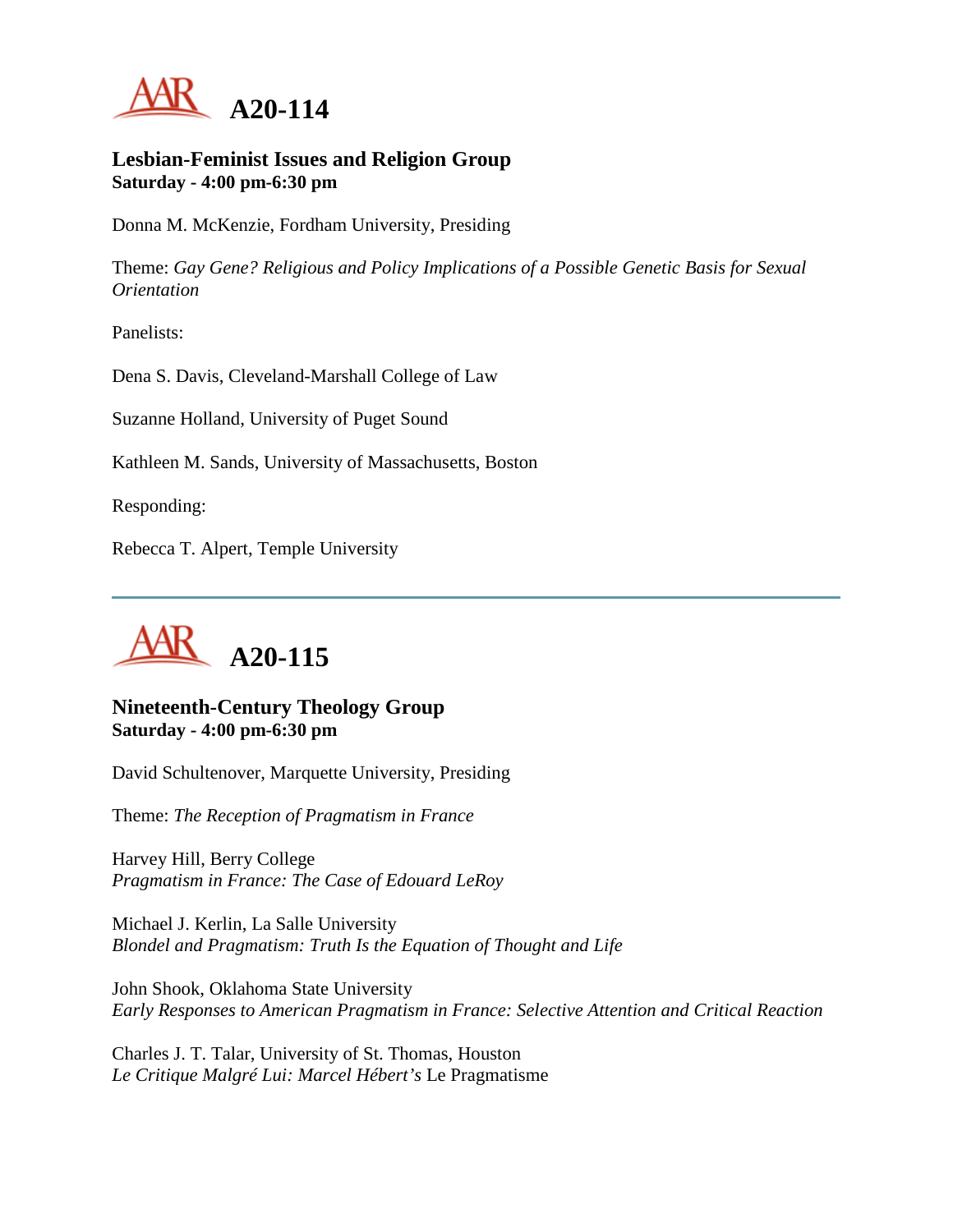

#### **Lesbian-Feminist Issues and Religion Group Saturday - 4:00 pm-6:30 pm**

Donna M. McKenzie, Fordham University, Presiding

Theme: *Gay Gene? Religious and Policy Implications of a Possible Genetic Basis for Sexual Orientation*

Panelists:

Dena S. Davis, Cleveland-Marshall College of Law

Suzanne Holland, University of Puget Sound

Kathleen M. Sands, University of Massachusetts, Boston

Responding:

Rebecca T. Alpert, Temple University



## **Nineteenth-Century Theology Group Saturday - 4:00 pm-6:30 pm**

David Schultenover, Marquette University, Presiding

Theme: *The Reception of Pragmatism in France*

Harvey Hill, Berry College *Pragmatism in France: The Case of Edouard LeRoy*

Michael J. Kerlin, La Salle University *Blondel and Pragmatism: Truth Is the Equation of Thought and Life*

John Shook, Oklahoma State University *Early Responses to American Pragmatism in France: Selective Attention and Critical Reaction*

Charles J. T. Talar, University of St. Thomas, Houston *Le Critique Malgré Lui: Marcel Hébert's* Le Pragmatisme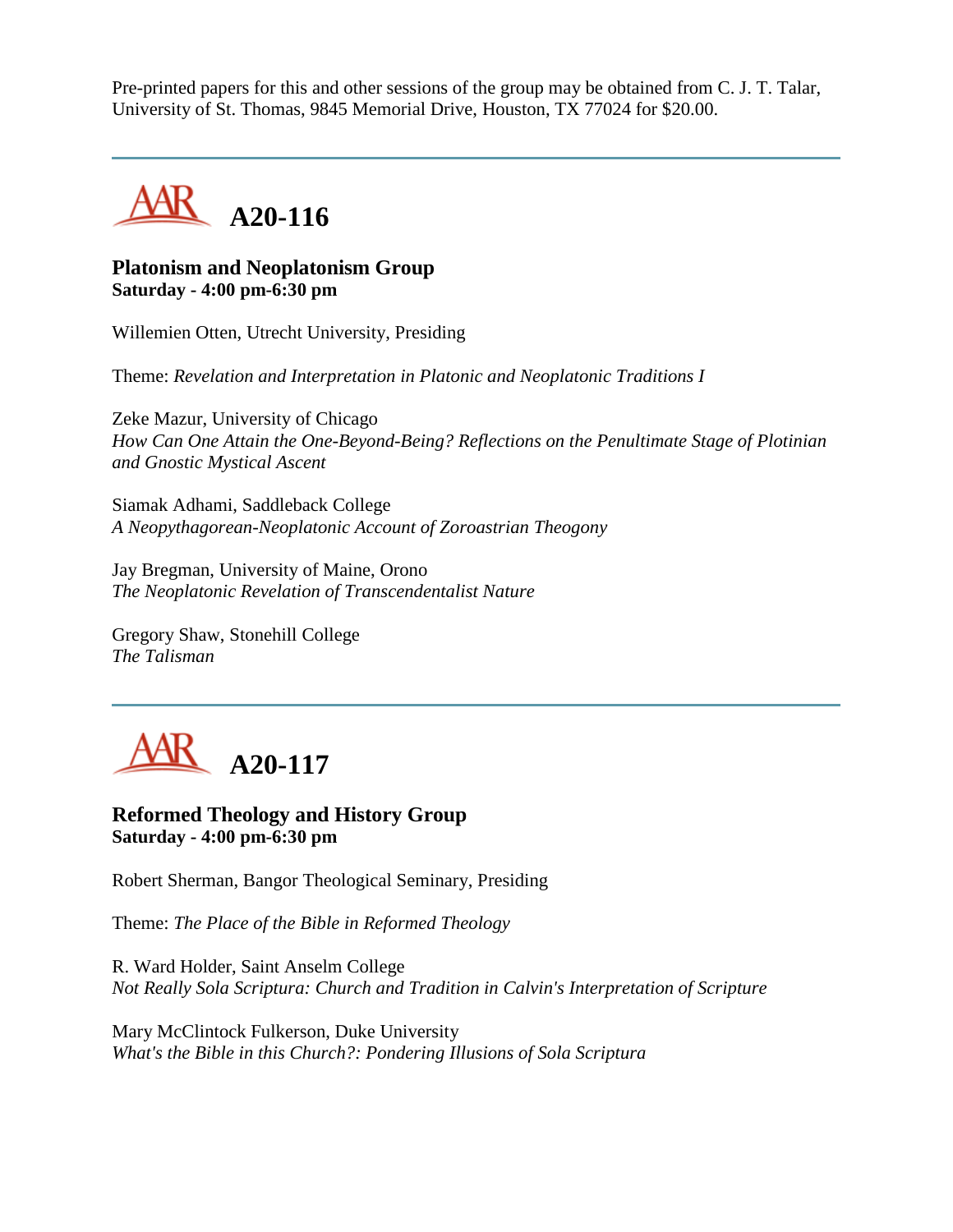Pre-printed papers for this and other sessions of the group may be obtained from C. J. T. Talar, University of St. Thomas, 9845 Memorial Drive, Houston, TX 77024 for \$20.00.



## **Platonism and Neoplatonism Group Saturday - 4:00 pm-6:30 pm**

Willemien Otten, Utrecht University, Presiding

Theme: *Revelation and Interpretation in Platonic and Neoplatonic Traditions I*

Zeke Mazur, University of Chicago *How Can One Attain the One-Beyond-Being? Reflections on the Penultimate Stage of Plotinian and Gnostic Mystical Ascent*

Siamak Adhami, Saddleback College *A Neopythagorean-Neoplatonic Account of Zoroastrian Theogony*

Jay Bregman, University of Maine, Orono *The Neoplatonic Revelation of Transcendentalist Nature*

Gregory Shaw, Stonehill College *The Talisman*



**Reformed Theology and History Group Saturday - 4:00 pm-6:30 pm**

Robert Sherman, Bangor Theological Seminary, Presiding

Theme: *The Place of the Bible in Reformed Theology*

R. Ward Holder, Saint Anselm College *Not Really Sola Scriptura: Church and Tradition in Calvin's Interpretation of Scripture*

Mary McClintock Fulkerson, Duke University *What's the Bible in this Church?: Pondering Illusions of Sola Scriptura*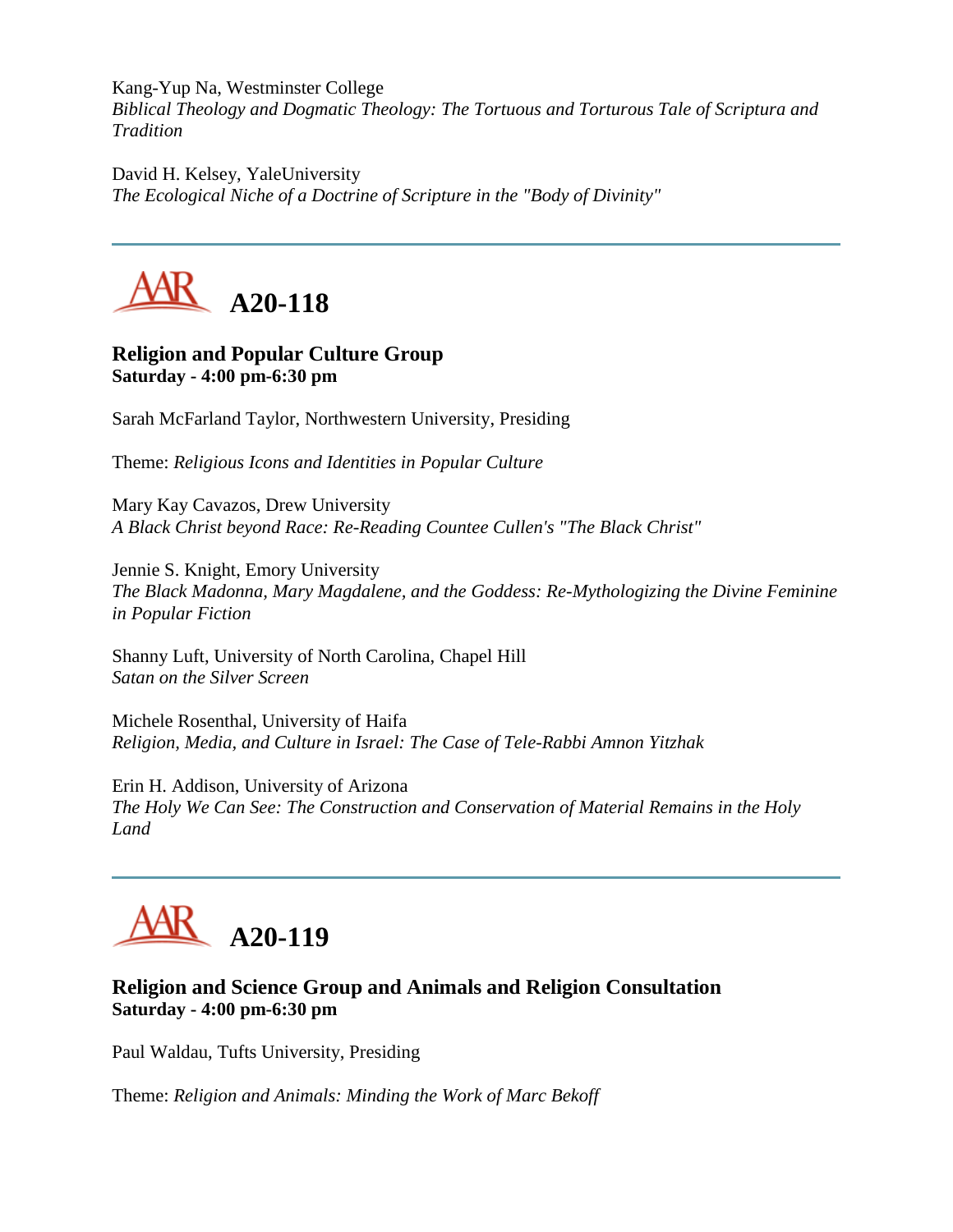Kang-Yup Na, Westminster College *Biblical Theology and Dogmatic Theology: The Tortuous and Torturous Tale of Scriptura and Tradition*

David H. Kelsey, YaleUniversity *The Ecological Niche of a Doctrine of Scripture in the "Body of Divinity"*



# **Religion and Popular Culture Group Saturday - 4:00 pm-6:30 pm**

Sarah McFarland Taylor, Northwestern University, Presiding

Theme: *Religious Icons and Identities in Popular Culture*

Mary Kay Cavazos, Drew University *A Black Christ beyond Race: Re-Reading Countee Cullen's "The Black Christ"*

Jennie S. Knight, Emory University *The Black Madonna, Mary Magdalene, and the Goddess: Re-Mythologizing the Divine Feminine in Popular Fiction*

Shanny Luft, University of North Carolina, Chapel Hill *Satan on the Silver Screen*

Michele Rosenthal, University of Haifa *Religion, Media, and Culture in Israel: The Case of Tele-Rabbi Amnon Yitzhak*

Erin H. Addison, University of Arizona *The Holy We Can See: The Construction and Conservation of Material Remains in the Holy Land*



# **Religion and Science Group and Animals and Religion Consultation Saturday - 4:00 pm-6:30 pm**

Paul Waldau, Tufts University, Presiding

Theme: *Religion and Animals: Minding the Work of Marc Bekoff*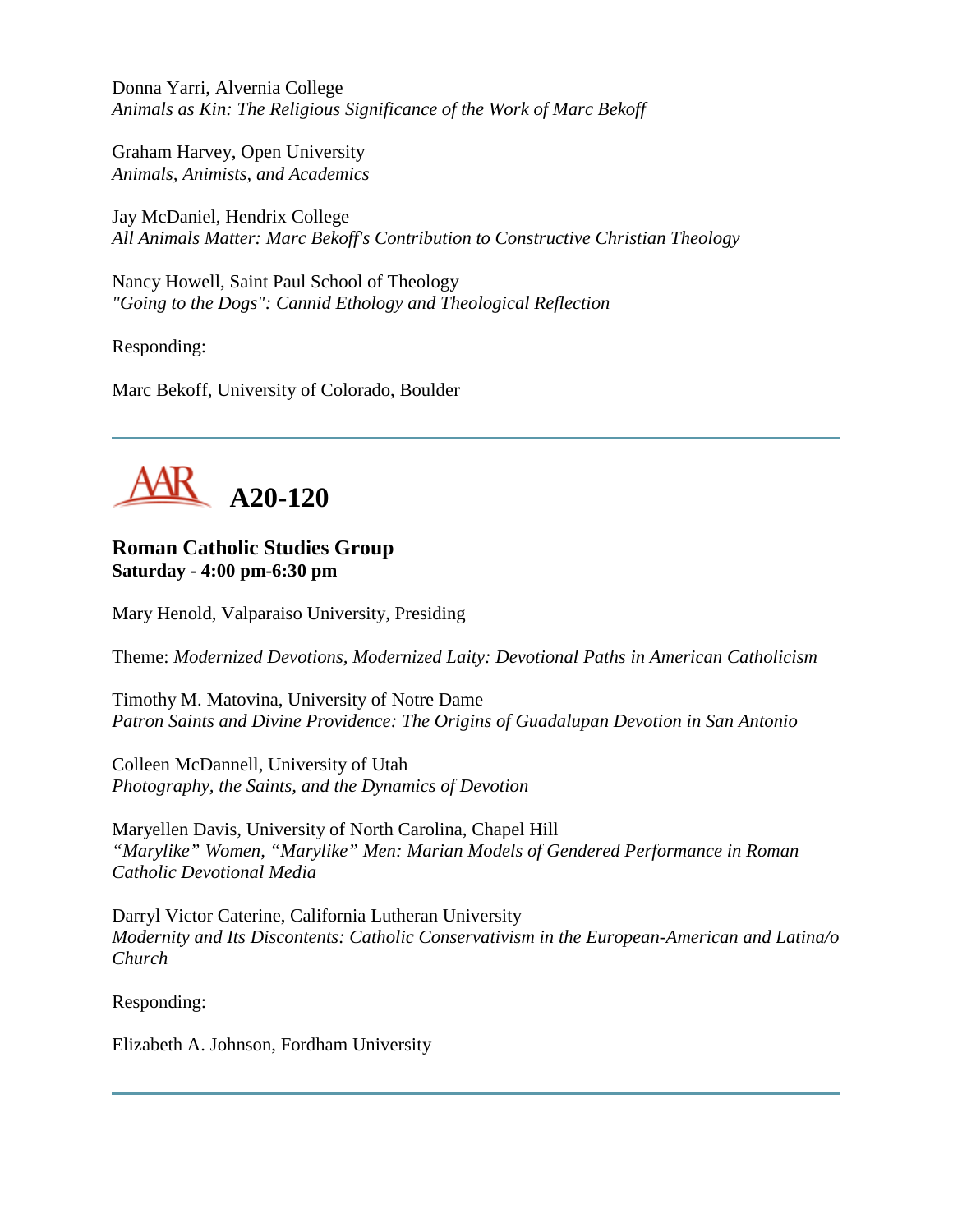Donna Yarri, Alvernia College *Animals as Kin: The Religious Significance of the Work of Marc Bekoff*

Graham Harvey, Open University *Animals, Animists, and Academics*

Jay McDaniel, Hendrix College *All Animals Matter: Marc Bekoff's Contribution to Constructive Christian Theology*

Nancy Howell, Saint Paul School of Theology *"Going to the Dogs": Cannid Ethology and Theological Reflection*

Responding:

Marc Bekoff, University of Colorado, Boulder



## **Roman Catholic Studies Group Saturday - 4:00 pm-6:30 pm**

Mary Henold, Valparaiso University, Presiding

Theme: *Modernized Devotions, Modernized Laity: Devotional Paths in American Catholicism*

Timothy M. Matovina, University of Notre Dame *Patron Saints and Divine Providence: The Origins of Guadalupan Devotion in San Antonio*

Colleen McDannell, University of Utah *Photography, the Saints, and the Dynamics of Devotion*

Maryellen Davis, University of North Carolina, Chapel Hill *"Marylike" Women, "Marylike" Men: Marian Models of Gendered Performance in Roman Catholic Devotional Media*

Darryl Victor Caterine, California Lutheran University *Modernity and Its Discontents: Catholic Conservativism in the European-American and Latina/o Church*

Responding:

Elizabeth A. Johnson, Fordham University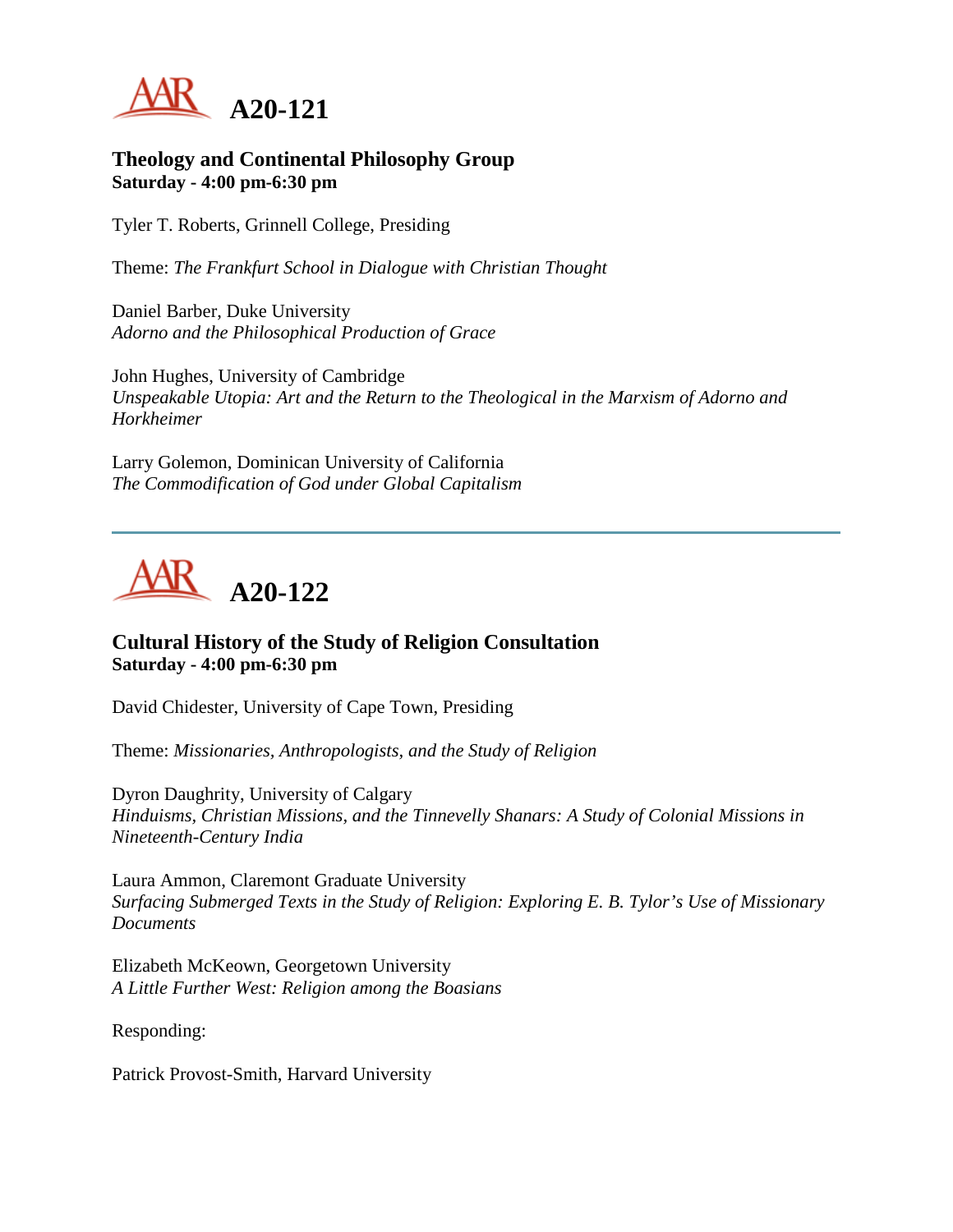

### **Theology and Continental Philosophy Group Saturday - 4:00 pm-6:30 pm**

Tyler T. Roberts, Grinnell College, Presiding

Theme: *The Frankfurt School in Dialogue with Christian Thought*

Daniel Barber, Duke University *Adorno and the Philosophical Production of Grace*

John Hughes, University of Cambridge *Unspeakable Utopia: Art and the Return to the Theological in the Marxism of Adorno and Horkheimer*

Larry Golemon, Dominican University of California *The Commodification of God under Global Capitalism*



# **Cultural History of the Study of Religion Consultation Saturday - 4:00 pm-6:30 pm**

David Chidester, University of Cape Town, Presiding

Theme: *Missionaries, Anthropologists, and the Study of Religion*

Dyron Daughrity, University of Calgary *Hinduisms, Christian Missions, and the Tinnevelly Shanars: A Study of Colonial Missions in Nineteenth-Century India*

Laura Ammon, Claremont Graduate University *Surfacing Submerged Texts in the Study of Religion: Exploring E. B. Tylor's Use of Missionary Documents*

Elizabeth McKeown, Georgetown University *A Little Further West: Religion among the Boasians*

Responding:

Patrick Provost-Smith, Harvard University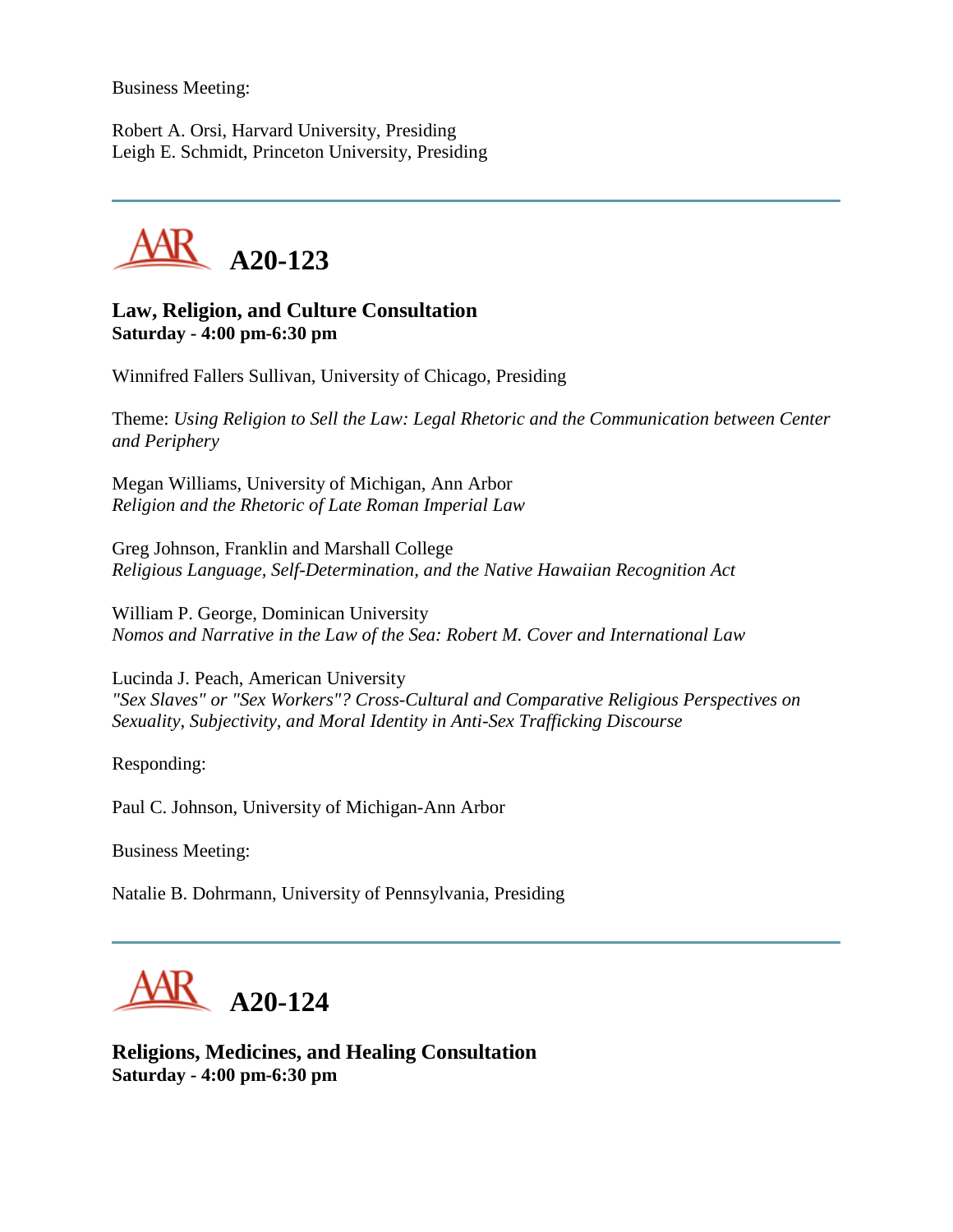Business Meeting:

Robert A. Orsi, Harvard University, Presiding Leigh E. Schmidt, Princeton University, Presiding



**Law, Religion, and Culture Consultation Saturday - 4:00 pm-6:30 pm**

Winnifred Fallers Sullivan, University of Chicago, Presiding

Theme: *Using Religion to Sell the Law: Legal Rhetoric and the Communication between Center and Periphery*

Megan Williams, University of Michigan, Ann Arbor *Religion and the Rhetoric of Late Roman Imperial Law*

Greg Johnson, Franklin and Marshall College *Religious Language, Self-Determination, and the Native Hawaiian Recognition Act*

William P. George, Dominican University *Nomos and Narrative in the Law of the Sea: Robert M. Cover and International Law*

Lucinda J. Peach, American University *"Sex Slaves" or "Sex Workers"? Cross-Cultural and Comparative Religious Perspectives on Sexuality, Subjectivity, and Moral Identity in Anti-Sex Trafficking Discourse*

Responding:

Paul C. Johnson, University of Michigan-Ann Arbor

Business Meeting:

Natalie B. Dohrmann, University of Pennsylvania, Presiding



**Religions, Medicines, and Healing Consultation Saturday - 4:00 pm-6:30 pm**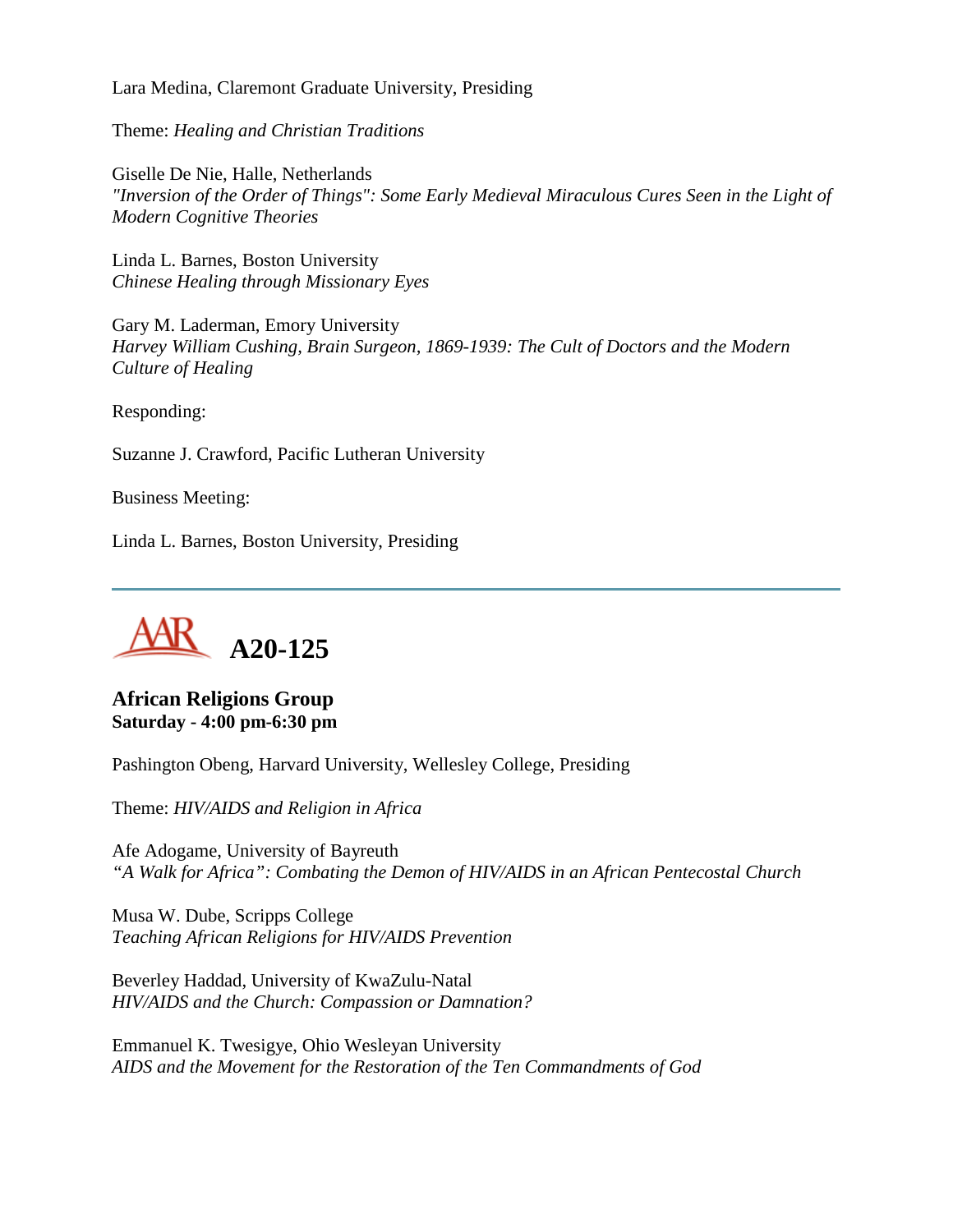Lara Medina, Claremont Graduate University, Presiding

Theme: *Healing and Christian Traditions*

Giselle De Nie, Halle, Netherlands *"Inversion of the Order of Things": Some Early Medieval Miraculous Cures Seen in the Light of Modern Cognitive Theories*

Linda L. Barnes, Boston University *Chinese Healing through Missionary Eyes*

Gary M. Laderman, Emory University *Harvey William Cushing, Brain Surgeon, 1869-1939: The Cult of Doctors and the Modern Culture of Healing*

Responding:

Suzanne J. Crawford, Pacific Lutheran University

Business Meeting:

Linda L. Barnes, Boston University, Presiding



## **African Religions Group Saturday - 4:00 pm-6:30 pm**

Pashington Obeng, Harvard University, Wellesley College, Presiding

Theme: *HIV/AIDS and Religion in Africa*

Afe Adogame, University of Bayreuth *"A Walk for Africa": Combating the Demon of HIV/AIDS in an African Pentecostal Church*

Musa W. Dube, Scripps College *Teaching African Religions for HIV/AIDS Prevention*

Beverley Haddad, University of KwaZulu-Natal *HIV/AIDS and the Church: Compassion or Damnation?*

Emmanuel K. Twesigye, Ohio Wesleyan University *AIDS and the Movement for the Restoration of the Ten Commandments of God*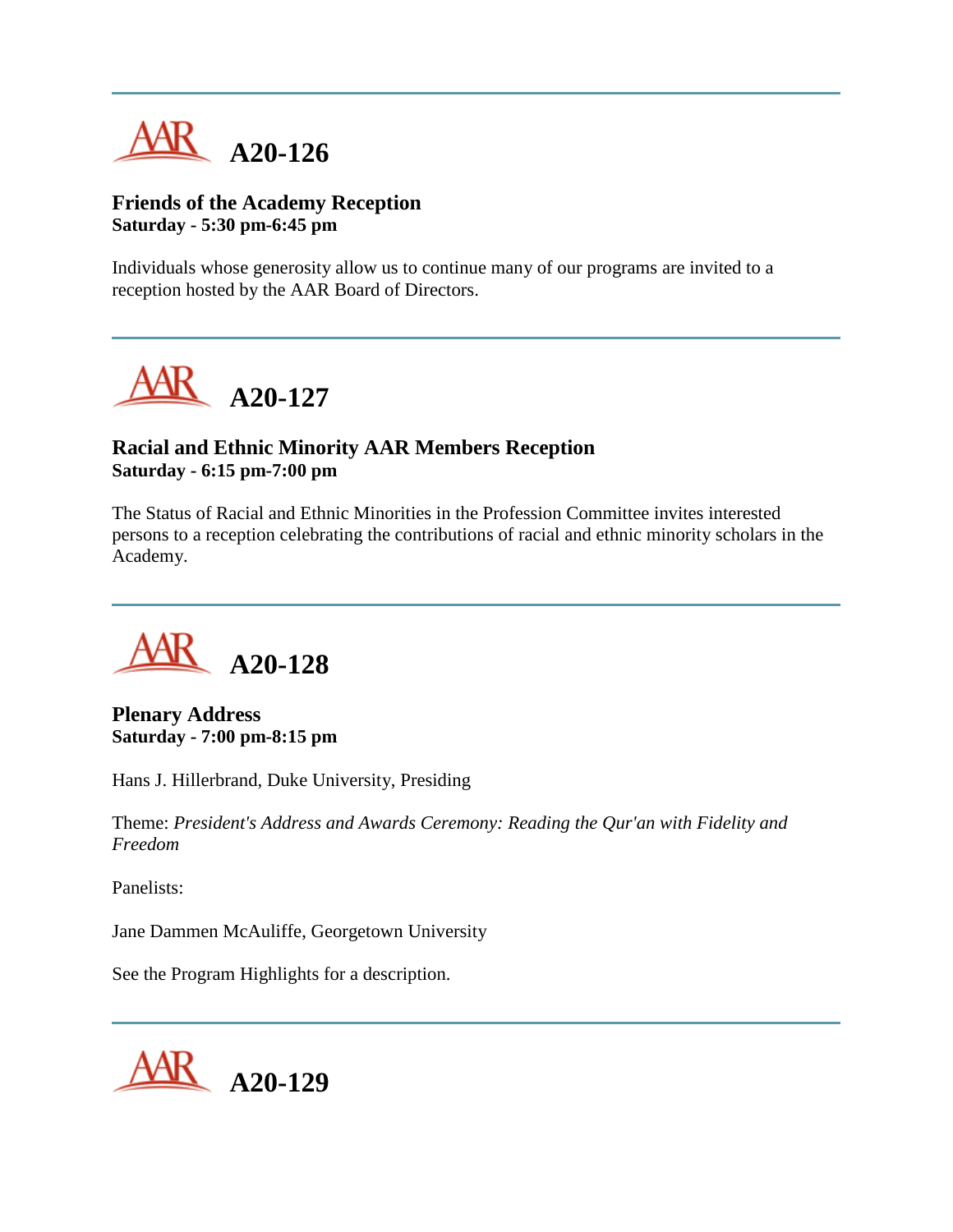

## **Friends of the Academy Reception Saturday - 5:30 pm-6:45 pm**

Individuals whose generosity allow us to continue many of our programs are invited to a reception hosted by the AAR Board of Directors.



## **Racial and Ethnic Minority AAR Members Reception Saturday - 6:15 pm-7:00 pm**

The Status of Racial and Ethnic Minorities in the Profession Committee invites interested persons to a reception celebrating the contributions of racial and ethnic minority scholars in the Academy.



**Plenary Address Saturday - 7:00 pm-8:15 pm**

Hans J. Hillerbrand, Duke University, Presiding

Theme: *President's Address and Awards Ceremony: Reading the Qur'an with Fidelity and Freedom*

Panelists:

Jane Dammen McAuliffe, Georgetown University

See the Program Highlights for a description.

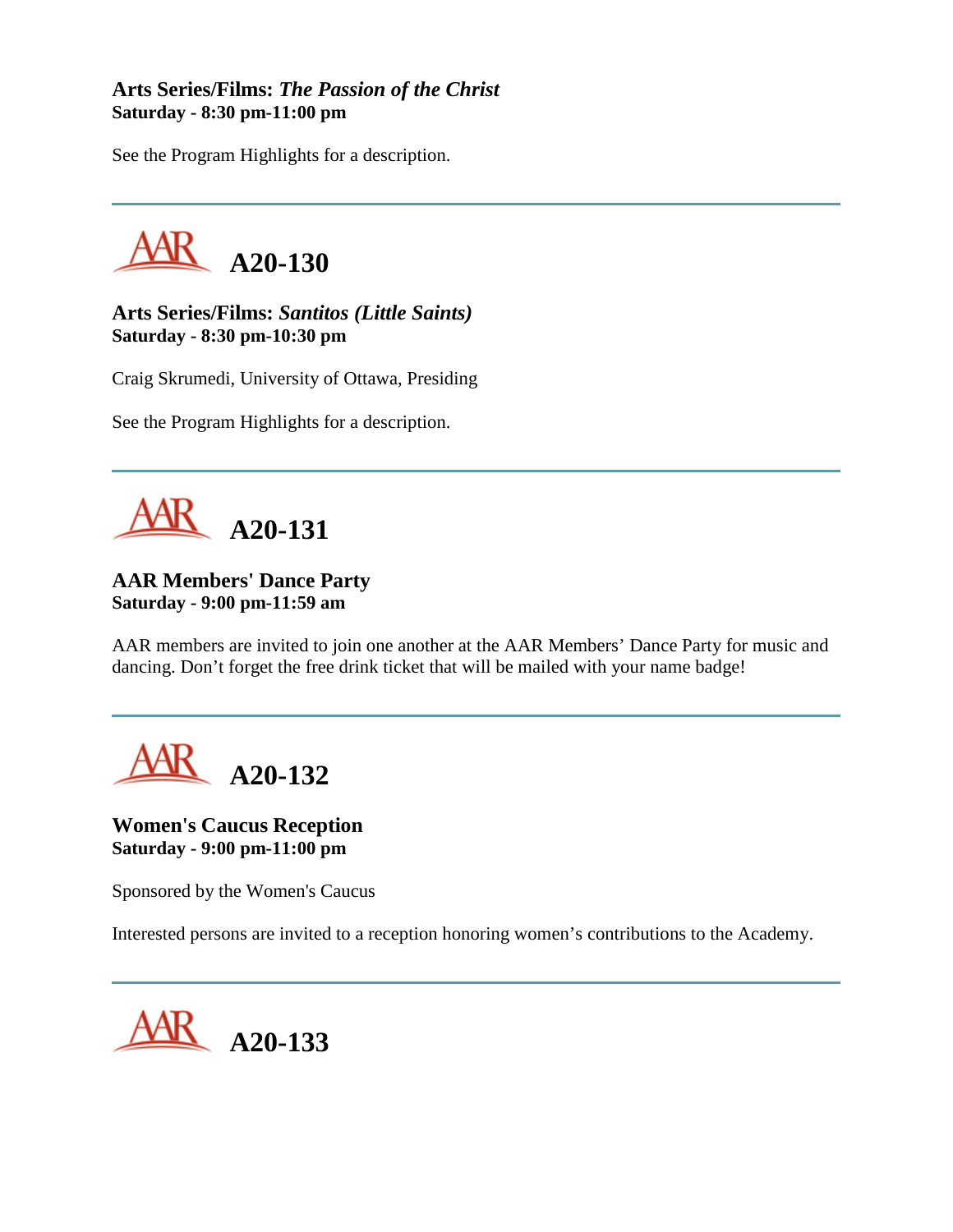## **Arts Series/Films:** *The Passion of the Christ* **Saturday - 8:30 pm-11:00 pm**

See the Program Highlights for a description.



**Arts Series/Films:** *Santitos (Little Saints)* **Saturday - 8:30 pm-10:30 pm**

Craig Skrumedi, University of Ottawa, Presiding

See the Program Highlights for a description.



# **AAR Members' Dance Party Saturday - 9:00 pm-11:59 am**

AAR members are invited to join one another at the AAR Members' Dance Party for music and dancing. Don't forget the free drink ticket that will be mailed with your name badge!



**Women's Caucus Reception Saturday - 9:00 pm-11:00 pm**

Sponsored by the Women's Caucus

Interested persons are invited to a reception honoring women's contributions to the Academy.

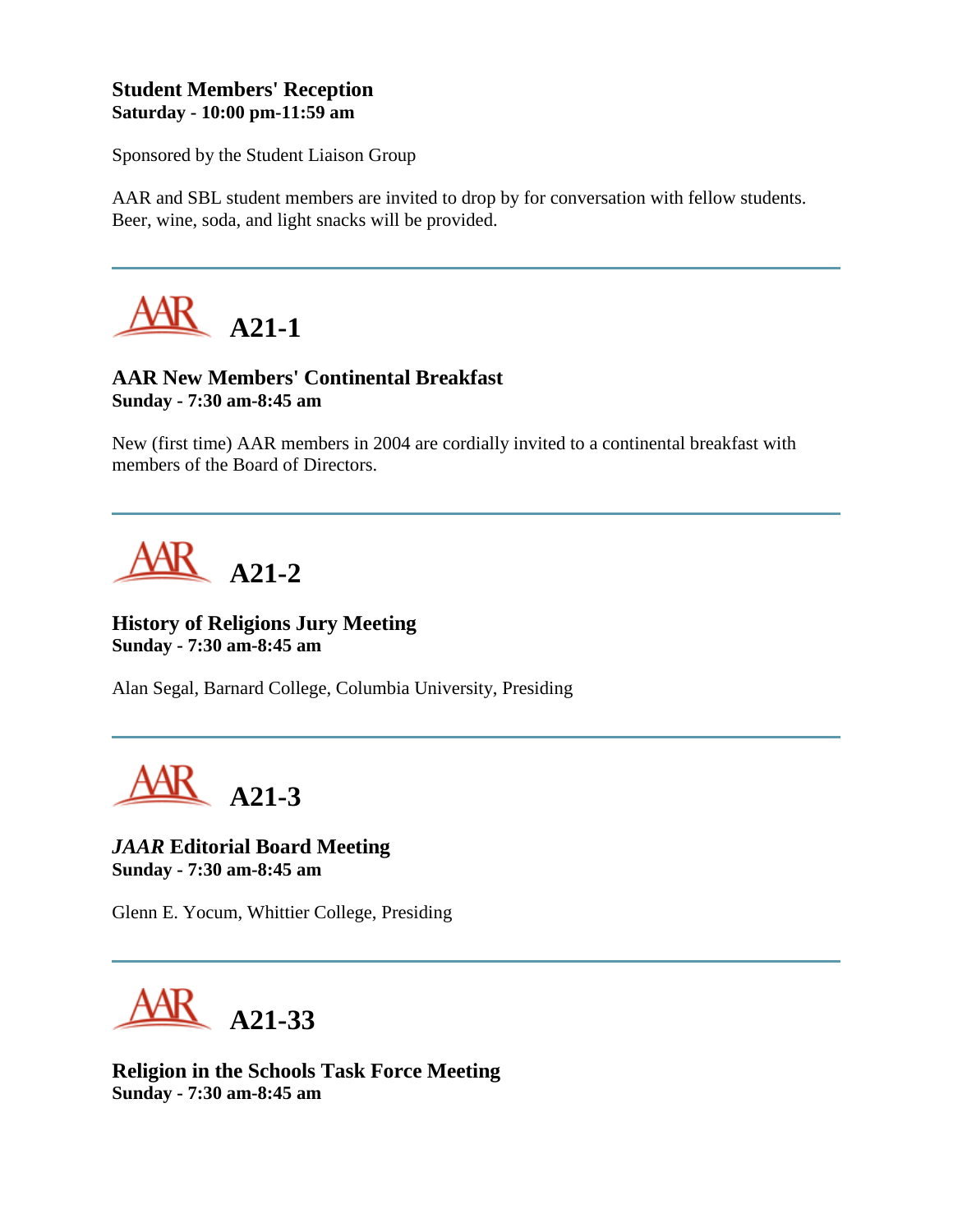## **Student Members' Reception Saturday - 10:00 pm-11:59 am**

Sponsored by the Student Liaison Group

AAR and SBL student members are invited to drop by for conversation with fellow students. Beer, wine, soda, and light snacks will be provided.



# **AAR New Members' Continental Breakfast Sunday - 7:30 am-8:45 am**

New (first time) AAR members in 2004 are cordially invited to a continental breakfast with members of the Board of Directors.



**History of Religions Jury Meeting Sunday - 7:30 am-8:45 am**

Alan Segal, Barnard College, Columbia University, Presiding



*JAAR* **Editorial Board Meeting Sunday - 7:30 am-8:45 am**

Glenn E. Yocum, Whittier College, Presiding

**A21-33**

**Religion in the Schools Task Force Meeting Sunday - 7:30 am-8:45 am**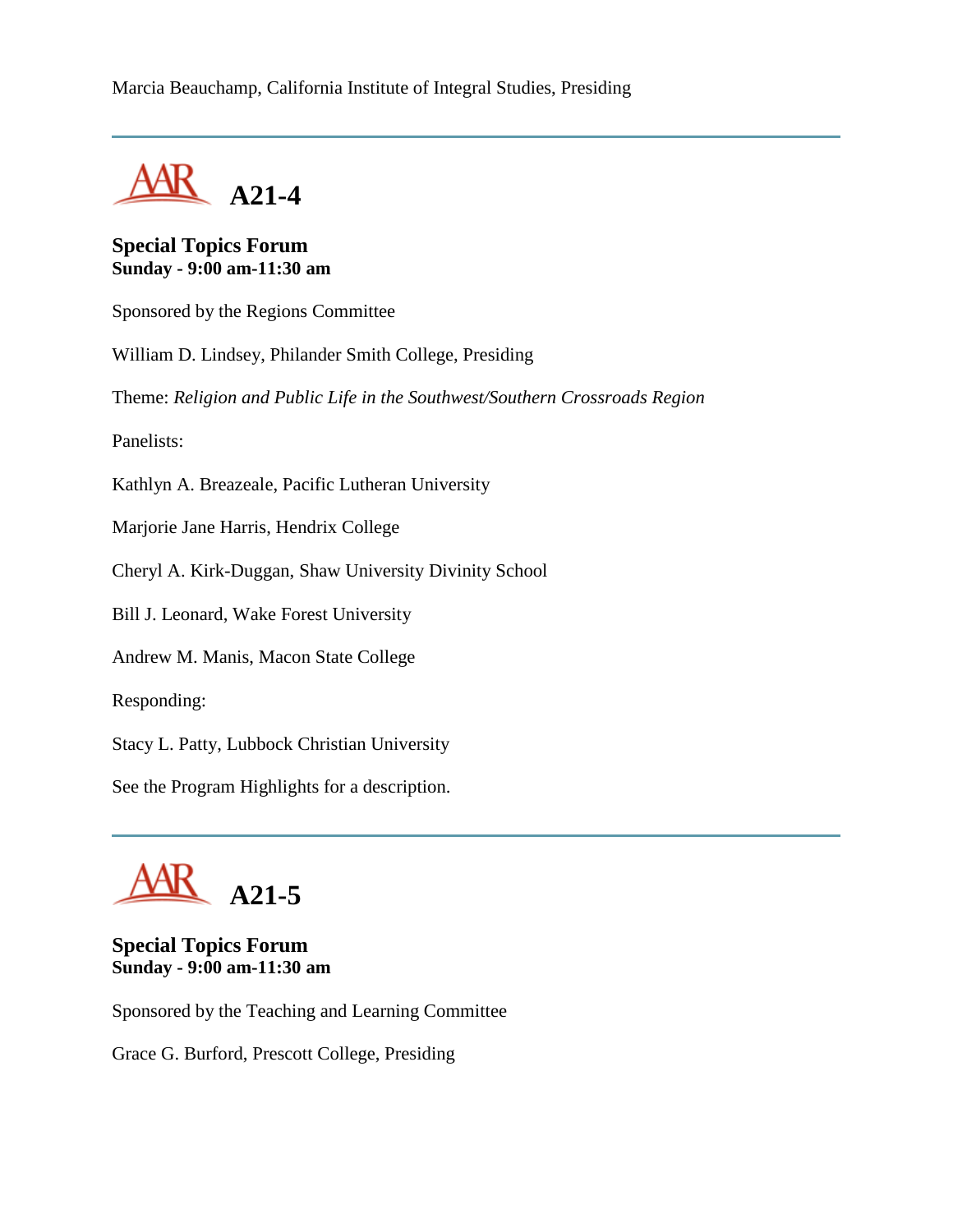Marcia Beauchamp, California Institute of Integral Studies, Presiding

**A21-4**

**Special Topics Forum Sunday - 9:00 am-11:30 am**

Sponsored by the Regions Committee

William D. Lindsey, Philander Smith College, Presiding

Theme: *Religion and Public Life in the Southwest/Southern Crossroads Region*

Panelists:

Kathlyn A. Breazeale, Pacific Lutheran University

Marjorie Jane Harris, Hendrix College

Cheryl A. Kirk-Duggan, Shaw University Divinity School

Bill J. Leonard, Wake Forest University

Andrew M. Manis, Macon State College

Responding:

Stacy L. Patty, Lubbock Christian University

See the Program Highlights for a description.



# **Special Topics Forum Sunday - 9:00 am-11:30 am**

Sponsored by the Teaching and Learning Committee

Grace G. Burford, Prescott College, Presiding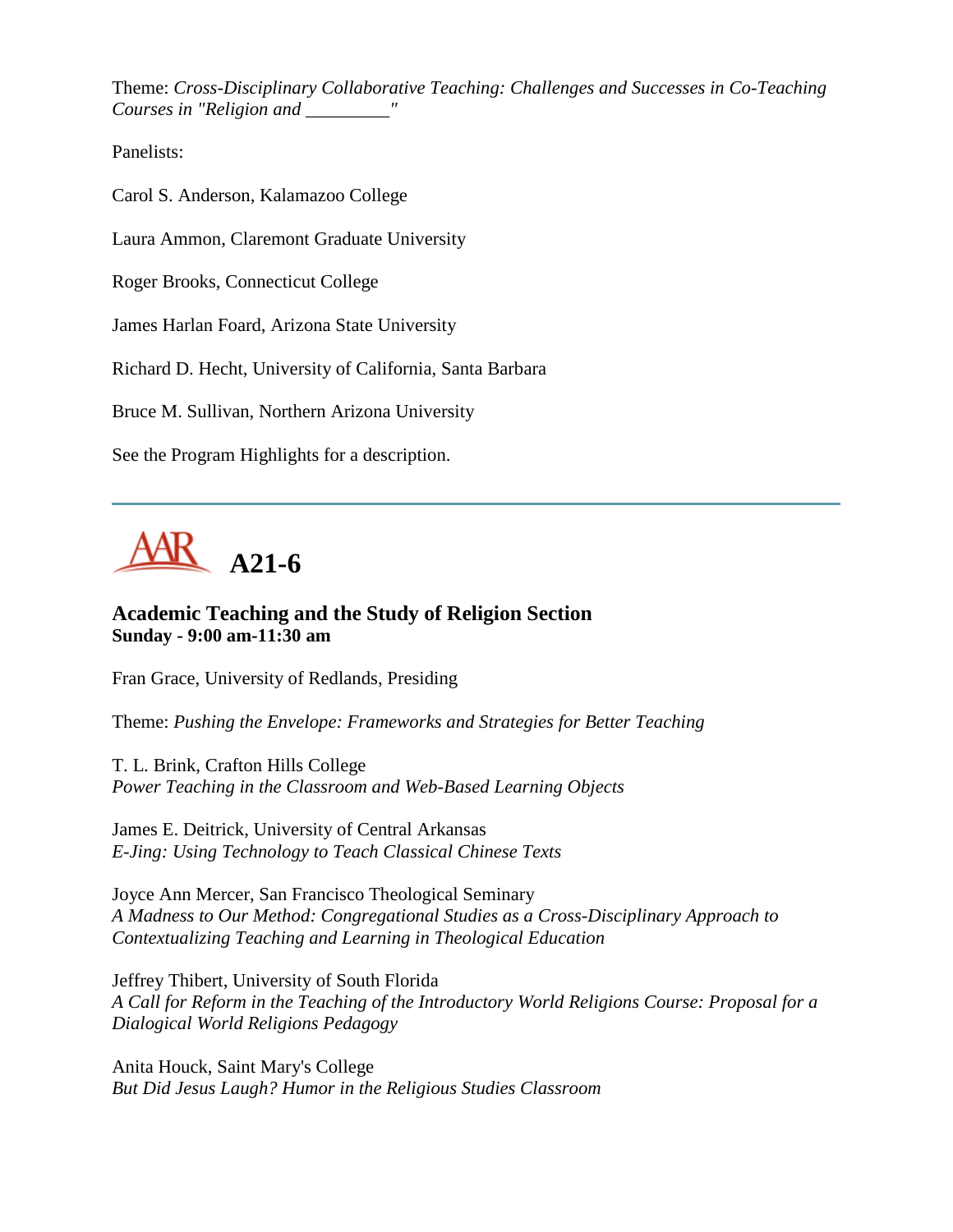Theme: *Cross-Disciplinary Collaborative Teaching: Challenges and Successes in Co-Teaching Courses in "Religion and \_\_\_\_\_\_\_\_\_"*

Panelists:

Carol S. Anderson, Kalamazoo College

Laura Ammon, Claremont Graduate University

Roger Brooks, Connecticut College

James Harlan Foard, Arizona State University

Richard D. Hecht, University of California, Santa Barbara

Bruce M. Sullivan, Northern Arizona University

See the Program Highlights for a description.



## **Academic Teaching and the Study of Religion Section Sunday - 9:00 am-11:30 am**

Fran Grace, University of Redlands, Presiding

Theme: *Pushing the Envelope: Frameworks and Strategies for Better Teaching*

T. L. Brink, Crafton Hills College *Power Teaching in the Classroom and Web-Based Learning Objects*

James E. Deitrick, University of Central Arkansas *E-Jing: Using Technology to Teach Classical Chinese Texts*

Joyce Ann Mercer, San Francisco Theological Seminary *A Madness to Our Method: Congregational Studies as a Cross-Disciplinary Approach to Contextualizing Teaching and Learning in Theological Education*

Jeffrey Thibert, University of South Florida *A Call for Reform in the Teaching of the Introductory World Religions Course: Proposal for a Dialogical World Religions Pedagogy*

Anita Houck, Saint Mary's College *But Did Jesus Laugh? Humor in the Religious Studies Classroom*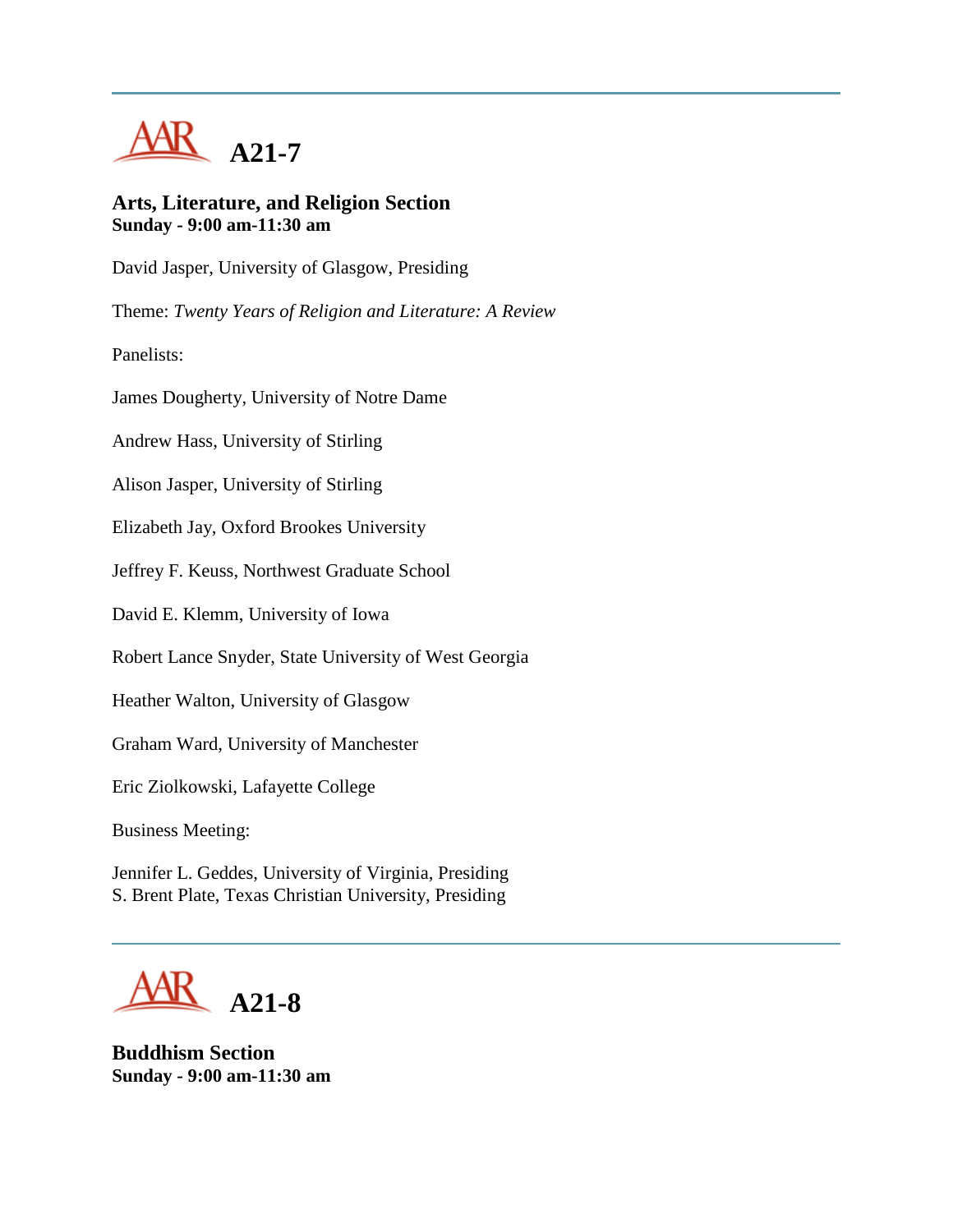

### **Arts, Literature, and Religion Section Sunday - 9:00 am-11:30 am**

David Jasper, University of Glasgow, Presiding

Theme: *Twenty Years of Religion and Literature: A Review*

Panelists:

James Dougherty, University of Notre Dame

Andrew Hass, University of Stirling

Alison Jasper, University of Stirling

Elizabeth Jay, Oxford Brookes University

Jeffrey F. Keuss, Northwest Graduate School

David E. Klemm, University of Iowa

Robert Lance Snyder, State University of West Georgia

Heather Walton, University of Glasgow

Graham Ward, University of Manchester

Eric Ziolkowski, Lafayette College

Business Meeting:

Jennifer L. Geddes, University of Virginia, Presiding S. Brent Plate, Texas Christian University, Presiding



**Buddhism Section Sunday - 9:00 am-11:30 am**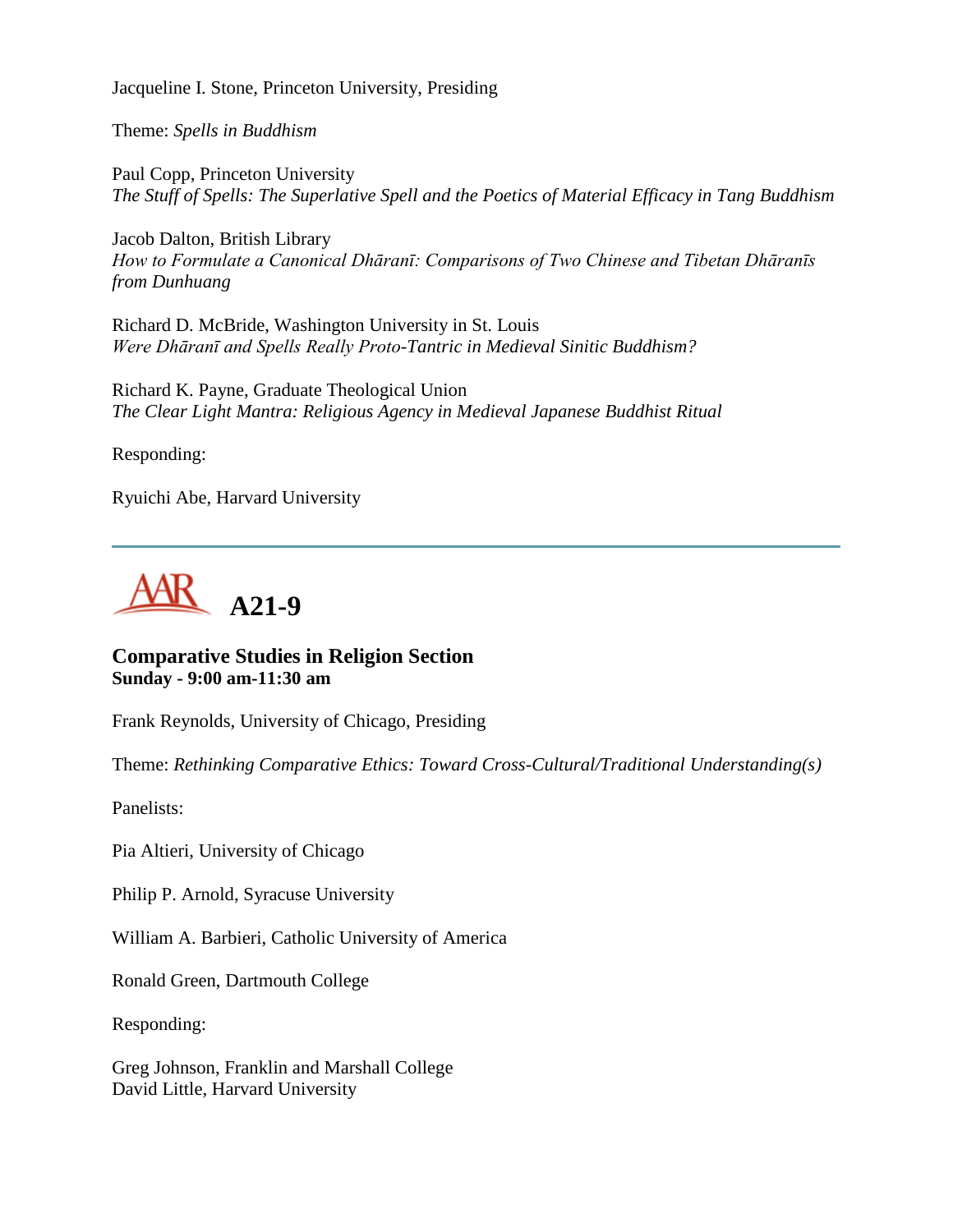Jacqueline I. Stone, Princeton University, Presiding

Theme: *Spells in Buddhism*

Paul Copp, Princeton University *The Stuff of Spells: The Superlative Spell and the Poetics of Material Efficacy in Tang Buddhism*

Jacob Dalton, British Library *How to Formulate a Canonical Dhāranī: Comparisons of Two Chinese and Tibetan Dhāranīs from Dunhuang*

Richard D. McBride, Washington University in St. Louis *Were Dhāranī and Spells Really Proto-Tantric in Medieval Sinitic Buddhism?*

Richard K. Payne, Graduate Theological Union *The Clear Light Mantra: Religious Agency in Medieval Japanese Buddhist Ritual*

Responding:

Ryuichi Abe, Harvard University



**Comparative Studies in Religion Section Sunday - 9:00 am-11:30 am**

Frank Reynolds, University of Chicago, Presiding

Theme: *Rethinking Comparative Ethics: Toward Cross-Cultural/Traditional Understanding(s)*

Panelists:

Pia Altieri, University of Chicago

Philip P. Arnold, Syracuse University

William A. Barbieri, Catholic University of America

Ronald Green, Dartmouth College

Responding:

Greg Johnson, Franklin and Marshall College David Little, Harvard University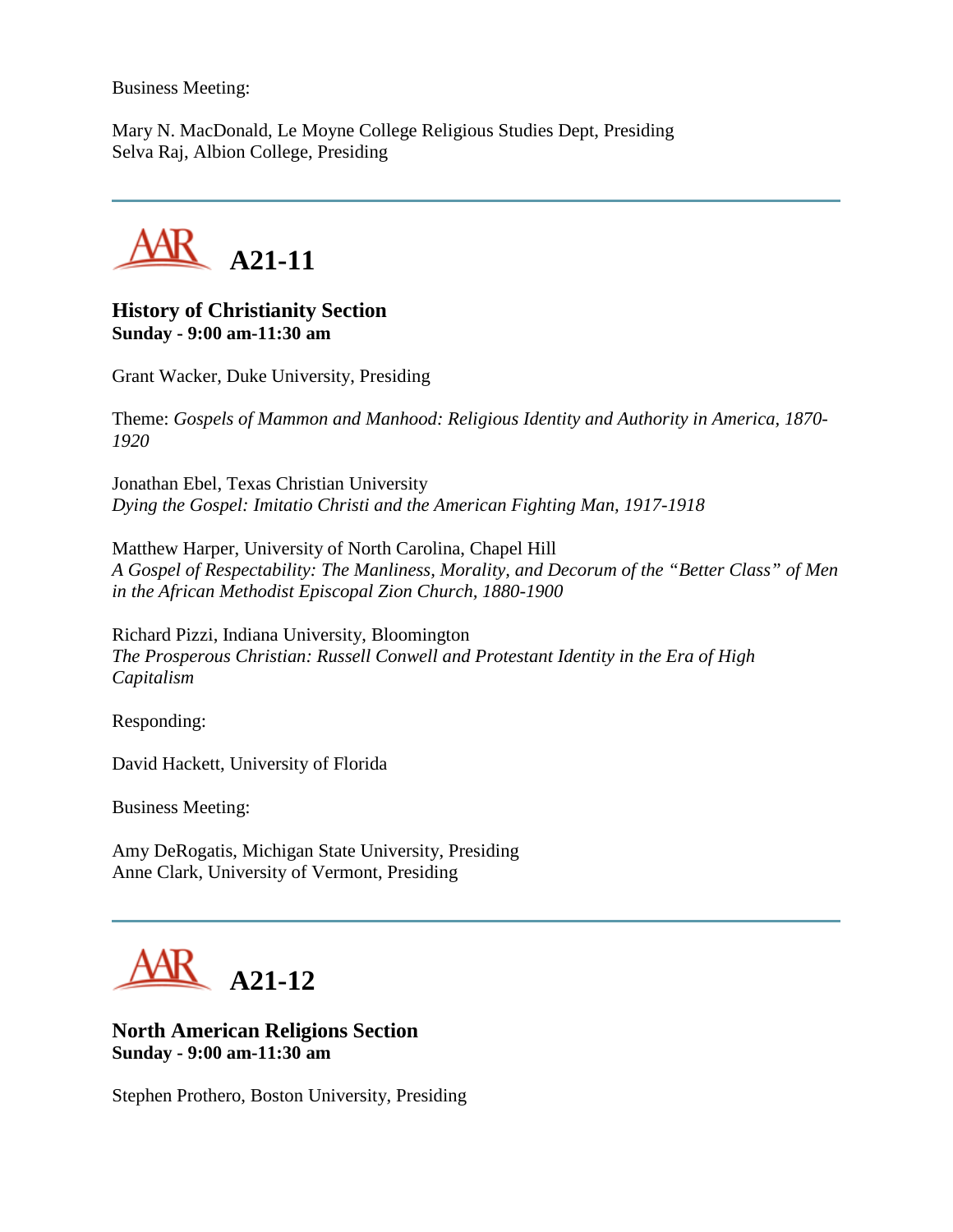Business Meeting:

Mary N. MacDonald, Le Moyne College Religious Studies Dept, Presiding Selva Raj, Albion College, Presiding



## **History of Christianity Section Sunday - 9:00 am-11:30 am**

Grant Wacker, Duke University, Presiding

Theme: *Gospels of Mammon and Manhood: Religious Identity and Authority in America, 1870- 1920*

Jonathan Ebel, Texas Christian University *Dying the Gospel: Imitatio Christi and the American Fighting Man, 1917-1918*

Matthew Harper, University of North Carolina, Chapel Hill *A Gospel of Respectability: The Manliness, Morality, and Decorum of the "Better Class" of Men in the African Methodist Episcopal Zion Church, 1880-1900*

Richard Pizzi, Indiana University, Bloomington *The Prosperous Christian: Russell Conwell and Protestant Identity in the Era of High Capitalism*

Responding:

David Hackett, University of Florida

Business Meeting:

Amy DeRogatis, Michigan State University, Presiding Anne Clark, University of Vermont, Presiding



## **North American Religions Section Sunday - 9:00 am-11:30 am**

Stephen Prothero, Boston University, Presiding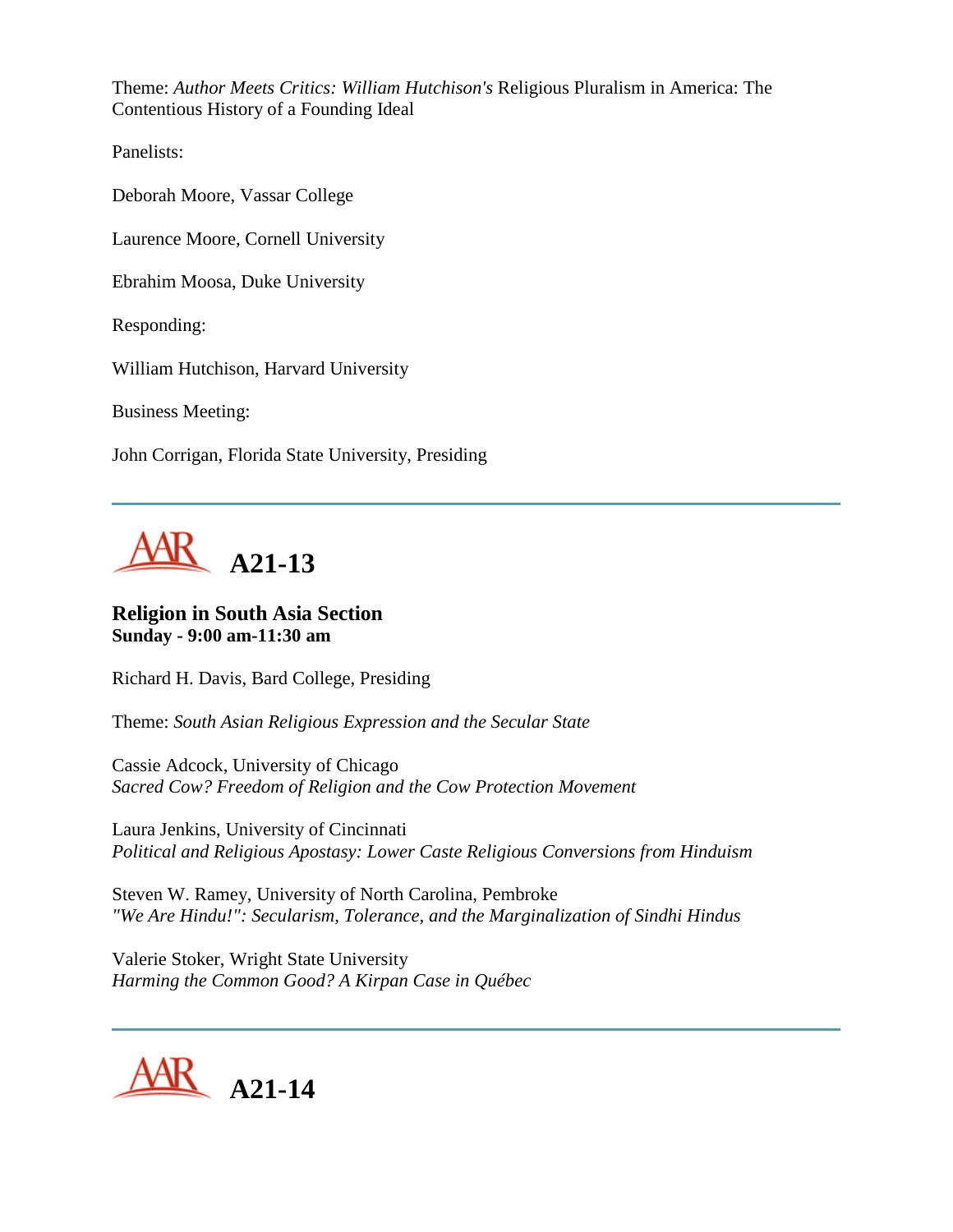Theme: *Author Meets Critics: William Hutchison's* Religious Pluralism in America: The Contentious History of a Founding Ideal

Panelists:

Deborah Moore, Vassar College

Laurence Moore, Cornell University

Ebrahim Moosa, Duke University

Responding:

William Hutchison, Harvard University

Business Meeting:

John Corrigan, Florida State University, Presiding



## **Religion in South Asia Section Sunday - 9:00 am-11:30 am**

Richard H. Davis, Bard College, Presiding

Theme: *South Asian Religious Expression and the Secular State*

Cassie Adcock, University of Chicago *Sacred Cow? Freedom of Religion and the Cow Protection Movement*

Laura Jenkins, University of Cincinnati *Political and Religious Apostasy: Lower Caste Religious Conversions from Hinduism*

Steven W. Ramey, University of North Carolina, Pembroke *"We Are Hindu!": Secularism, Tolerance, and the Marginalization of Sindhi Hindus*

Valerie Stoker, Wright State University *Harming the Common Good? A Kirpan Case in Québec*

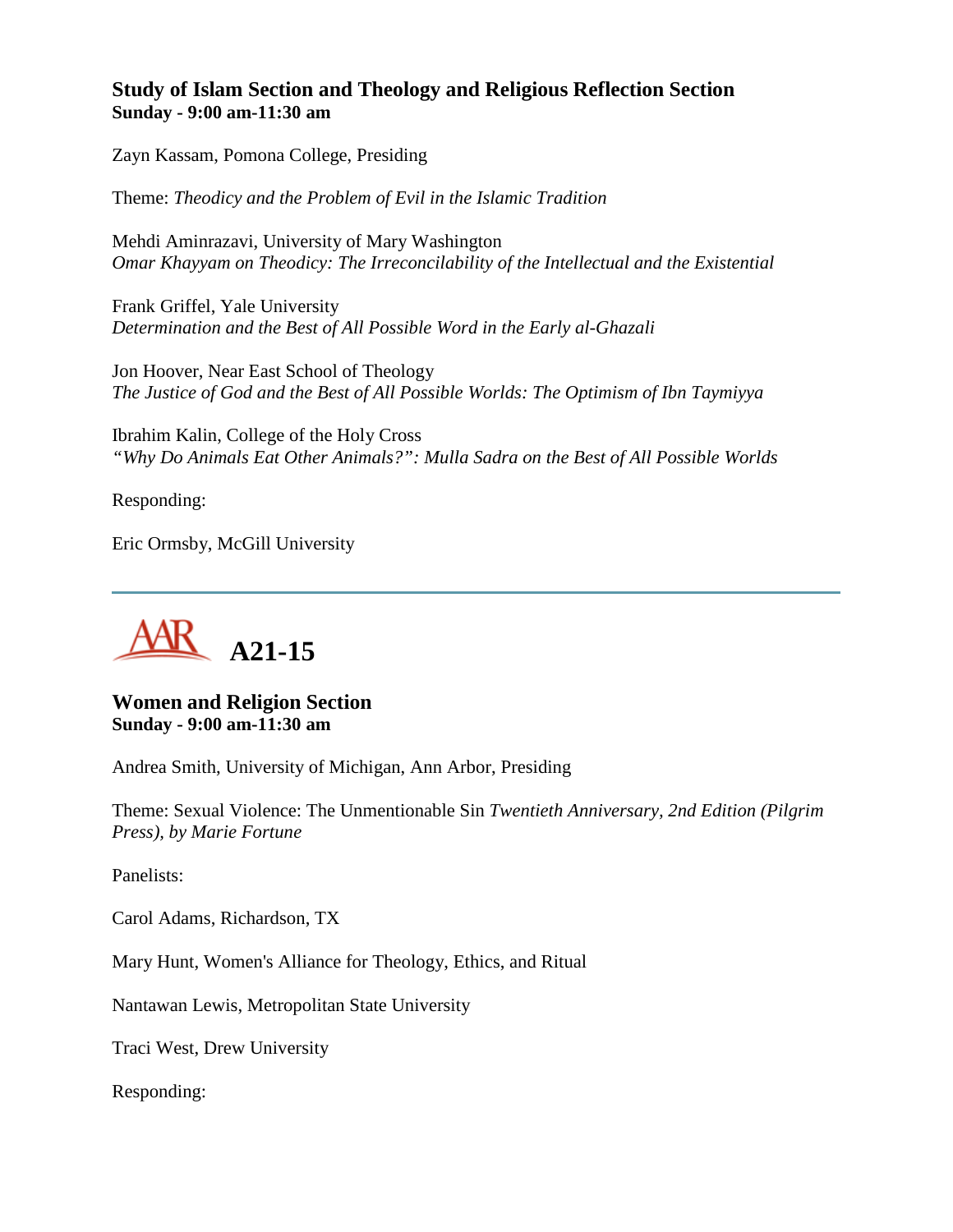## **Study of Islam Section and Theology and Religious Reflection Section Sunday - 9:00 am-11:30 am**

Zayn Kassam, Pomona College, Presiding

Theme: *Theodicy and the Problem of Evil in the Islamic Tradition*

Mehdi Aminrazavi, University of Mary Washington *Omar Khayyam on Theodicy: The Irreconcilability of the Intellectual and the Existential*

Frank Griffel, Yale University *Determination and the Best of All Possible Word in the Early al-Ghazali*

Jon Hoover, Near East School of Theology *The Justice of God and the Best of All Possible Worlds: The Optimism of Ibn Taymiyya*

Ibrahim Kalin, College of the Holy Cross *"Why Do Animals Eat Other Animals?": Mulla Sadra on the Best of All Possible Worlds*

Responding:

Eric Ormsby, McGill University



#### **Women and Religion Section Sunday - 9:00 am-11:30 am**

Andrea Smith, University of Michigan, Ann Arbor, Presiding

Theme: Sexual Violence: The Unmentionable Sin *Twentieth Anniversary, 2nd Edition (Pilgrim Press), by Marie Fortune*

Panelists:

Carol Adams, Richardson, TX

Mary Hunt, Women's Alliance for Theology, Ethics, and Ritual

Nantawan Lewis, Metropolitan State University

Traci West, Drew University

Responding: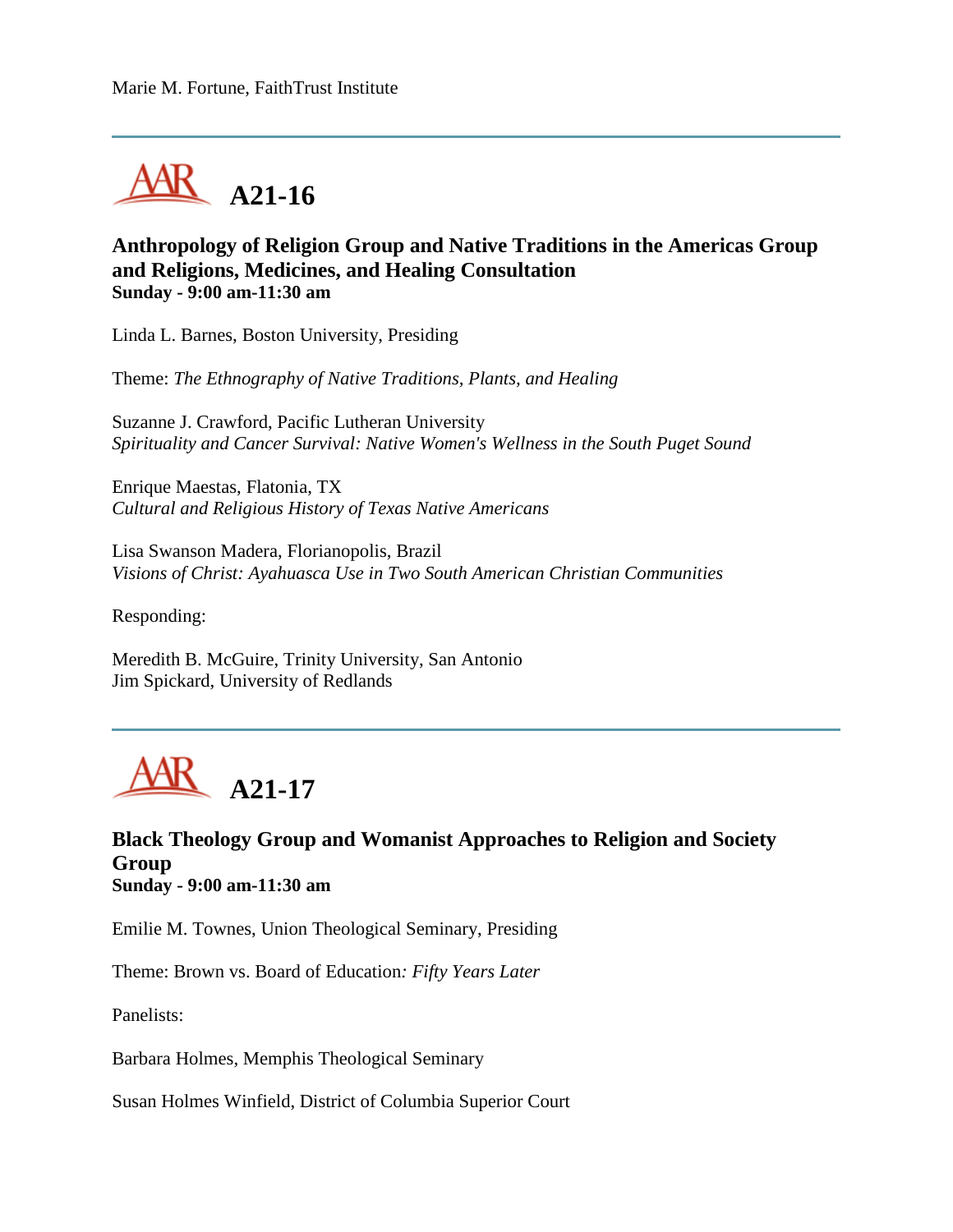

## **Anthropology of Religion Group and Native Traditions in the Americas Group and Religions, Medicines, and Healing Consultation Sunday - 9:00 am-11:30 am**

Linda L. Barnes, Boston University, Presiding

Theme: *The Ethnography of Native Traditions, Plants, and Healing*

Suzanne J. Crawford, Pacific Lutheran University *Spirituality and Cancer Survival: Native Women's Wellness in the South Puget Sound*

Enrique Maestas, Flatonia, TX *Cultural and Religious History of Texas Native Americans*

Lisa Swanson Madera, Florianopolis, Brazil *Visions of Christ: Ayahuasca Use in Two South American Christian Communities*

Responding:

Meredith B. McGuire, Trinity University, San Antonio Jim Spickard, University of Redlands



### **Black Theology Group and Womanist Approaches to Religion and Society Group Sunday - 9:00 am-11:30 am**

Emilie M. Townes, Union Theological Seminary, Presiding

Theme: Brown vs. Board of Education*: Fifty Years Later*

Panelists:

Barbara Holmes, Memphis Theological Seminary

Susan Holmes Winfield, District of Columbia Superior Court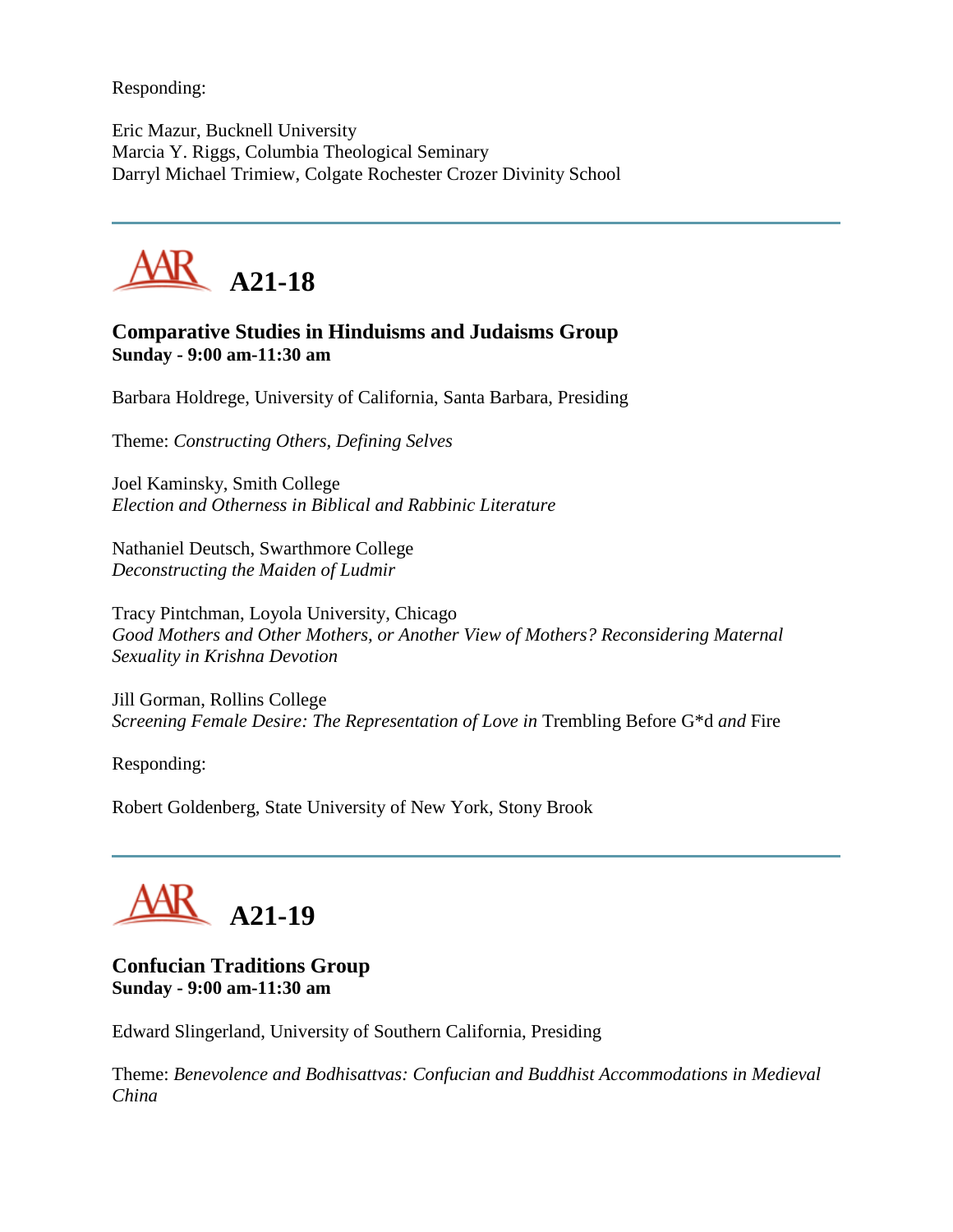Responding:

Eric Mazur, Bucknell University Marcia Y. Riggs, Columbia Theological Seminary Darryl Michael Trimiew, Colgate Rochester Crozer Divinity School



## **Comparative Studies in Hinduisms and Judaisms Group Sunday - 9:00 am-11:30 am**

Barbara Holdrege, University of California, Santa Barbara, Presiding

Theme: *Constructing Others, Defining Selves*

Joel Kaminsky, Smith College *Election and Otherness in Biblical and Rabbinic Literature*

Nathaniel Deutsch, Swarthmore College *Deconstructing the Maiden of Ludmir*

Tracy Pintchman, Loyola University, Chicago *Good Mothers and Other Mothers, or Another View of Mothers? Reconsidering Maternal Sexuality in Krishna Devotion*

Jill Gorman, Rollins College *Screening Female Desire: The Representation of Love in* Trembling Before G\*d *and* Fire

Responding:

Robert Goldenberg, State University of New York, Stony Brook



## **Confucian Traditions Group Sunday - 9:00 am-11:30 am**

Edward Slingerland, University of Southern California, Presiding

Theme: *Benevolence and Bodhisattvas: Confucian and Buddhist Accommodations in Medieval China*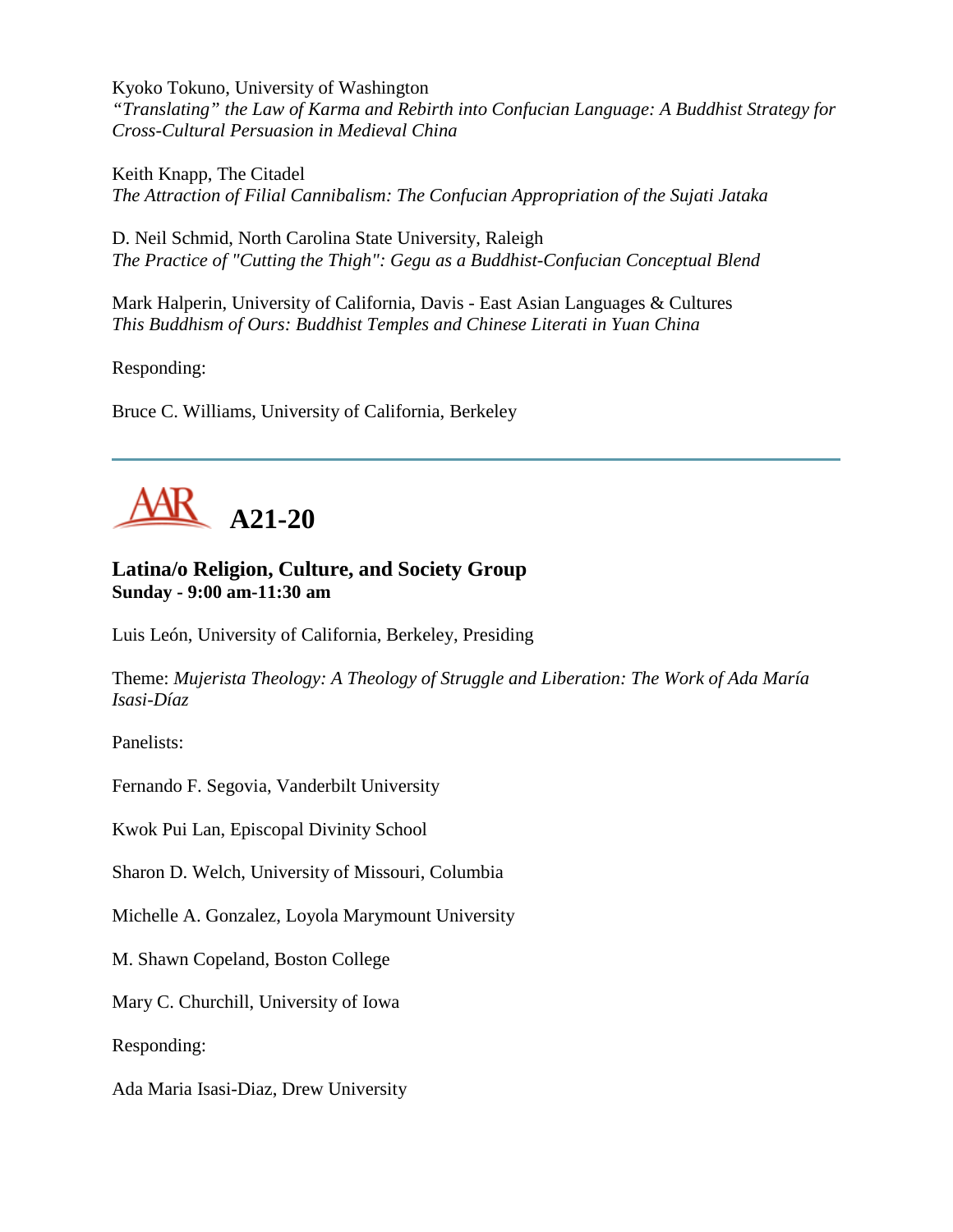Kyoko Tokuno, University of Washington *"Translating" the Law of Karma and Rebirth into Confucian Language: A Buddhist Strategy for Cross-Cultural Persuasion in Medieval China*

Keith Knapp, The Citadel *The Attraction of Filial Cannibalism: The Confucian Appropriation of the Sujati Jataka*

D. Neil Schmid, North Carolina State University, Raleigh *The Practice of "Cutting the Thigh": Gegu as a Buddhist-Confucian Conceptual Blend*

Mark Halperin, University of California, Davis - East Asian Languages & Cultures *This Buddhism of Ours: Buddhist Temples and Chinese Literati in Yuan China*

Responding:

Bruce C. Williams, University of California, Berkeley



# **Latina/o Religion, Culture, and Society Group Sunday - 9:00 am-11:30 am**

Luis León, University of California, Berkeley, Presiding

Theme: *Mujerista Theology: A Theology of Struggle and Liberation: The Work of Ada María Isasi-Díaz*

Panelists:

Fernando F. Segovia, Vanderbilt University

Kwok Pui Lan, Episcopal Divinity School

Sharon D. Welch, University of Missouri, Columbia

Michelle A. Gonzalez, Loyola Marymount University

M. Shawn Copeland, Boston College

Mary C. Churchill, University of Iowa

Responding:

Ada Maria Isasi-Diaz, Drew University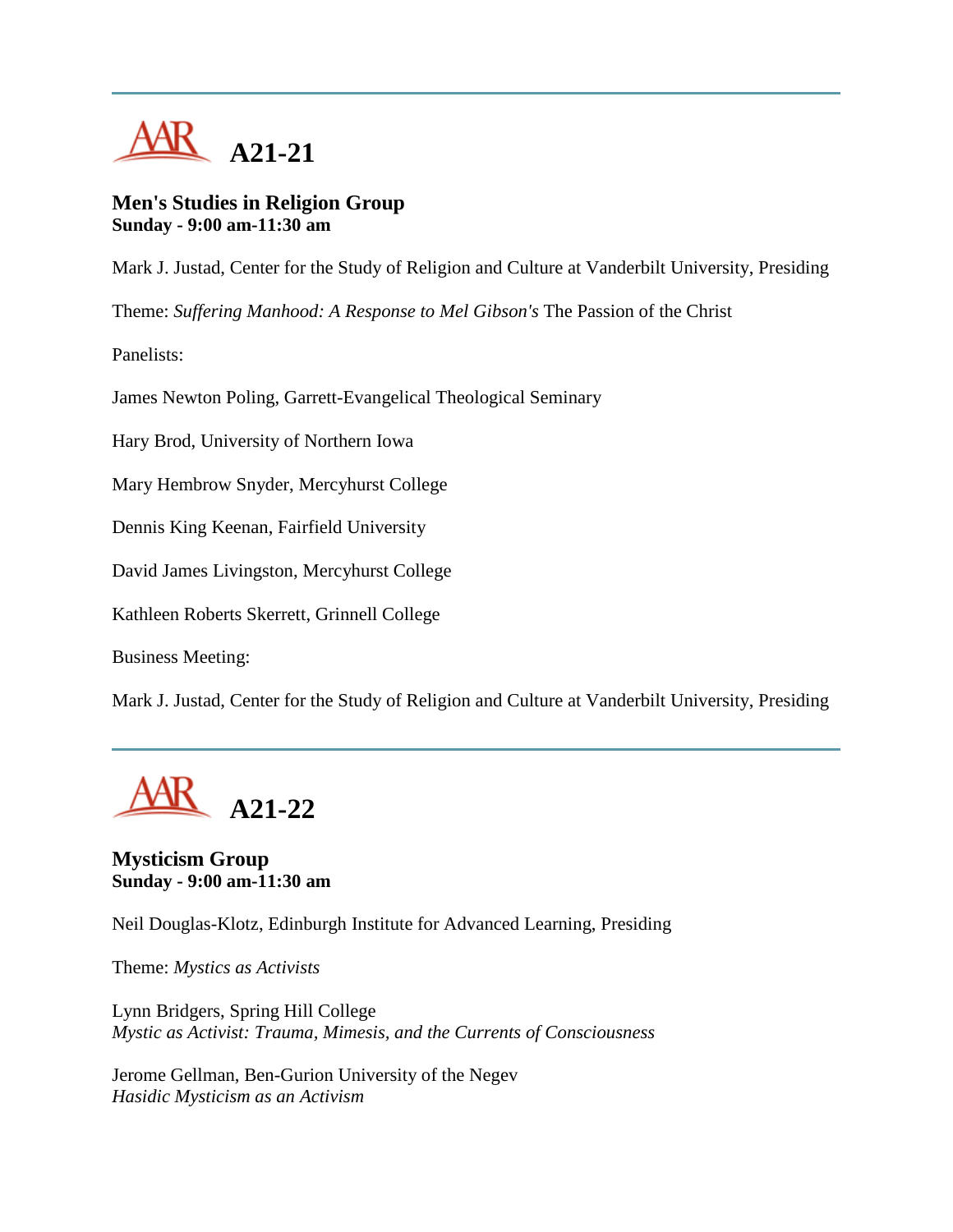

#### **Men's Studies in Religion Group Sunday - 9:00 am-11:30 am**

Mark J. Justad, Center for the Study of Religion and Culture at Vanderbilt University, Presiding

Theme: *Suffering Manhood: A Response to Mel Gibson's* The Passion of the Christ

Panelists:

James Newton Poling, Garrett-Evangelical Theological Seminary

Hary Brod, University of Northern Iowa

Mary Hembrow Snyder, Mercyhurst College

Dennis King Keenan, Fairfield University

David James Livingston, Mercyhurst College

Kathleen Roberts Skerrett, Grinnell College

Business Meeting:

Mark J. Justad, Center for the Study of Religion and Culture at Vanderbilt University, Presiding



# **Mysticism Group Sunday - 9:00 am-11:30 am**

Neil Douglas-Klotz, Edinburgh Institute for Advanced Learning, Presiding

Theme: *Mystics as Activists*

Lynn Bridgers, Spring Hill College *Mystic as Activist: Trauma, Mimesis, and the Currents of Consciousness*

Jerome Gellman, Ben-Gurion University of the Negev *Hasidic Mysticism as an Activism*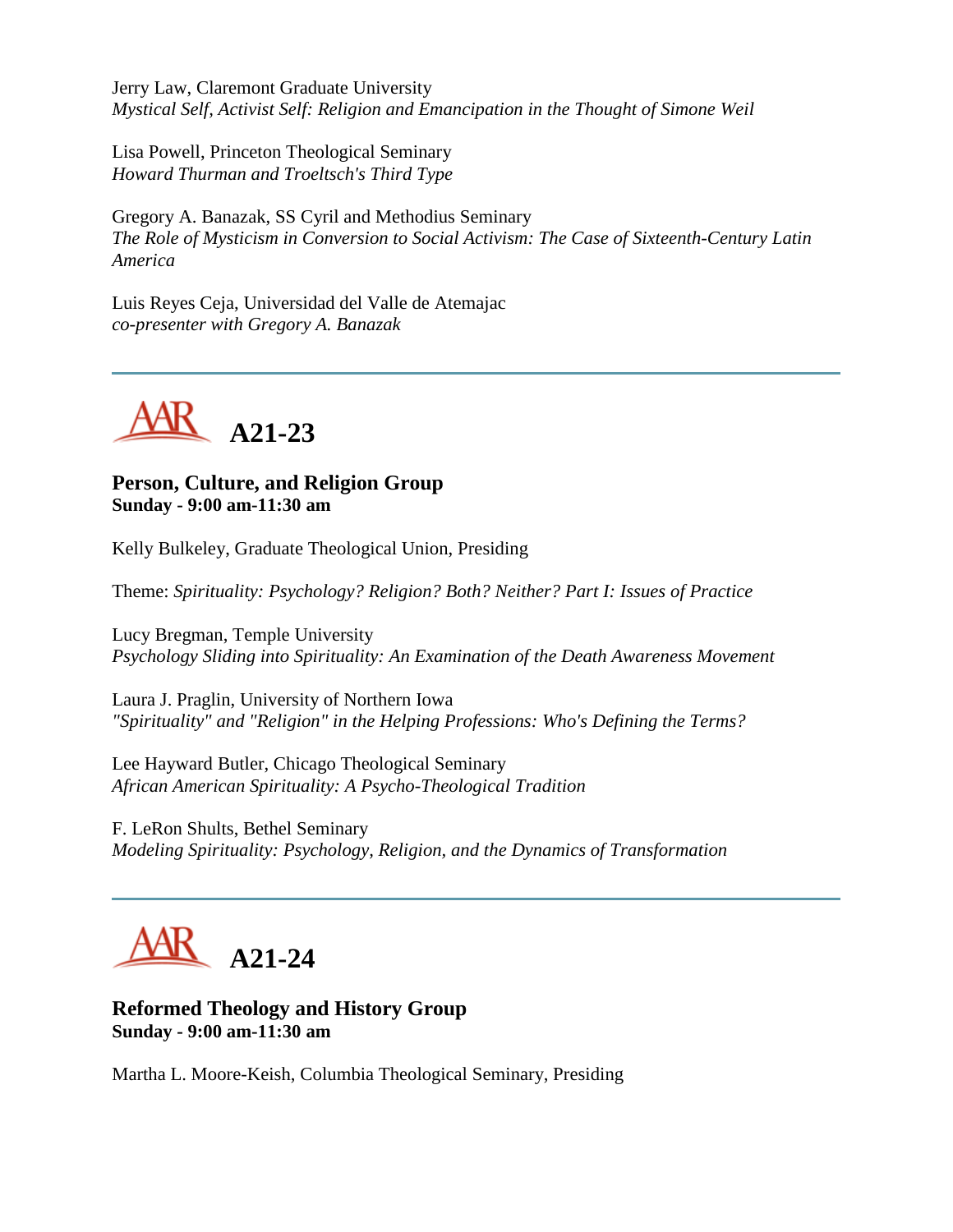Jerry Law, Claremont Graduate University *Mystical Self, Activist Self: Religion and Emancipation in the Thought of Simone Weil*

Lisa Powell, Princeton Theological Seminary *Howard Thurman and Troeltsch's Third Type*

Gregory A. Banazak, SS Cyril and Methodius Seminary *The Role of Mysticism in Conversion to Social Activism: The Case of Sixteenth-Century Latin America*

Luis Reyes Ceja, Universidad del Valle de Atemajac *co-presenter with Gregory A. Banazak*



**Person, Culture, and Religion Group Sunday - 9:00 am-11:30 am**

Kelly Bulkeley, Graduate Theological Union, Presiding

Theme: *Spirituality: Psychology? Religion? Both? Neither? Part I: Issues of Practice*

Lucy Bregman, Temple University *Psychology Sliding into Spirituality: An Examination of the Death Awareness Movement*

Laura J. Praglin, University of Northern Iowa *"Spirituality" and "Religion" in the Helping Professions: Who's Defining the Terms?*

Lee Hayward Butler, Chicago Theological Seminary *African American Spirituality: A Psycho-Theological Tradition*

F. LeRon Shults, Bethel Seminary *Modeling Spirituality: Psychology, Religion, and the Dynamics of Transformation*



## **Reformed Theology and History Group Sunday - 9:00 am-11:30 am**

Martha L. Moore-Keish, Columbia Theological Seminary, Presiding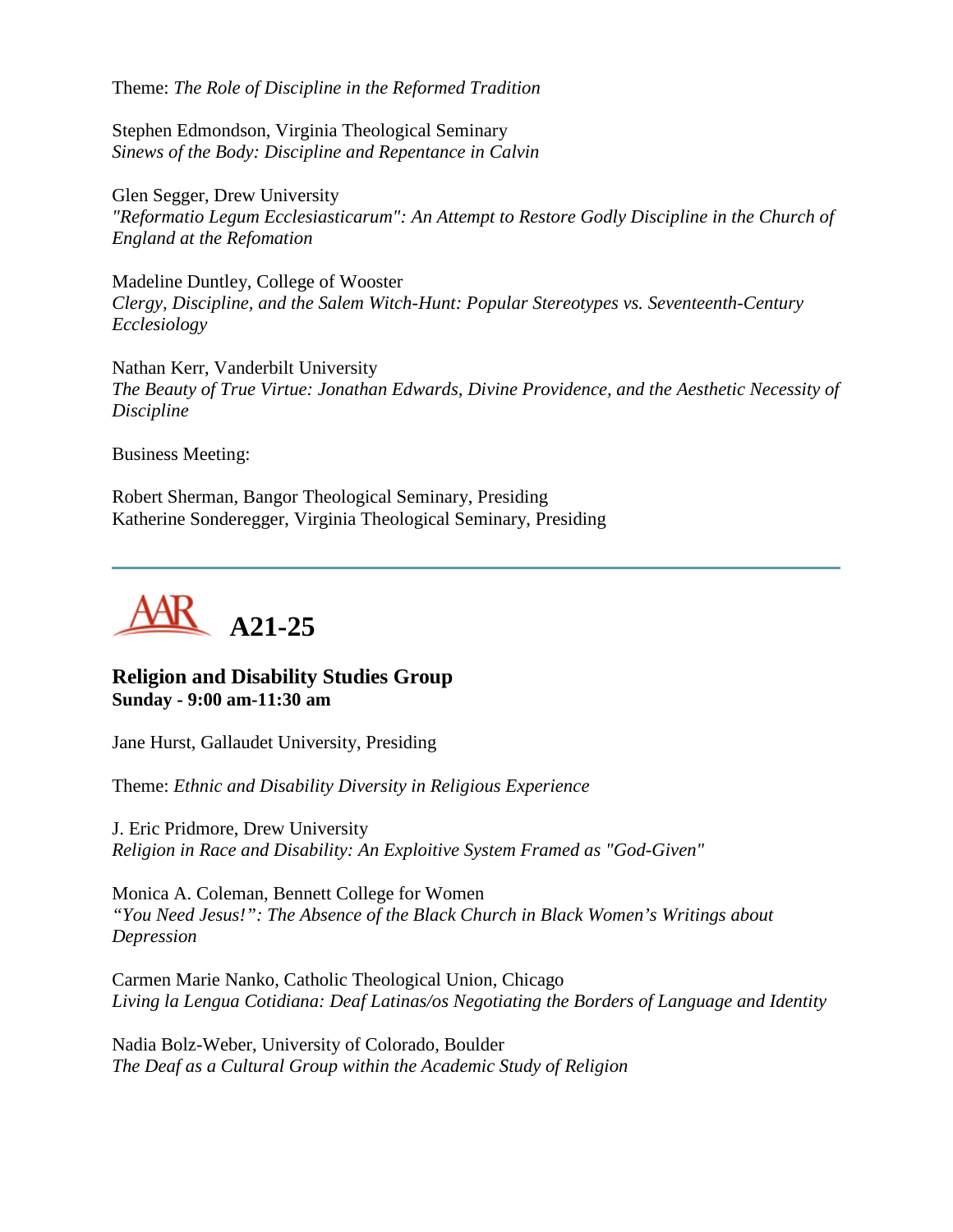Theme: *The Role of Discipline in the Reformed Tradition*

Stephen Edmondson, Virginia Theological Seminary *Sinews of the Body: Discipline and Repentance in Calvin*

Glen Segger, Drew University *"Reformatio Legum Ecclesiasticarum": An Attempt to Restore Godly Discipline in the Church of England at the Refomation*

Madeline Duntley, College of Wooster *Clergy, Discipline, and the Salem Witch-Hunt: Popular Stereotypes vs. Seventeenth-Century Ecclesiology*

Nathan Kerr, Vanderbilt University *The Beauty of True Virtue: Jonathan Edwards, Divine Providence, and the Aesthetic Necessity of Discipline*

Business Meeting:

Robert Sherman, Bangor Theological Seminary, Presiding Katherine Sonderegger, Virginia Theological Seminary, Presiding



## **Religion and Disability Studies Group Sunday - 9:00 am-11:30 am**

Jane Hurst, Gallaudet University, Presiding

Theme: *Ethnic and Disability Diversity in Religious Experience*

J. Eric Pridmore, Drew University *Religion in Race and Disability: An Exploitive System Framed as "God-Given"*

Monica A. Coleman, Bennett College for Women *"You Need Jesus!": The Absence of the Black Church in Black Women's Writings about Depression*

Carmen Marie Nanko, Catholic Theological Union, Chicago *Living la Lengua Cotidiana: Deaf Latinas/os Negotiating the Borders of Language and Identity*

Nadia Bolz-Weber, University of Colorado, Boulder *The Deaf as a Cultural Group within the Academic Study of Religion*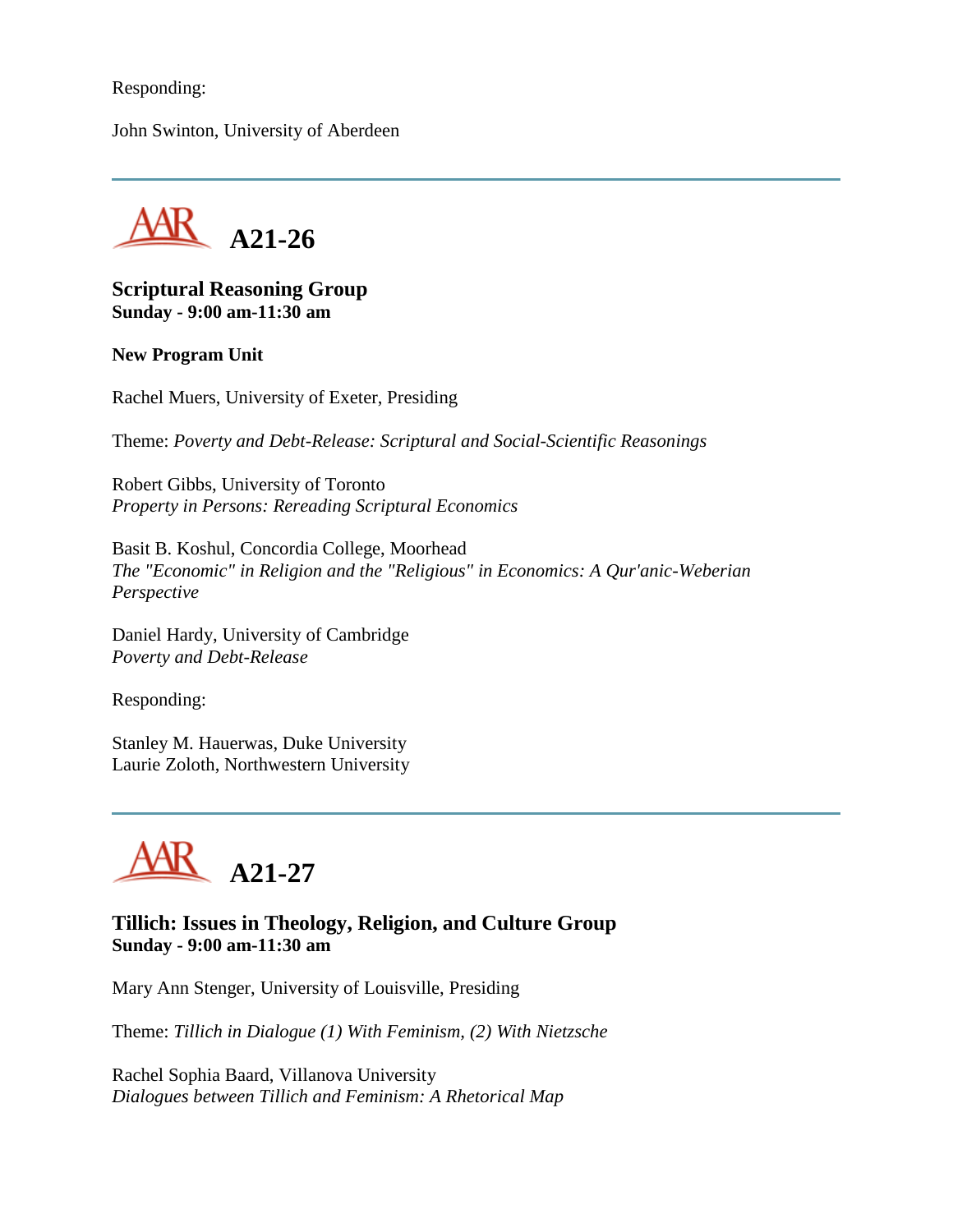### Responding:

John Swinton, University of Aberdeen



#### **Scriptural Reasoning Group Sunday - 9:00 am-11:30 am**

#### **New Program Unit**

Rachel Muers, University of Exeter, Presiding

Theme: *Poverty and Debt-Release: Scriptural and Social-Scientific Reasonings*

Robert Gibbs, University of Toronto *Property in Persons: Rereading Scriptural Economics*

Basit B. Koshul, Concordia College, Moorhead *The "Economic" in Religion and the "Religious" in Economics: A Qur'anic-Weberian Perspective*

Daniel Hardy, University of Cambridge *Poverty and Debt-Release*

Responding:

Stanley M. Hauerwas, Duke University Laurie Zoloth, Northwestern University



## **Tillich: Issues in Theology, Religion, and Culture Group Sunday - 9:00 am-11:30 am**

Mary Ann Stenger, University of Louisville, Presiding

Theme: *Tillich in Dialogue (1) With Feminism, (2) With Nietzsche*

Rachel Sophia Baard, Villanova University *Dialogues between Tillich and Feminism: A Rhetorical Map*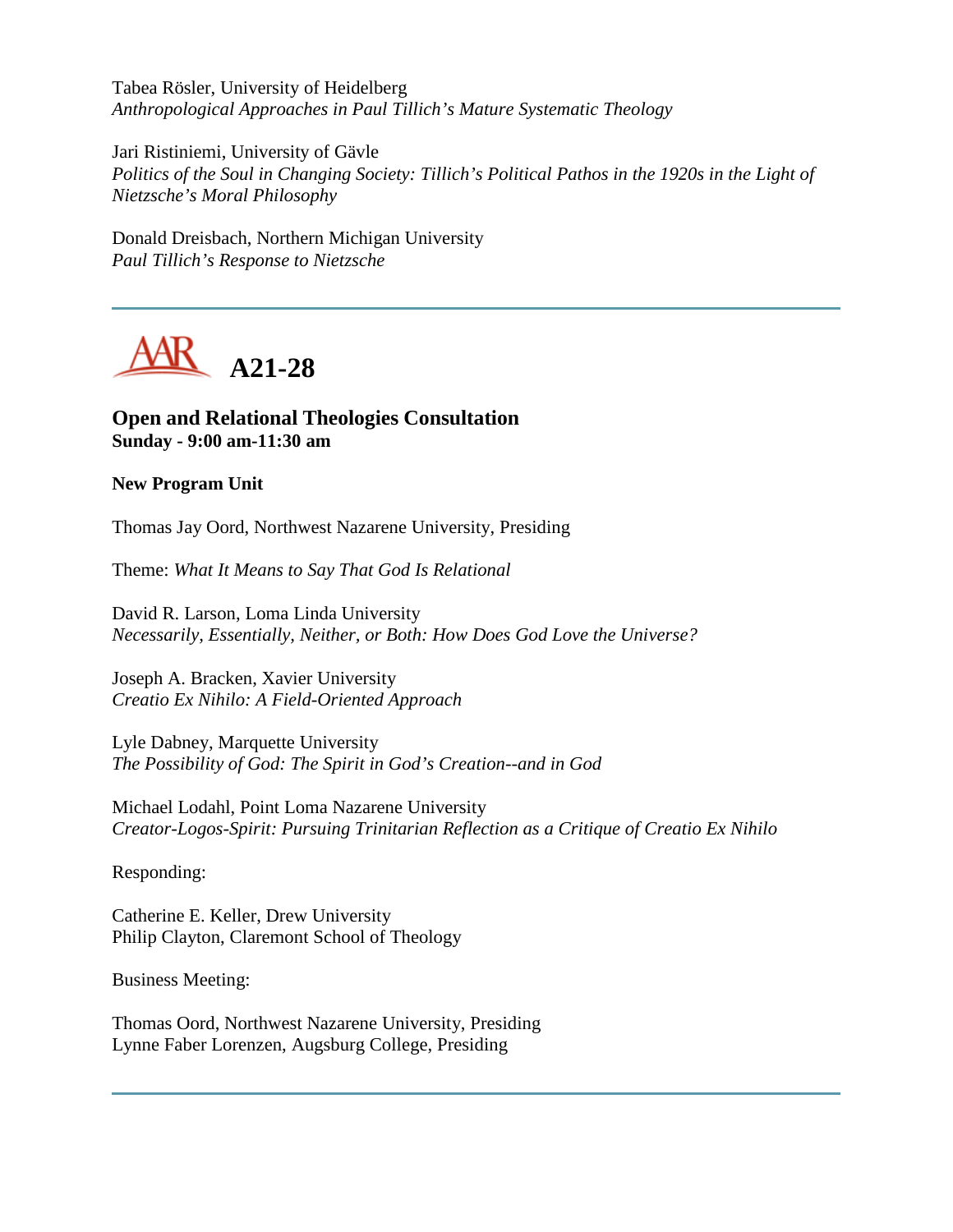Tabea Rösler, University of Heidelberg *Anthropological Approaches in Paul Tillich's Mature Systematic Theology*

Jari Ristiniemi, University of Gävle *Politics of the Soul in Changing Society: Tillich's Political Pathos in the 1920s in the Light of Nietzsche's Moral Philosophy*

Donald Dreisbach, Northern Michigan University *Paul Tillich's Response to Nietzsche*



## **Open and Relational Theologies Consultation Sunday - 9:00 am-11:30 am**

#### **New Program Unit**

Thomas Jay Oord, Northwest Nazarene University, Presiding

Theme: *What It Means to Say That God Is Relational*

David R. Larson, Loma Linda University *Necessarily, Essentially, Neither, or Both: How Does God Love the Universe?*

Joseph A. Bracken, Xavier University *Creatio Ex Nihilo: A Field-Oriented Approach*

Lyle Dabney, Marquette University *The Possibility of God: The Spirit in God's Creation--and in God*

Michael Lodahl, Point Loma Nazarene University *Creator-Logos-Spirit: Pursuing Trinitarian Reflection as a Critique of Creatio Ex Nihilo*

Responding:

Catherine E. Keller, Drew University Philip Clayton, Claremont School of Theology

Business Meeting:

Thomas Oord, Northwest Nazarene University, Presiding Lynne Faber Lorenzen, Augsburg College, Presiding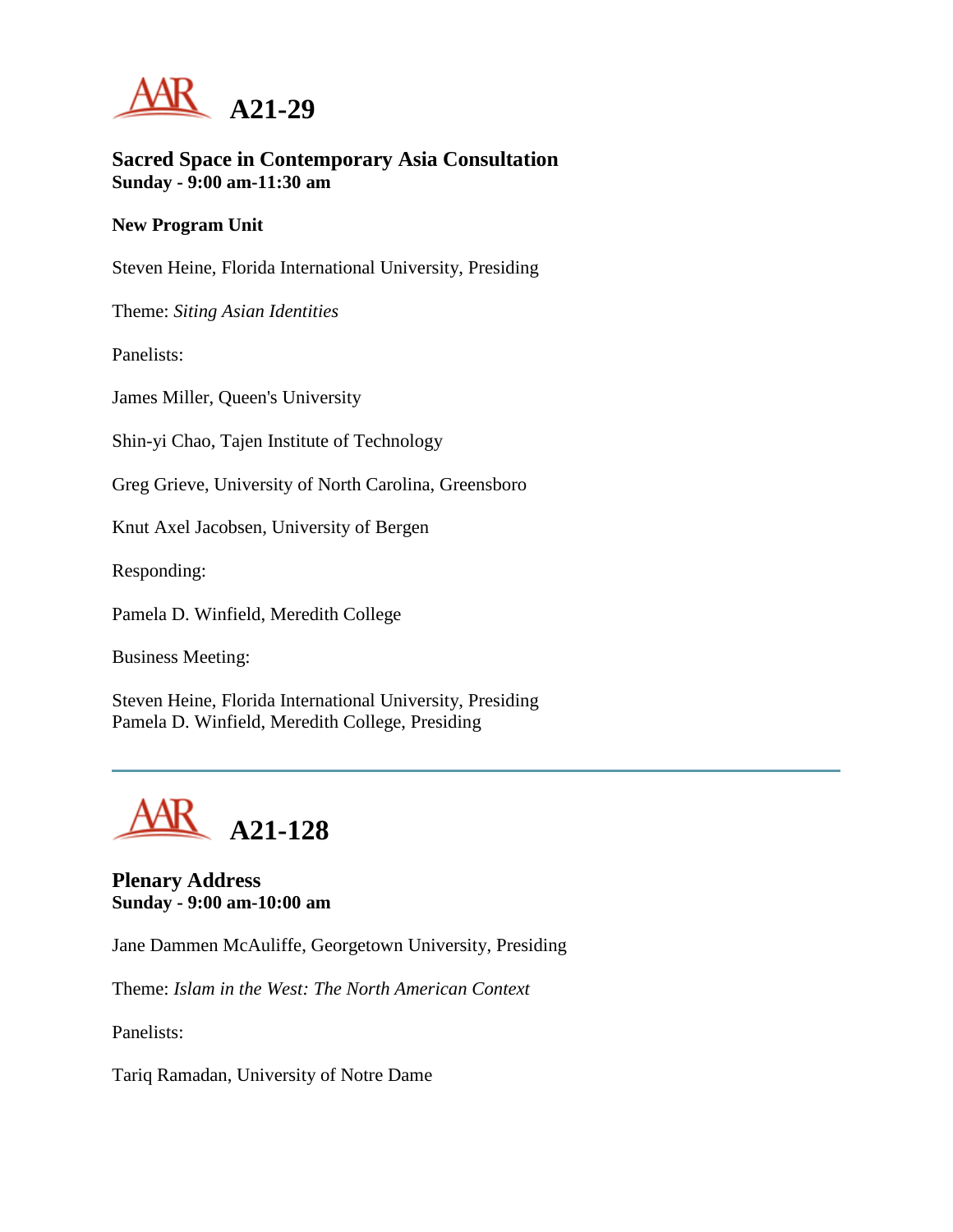

### **Sacred Space in Contemporary Asia Consultation Sunday - 9:00 am-11:30 am**

#### **New Program Unit**

Steven Heine, Florida International University, Presiding

Theme: *Siting Asian Identities*

Panelists:

James Miller, Queen's University

Shin-yi Chao, Tajen Institute of Technology

Greg Grieve, University of North Carolina, Greensboro

Knut Axel Jacobsen, University of Bergen

Responding:

Pamela D. Winfield, Meredith College

Business Meeting:

Steven Heine, Florida International University, Presiding Pamela D. Winfield, Meredith College, Presiding



## **Plenary Address Sunday - 9:00 am-10:00 am**

Jane Dammen McAuliffe, Georgetown University, Presiding

Theme: *Islam in the West: The North American Context*

Panelists:

Tariq Ramadan, University of Notre Dame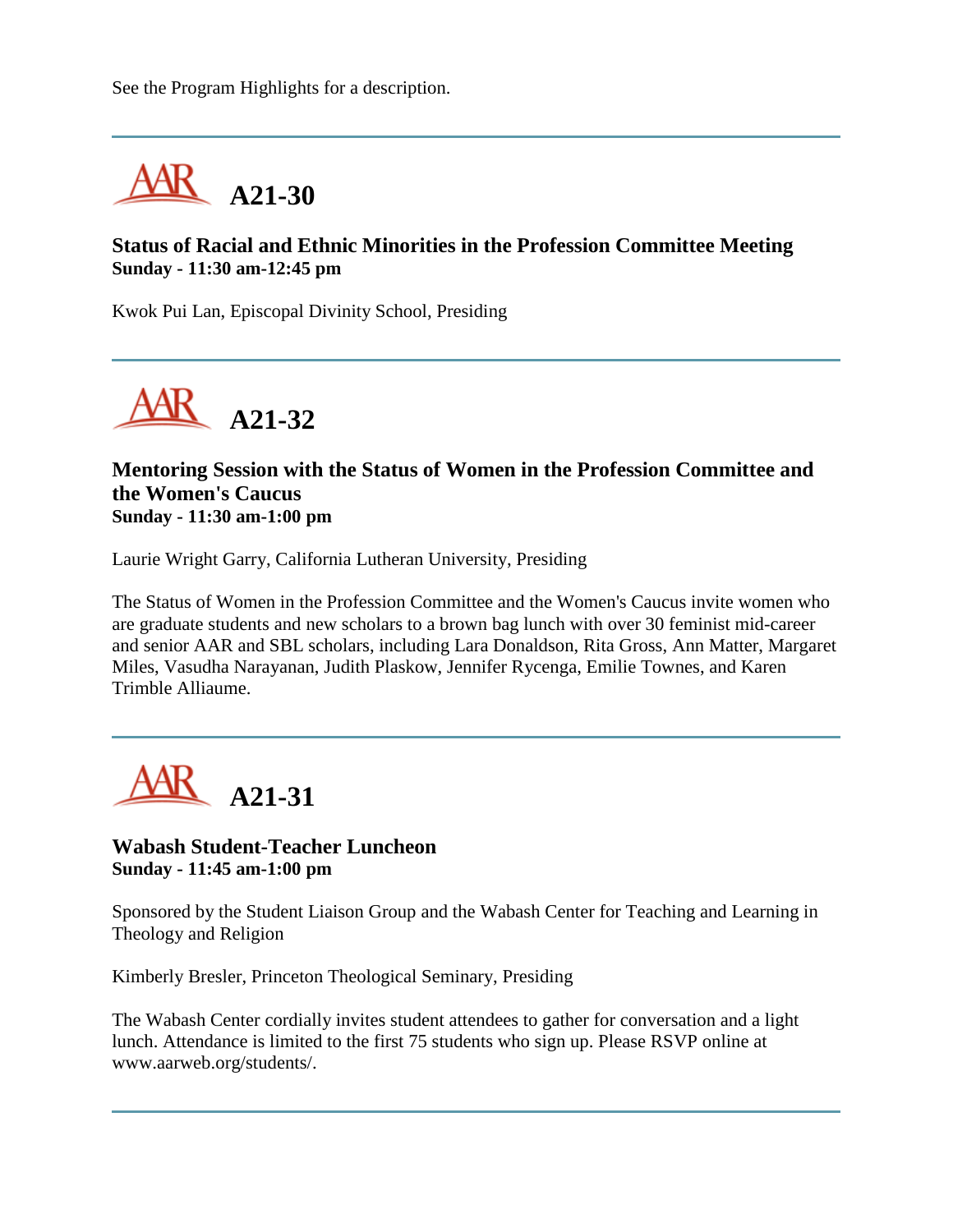See the Program Highlights for a description.



## **Status of Racial and Ethnic Minorities in the Profession Committee Meeting Sunday - 11:30 am-12:45 pm**

Kwok Pui Lan, Episcopal Divinity School, Presiding



### **Mentoring Session with the Status of Women in the Profession Committee and the Women's Caucus Sunday - 11:30 am-1:00 pm**

Laurie Wright Garry, California Lutheran University, Presiding

The Status of Women in the Profession Committee and the Women's Caucus invite women who are graduate students and new scholars to a brown bag lunch with over 30 feminist mid-career and senior AAR and SBL scholars, including Lara Donaldson, Rita Gross, Ann Matter, Margaret Miles, Vasudha Narayanan, Judith Plaskow, Jennifer Rycenga, Emilie Townes, and Karen Trimble Alliaume.



#### **Wabash Student-Teacher Luncheon Sunday - 11:45 am-1:00 pm**

Sponsored by the Student Liaison Group and the Wabash Center for Teaching and Learning in Theology and Religion

Kimberly Bresler, Princeton Theological Seminary, Presiding

The Wabash Center cordially invites student attendees to gather for conversation and a light lunch. Attendance is limited to the first 75 students who sign up. Please RSVP online at www.aarweb.org/students/.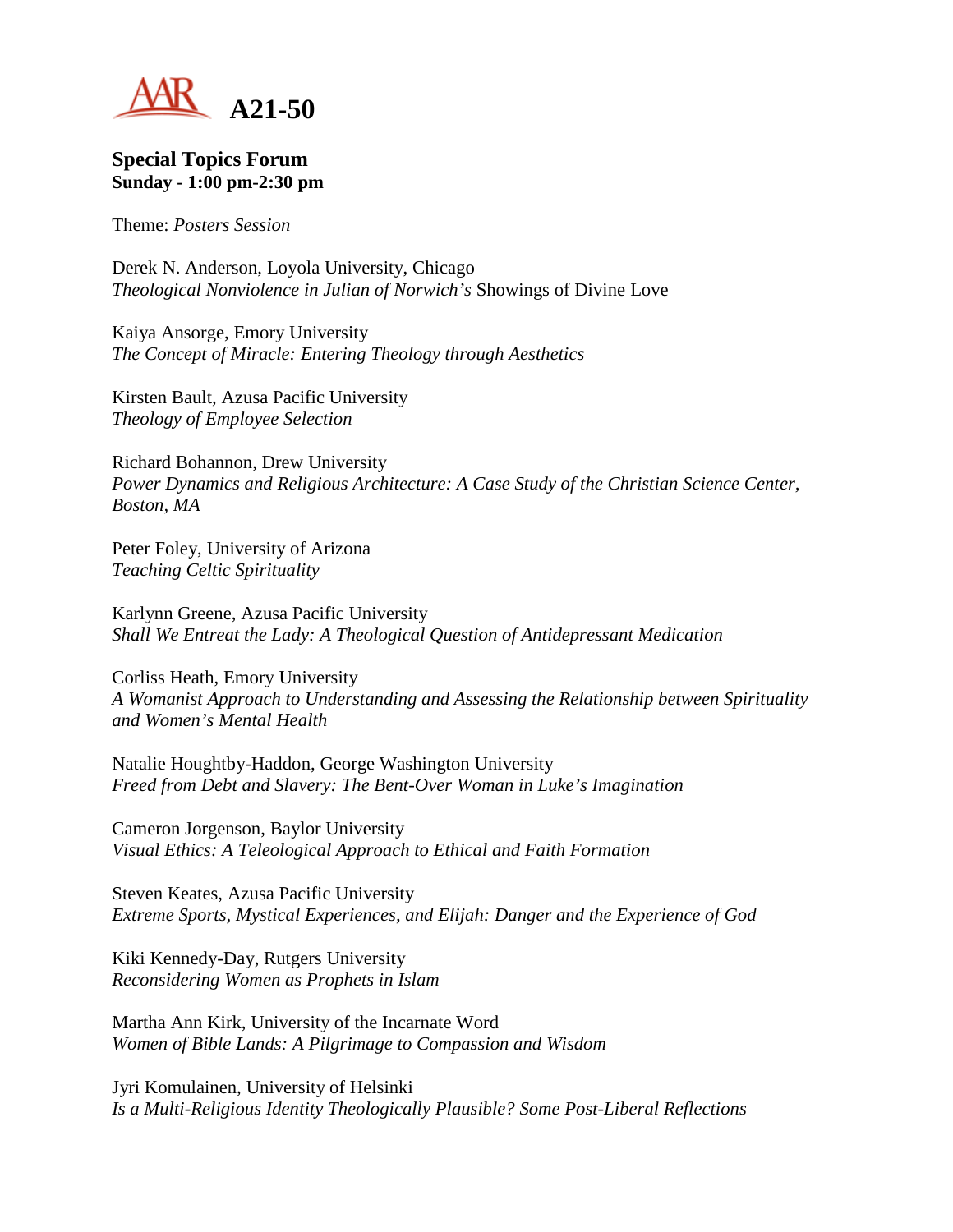

#### **Special Topics Forum Sunday - 1:00 pm-2:30 pm**

Theme: *Posters Session*

Derek N. Anderson, Loyola University, Chicago *Theological Nonviolence in Julian of Norwich's* Showings of Divine Love

Kaiya Ansorge, Emory University *The Concept of Miracle: Entering Theology through Aesthetics*

Kirsten Bault, Azusa Pacific University *Theology of Employee Selection*

Richard Bohannon, Drew University *Power Dynamics and Religious Architecture: A Case Study of the Christian Science Center, Boston, MA*

Peter Foley, University of Arizona *Teaching Celtic Spirituality*

Karlynn Greene, Azusa Pacific University *Shall We Entreat the Lady: A Theological Question of Antidepressant Medication*

Corliss Heath, Emory University *A Womanist Approach to Understanding and Assessing the Relationship between Spirituality and Women's Mental Health*

Natalie Houghtby-Haddon, George Washington University *Freed from Debt and Slavery: The Bent-Over Woman in Luke's Imagination*

Cameron Jorgenson, Baylor University *Visual Ethics: A Teleological Approach to Ethical and Faith Formation*

Steven Keates, Azusa Pacific University *Extreme Sports, Mystical Experiences, and Elijah: Danger and the Experience of God*

Kiki Kennedy-Day, Rutgers University *Reconsidering Women as Prophets in Islam*

Martha Ann Kirk, University of the Incarnate Word *Women of Bible Lands: A Pilgrimage to Compassion and Wisdom*

Jyri Komulainen, University of Helsinki *Is a Multi-Religious Identity Theologically Plausible? Some Post-Liberal Reflections*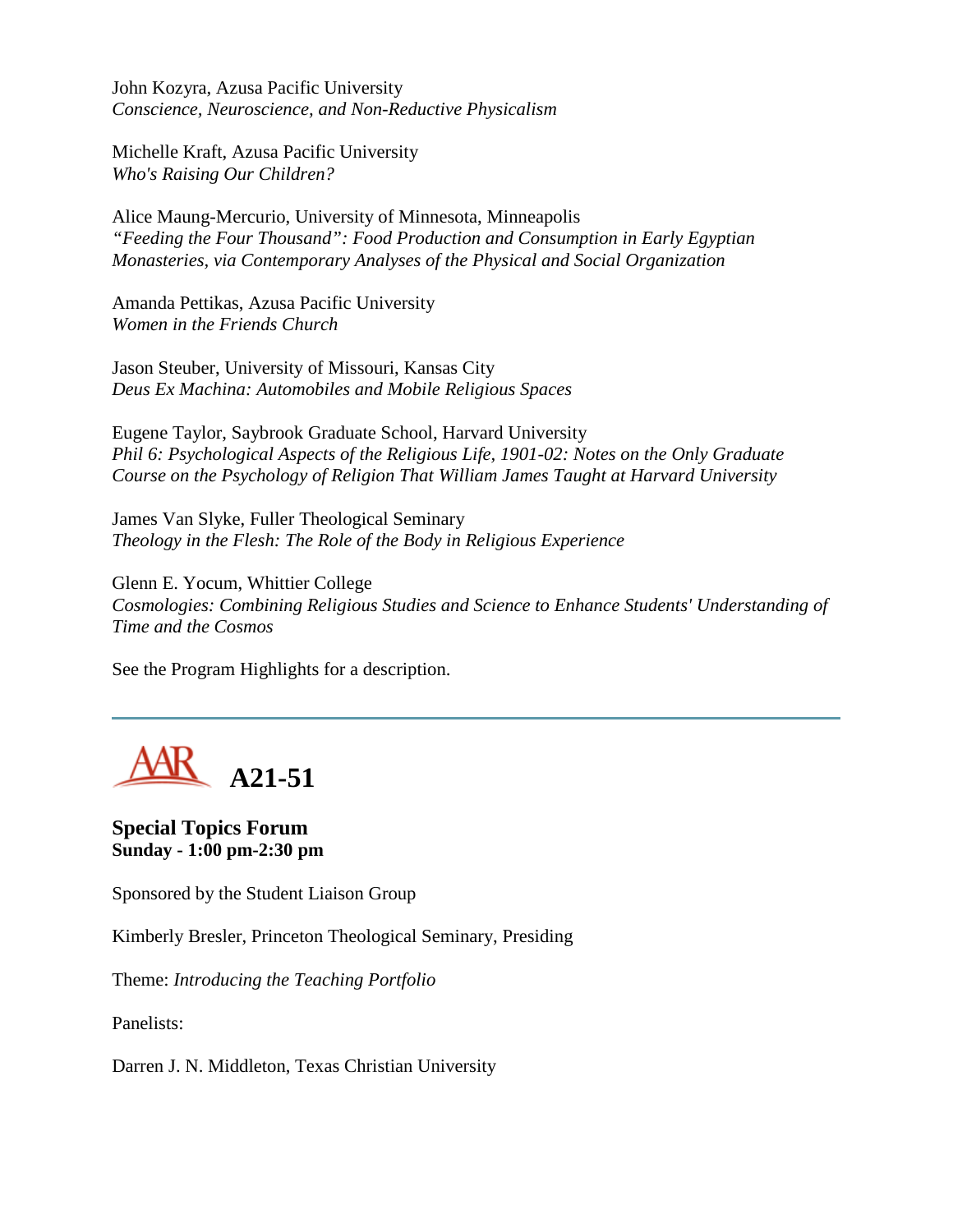John Kozyra, Azusa Pacific University *Conscience, Neuroscience, and Non-Reductive Physicalism*

Michelle Kraft, Azusa Pacific University *Who's Raising Our Children?*

Alice Maung-Mercurio, University of Minnesota, Minneapolis *"Feeding the Four Thousand": Food Production and Consumption in Early Egyptian Monasteries, via Contemporary Analyses of the Physical and Social Organization*

Amanda Pettikas, Azusa Pacific University *Women in the Friends Church*

Jason Steuber, University of Missouri, Kansas City *Deus Ex Machina: Automobiles and Mobile Religious Spaces*

Eugene Taylor, Saybrook Graduate School, Harvard University *Phil 6: Psychological Aspects of the Religious Life, 1901-02: Notes on the Only Graduate Course on the Psychology of Religion That William James Taught at Harvard University*

James Van Slyke, Fuller Theological Seminary *Theology in the Flesh: The Role of the Body in Religious Experience*

Glenn E. Yocum, Whittier College *Cosmologies: Combining Religious Studies and Science to Enhance Students' Understanding of Time and the Cosmos*

See the Program Highlights for a description.

**A21-51**

**Special Topics Forum Sunday - 1:00 pm-2:30 pm**

Sponsored by the Student Liaison Group

Kimberly Bresler, Princeton Theological Seminary, Presiding

Theme: *Introducing the Teaching Portfolio*

Panelists:

Darren J. N. Middleton, Texas Christian University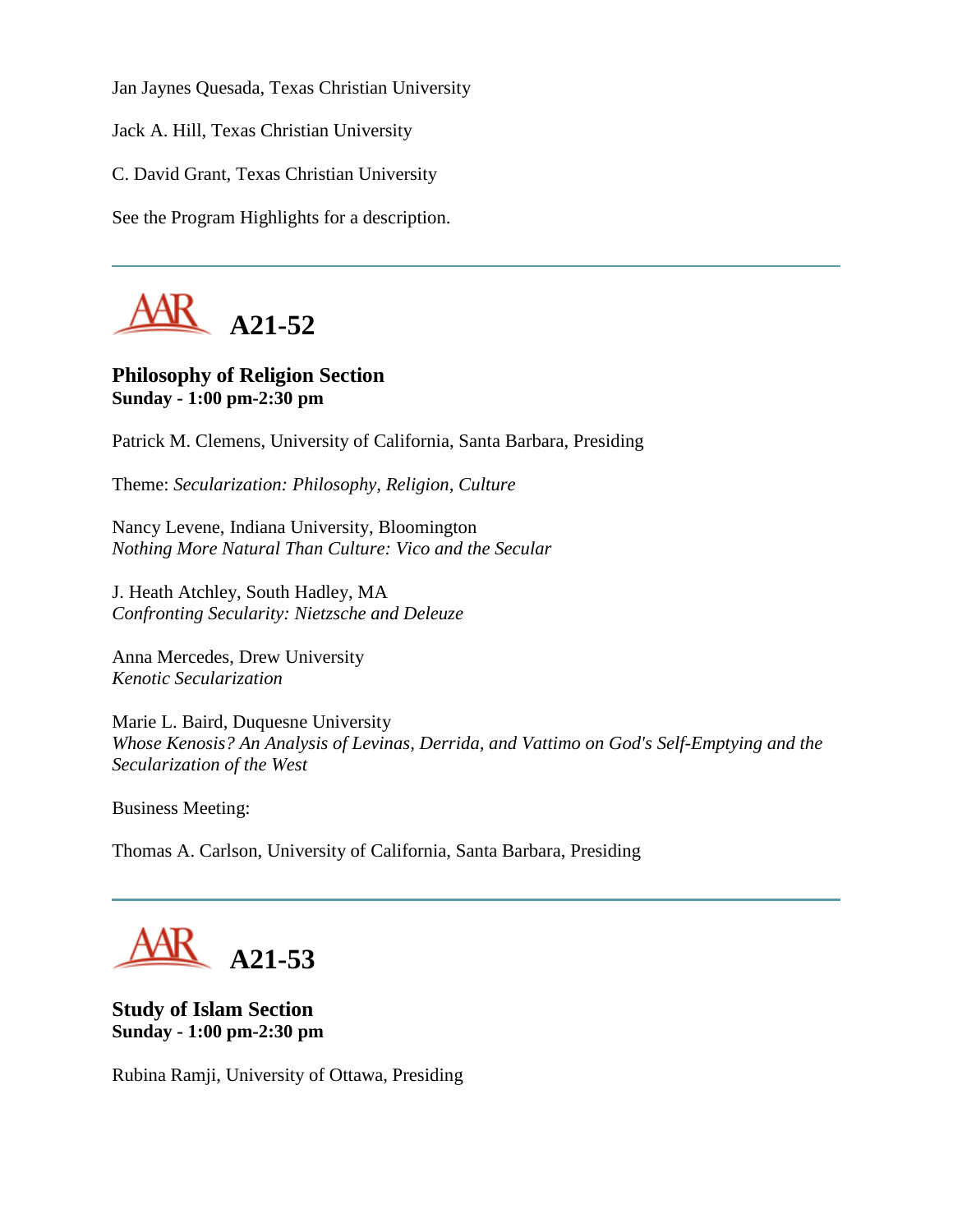Jan Jaynes Quesada, Texas Christian University

Jack A. Hill, Texas Christian University

C. David Grant, Texas Christian University

See the Program Highlights for a description.



# **Philosophy of Religion Section Sunday - 1:00 pm-2:30 pm**

Patrick M. Clemens, University of California, Santa Barbara, Presiding

Theme: *Secularization: Philosophy, Religion, Culture*

Nancy Levene, Indiana University, Bloomington *Nothing More Natural Than Culture: Vico and the Secular*

J. Heath Atchley, South Hadley, MA *Confronting Secularity: Nietzsche and Deleuze*

Anna Mercedes, Drew University *Kenotic Secularization*

Marie L. Baird, Duquesne University *Whose Kenosis? An Analysis of Levinas, Derrida, and Vattimo on God's Self-Emptying and the Secularization of the West*

Business Meeting:

Thomas A. Carlson, University of California, Santa Barbara, Presiding



**Study of Islam Section Sunday - 1:00 pm-2:30 pm**

Rubina Ramji, University of Ottawa, Presiding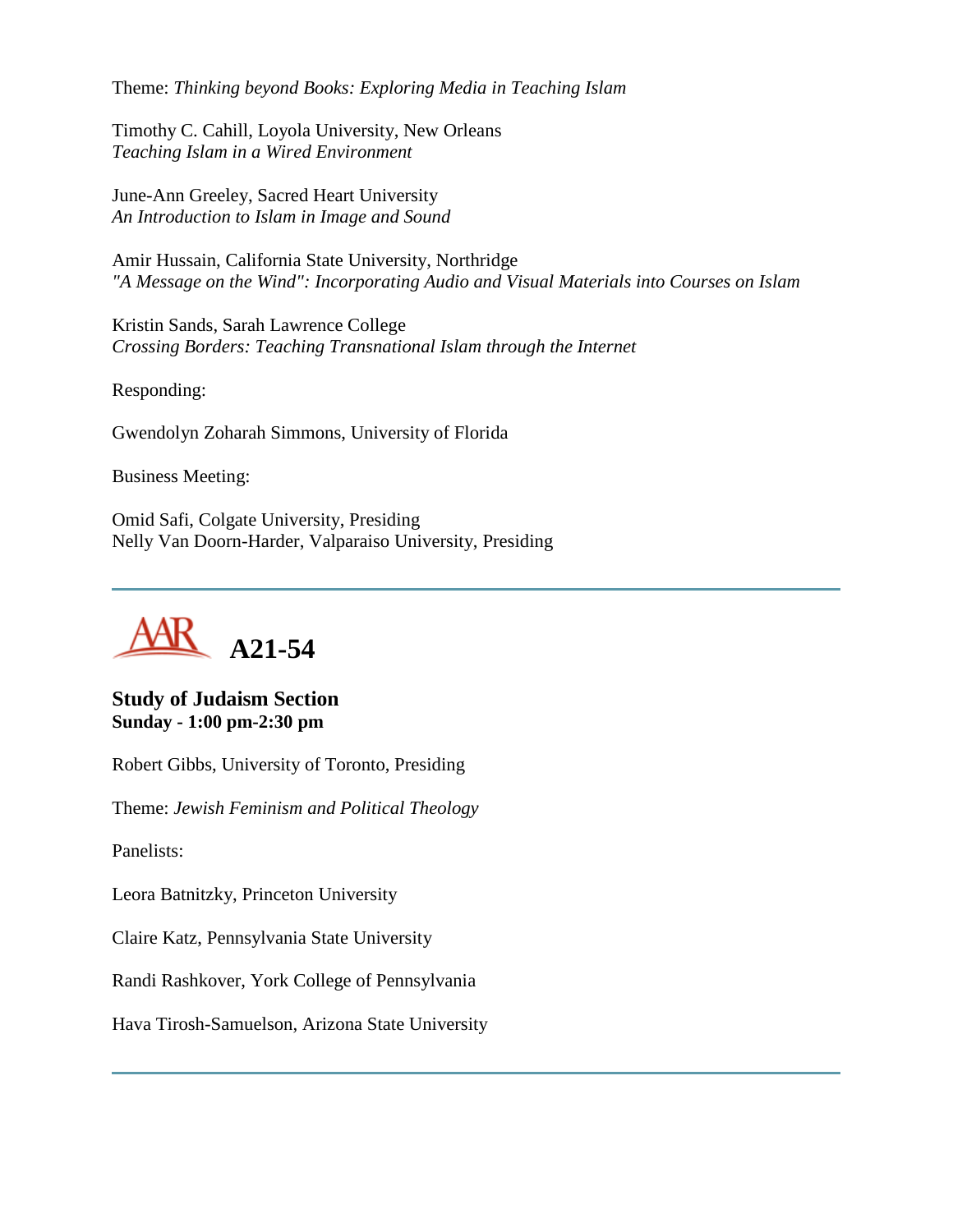Theme: *Thinking beyond Books: Exploring Media in Teaching Islam*

Timothy C. Cahill, Loyola University, New Orleans *Teaching Islam in a Wired Environment*

June-Ann Greeley, Sacred Heart University *An Introduction to Islam in Image and Sound*

Amir Hussain, California State University, Northridge *"A Message on the Wind": Incorporating Audio and Visual Materials into Courses on Islam*

Kristin Sands, Sarah Lawrence College *Crossing Borders: Teaching Transnational Islam through the Internet* 

Responding:

Gwendolyn Zoharah Simmons, University of Florida

Business Meeting:

Omid Safi, Colgate University, Presiding Nelly Van Doorn-Harder, Valparaiso University, Presiding



**Study of Judaism Section Sunday - 1:00 pm-2:30 pm**

Robert Gibbs, University of Toronto, Presiding

Theme: *Jewish Feminism and Political Theology*

Panelists:

Leora Batnitzky, Princeton University

Claire Katz, Pennsylvania State University

Randi Rashkover, York College of Pennsylvania

Hava Tirosh-Samuelson, Arizona State University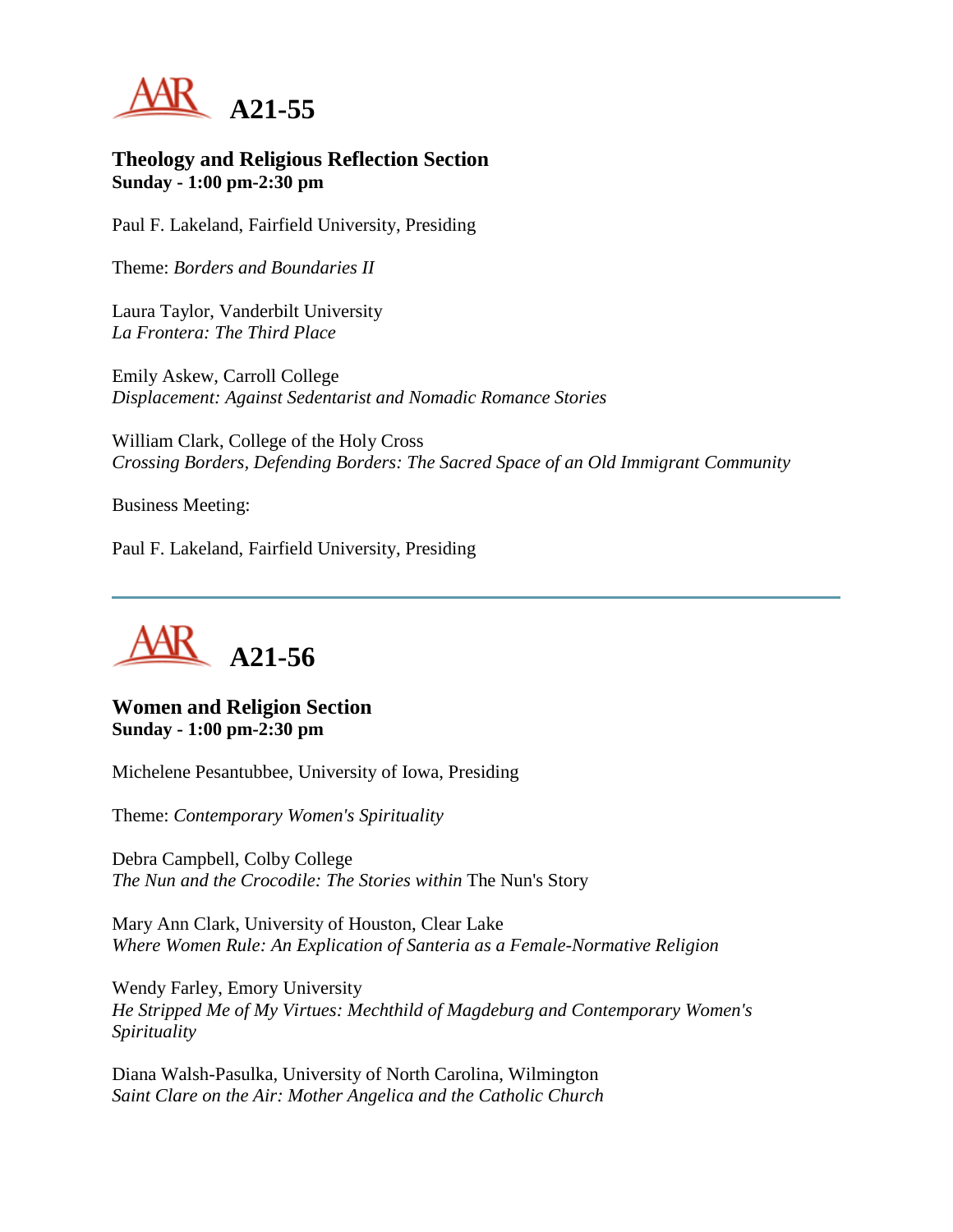

### **Theology and Religious Reflection Section Sunday - 1:00 pm-2:30 pm**

Paul F. Lakeland, Fairfield University, Presiding

Theme: *Borders and Boundaries II*

Laura Taylor, Vanderbilt University *La Frontera: The Third Place*

Emily Askew, Carroll College *Displacement: Against Sedentarist and Nomadic Romance Stories*

William Clark, College of the Holy Cross *Crossing Borders, Defending Borders: The Sacred Space of an Old Immigrant Community*

Business Meeting:

Paul F. Lakeland, Fairfield University, Presiding



**Women and Religion Section Sunday - 1:00 pm-2:30 pm**

Michelene Pesantubbee, University of Iowa, Presiding

Theme: *Contemporary Women's Spirituality*

Debra Campbell, Colby College *The Nun and the Crocodile: The Stories within* The Nun's Story

Mary Ann Clark, University of Houston, Clear Lake *Where Women Rule: An Explication of Santeria as a Female-Normative Religion*

Wendy Farley, Emory University *He Stripped Me of My Virtues: Mechthild of Magdeburg and Contemporary Women's Spirituality*

Diana Walsh-Pasulka, University of North Carolina, Wilmington *Saint Clare on the Air: Mother Angelica and the Catholic Church*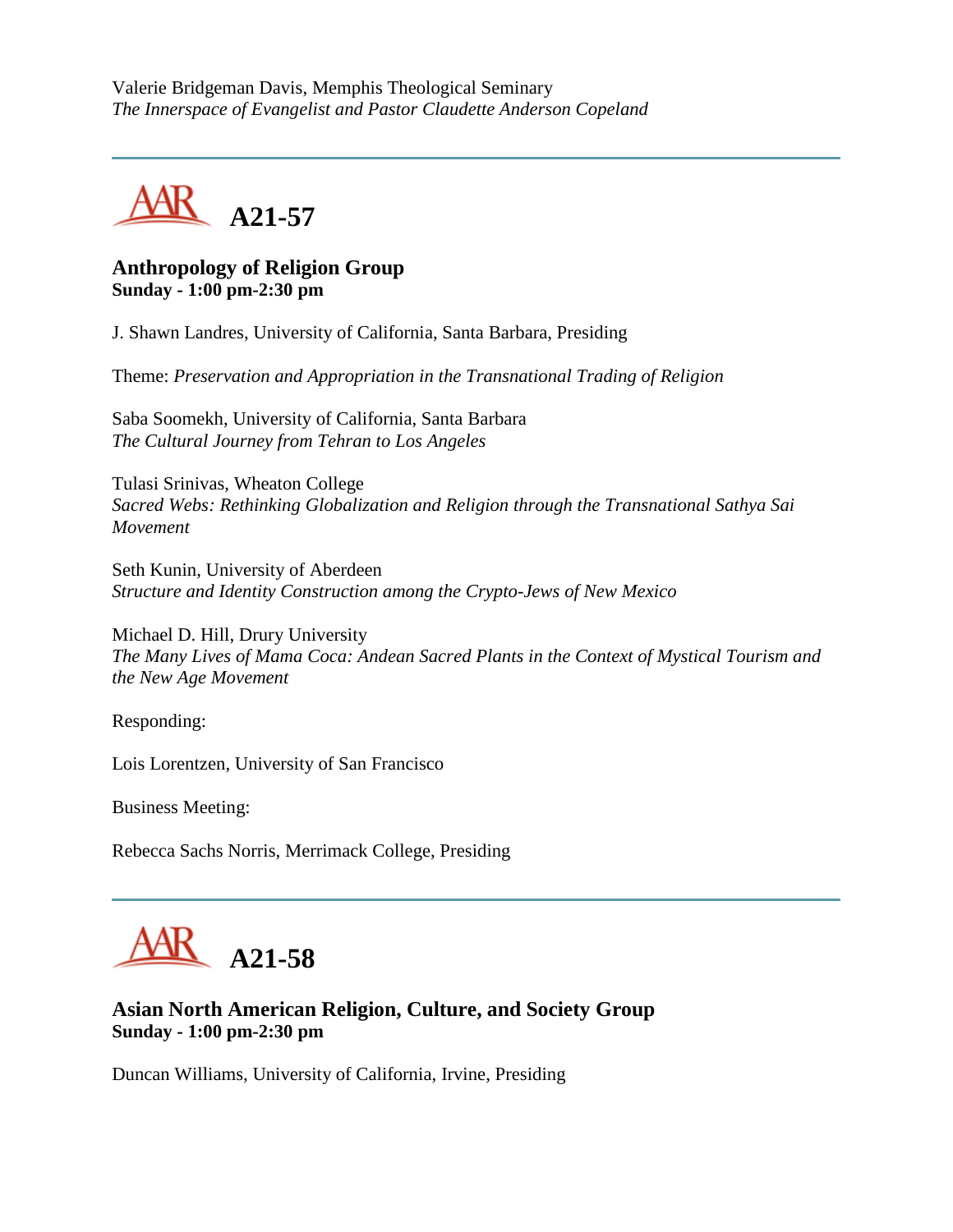Valerie Bridgeman Davis, Memphis Theological Seminary *The Innerspace of Evangelist and Pastor Claudette Anderson Copeland*



## **Anthropology of Religion Group Sunday - 1:00 pm-2:30 pm**

J. Shawn Landres, University of California, Santa Barbara, Presiding

Theme: *Preservation and Appropriation in the Transnational Trading of Religion*

Saba Soomekh, University of California, Santa Barbara *The Cultural Journey from Tehran to Los Angeles*

Tulasi Srinivas, Wheaton College *Sacred Webs: Rethinking Globalization and Religion through the Transnational Sathya Sai Movement*

Seth Kunin, University of Aberdeen *Structure and Identity Construction among the Crypto-Jews of New Mexico*

Michael D. Hill, Drury University *The Many Lives of Mama Coca: Andean Sacred Plants in the Context of Mystical Tourism and the New Age Movement*

Responding:

Lois Lorentzen, University of San Francisco

Business Meeting:

Rebecca Sachs Norris, Merrimack College, Presiding



# **Asian North American Religion, Culture, and Society Group Sunday - 1:00 pm-2:30 pm**

Duncan Williams, University of California, Irvine, Presiding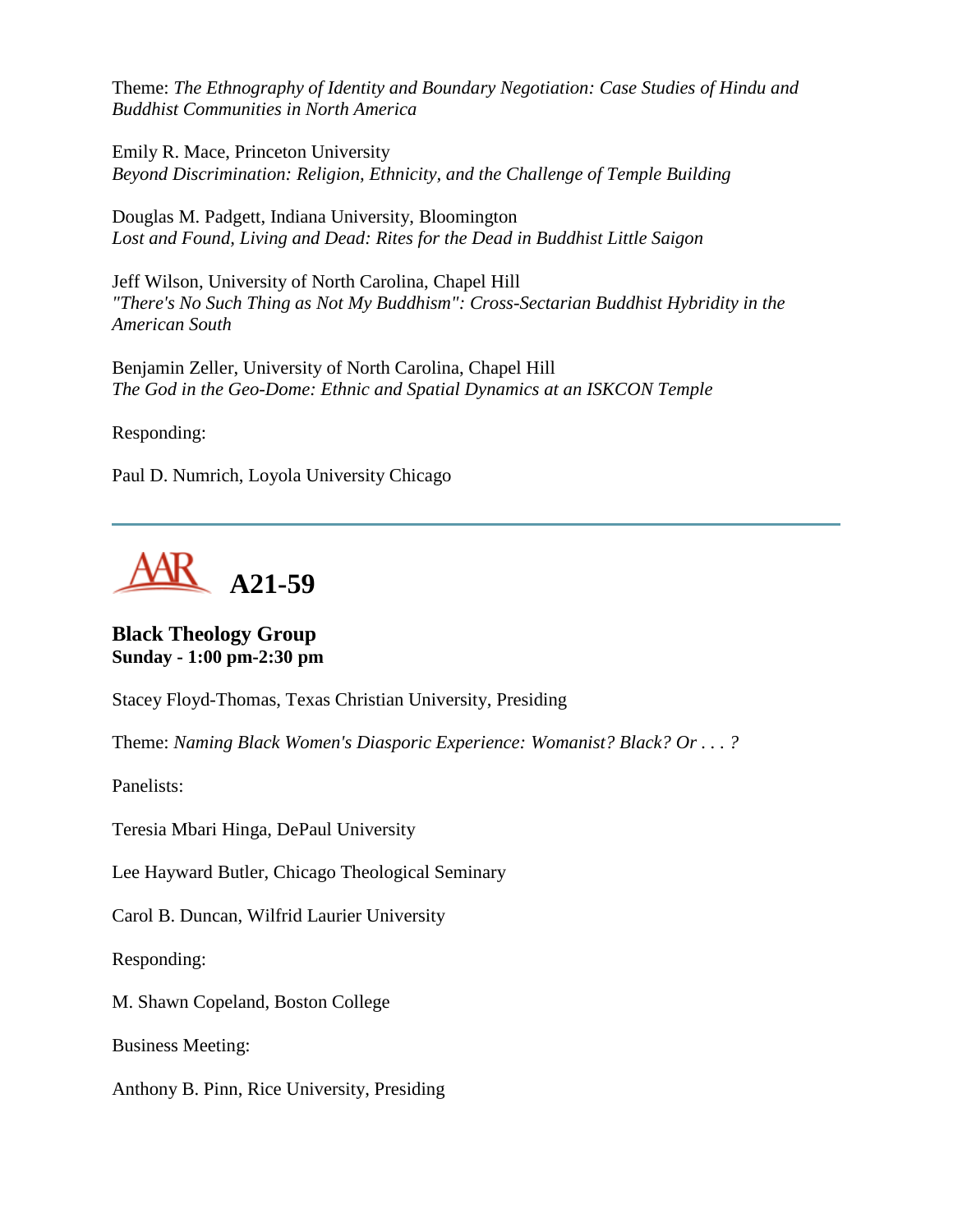Theme: *The Ethnography of Identity and Boundary Negotiation: Case Studies of Hindu and Buddhist Communities in North America*

Emily R. Mace, Princeton University *Beyond Discrimination: Religion, Ethnicity, and the Challenge of Temple Building*

Douglas M. Padgett, Indiana University, Bloomington *Lost and Found, Living and Dead: Rites for the Dead in Buddhist Little Saigon*

Jeff Wilson, University of North Carolina, Chapel Hill *"There's No Such Thing as Not My Buddhism": Cross-Sectarian Buddhist Hybridity in the American South*

Benjamin Zeller, University of North Carolina, Chapel Hill *The God in the Geo-Dome: Ethnic and Spatial Dynamics at an ISKCON Temple*

Responding:

Paul D. Numrich, Loyola University Chicago



**Black Theology Group Sunday - 1:00 pm-2:30 pm**

Stacey Floyd-Thomas, Texas Christian University, Presiding

Theme: *Naming Black Women's Diasporic Experience: Womanist? Black? Or . . . ?*

Panelists:

Teresia Mbari Hinga, DePaul University

Lee Hayward Butler, Chicago Theological Seminary

Carol B. Duncan, Wilfrid Laurier University

Responding:

M. Shawn Copeland, Boston College

Business Meeting:

Anthony B. Pinn, Rice University, Presiding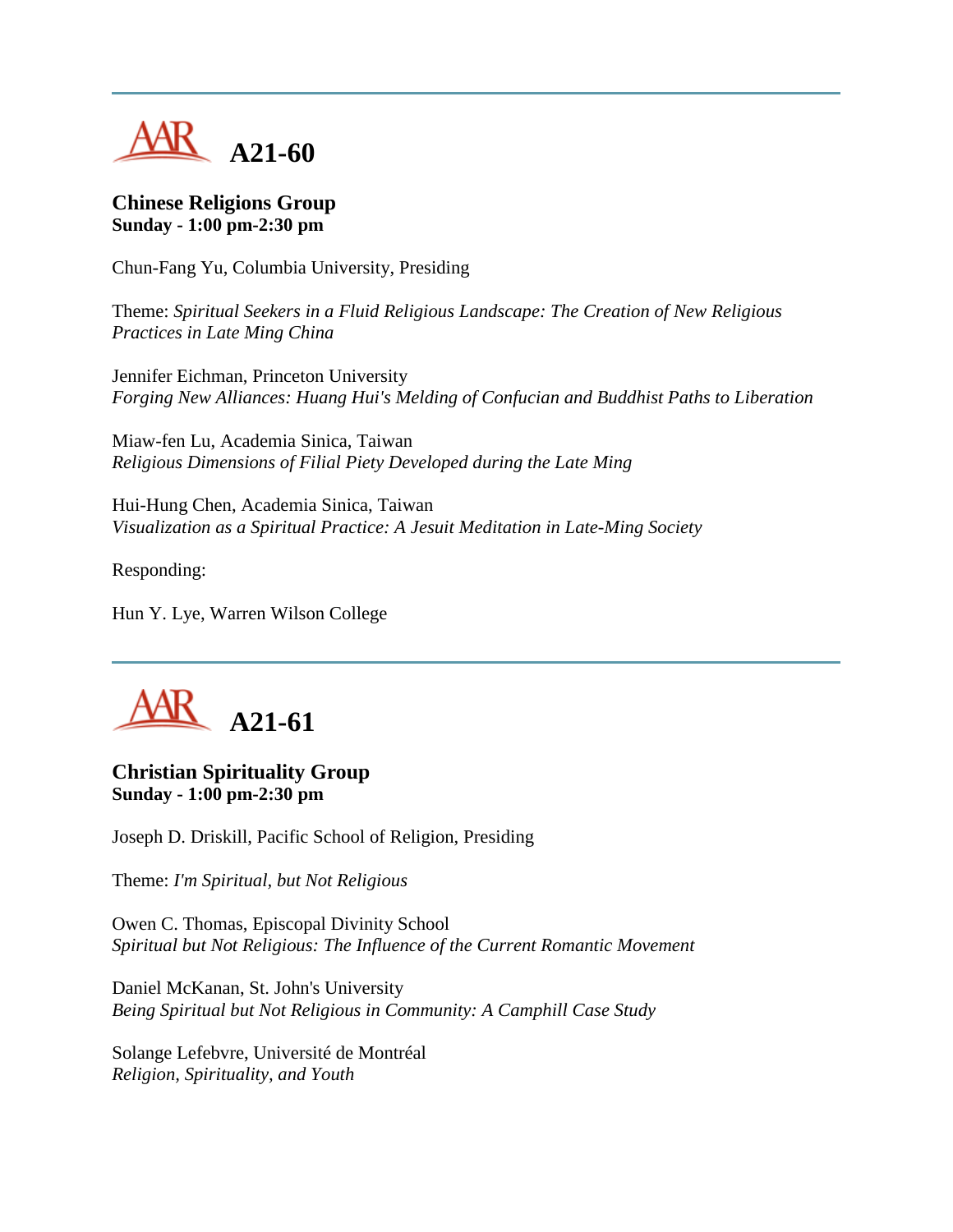

## **Chinese Religions Group Sunday - 1:00 pm-2:30 pm**

Chun-Fang Yu, Columbia University, Presiding

Theme: *Spiritual Seekers in a Fluid Religious Landscape: The Creation of New Religious Practices in Late Ming China*

Jennifer Eichman, Princeton University *Forging New Alliances: Huang Hui's Melding of Confucian and Buddhist Paths to Liberation*

Miaw-fen Lu, Academia Sinica, Taiwan *Religious Dimensions of Filial Piety Developed during the Late Ming*

Hui-Hung Chen, Academia Sinica, Taiwan *Visualization as a Spiritual Practice: A Jesuit Meditation in Late-Ming Society*

Responding:

Hun Y. Lye, Warren Wilson College



## **Christian Spirituality Group Sunday - 1:00 pm-2:30 pm**

Joseph D. Driskill, Pacific School of Religion, Presiding

Theme: *I'm Spiritual, but Not Religious*

Owen C. Thomas, Episcopal Divinity School *Spiritual but Not Religious: The Influence of the Current Romantic Movement*

Daniel McKanan, St. John's University *Being Spiritual but Not Religious in Community: A Camphill Case Study*

Solange Lefebvre, Université de Montréal *Religion, Spirituality, and Youth*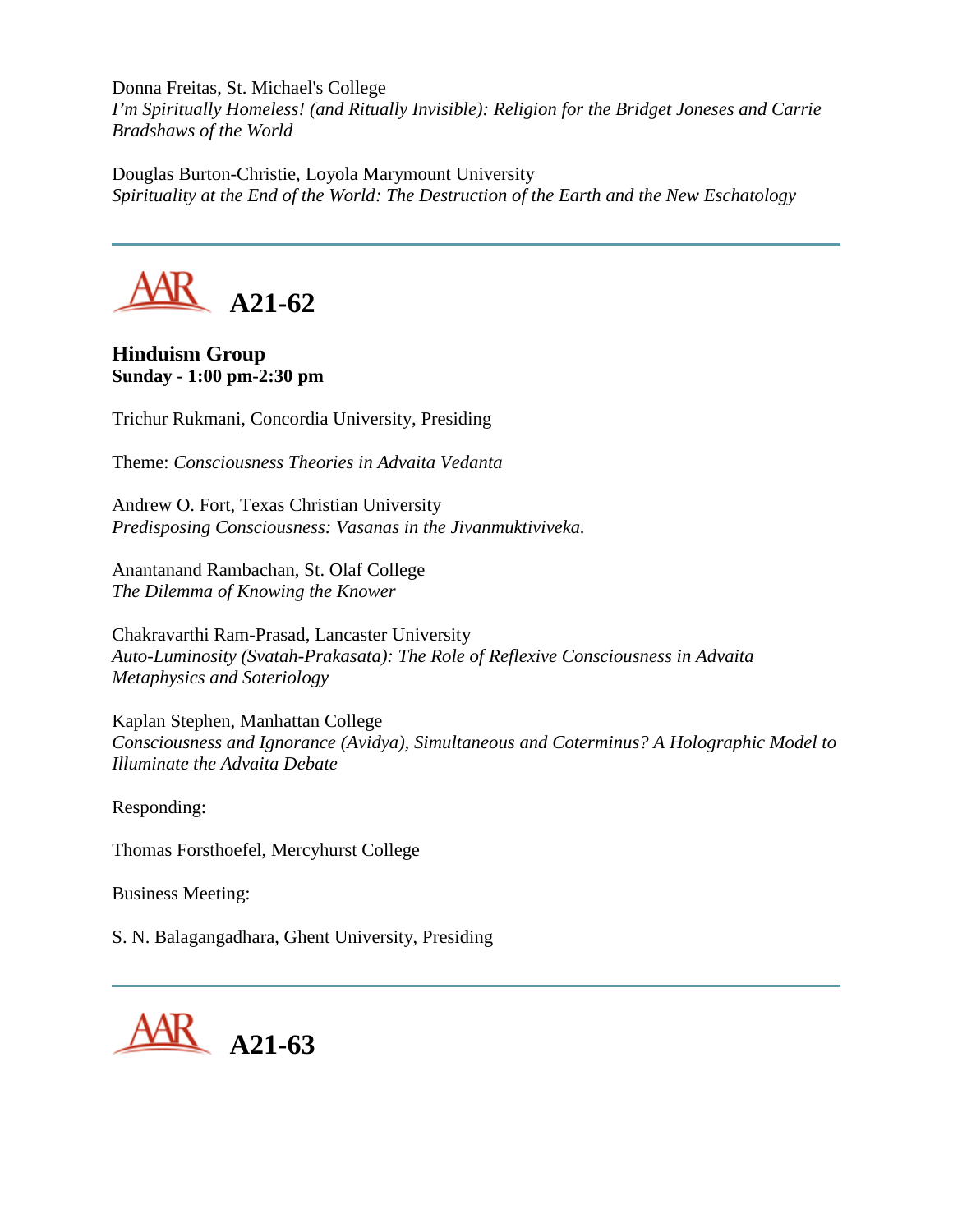Donna Freitas, St. Michael's College

*I'm Spiritually Homeless! (and Ritually Invisible): Religion for the Bridget Joneses and Carrie Bradshaws of the World*

Douglas Burton-Christie, Loyola Marymount University *Spirituality at the End of the World: The Destruction of the Earth and the New Eschatology*



## **Hinduism Group Sunday - 1:00 pm-2:30 pm**

Trichur Rukmani, Concordia University, Presiding

Theme: *Consciousness Theories in Advaita Vedanta*

Andrew O. Fort, Texas Christian University *Predisposing Consciousness: Vasanas in the Jivanmuktiviveka.*

Anantanand Rambachan, St. Olaf College *The Dilemma of Knowing the Knower*

Chakravarthi Ram-Prasad, Lancaster University *Auto-Luminosity (Svatah-Prakasata): The Role of Reflexive Consciousness in Advaita Metaphysics and Soteriology*

Kaplan Stephen, Manhattan College *Consciousness and Ignorance (Avidya), Simultaneous and Coterminus? A Holographic Model to Illuminate the Advaita Debate*

Responding:

Thomas Forsthoefel, Mercyhurst College

Business Meeting:

S. N. Balagangadhara, Ghent University, Presiding

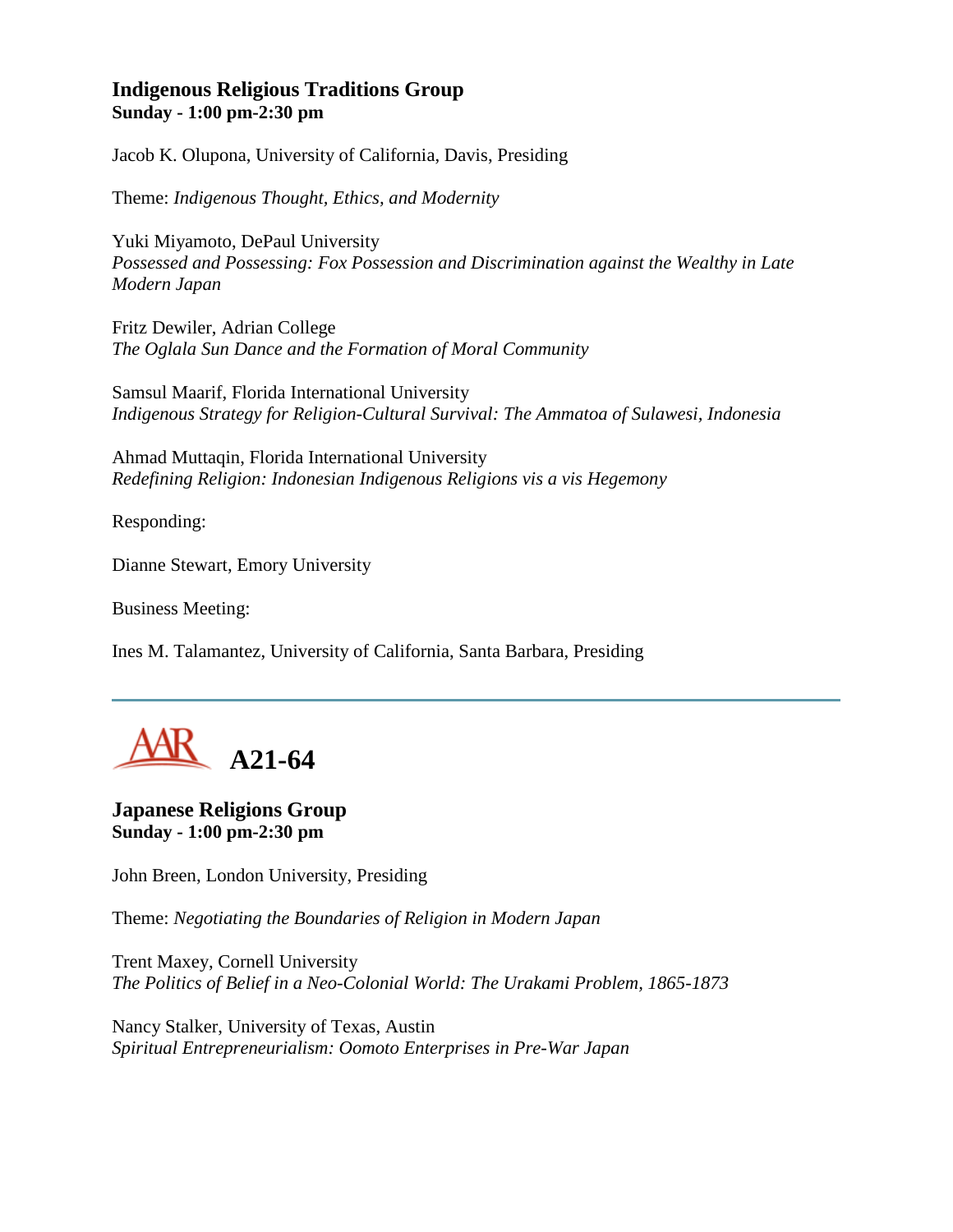## **Indigenous Religious Traditions Group Sunday - 1:00 pm-2:30 pm**

Jacob K. Olupona, University of California, Davis, Presiding

Theme: *Indigenous Thought, Ethics, and Modernity*

Yuki Miyamoto, DePaul University *Possessed and Possessing: Fox Possession and Discrimination against the Wealthy in Late Modern Japan*

Fritz Dewiler, Adrian College *The Oglala Sun Dance and the Formation of Moral Community*

Samsul Maarif, Florida International University *Indigenous Strategy for Religion-Cultural Survival: The Ammatoa of Sulawesi, Indonesia*

Ahmad Muttaqin, Florida International University *Redefining Religion: Indonesian Indigenous Religions vis a vis Hegemony*

Responding:

Dianne Stewart, Emory University

Business Meeting:

Ines M. Talamantez, University of California, Santa Barbara, Presiding



**Japanese Religions Group Sunday - 1:00 pm-2:30 pm**

John Breen, London University, Presiding

Theme: *Negotiating the Boundaries of Religion in Modern Japan*

Trent Maxey, Cornell University *The Politics of Belief in a Neo-Colonial World: The Urakami Problem, 1865-1873*

Nancy Stalker, University of Texas, Austin *Spiritual Entrepreneurialism: Oomoto Enterprises in Pre-War Japan*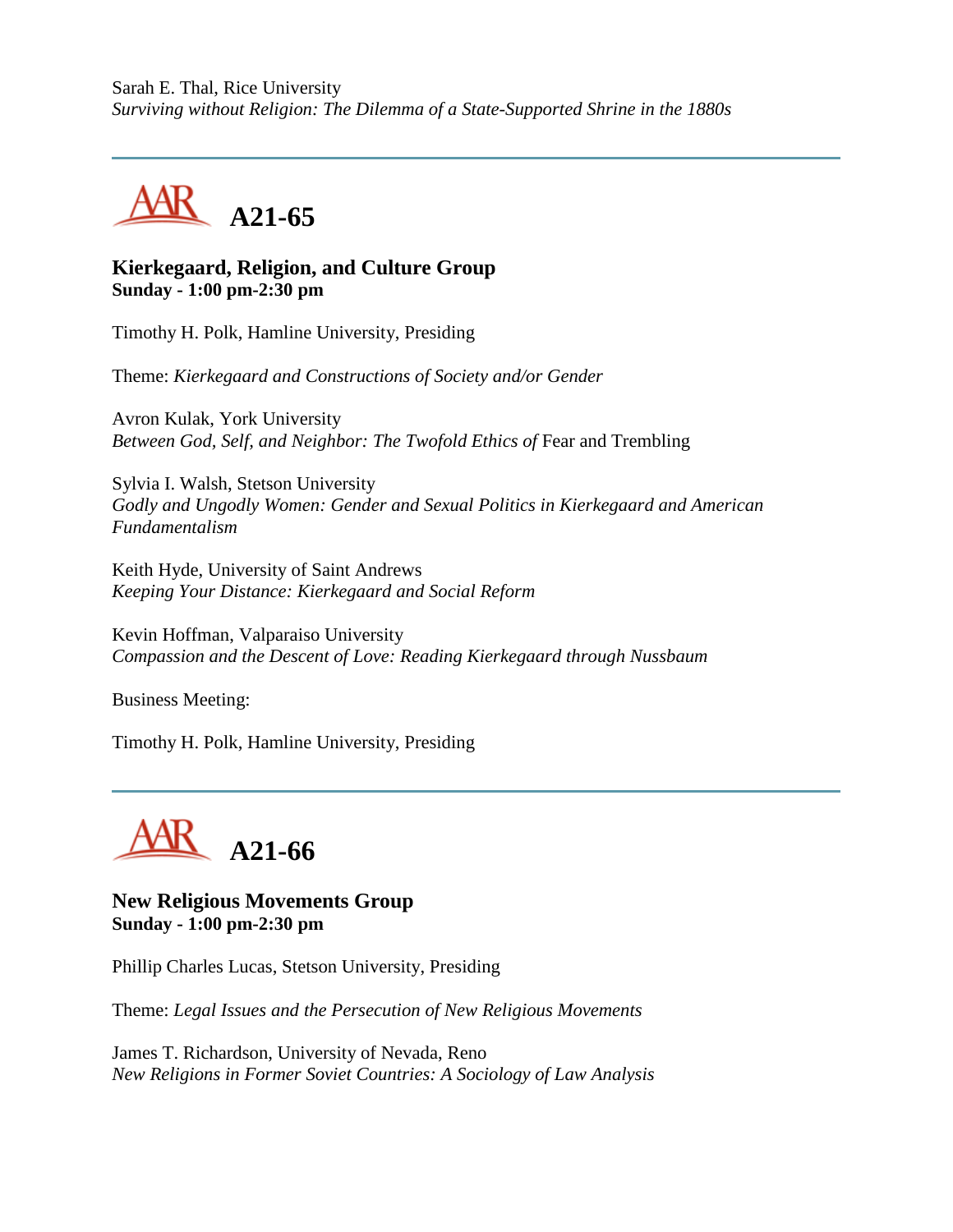Sarah E. Thal, Rice University *Surviving without Religion: The Dilemma of a State-Supported Shrine in the 1880s*



## **Kierkegaard, Religion, and Culture Group Sunday - 1:00 pm-2:30 pm**

Timothy H. Polk, Hamline University, Presiding

Theme: *Kierkegaard and Constructions of Society and/or Gender*

Avron Kulak, York University *Between God, Self, and Neighbor: The Twofold Ethics of Fear and Trembling* 

Sylvia I. Walsh, Stetson University *Godly and Ungodly Women: Gender and Sexual Politics in Kierkegaard and American Fundamentalism*

Keith Hyde, University of Saint Andrews *Keeping Your Distance: Kierkegaard and Social Reform*

Kevin Hoffman, Valparaiso University *Compassion and the Descent of Love: Reading Kierkegaard through Nussbaum*

Business Meeting:

Timothy H. Polk, Hamline University, Presiding



**New Religious Movements Group Sunday - 1:00 pm-2:30 pm**

Phillip Charles Lucas, Stetson University, Presiding

Theme: *Legal Issues and the Persecution of New Religious Movements*

James T. Richardson, University of Nevada, Reno *New Religions in Former Soviet Countries: A Sociology of Law Analysis*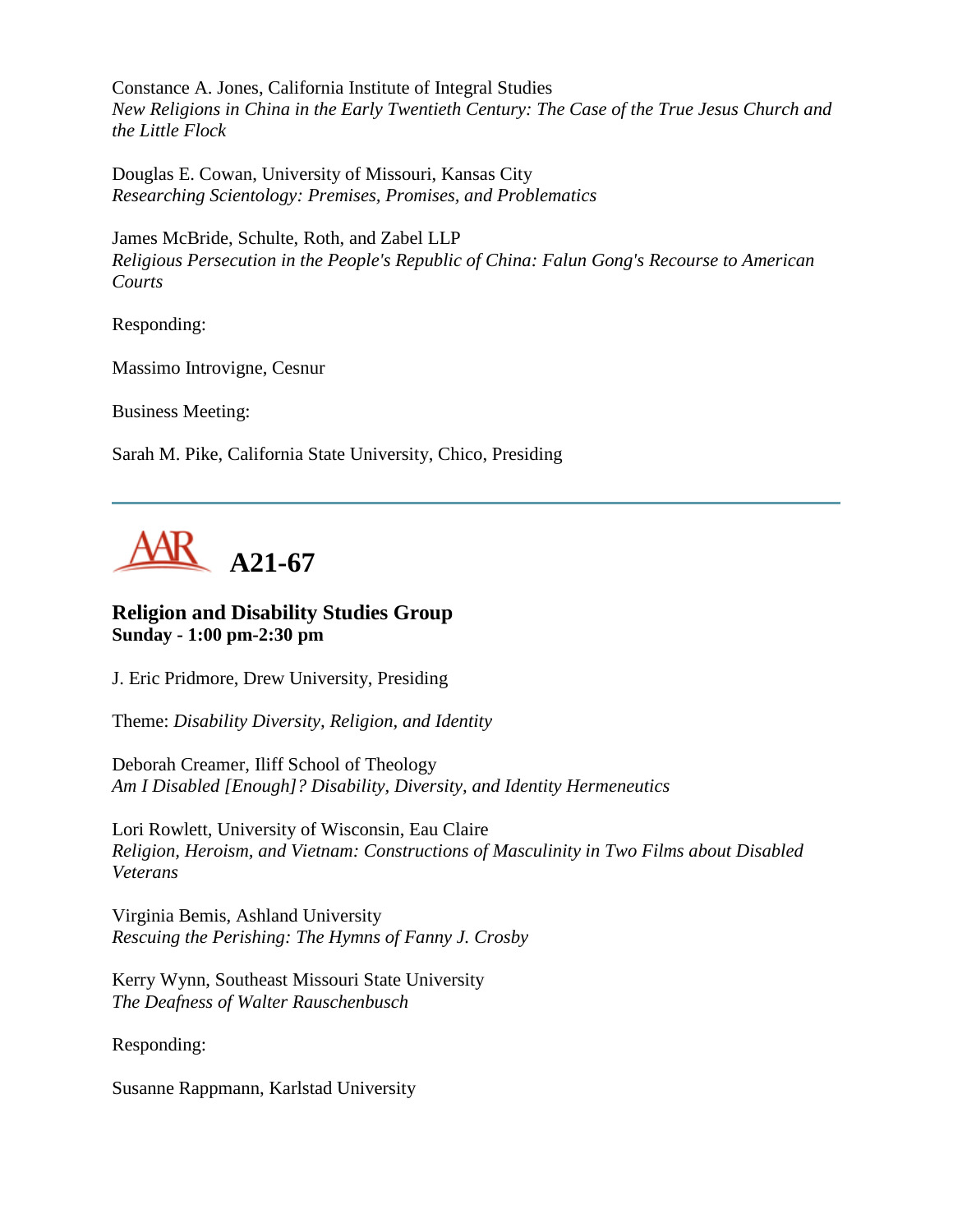Constance A. Jones, California Institute of Integral Studies *New Religions in China in the Early Twentieth Century: The Case of the True Jesus Church and the Little Flock*

Douglas E. Cowan, University of Missouri, Kansas City *Researching Scientology: Premises, Promises, and Problematics*

James McBride, Schulte, Roth, and Zabel LLP *Religious Persecution in the People's Republic of China: Falun Gong's Recourse to American Courts*

Responding:

Massimo Introvigne, Cesnur

Business Meeting:

Sarah M. Pike, California State University, Chico, Presiding



## **Religion and Disability Studies Group Sunday - 1:00 pm-2:30 pm**

J. Eric Pridmore, Drew University, Presiding

Theme: *Disability Diversity, Religion, and Identity*

Deborah Creamer, Iliff School of Theology *Am I Disabled [Enough]? Disability, Diversity, and Identity Hermeneutics*

Lori Rowlett, University of Wisconsin, Eau Claire *Religion, Heroism, and Vietnam: Constructions of Masculinity in Two Films about Disabled Veterans*

Virginia Bemis, Ashland University *Rescuing the Perishing: The Hymns of Fanny J. Crosby*

Kerry Wynn, Southeast Missouri State University *The Deafness of Walter Rauschenbusch*

Responding:

Susanne Rappmann, Karlstad University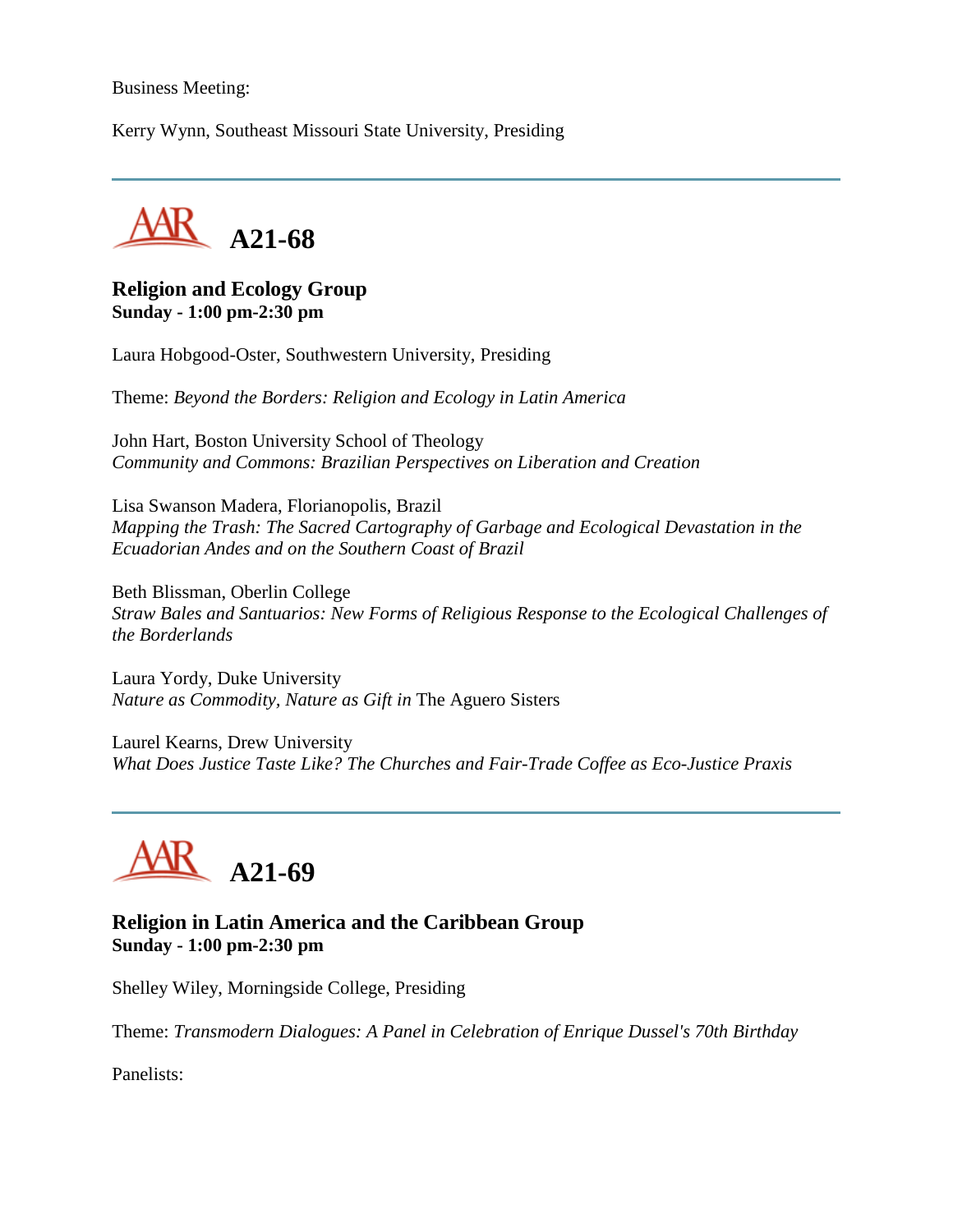#### Business Meeting:

Kerry Wynn, Southeast Missouri State University, Presiding



#### **Religion and Ecology Group Sunday - 1:00 pm-2:30 pm**

Laura Hobgood-Oster, Southwestern University, Presiding

Theme: *Beyond the Borders: Religion and Ecology in Latin America*

John Hart, Boston University School of Theology *Community and Commons: Brazilian Perspectives on Liberation and Creation*

Lisa Swanson Madera, Florianopolis, Brazil *Mapping the Trash: The Sacred Cartography of Garbage and Ecological Devastation in the Ecuadorian Andes and on the Southern Coast of Brazil*

Beth Blissman, Oberlin College *Straw Bales and Santuarios: New Forms of Religious Response to the Ecological Challenges of the Borderlands*

Laura Yordy, Duke University *Nature as Commodity, Nature as Gift in* The Aguero Sisters

Laurel Kearns, Drew University *What Does Justice Taste Like? The Churches and Fair-Trade Coffee as Eco-Justice Praxis*



#### **Religion in Latin America and the Caribbean Group Sunday - 1:00 pm-2:30 pm**

Shelley Wiley, Morningside College, Presiding

Theme: *Transmodern Dialogues: A Panel in Celebration of Enrique Dussel's 70th Birthday*

Panelists: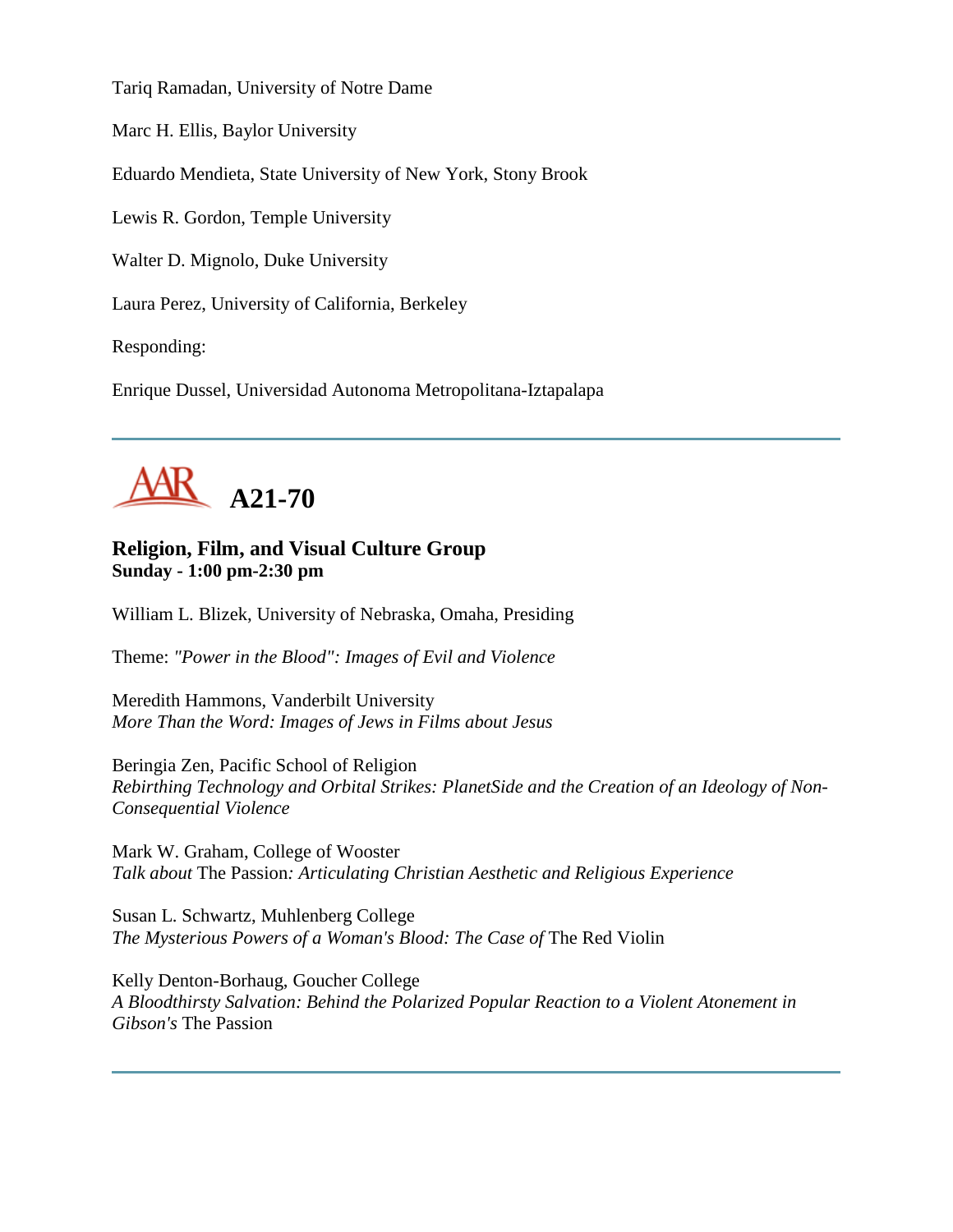Tariq Ramadan, University of Notre Dame

Marc H. Ellis, Baylor University

Eduardo Mendieta, State University of New York, Stony Brook

Lewis R. Gordon, Temple University

Walter D. Mignolo, Duke University

Laura Perez, University of California, Berkeley

Responding:

Enrique Dussel, Universidad Autonoma Metropolitana-Iztapalapa



# **Religion, Film, and Visual Culture Group Sunday - 1:00 pm-2:30 pm**

William L. Blizek, University of Nebraska, Omaha, Presiding

Theme: *"Power in the Blood": Images of Evil and Violence*

Meredith Hammons, Vanderbilt University *More Than the Word: Images of Jews in Films about Jesus*

Beringia Zen, Pacific School of Religion *Rebirthing Technology and Orbital Strikes: PlanetSide and the Creation of an Ideology of Non-Consequential Violence*

Mark W. Graham, College of Wooster *Talk about* The Passion*: Articulating Christian Aesthetic and Religious Experience*

Susan L. Schwartz, Muhlenberg College *The Mysterious Powers of a Woman's Blood: The Case of The Red Violin* 

Kelly Denton-Borhaug, Goucher College *A Bloodthirsty Salvation: Behind the Polarized Popular Reaction to a Violent Atonement in Gibson's* The Passion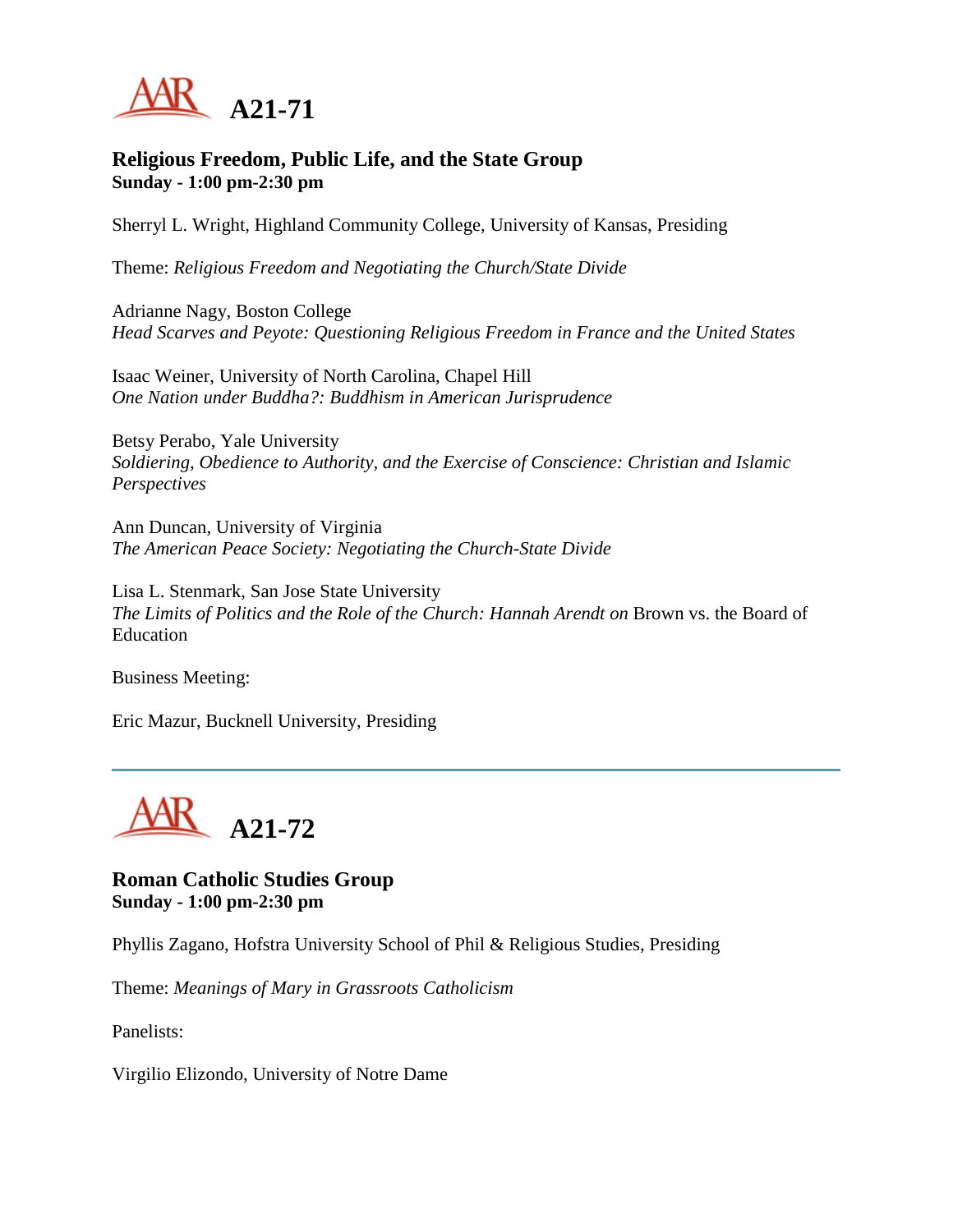

## **Religious Freedom, Public Life, and the State Group Sunday - 1:00 pm-2:30 pm**

Sherryl L. Wright, Highland Community College, University of Kansas, Presiding

Theme: *Religious Freedom and Negotiating the Church/State Divide*

Adrianne Nagy, Boston College *Head Scarves and Peyote: Questioning Religious Freedom in France and the United States*

Isaac Weiner, University of North Carolina, Chapel Hill *One Nation under Buddha?: Buddhism in American Jurisprudence*

Betsy Perabo, Yale University *Soldiering, Obedience to Authority, and the Exercise of Conscience: Christian and Islamic Perspectives*

Ann Duncan, University of Virginia *The American Peace Society: Negotiating the Church-State Divide*

Lisa L. Stenmark, San Jose State University *The Limits of Politics and the Role of the Church: Hannah Arendt on* Brown vs. the Board of Education

Business Meeting:

Eric Mazur, Bucknell University, Presiding



**Roman Catholic Studies Group Sunday - 1:00 pm-2:30 pm**

Phyllis Zagano, Hofstra University School of Phil & Religious Studies, Presiding

Theme: *Meanings of Mary in Grassroots Catholicism*

Panelists:

Virgilio Elizondo, University of Notre Dame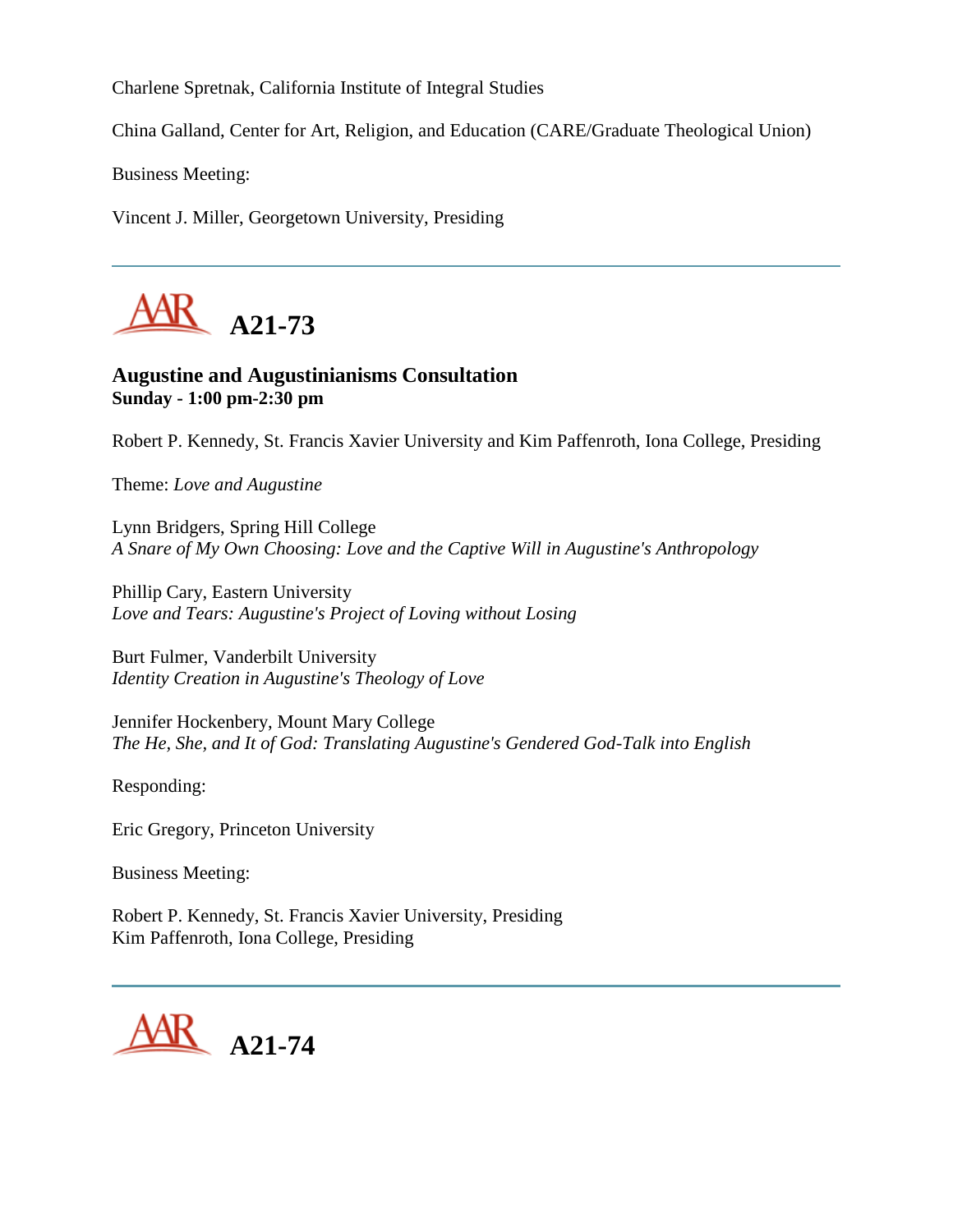Charlene Spretnak, California Institute of Integral Studies

China Galland, Center for Art, Religion, and Education (CARE/Graduate Theological Union)

Business Meeting:

Vincent J. Miller, Georgetown University, Presiding



## **Augustine and Augustinianisms Consultation Sunday - 1:00 pm-2:30 pm**

Robert P. Kennedy, St. Francis Xavier University and Kim Paffenroth, Iona College, Presiding

Theme: *Love and Augustine*

Lynn Bridgers, Spring Hill College *A Snare of My Own Choosing: Love and the Captive Will in Augustine's Anthropology*

Phillip Cary, Eastern University *Love and Tears: Augustine's Project of Loving without Losing*

Burt Fulmer, Vanderbilt University *Identity Creation in Augustine's Theology of Love*

Jennifer Hockenbery, Mount Mary College *The He, She, and It of God: Translating Augustine's Gendered God-Talk into English*

Responding:

Eric Gregory, Princeton University

Business Meeting:

Robert P. Kennedy, St. Francis Xavier University, Presiding Kim Paffenroth, Iona College, Presiding

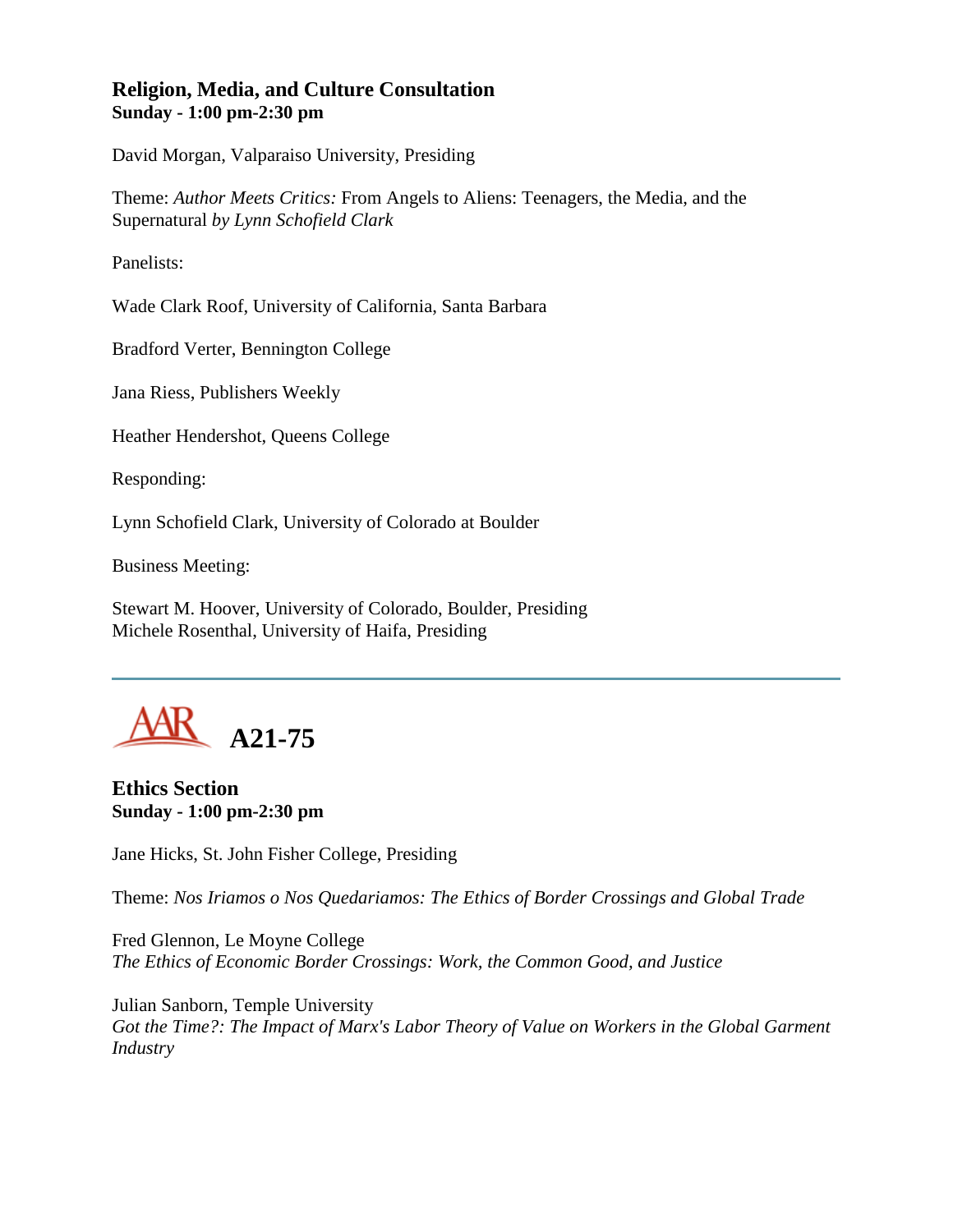## **Religion, Media, and Culture Consultation Sunday - 1:00 pm-2:30 pm**

David Morgan, Valparaiso University, Presiding

Theme: *Author Meets Critics:* From Angels to Aliens: Teenagers, the Media, and the Supernatural *by Lynn Schofield Clark*

Panelists:

Wade Clark Roof, University of California, Santa Barbara

Bradford Verter, Bennington College

Jana Riess, Publishers Weekly

Heather Hendershot, Queens College

Responding:

Lynn Schofield Clark, University of Colorado at Boulder

Business Meeting:

Stewart M. Hoover, University of Colorado, Boulder, Presiding Michele Rosenthal, University of Haifa, Presiding



**Ethics Section Sunday - 1:00 pm-2:30 pm**

Jane Hicks, St. John Fisher College, Presiding

Theme: *Nos Iriamos o Nos Quedariamos: The Ethics of Border Crossings and Global Trade*

Fred Glennon, Le Moyne College *The Ethics of Economic Border Crossings: Work, the Common Good, and Justice*

Julian Sanborn, Temple University *Got the Time?: The Impact of Marx's Labor Theory of Value on Workers in the Global Garment Industry*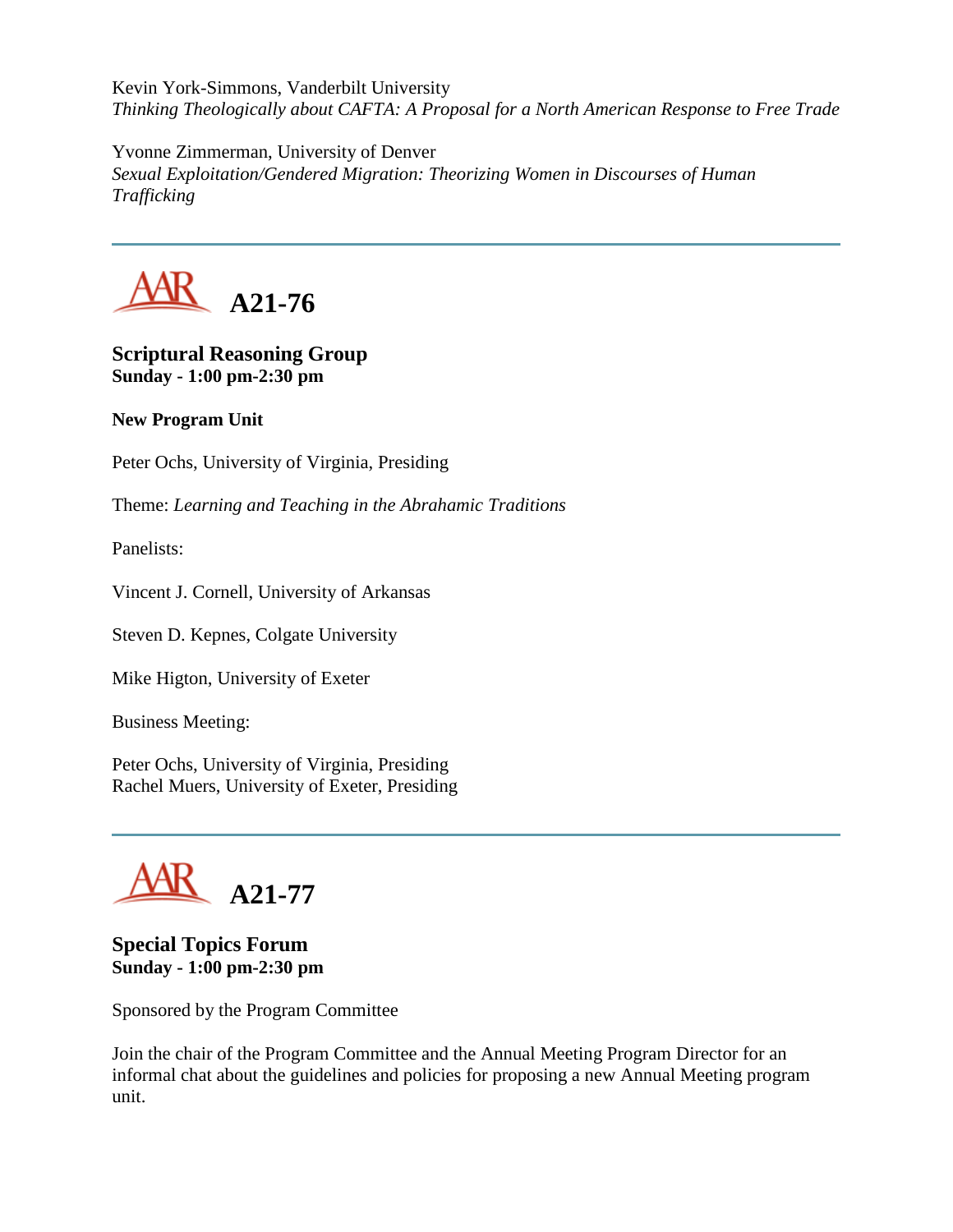Kevin York-Simmons, Vanderbilt University *Thinking Theologically about CAFTA: A Proposal for a North American Response to Free Trade*

Yvonne Zimmerman, University of Denver *Sexual Exploitation/Gendered Migration: Theorizing Women in Discourses of Human Trafficking*



**Scriptural Reasoning Group Sunday - 1:00 pm-2:30 pm**

## **New Program Unit**

Peter Ochs, University of Virginia, Presiding

Theme: *Learning and Teaching in the Abrahamic Traditions*

Panelists:

Vincent J. Cornell, University of Arkansas

Steven D. Kepnes, Colgate University

Mike Higton, University of Exeter

Business Meeting:

Peter Ochs, University of Virginia, Presiding Rachel Muers, University of Exeter, Presiding



#### **Special Topics Forum Sunday - 1:00 pm-2:30 pm**

Sponsored by the Program Committee

Join the chair of the Program Committee and the Annual Meeting Program Director for an informal chat about the guidelines and policies for proposing a new Annual Meeting program unit.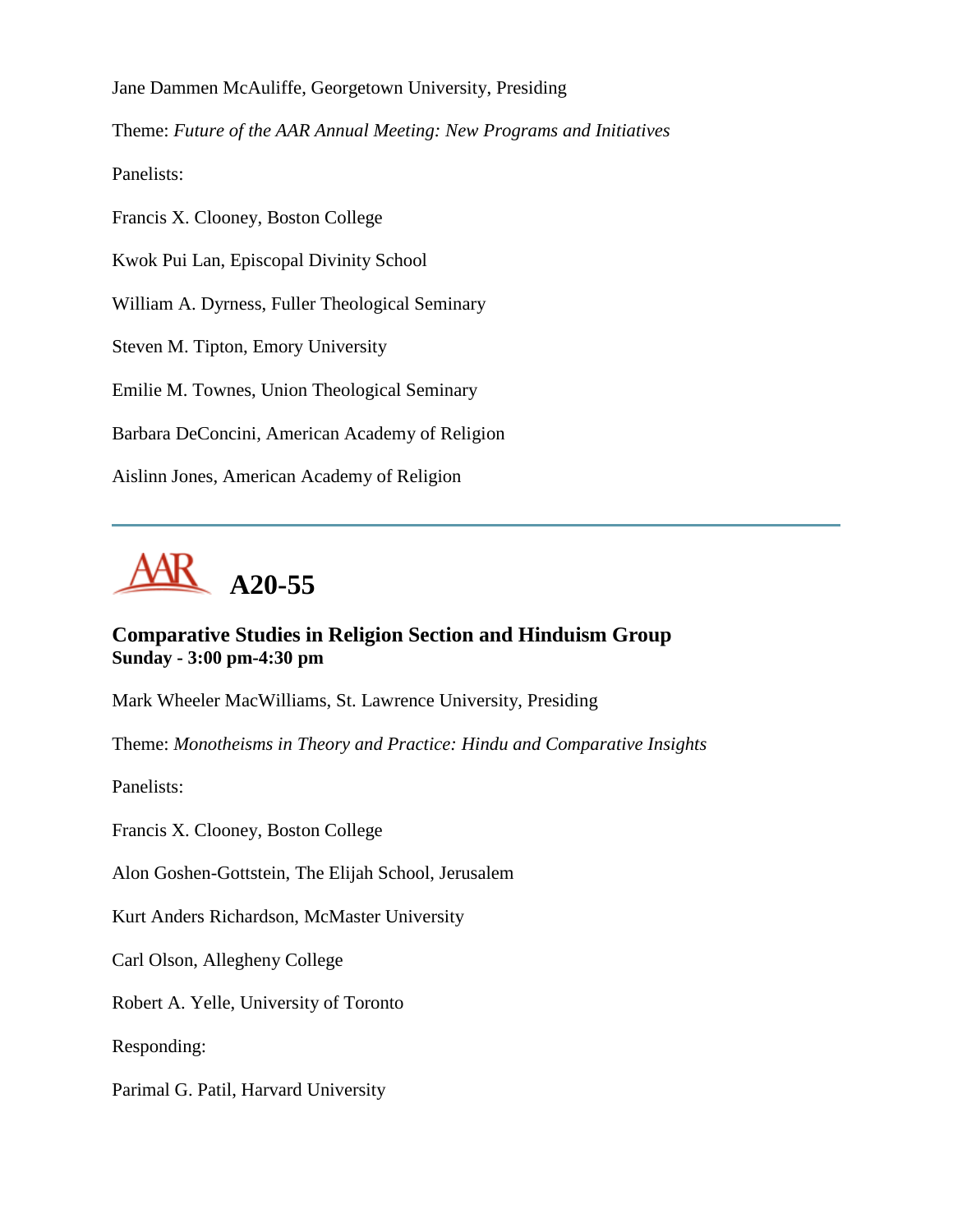Jane Dammen McAuliffe, Georgetown University, Presiding

Theme: *Future of the AAR Annual Meeting: New Programs and Initiatives*

Panelists:

Francis X. Clooney, Boston College

Kwok Pui Lan, Episcopal Divinity School

William A. Dyrness, Fuller Theological Seminary

Steven M. Tipton, Emory University

Emilie M. Townes, Union Theological Seminary

Barbara DeConcini, American Academy of Religion

Aislinn Jones, American Academy of Religion



# **Comparative Studies in Religion Section and Hinduism Group Sunday - 3:00 pm-4:30 pm**

Mark Wheeler MacWilliams, St. Lawrence University, Presiding

Theme: *Monotheisms in Theory and Practice: Hindu and Comparative Insights*

Panelists:

Francis X. Clooney, Boston College

Alon Goshen-Gottstein, The Elijah School, Jerusalem

Kurt Anders Richardson, McMaster University

Carl Olson, Allegheny College

Robert A. Yelle, University of Toronto

Responding:

Parimal G. Patil, Harvard University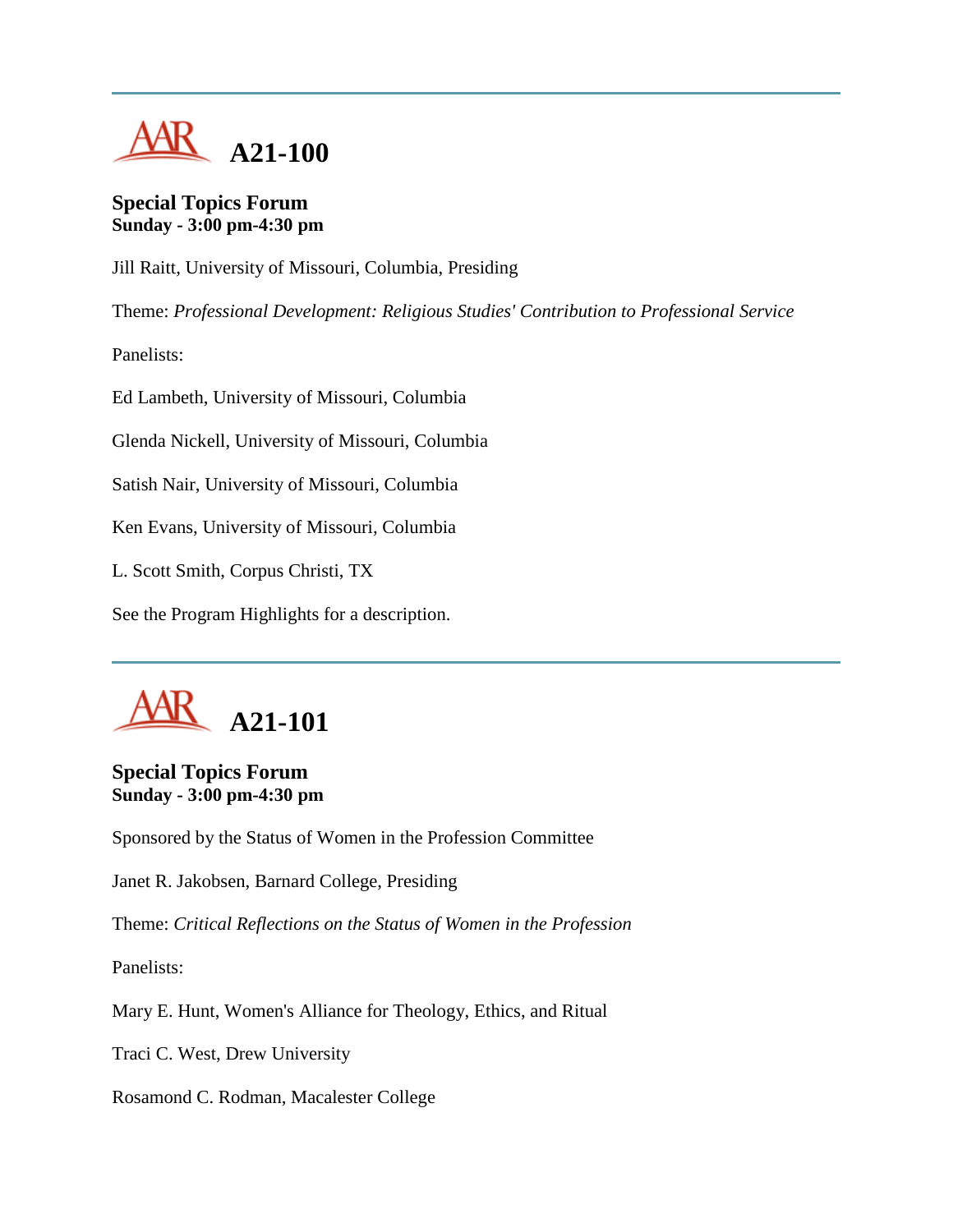

## **Special Topics Forum Sunday - 3:00 pm-4:30 pm**

Jill Raitt, University of Missouri, Columbia, Presiding

Theme: *Professional Development: Religious Studies' Contribution to Professional Service*

Panelists:

Ed Lambeth, University of Missouri, Columbia

Glenda Nickell, University of Missouri, Columbia

Satish Nair, University of Missouri, Columbia

Ken Evans, University of Missouri, Columbia

L. Scott Smith, Corpus Christi, TX

See the Program Highlights for a description.



### **Special Topics Forum Sunday - 3:00 pm-4:30 pm**

Sponsored by the Status of Women in the Profession Committee

Janet R. Jakobsen, Barnard College, Presiding

Theme: *Critical Reflections on the Status of Women in the Profession*

Panelists:

Mary E. Hunt, Women's Alliance for Theology, Ethics, and Ritual

Traci C. West, Drew University

Rosamond C. Rodman, Macalester College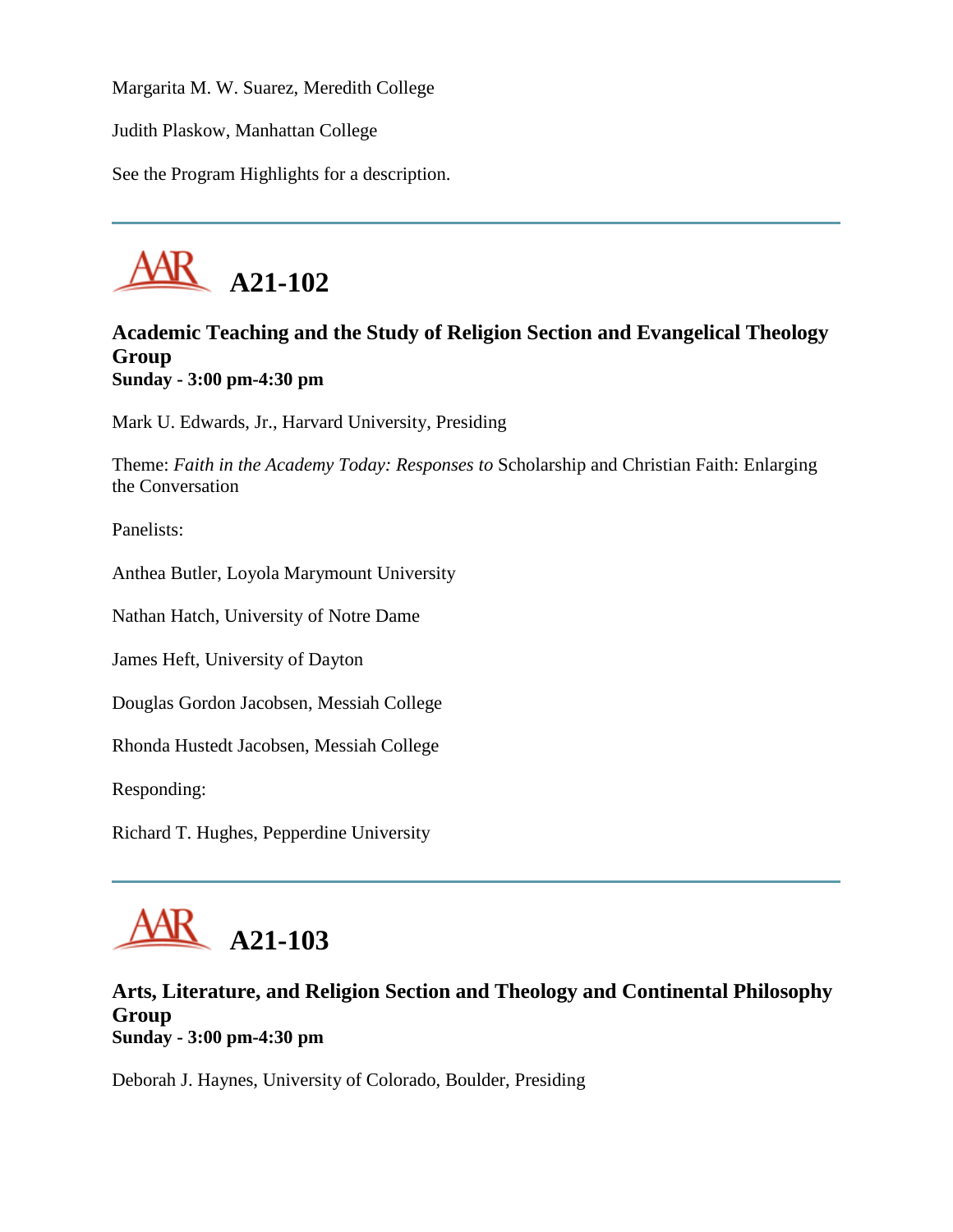Margarita M. W. Suarez, Meredith College

Judith Plaskow, Manhattan College

See the Program Highlights for a description.



# **Academic Teaching and the Study of Religion Section and Evangelical Theology Group Sunday - 3:00 pm-4:30 pm**

Mark U. Edwards, Jr., Harvard University, Presiding

Theme: *Faith in the Academy Today: Responses to* Scholarship and Christian Faith: Enlarging the Conversation

Panelists:

Anthea Butler, Loyola Marymount University

Nathan Hatch, University of Notre Dame

James Heft, University of Dayton

Douglas Gordon Jacobsen, Messiah College

Rhonda Hustedt Jacobsen, Messiah College

Responding:

Richard T. Hughes, Pepperdine University



#### **Arts, Literature, and Religion Section and Theology and Continental Philosophy Group Sunday - 3:00 pm-4:30 pm**

Deborah J. Haynes, University of Colorado, Boulder, Presiding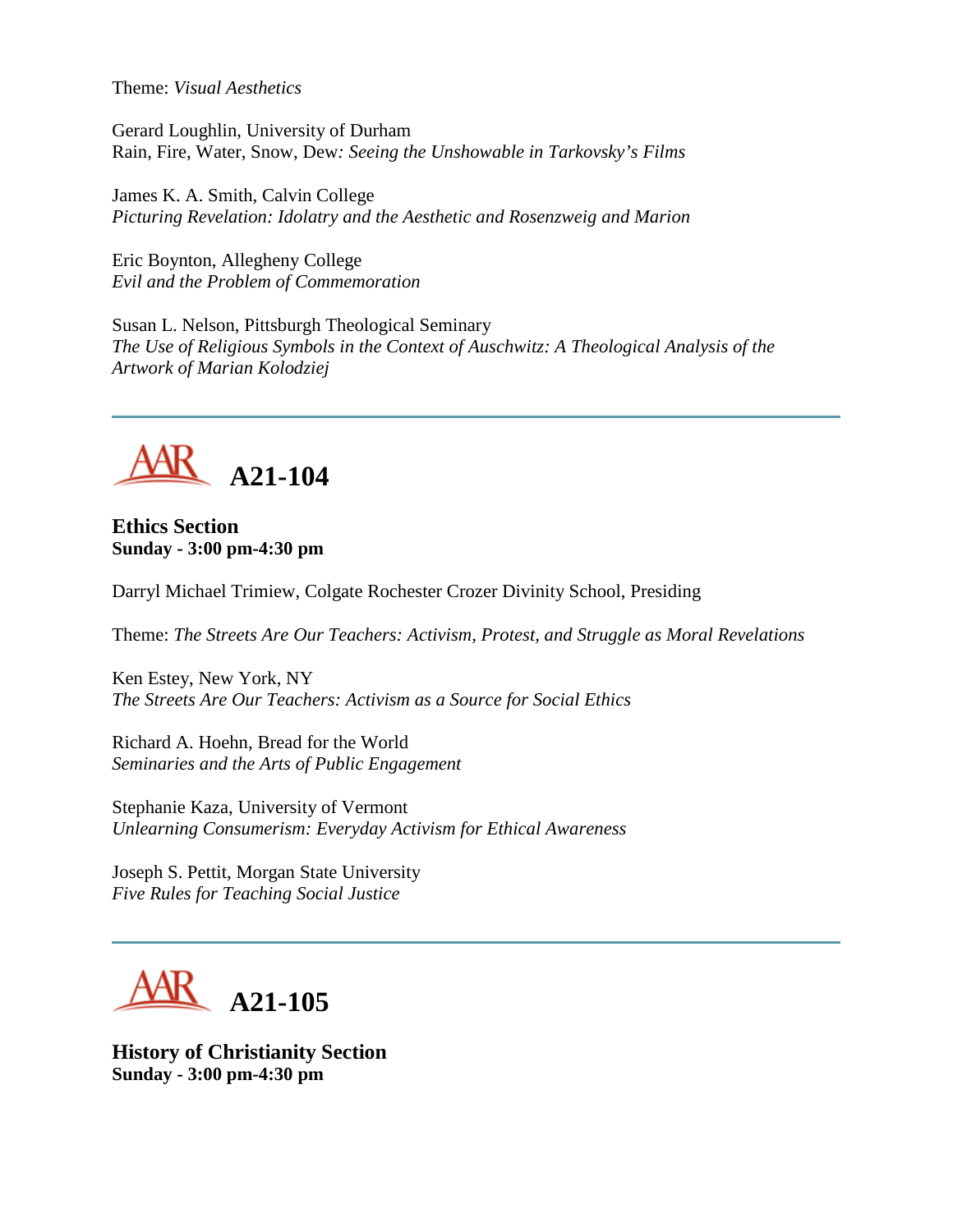Theme: *Visual Aesthetics*

Gerard Loughlin, University of Durham Rain, Fire, Water, Snow, Dew*: Seeing the Unshowable in Tarkovsky's Films*

James K. A. Smith, Calvin College *Picturing Revelation: Idolatry and the Aesthetic and Rosenzweig and Marion*

Eric Boynton, Allegheny College *Evil and the Problem of Commemoration*

Susan L. Nelson, Pittsburgh Theological Seminary *The Use of Religious Symbols in the Context of Auschwitz: A Theological Analysis of the Artwork of Marian Kolodziej*



**Ethics Section Sunday - 3:00 pm-4:30 pm**

Darryl Michael Trimiew, Colgate Rochester Crozer Divinity School, Presiding

Theme: *The Streets Are Our Teachers: Activism, Protest, and Struggle as Moral Revelations*

Ken Estey, New York, NY *The Streets Are Our Teachers: Activism as a Source for Social Ethics*

Richard A. Hoehn, Bread for the World *Seminaries and the Arts of Public Engagement*

Stephanie Kaza, University of Vermont *Unlearning Consumerism: Everyday Activism for Ethical Awareness*

Joseph S. Pettit, Morgan State University *Five Rules for Teaching Social Justice*



**History of Christianity Section Sunday - 3:00 pm-4:30 pm**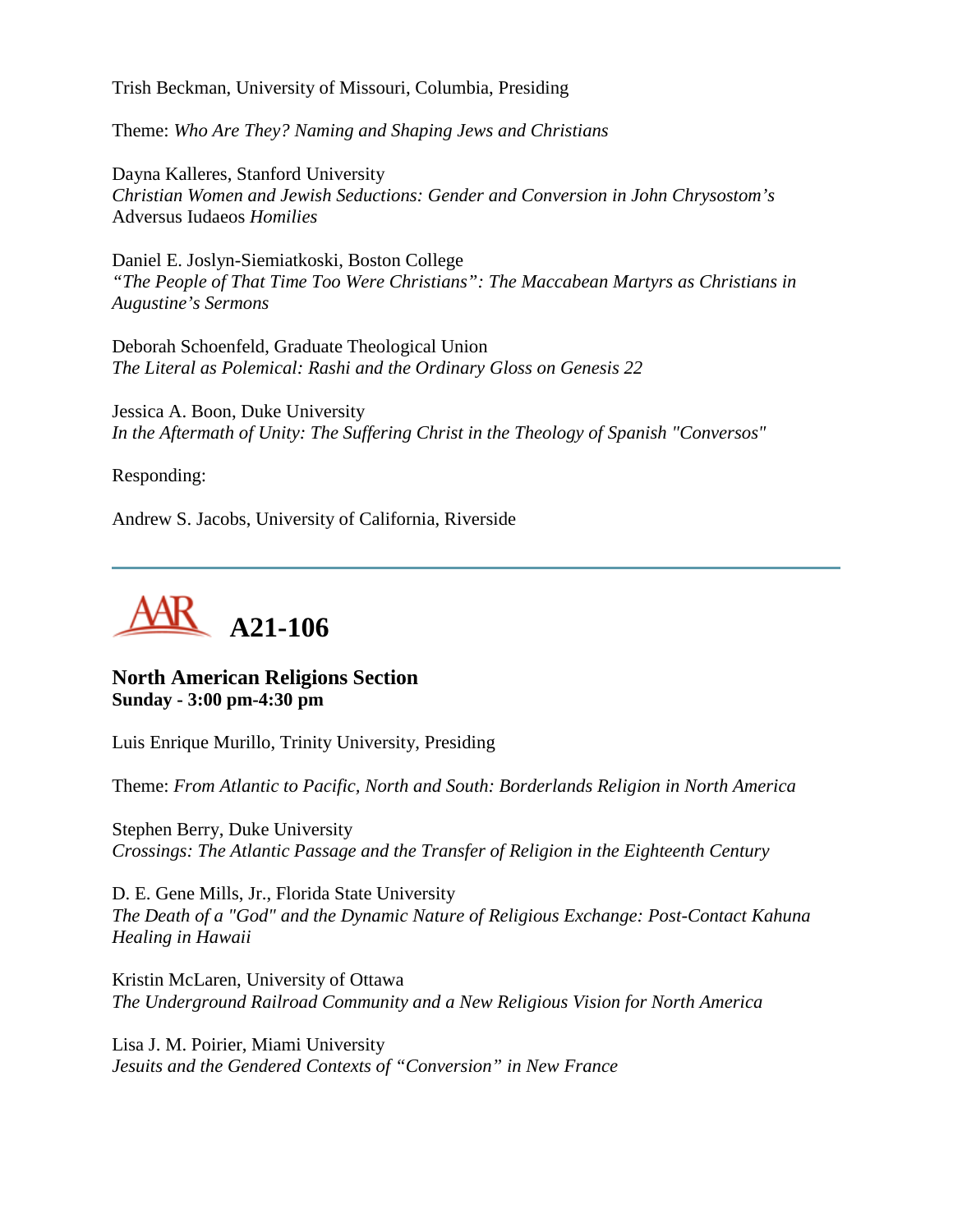Trish Beckman, University of Missouri, Columbia, Presiding

Theme: *Who Are They? Naming and Shaping Jews and Christians*

Dayna Kalleres, Stanford University *Christian Women and Jewish Seductions: Gender and Conversion in John Chrysostom's*  Adversus Iudaeos *Homilies*

Daniel E. Joslyn-Siemiatkoski, Boston College *"The People of That Time Too Were Christians": The Maccabean Martyrs as Christians in Augustine's Sermons*

Deborah Schoenfeld, Graduate Theological Union *The Literal as Polemical: Rashi and the Ordinary Gloss on Genesis 22*

Jessica A. Boon, Duke University *In the Aftermath of Unity: The Suffering Christ in the Theology of Spanish "Conversos"*

Responding:

Andrew S. Jacobs, University of California, Riverside



### **North American Religions Section Sunday - 3:00 pm-4:30 pm**

Luis Enrique Murillo, Trinity University, Presiding

Theme: *From Atlantic to Pacific, North and South: Borderlands Religion in North America*

Stephen Berry, Duke University *Crossings: The Atlantic Passage and the Transfer of Religion in the Eighteenth Century*

D. E. Gene Mills, Jr., Florida State University *The Death of a "God" and the Dynamic Nature of Religious Exchange: Post-Contact Kahuna Healing in Hawaii*

Kristin McLaren, University of Ottawa *The Underground Railroad Community and a New Religious Vision for North America*

Lisa J. M. Poirier, Miami University *Jesuits and the Gendered Contexts of "Conversion" in New France*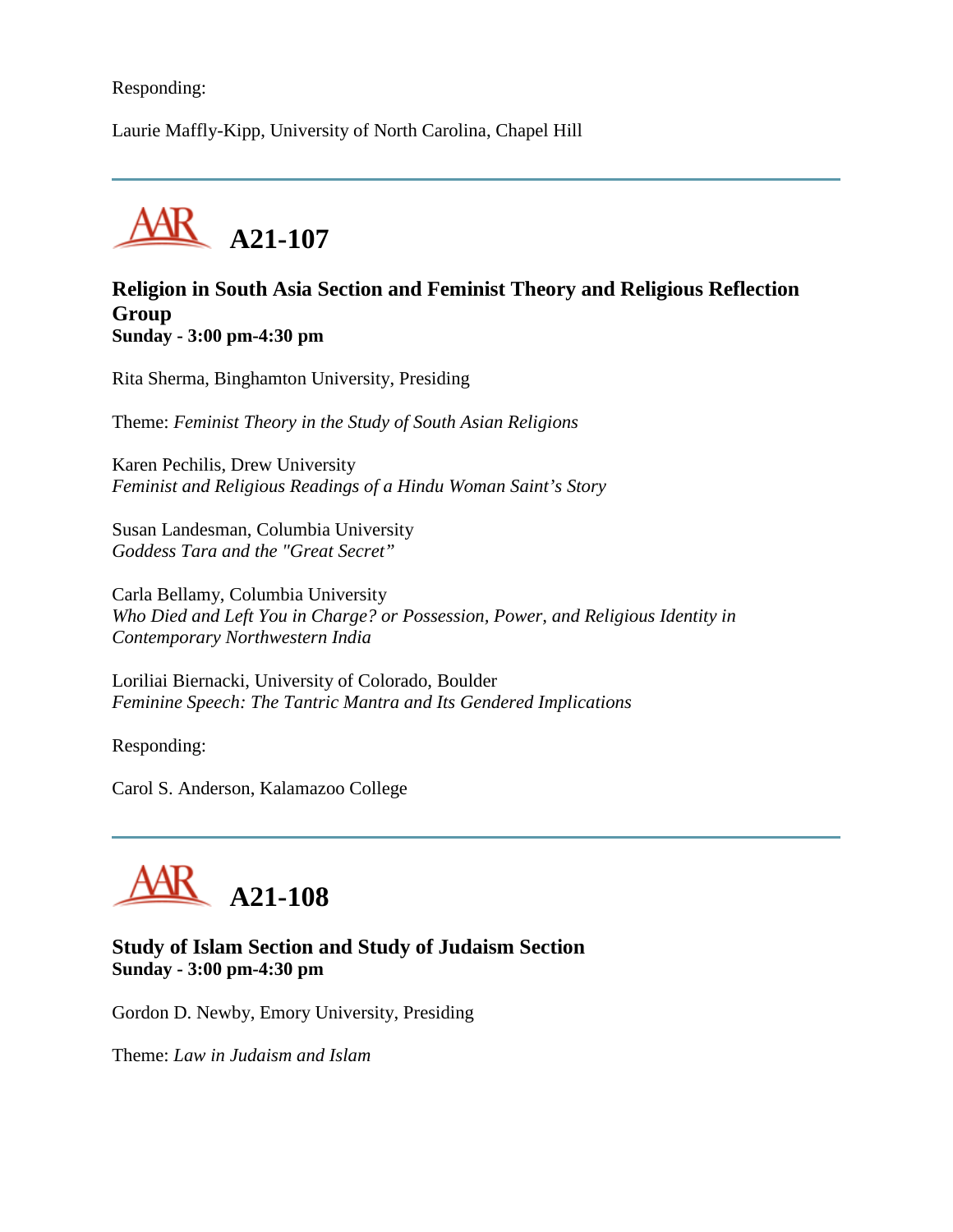### Responding:

Laurie Maffly-Kipp, University of North Carolina, Chapel Hill



### **Religion in South Asia Section and Feminist Theory and Religious Reflection Group Sunday - 3:00 pm-4:30 pm**

Rita Sherma, Binghamton University, Presiding

Theme: *Feminist Theory in the Study of South Asian Religions*

Karen Pechilis, Drew University *Feminist and Religious Readings of a Hindu Woman Saint's Story*

Susan Landesman, Columbia University *Goddess Tara and the "Great Secret"*

Carla Bellamy, Columbia University *Who Died and Left You in Charge? or Possession, Power, and Religious Identity in Contemporary Northwestern India*

Loriliai Biernacki, University of Colorado, Boulder *Feminine Speech: The Tantric Mantra and Its Gendered Implications*

Responding:

Carol S. Anderson, Kalamazoo College



### **Study of Islam Section and Study of Judaism Section Sunday - 3:00 pm-4:30 pm**

Gordon D. Newby, Emory University, Presiding

Theme: *Law in Judaism and Islam*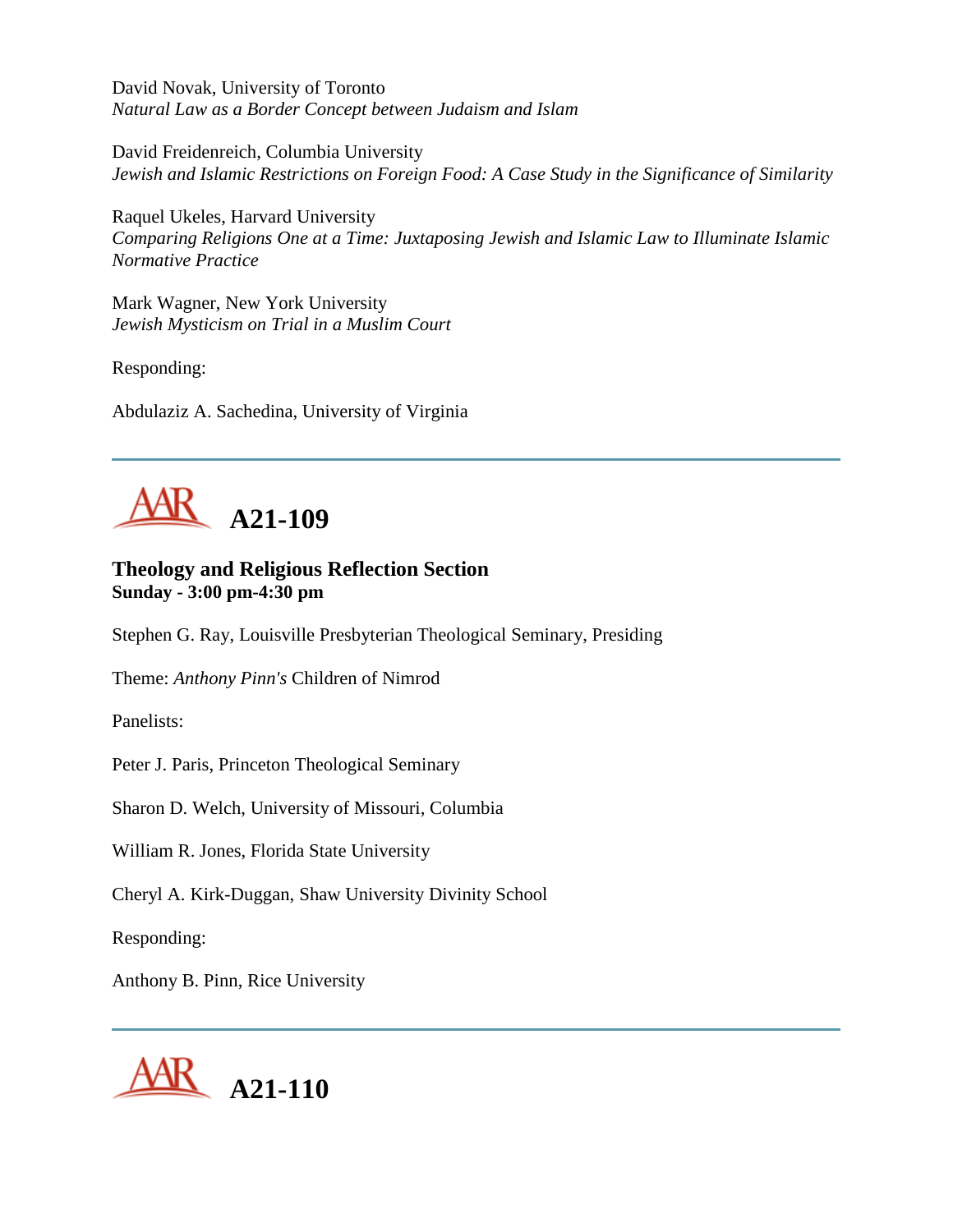David Novak, University of Toronto *Natural Law as a Border Concept between Judaism and Islam*

David Freidenreich, Columbia University *Jewish and Islamic Restrictions on Foreign Food: A Case Study in the Significance of Similarity*

Raquel Ukeles, Harvard University *Comparing Religions One at a Time: Juxtaposing Jewish and Islamic Law to Illuminate Islamic Normative Practice*

Mark Wagner, New York University *Jewish Mysticism on Trial in a Muslim Court*

Responding:

Abdulaziz A. Sachedina, University of Virginia



# **Theology and Religious Reflection Section Sunday - 3:00 pm-4:30 pm**

Stephen G. Ray, Louisville Presbyterian Theological Seminary, Presiding

Theme: *Anthony Pinn's* Children of Nimrod

Panelists:

Peter J. Paris, Princeton Theological Seminary

Sharon D. Welch, University of Missouri, Columbia

William R. Jones, Florida State University

Cheryl A. Kirk-Duggan, Shaw University Divinity School

Responding:

Anthony B. Pinn, Rice University

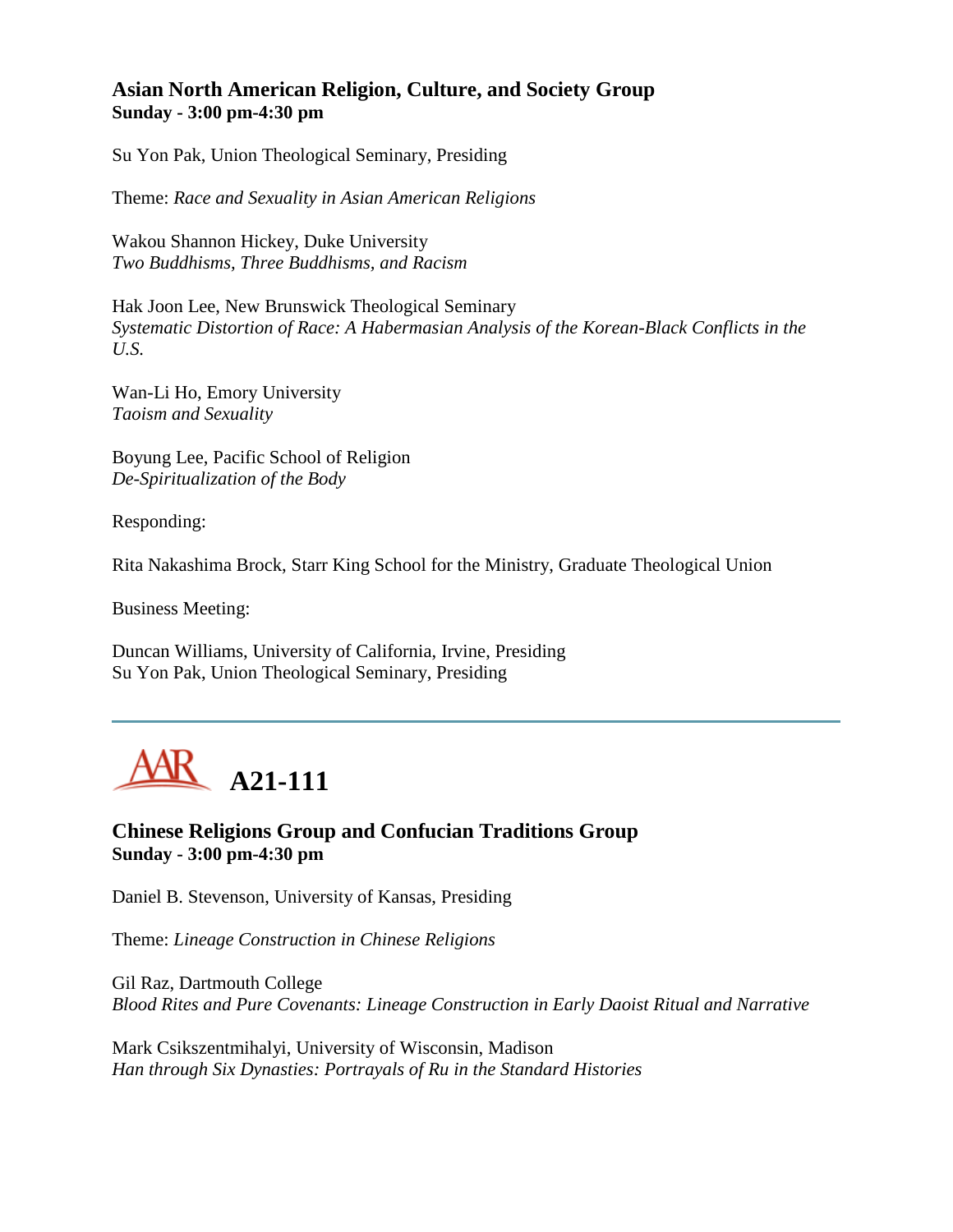## **Asian North American Religion, Culture, and Society Group Sunday - 3:00 pm-4:30 pm**

Su Yon Pak, Union Theological Seminary, Presiding

Theme: *Race and Sexuality in Asian American Religions*

Wakou Shannon Hickey, Duke University *Two Buddhisms, Three Buddhisms, and Racism*

Hak Joon Lee, New Brunswick Theological Seminary *Systematic Distortion of Race: A Habermasian Analysis of the Korean-Black Conflicts in the U.S.*

Wan-Li Ho, Emory University *Taoism and Sexuality*

Boyung Lee, Pacific School of Religion *De-Spiritualization of the Body*

Responding:

Rita Nakashima Brock, Starr King School for the Ministry, Graduate Theological Union

Business Meeting:

Duncan Williams, University of California, Irvine, Presiding Su Yon Pak, Union Theological Seminary, Presiding



**Chinese Religions Group and Confucian Traditions Group Sunday - 3:00 pm-4:30 pm**

Daniel B. Stevenson, University of Kansas, Presiding

Theme: *Lineage Construction in Chinese Religions*

Gil Raz, Dartmouth College *Blood Rites and Pure Covenants: Lineage Construction in Early Daoist Ritual and Narrative*

Mark Csikszentmihalyi, University of Wisconsin, Madison *Han through Six Dynasties: Portrayals of Ru in the Standard Histories*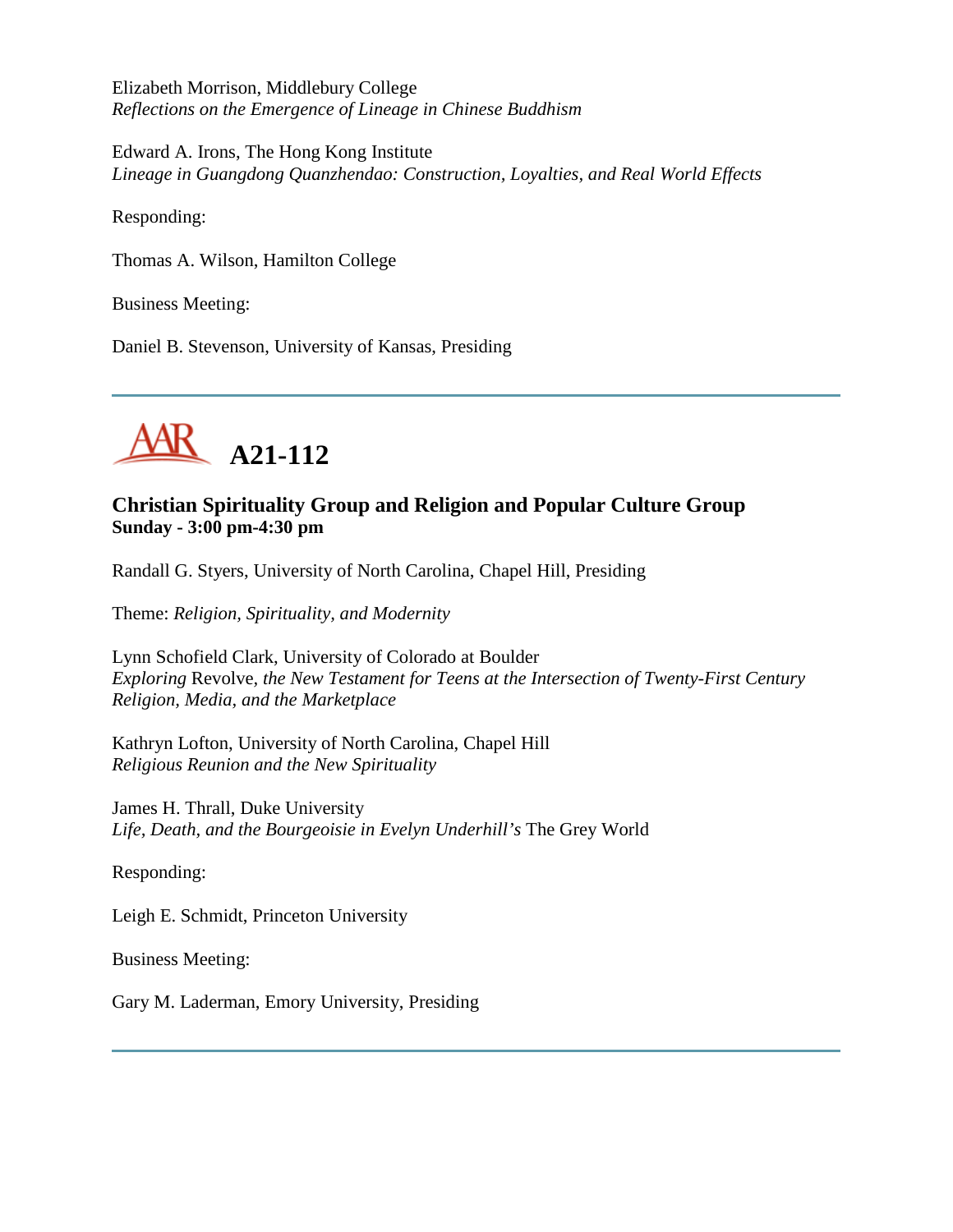Elizabeth Morrison, Middlebury College *Reflections on the Emergence of Lineage in Chinese Buddhism*

Edward A. Irons, The Hong Kong Institute *Lineage in Guangdong Quanzhendao: Construction, Loyalties, and Real World Effects*

Responding:

Thomas A. Wilson, Hamilton College

Business Meeting:

Daniel B. Stevenson, University of Kansas, Presiding



# **Christian Spirituality Group and Religion and Popular Culture Group Sunday - 3:00 pm-4:30 pm**

Randall G. Styers, University of North Carolina, Chapel Hill, Presiding

Theme: *Religion, Spirituality, and Modernity*

Lynn Schofield Clark, University of Colorado at Boulder *Exploring* Revolve*, the New Testament for Teens at the Intersection of Twenty-First Century Religion, Media, and the Marketplace*

Kathryn Lofton, University of North Carolina, Chapel Hill *Religious Reunion and the New Spirituality*

James H. Thrall, Duke University *Life, Death, and the Bourgeoisie in Evelyn Underhill's* The Grey World

Responding:

Leigh E. Schmidt, Princeton University

Business Meeting:

Gary M. Laderman, Emory University, Presiding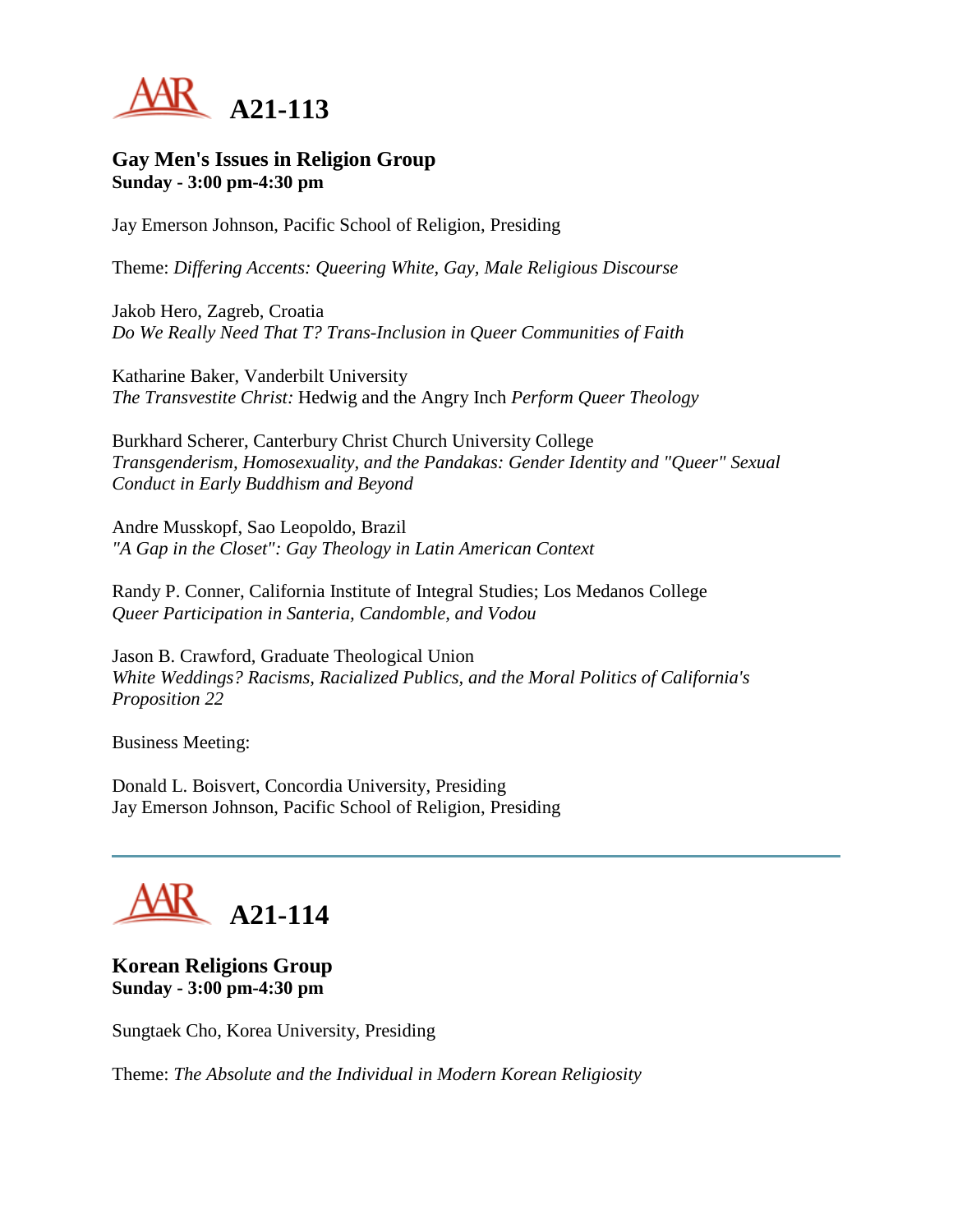

#### **Gay Men's Issues in Religion Group Sunday - 3:00 pm-4:30 pm**

Jay Emerson Johnson, Pacific School of Religion, Presiding

Theme: *Differing Accents: Queering White, Gay, Male Religious Discourse*

Jakob Hero, Zagreb, Croatia *Do We Really Need That T? Trans-Inclusion in Queer Communities of Faith*

Katharine Baker, Vanderbilt University *The Transvestite Christ:* Hedwig and the Angry Inch *Perform Queer Theology*

Burkhard Scherer, Canterbury Christ Church University College *Transgenderism, Homosexuality, and the Pandakas: Gender Identity and "Queer" Sexual Conduct in Early Buddhism and Beyond*

Andre Musskopf, Sao Leopoldo, Brazil *"A Gap in the Closet": Gay Theology in Latin American Context*

Randy P. Conner, California Institute of Integral Studies; Los Medanos College *Queer Participation in Santeria, Candomble, and Vodou*

Jason B. Crawford, Graduate Theological Union *White Weddings? Racisms, Racialized Publics, and the Moral Politics of California's Proposition 22*

Business Meeting:

Donald L. Boisvert, Concordia University, Presiding Jay Emerson Johnson, Pacific School of Religion, Presiding

# **A21-114**

**Korean Religions Group Sunday - 3:00 pm-4:30 pm**

Sungtaek Cho, Korea University, Presiding

Theme: *The Absolute and the Individual in Modern Korean Religiosity*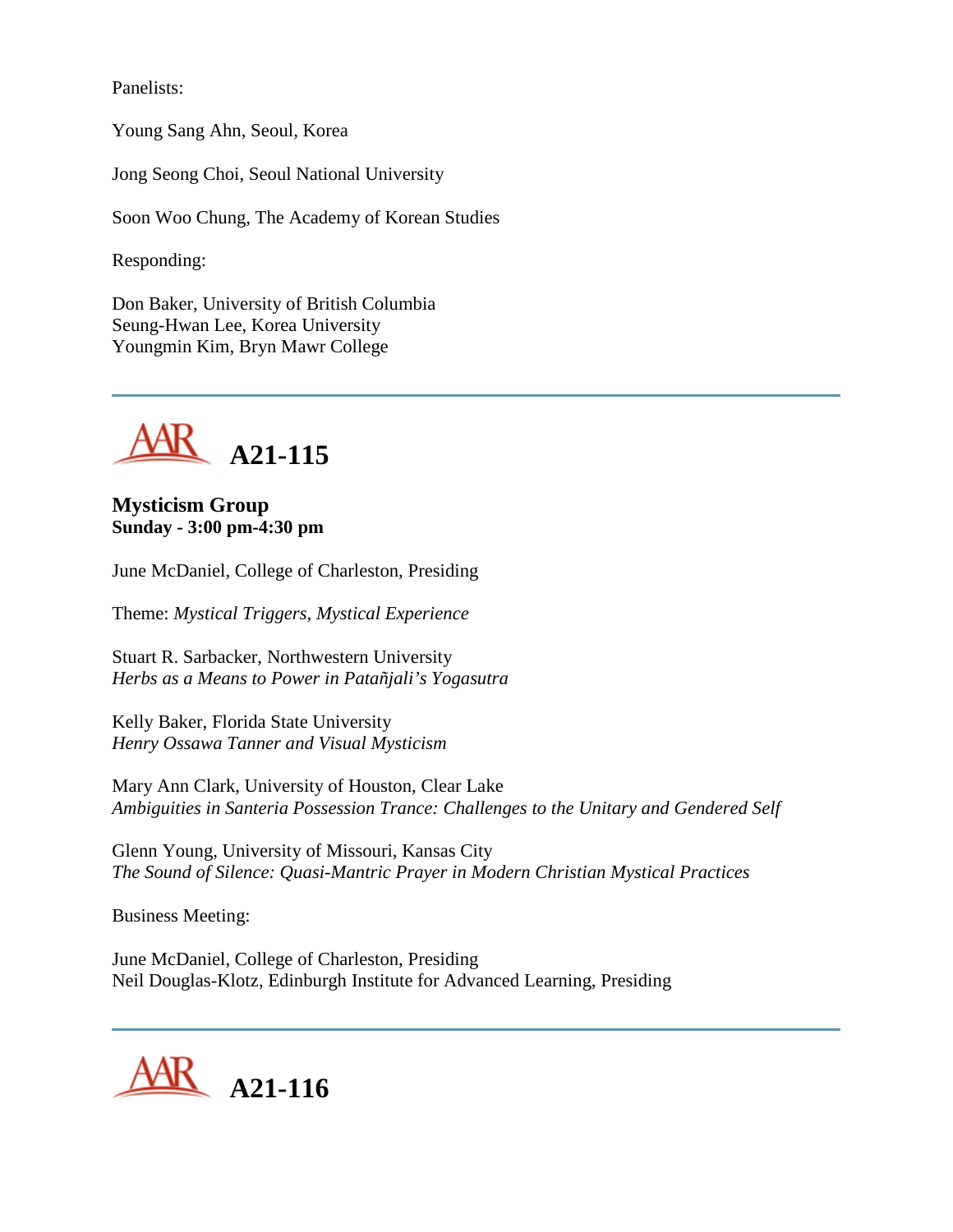Panelists:

Young Sang Ahn, Seoul, Korea

Jong Seong Choi, Seoul National University

Soon Woo Chung, The Academy of Korean Studies

Responding:

Don Baker, University of British Columbia Seung-Hwan Lee, Korea University Youngmin Kim, Bryn Mawr College



**Mysticism Group Sunday - 3:00 pm-4:30 pm**

June McDaniel, College of Charleston, Presiding

Theme: *Mystical Triggers, Mystical Experience*

Stuart R. Sarbacker, Northwestern University *Herbs as a Means to Power in Patañjali's Yogasutra*

Kelly Baker, Florida State University *Henry Ossawa Tanner and Visual Mysticism*

Mary Ann Clark, University of Houston, Clear Lake *Ambiguities in Santeria Possession Trance: Challenges to the Unitary and Gendered Self*

Glenn Young, University of Missouri, Kansas City *The Sound of Silence: Quasi-Mantric Prayer in Modern Christian Mystical Practices*

Business Meeting:

June McDaniel, College of Charleston, Presiding Neil Douglas-Klotz, Edinburgh Institute for Advanced Learning, Presiding

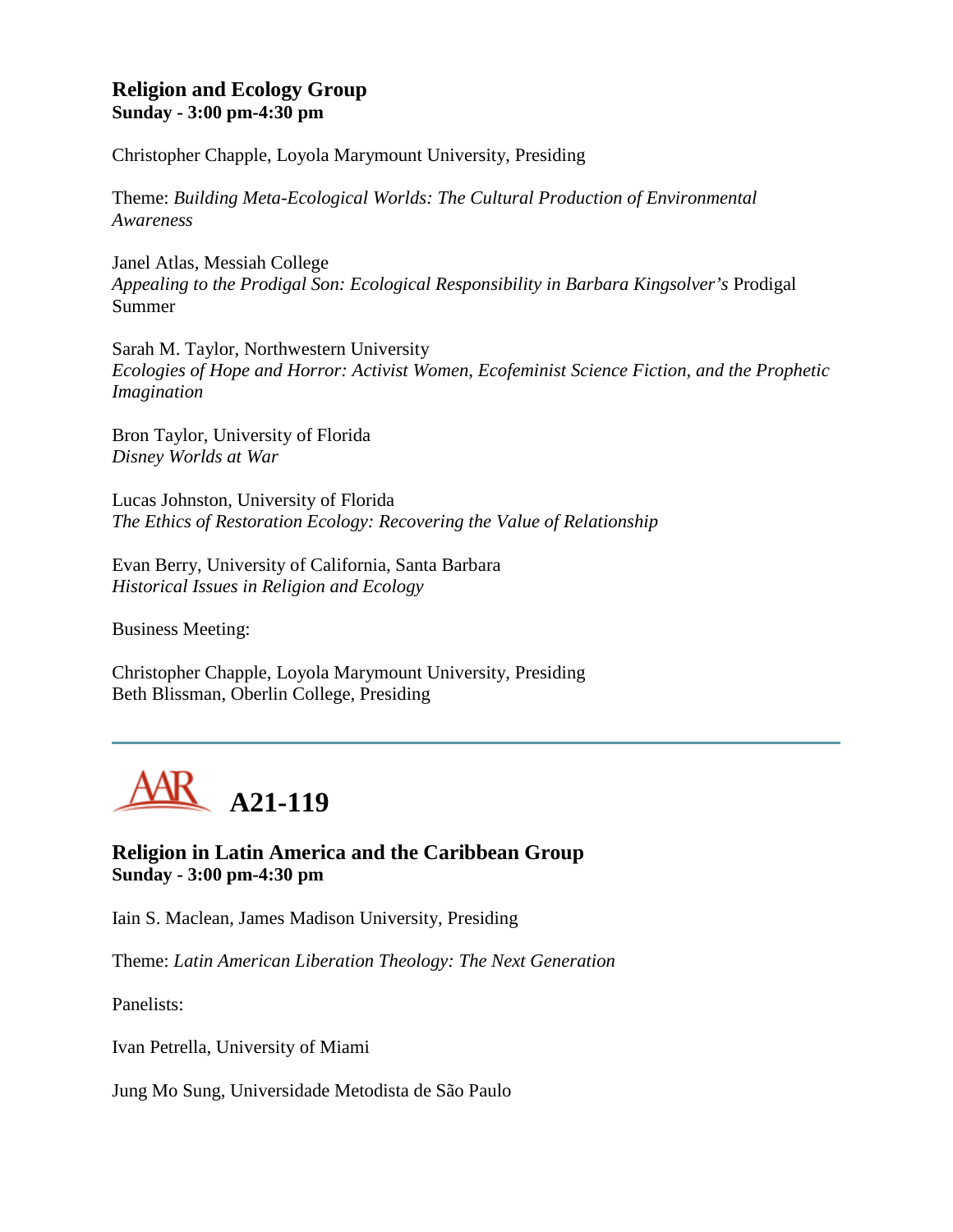## **Religion and Ecology Group Sunday - 3:00 pm-4:30 pm**

Christopher Chapple, Loyola Marymount University, Presiding

Theme: *Building Meta-Ecological Worlds: The Cultural Production of Environmental Awareness*

Janel Atlas, Messiah College *Appealing to the Prodigal Son: Ecological Responsibility in Barbara Kingsolver's* Prodigal Summer

Sarah M. Taylor, Northwestern University *Ecologies of Hope and Horror: Activist Women, Ecofeminist Science Fiction, and the Prophetic Imagination*

Bron Taylor, University of Florida *Disney Worlds at War*

Lucas Johnston, University of Florida *The Ethics of Restoration Ecology: Recovering the Value of Relationship*

Evan Berry, University of California, Santa Barbara *Historical Issues in Religion and Ecology*

Business Meeting:

Christopher Chapple, Loyola Marymount University, Presiding Beth Blissman, Oberlin College, Presiding



## **Religion in Latin America and the Caribbean Group Sunday - 3:00 pm-4:30 pm**

Iain S. Maclean, James Madison University, Presiding

Theme: *Latin American Liberation Theology: The Next Generation*

Panelists:

Ivan Petrella, University of Miami

Jung Mo Sung, Universidade Metodista de São Paulo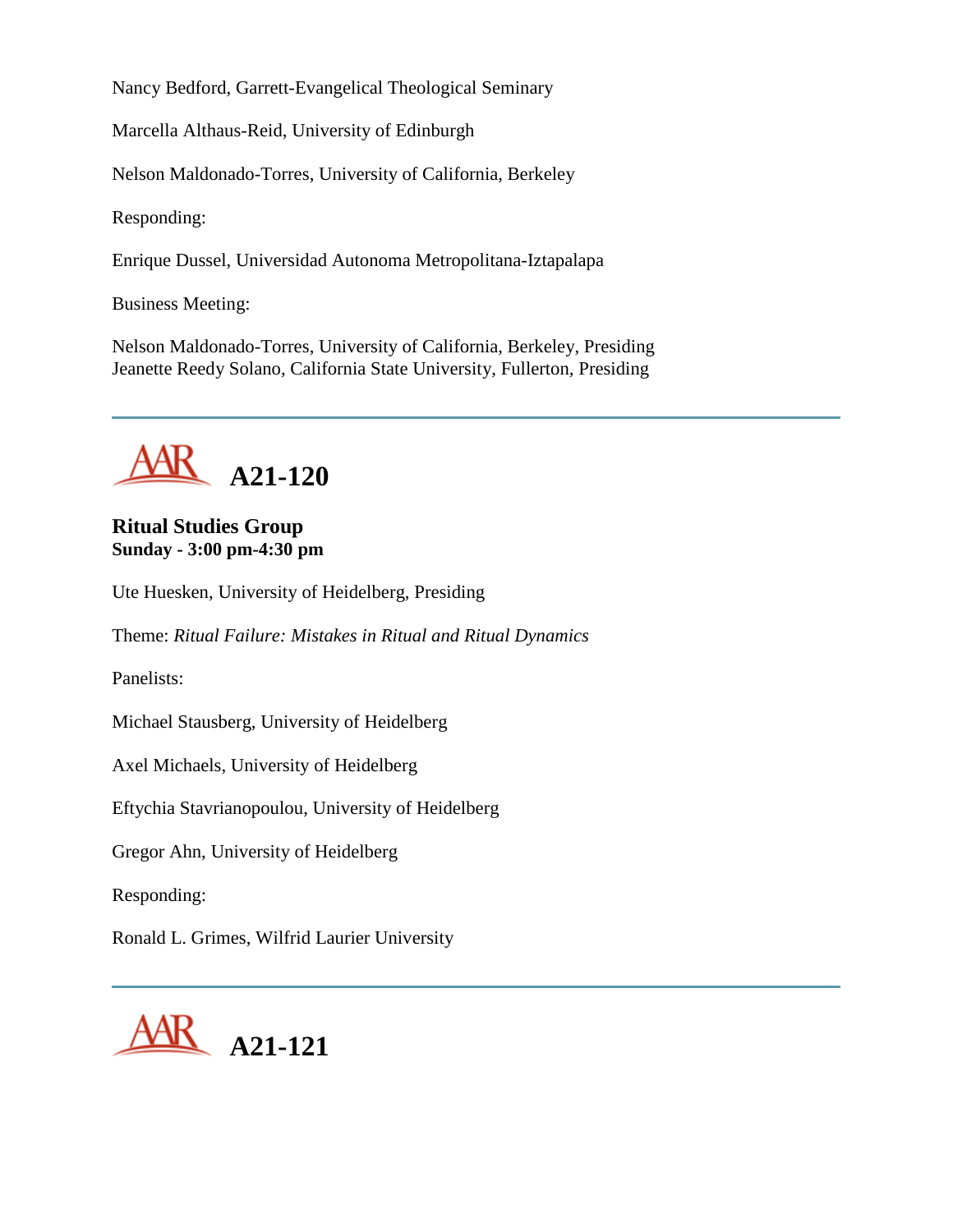Nancy Bedford, Garrett-Evangelical Theological Seminary

Marcella Althaus-Reid, University of Edinburgh

Nelson Maldonado-Torres, University of California, Berkeley

Responding:

Enrique Dussel, Universidad Autonoma Metropolitana-Iztapalapa

Business Meeting:

Nelson Maldonado-Torres, University of California, Berkeley, Presiding Jeanette Reedy Solano, California State University, Fullerton, Presiding



# **Ritual Studies Group Sunday - 3:00 pm-4:30 pm**

Ute Huesken, University of Heidelberg, Presiding

Theme: *Ritual Failure: Mistakes in Ritual and Ritual Dynamics*

Panelists:

Michael Stausberg, University of Heidelberg

Axel Michaels, University of Heidelberg

Eftychia Stavrianopoulou, University of Heidelberg

Gregor Ahn, University of Heidelberg

Responding:

Ronald L. Grimes, Wilfrid Laurier University

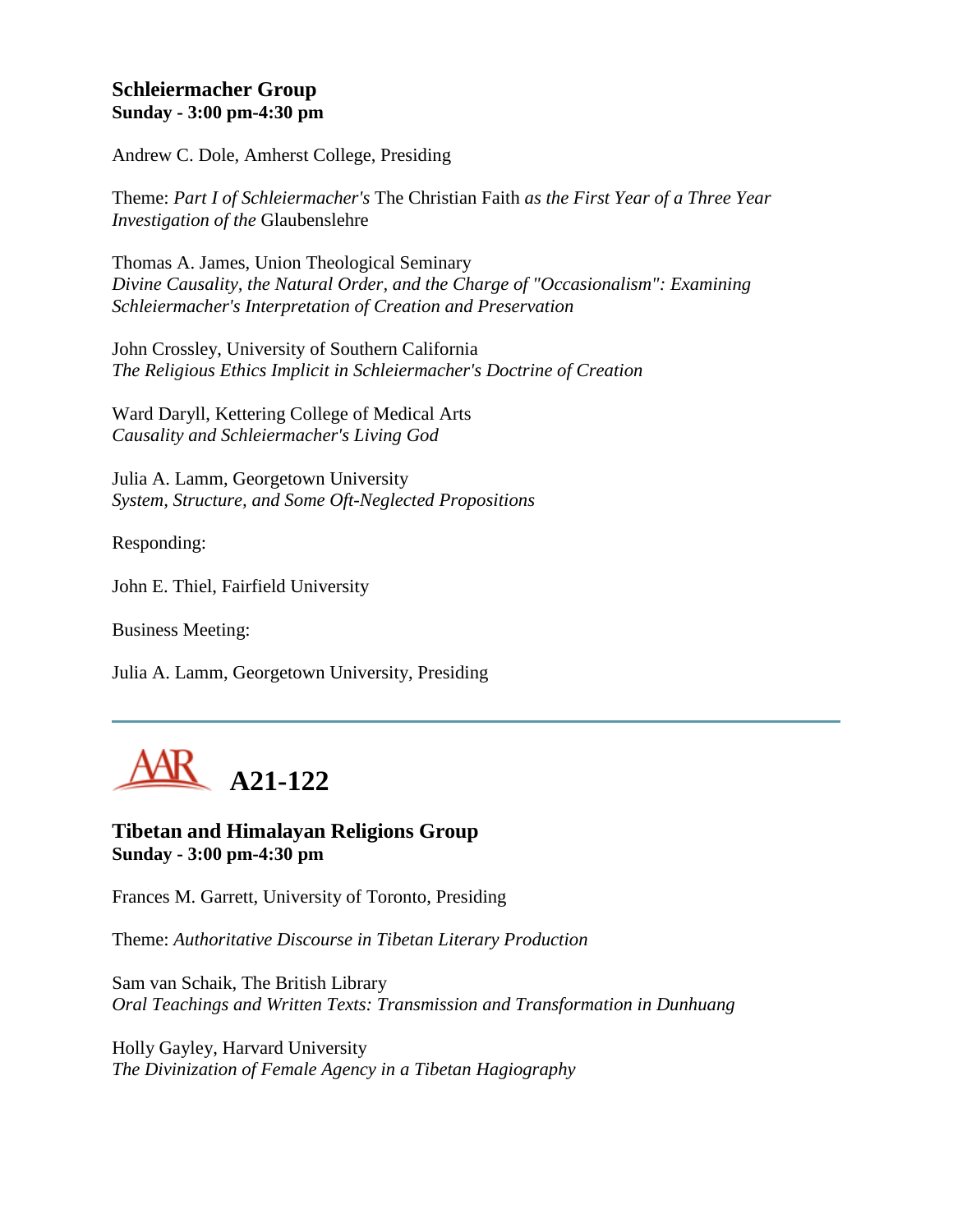## **Schleiermacher Group Sunday - 3:00 pm-4:30 pm**

Andrew C. Dole, Amherst College, Presiding

Theme: *Part I of Schleiermacher's* The Christian Faith *as the First Year of a Three Year Investigation of the* Glaubenslehre

Thomas A. James, Union Theological Seminary *Divine Causality, the Natural Order, and the Charge of "Occasionalism": Examining Schleiermacher's Interpretation of Creation and Preservation*

John Crossley, University of Southern California *The Religious Ethics Implicit in Schleiermacher's Doctrine of Creation*

Ward Daryll, Kettering College of Medical Arts *Causality and Schleiermacher's Living God*

Julia A. Lamm, Georgetown University *System, Structure, and Some Oft-Neglected Propositions*

Responding:

John E. Thiel, Fairfield University

Business Meeting:

Julia A. Lamm, Georgetown University, Presiding



**Tibetan and Himalayan Religions Group Sunday - 3:00 pm-4:30 pm**

Frances M. Garrett, University of Toronto, Presiding

Theme: *Authoritative Discourse in Tibetan Literary Production*

Sam van Schaik, The British Library *Oral Teachings and Written Texts: Transmission and Transformation in Dunhuang*

Holly Gayley, Harvard University *The Divinization of Female Agency in a Tibetan Hagiography*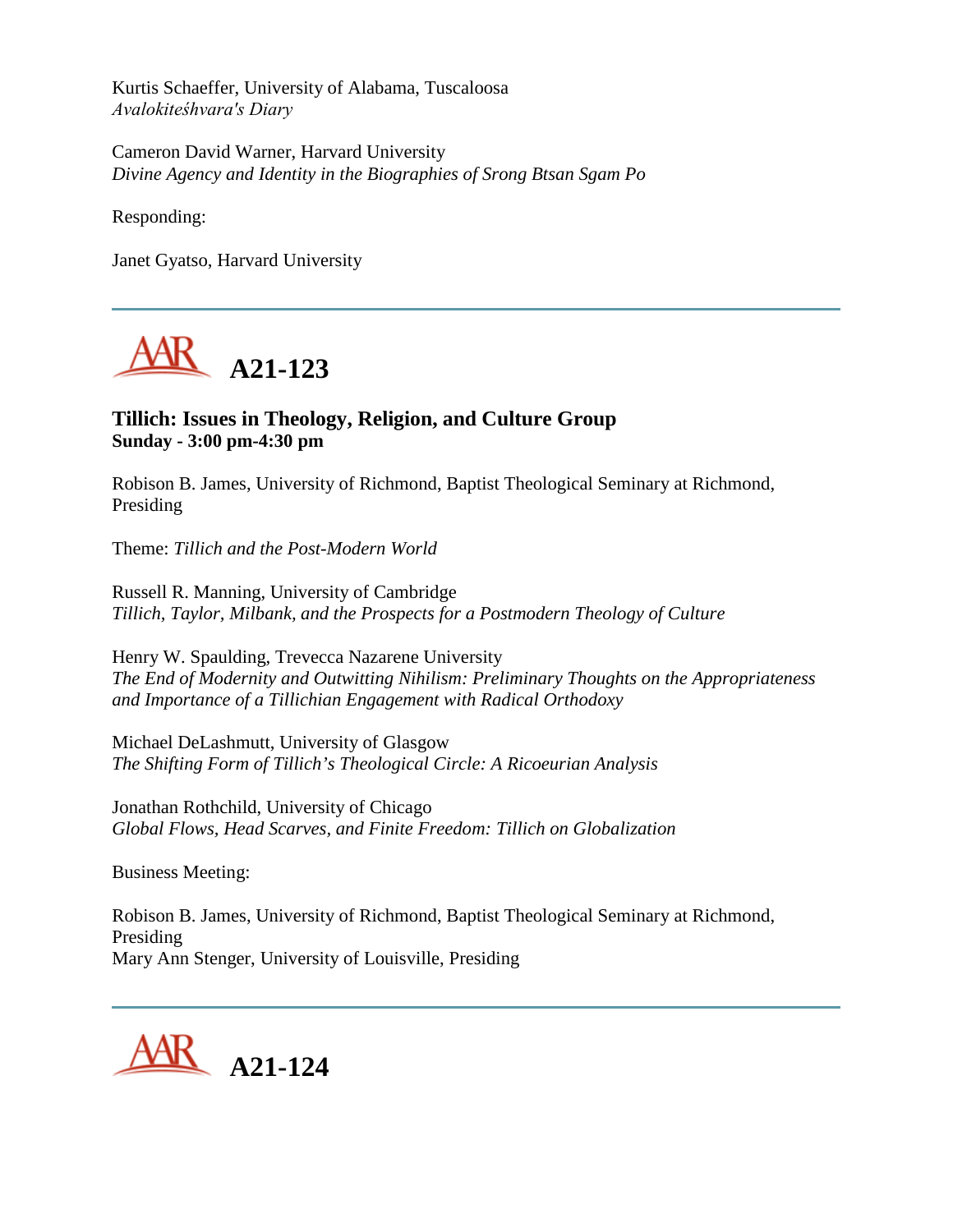Kurtis Schaeffer, University of Alabama, Tuscaloosa *Avalokiteśhvara's Diary*

Cameron David Warner, Harvard University *Divine Agency and Identity in the Biographies of Srong Btsan Sgam Po*

Responding:

Janet Gyatso, Harvard University



## **Tillich: Issues in Theology, Religion, and Culture Group Sunday - 3:00 pm-4:30 pm**

Robison B. James, University of Richmond, Baptist Theological Seminary at Richmond, Presiding

Theme: *Tillich and the Post-Modern World*

Russell R. Manning, University of Cambridge *Tillich, Taylor, Milbank, and the Prospects for a Postmodern Theology of Culture*

Henry W. Spaulding, Trevecca Nazarene University *The End of Modernity and Outwitting Nihilism: Preliminary Thoughts on the Appropriateness and Importance of a Tillichian Engagement with Radical Orthodoxy*

Michael DeLashmutt, University of Glasgow *The Shifting Form of Tillich's Theological Circle: A Ricoeurian Analysis*

Jonathan Rothchild, University of Chicago *Global Flows, Head Scarves, and Finite Freedom: Tillich on Globalization*

Business Meeting:

Robison B. James, University of Richmond, Baptist Theological Seminary at Richmond, Presiding Mary Ann Stenger, University of Louisville, Presiding

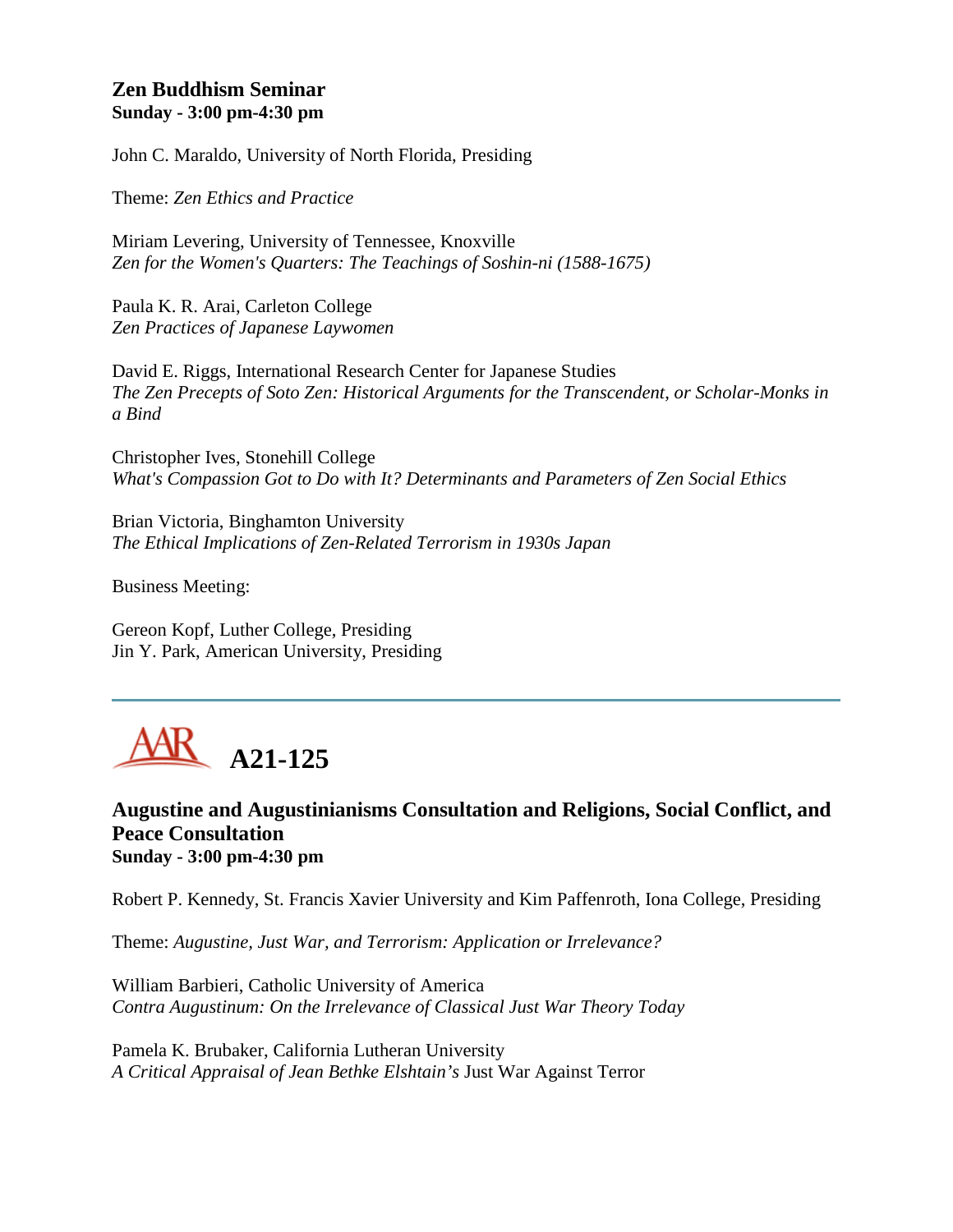## **Zen Buddhism Seminar Sunday - 3:00 pm-4:30 pm**

John C. Maraldo, University of North Florida, Presiding

Theme: *Zen Ethics and Practice*

Miriam Levering, University of Tennessee, Knoxville *Zen for the Women's Quarters: The Teachings of Soshin-ni (1588-1675)*

Paula K. R. Arai, Carleton College *Zen Practices of Japanese Laywomen*

David E. Riggs, International Research Center for Japanese Studies *The Zen Precepts of Soto Zen: Historical Arguments for the Transcendent, or Scholar-Monks in a Bind*

Christopher Ives, Stonehill College *What's Compassion Got to Do with It? Determinants and Parameters of Zen Social Ethics*

Brian Victoria, Binghamton University *The Ethical Implications of Zen-Related Terrorism in 1930s Japan*

Business Meeting:

Gereon Kopf, Luther College, Presiding Jin Y. Park, American University, Presiding

# **A21-125**

## **Augustine and Augustinianisms Consultation and Religions, Social Conflict, and Peace Consultation Sunday - 3:00 pm-4:30 pm**

Robert P. Kennedy, St. Francis Xavier University and Kim Paffenroth, Iona College, Presiding

Theme: *Augustine, Just War, and Terrorism: Application or Irrelevance?* 

William Barbieri, Catholic University of America *Contra Augustinum: On the Irrelevance of Classical Just War Theory Today*

Pamela K. Brubaker, California Lutheran University *A Critical Appraisal of Jean Bethke Elshtain's* Just War Against Terror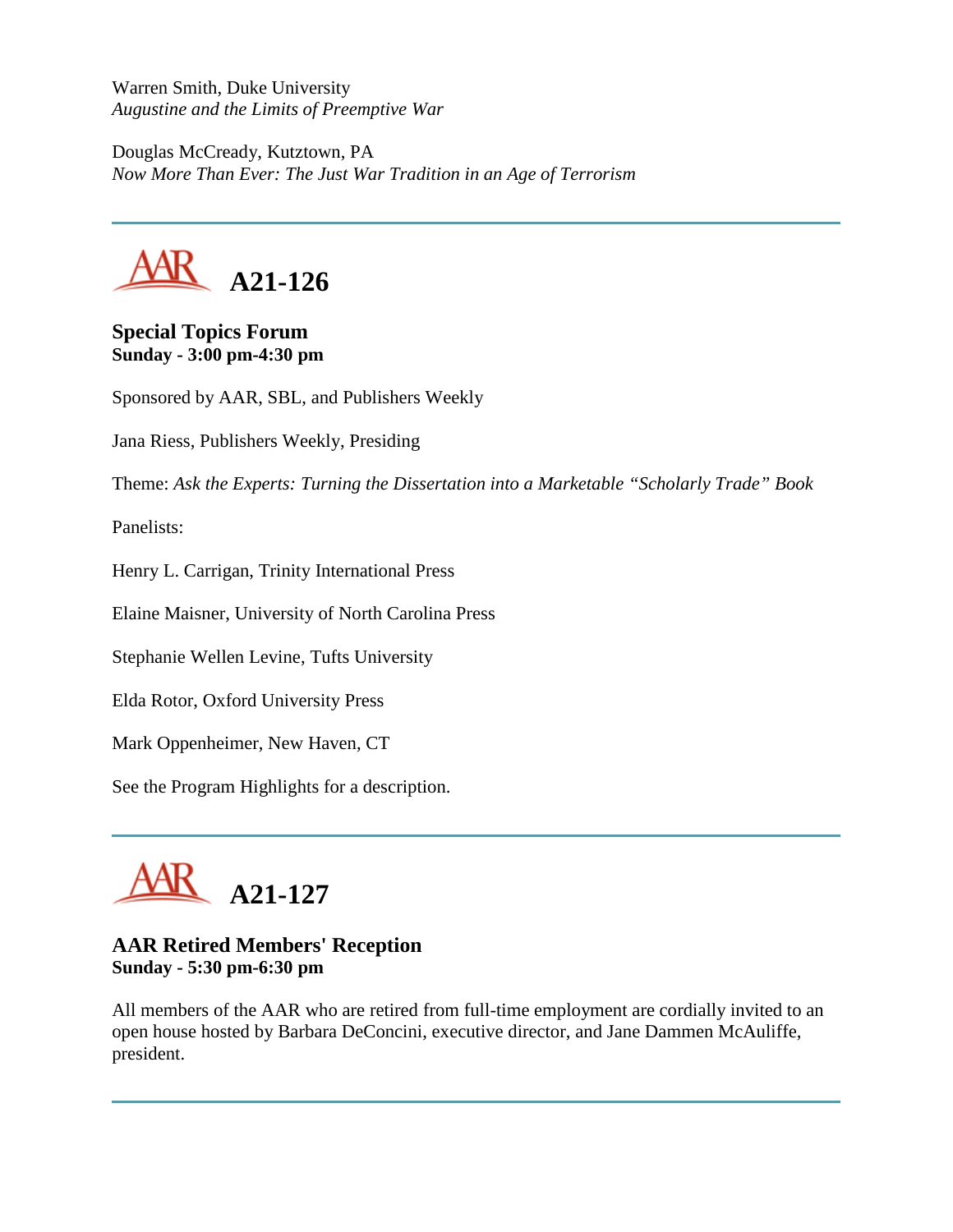Warren Smith, Duke University *Augustine and the Limits of Preemptive War*

Douglas McCready, Kutztown, PA *Now More Than Ever: The Just War Tradition in an Age of Terrorism*



### **Special Topics Forum Sunday - 3:00 pm-4:30 pm**

Sponsored by AAR, SBL, and Publishers Weekly

Jana Riess, Publishers Weekly, Presiding

Theme: *Ask the Experts: Turning the Dissertation into a Marketable "Scholarly Trade" Book*

Panelists:

Henry L. Carrigan, Trinity International Press

Elaine Maisner, University of North Carolina Press

Stephanie Wellen Levine, Tufts University

Elda Rotor, Oxford University Press

Mark Oppenheimer, New Haven, CT

See the Program Highlights for a description.



# **AAR Retired Members' Reception Sunday - 5:30 pm-6:30 pm**

All members of the AAR who are retired from full-time employment are cordially invited to an open house hosted by Barbara DeConcini, executive director, and Jane Dammen McAuliffe, president.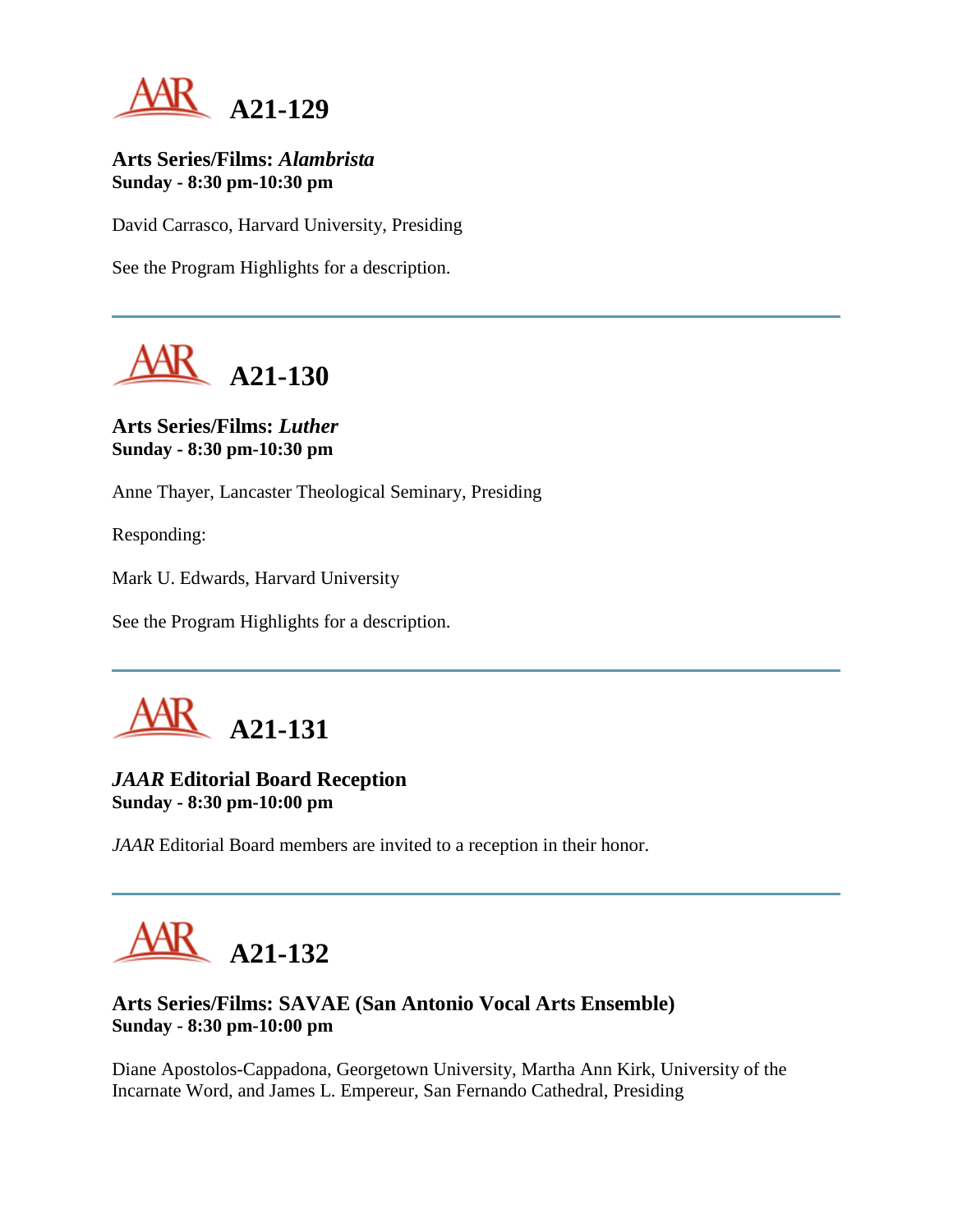

### **Arts Series/Films:** *Alambrista* **Sunday - 8:30 pm-10:30 pm**

David Carrasco, Harvard University, Presiding

See the Program Highlights for a description.



**Arts Series/Films:** *Luther* **Sunday - 8:30 pm-10:30 pm**

Anne Thayer, Lancaster Theological Seminary, Presiding

Responding:

Mark U. Edwards, Harvard University

See the Program Highlights for a description.



## *JAAR* **Editorial Board Reception Sunday - 8:30 pm-10:00 pm**

*JAAR* Editorial Board members are invited to a reception in their honor.



# **Arts Series/Films: SAVAE (San Antonio Vocal Arts Ensemble) Sunday - 8:30 pm-10:00 pm**

Diane Apostolos-Cappadona, Georgetown University, Martha Ann Kirk, University of the Incarnate Word, and James L. Empereur, San Fernando Cathedral, Presiding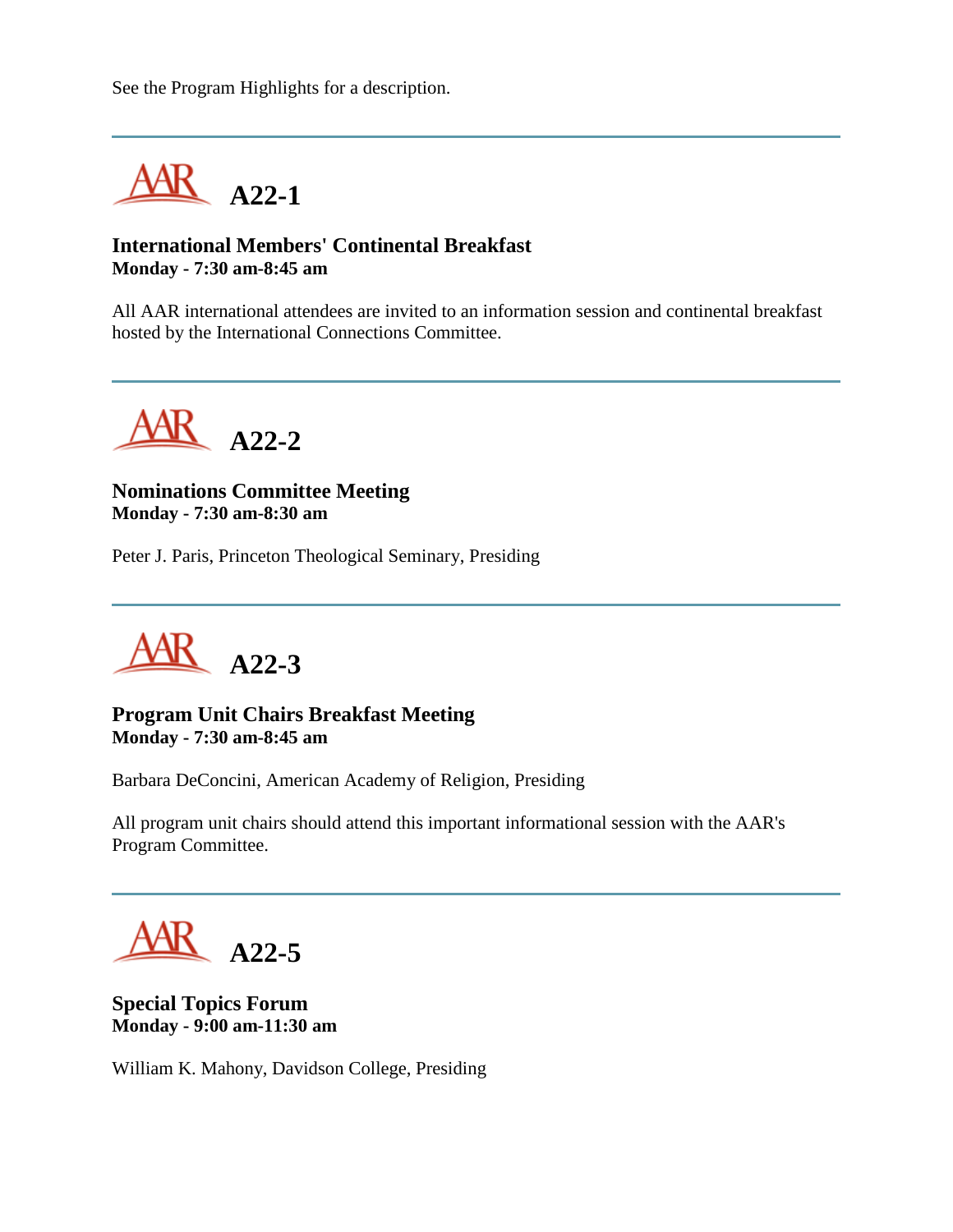See the Program Highlights for a description.



### **International Members' Continental Breakfast Monday - 7:30 am-8:45 am**

All AAR international attendees are invited to an information session and continental breakfast hosted by the International Connections Committee.



**Nominations Committee Meeting Monday - 7:30 am-8:30 am**

Peter J. Paris, Princeton Theological Seminary, Presiding



**Program Unit Chairs Breakfast Meeting Monday - 7:30 am-8:45 am**

Barbara DeConcini, American Academy of Religion, Presiding

All program unit chairs should attend this important informational session with the AAR's Program Committee.

**A22-5**

**Special Topics Forum Monday - 9:00 am-11:30 am**

William K. Mahony, Davidson College, Presiding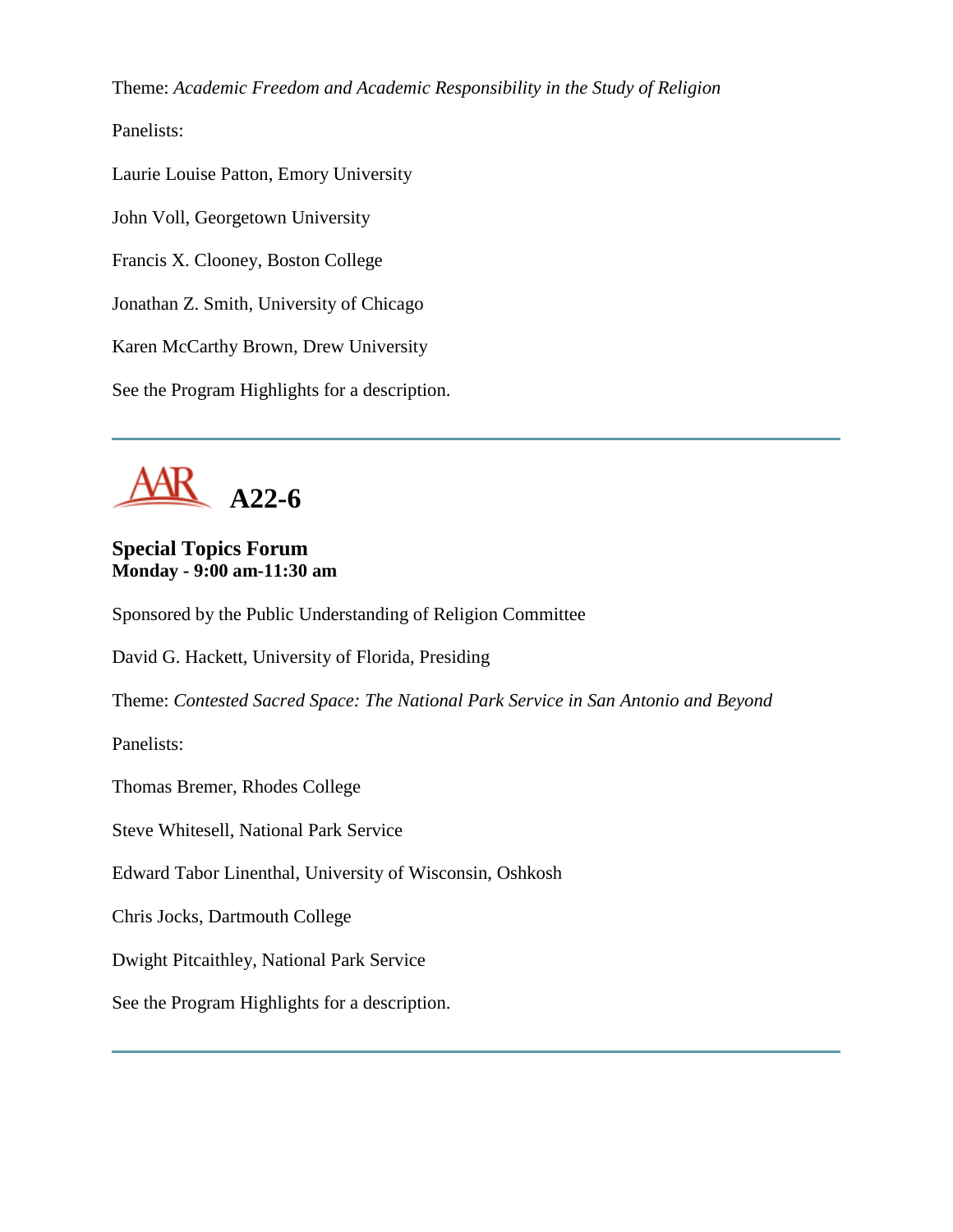Theme: *Academic Freedom and Academic Responsibility in the Study of Religion*

Panelists:

Laurie Louise Patton, Emory University

John Voll, Georgetown University

Francis X. Clooney, Boston College

Jonathan Z. Smith, University of Chicago

Karen McCarthy Brown, Drew University

See the Program Highlights for a description.



# **Special Topics Forum Monday - 9:00 am-11:30 am**

Sponsored by the Public Understanding of Religion Committee

David G. Hackett, University of Florida, Presiding

Theme: *Contested Sacred Space: The National Park Service in San Antonio and Beyond*

Panelists:

Thomas Bremer, Rhodes College

Steve Whitesell, National Park Service

Edward Tabor Linenthal, University of Wisconsin, Oshkosh

Chris Jocks, Dartmouth College

Dwight Pitcaithley, National Park Service

See the Program Highlights for a description.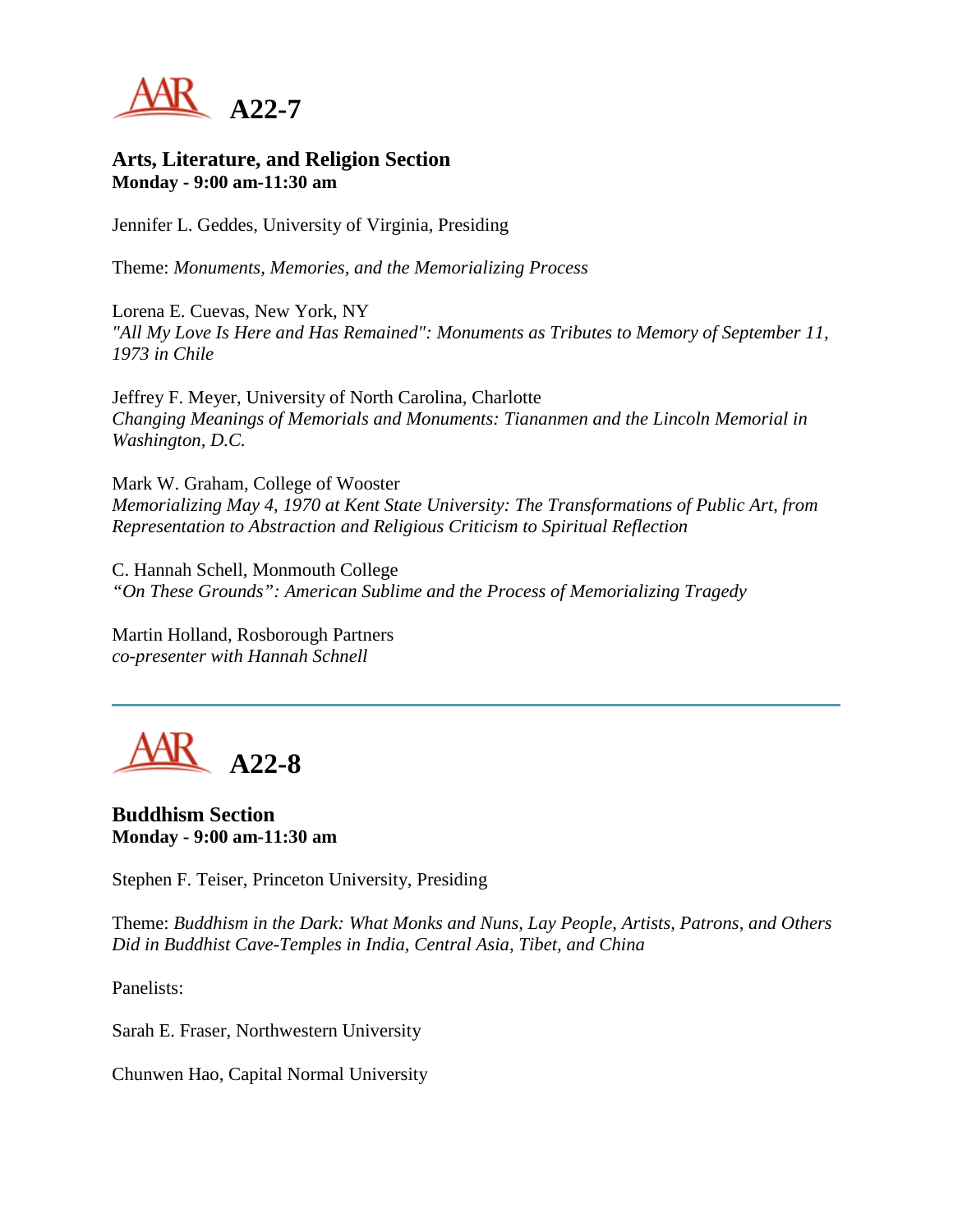

#### **Arts, Literature, and Religion Section Monday - 9:00 am-11:30 am**

Jennifer L. Geddes, University of Virginia, Presiding

Theme: *Monuments, Memories, and the Memorializing Process*

Lorena E. Cuevas, New York, NY *"All My Love Is Here and Has Remained": Monuments as Tributes to Memory of September 11, 1973 in Chile*

Jeffrey F. Meyer, University of North Carolina, Charlotte *Changing Meanings of Memorials and Monuments: Tiananmen and the Lincoln Memorial in Washington, D.C.*

Mark W. Graham, College of Wooster *Memorializing May 4, 1970 at Kent State University: The Transformations of Public Art, from Representation to Abstraction and Religious Criticism to Spiritual Reflection*

C. Hannah Schell, Monmouth College *"On These Grounds": American Sublime and the Process of Memorializing Tragedy*

Martin Holland, Rosborough Partners *co-presenter with Hannah Schnell*

**A22-8**

**Buddhism Section Monday - 9:00 am-11:30 am**

Stephen F. Teiser, Princeton University, Presiding

Theme: *Buddhism in the Dark: What Monks and Nuns, Lay People, Artists, Patrons, and Others Did in Buddhist Cave-Temples in India, Central Asia, Tibet, and China*

Panelists:

Sarah E. Fraser, Northwestern University

Chunwen Hao, Capital Normal University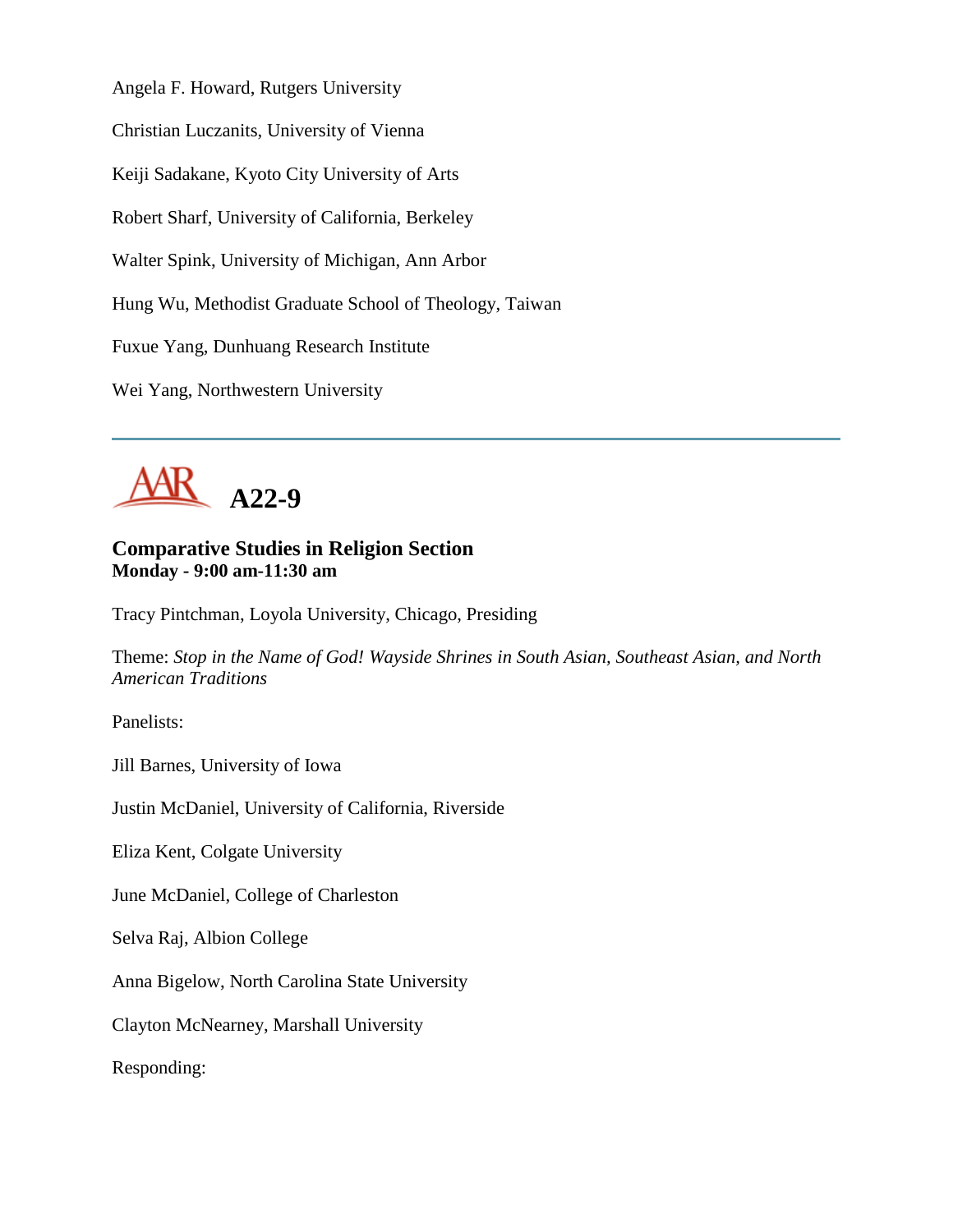Angela F. Howard, Rutgers University

Christian Luczanits, University of Vienna

Keiji Sadakane, Kyoto City University of Arts

Robert Sharf, University of California, Berkeley

Walter Spink, University of Michigan, Ann Arbor

Hung Wu, Methodist Graduate School of Theology, Taiwan

Fuxue Yang, Dunhuang Research Institute

Wei Yang, Northwestern University



# **Comparative Studies in Religion Section Monday - 9:00 am-11:30 am**

Tracy Pintchman, Loyola University, Chicago, Presiding

Theme: *Stop in the Name of God! Wayside Shrines in South Asian, Southeast Asian, and North American Traditions*

Panelists:

Jill Barnes, University of Iowa

Justin McDaniel, University of California, Riverside

Eliza Kent, Colgate University

June McDaniel, College of Charleston

Selva Raj, Albion College

Anna Bigelow, North Carolina State University

Clayton McNearney, Marshall University

Responding: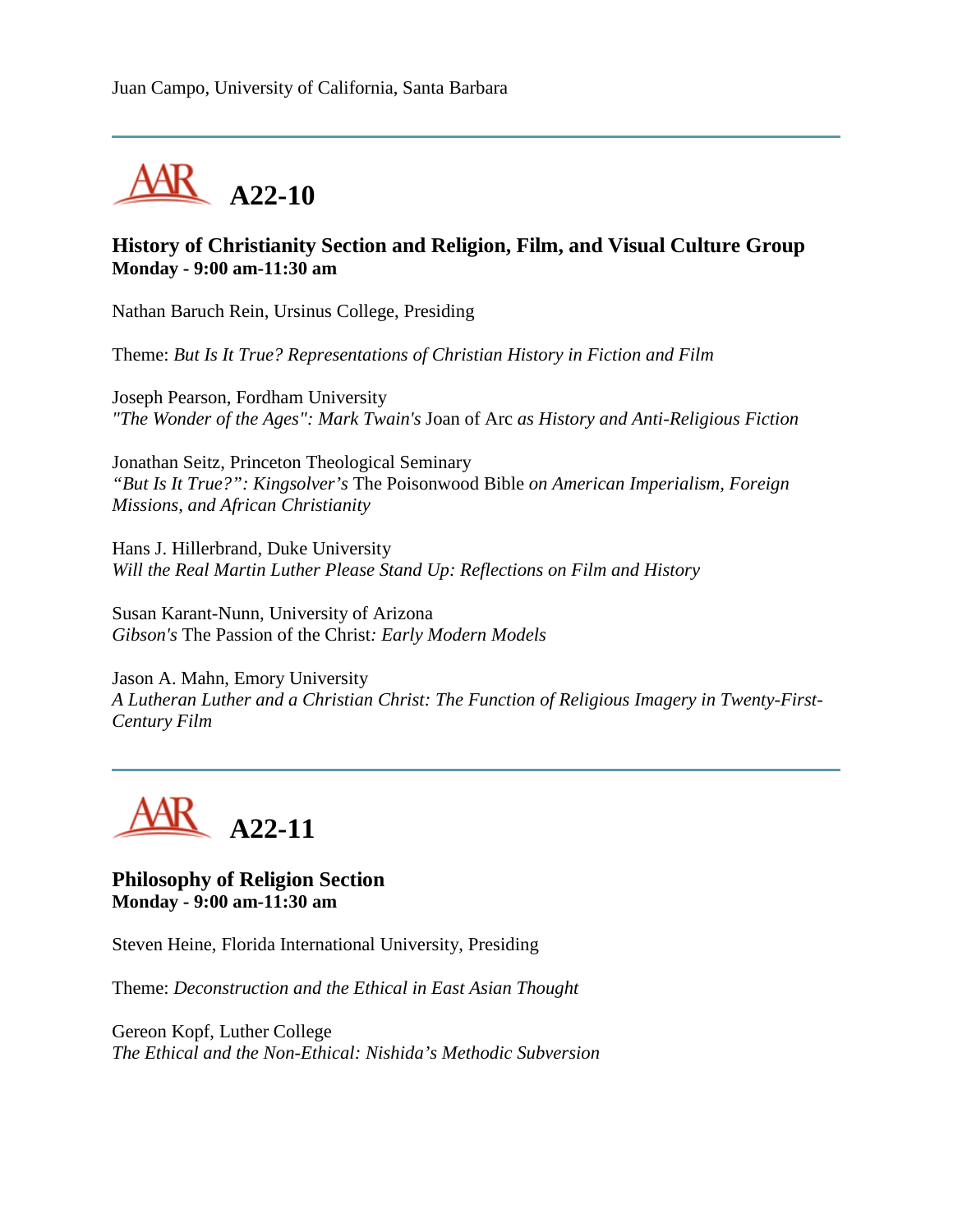

### **History of Christianity Section and Religion, Film, and Visual Culture Group Monday - 9:00 am-11:30 am**

Nathan Baruch Rein, Ursinus College, Presiding

Theme: *But Is It True? Representations of Christian History in Fiction and Film*

Joseph Pearson, Fordham University *"The Wonder of the Ages": Mark Twain's* Joan of Arc *as History and Anti-Religious Fiction*

Jonathan Seitz, Princeton Theological Seminary *"But Is It True?": Kingsolver's* The Poisonwood Bible *on American Imperialism, Foreign Missions, and African Christianity*

Hans J. Hillerbrand, Duke University *Will the Real Martin Luther Please Stand Up: Reflections on Film and History*

Susan Karant-Nunn, University of Arizona *Gibson's* The Passion of the Christ*: Early Modern Models*

Jason A. Mahn, Emory University *A Lutheran Luther and a Christian Christ: The Function of Religious Imagery in Twenty-First-Century Film*



#### **Philosophy of Religion Section Monday - 9:00 am-11:30 am**

Steven Heine, Florida International University, Presiding

Theme: *Deconstruction and the Ethical in East Asian Thought*

Gereon Kopf, Luther College *The Ethical and the Non-Ethical: Nishida's Methodic Subversion*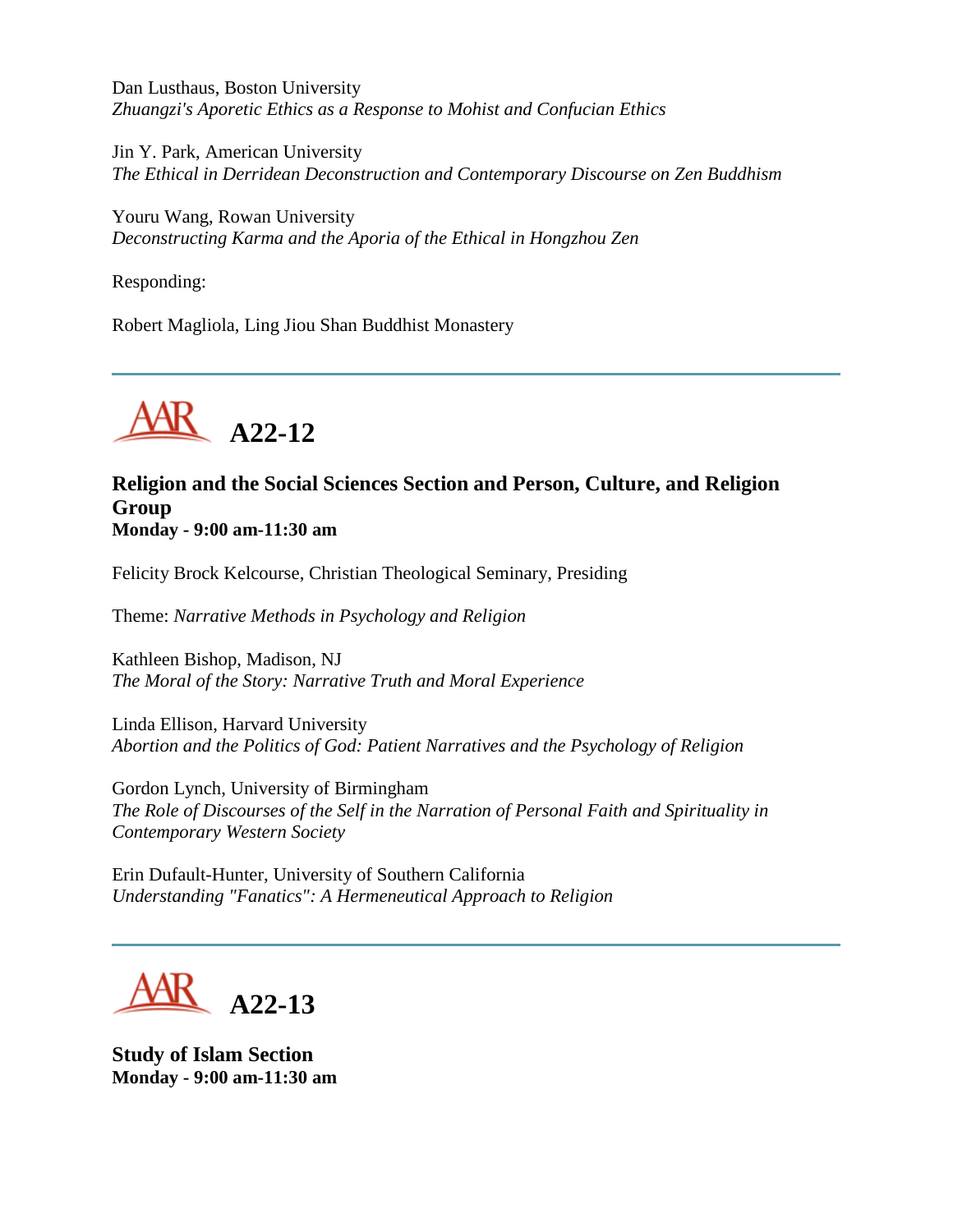Dan Lusthaus, Boston University *Zhuangzi's Aporetic Ethics as a Response to Mohist and Confucian Ethics*

Jin Y. Park, American University *The Ethical in Derridean Deconstruction and Contemporary Discourse on Zen Buddhism*

Youru Wang, Rowan University *Deconstructing Karma and the Aporia of the Ethical in Hongzhou Zen*

Responding:

Robert Magliola, Ling Jiou Shan Buddhist Monastery



# **Religion and the Social Sciences Section and Person, Culture, and Religion Group Monday - 9:00 am-11:30 am**

Felicity Brock Kelcourse, Christian Theological Seminary, Presiding

Theme: *Narrative Methods in Psychology and Religion*

Kathleen Bishop, Madison, NJ *The Moral of the Story: Narrative Truth and Moral Experience*

Linda Ellison, Harvard University *Abortion and the Politics of God: Patient Narratives and the Psychology of Religion*

Gordon Lynch, University of Birmingham *The Role of Discourses of the Self in the Narration of Personal Faith and Spirituality in Contemporary Western Society*

Erin Dufault-Hunter, University of Southern California *Understanding "Fanatics": A Hermeneutical Approach to Religion*



**Study of Islam Section Monday - 9:00 am-11:30 am**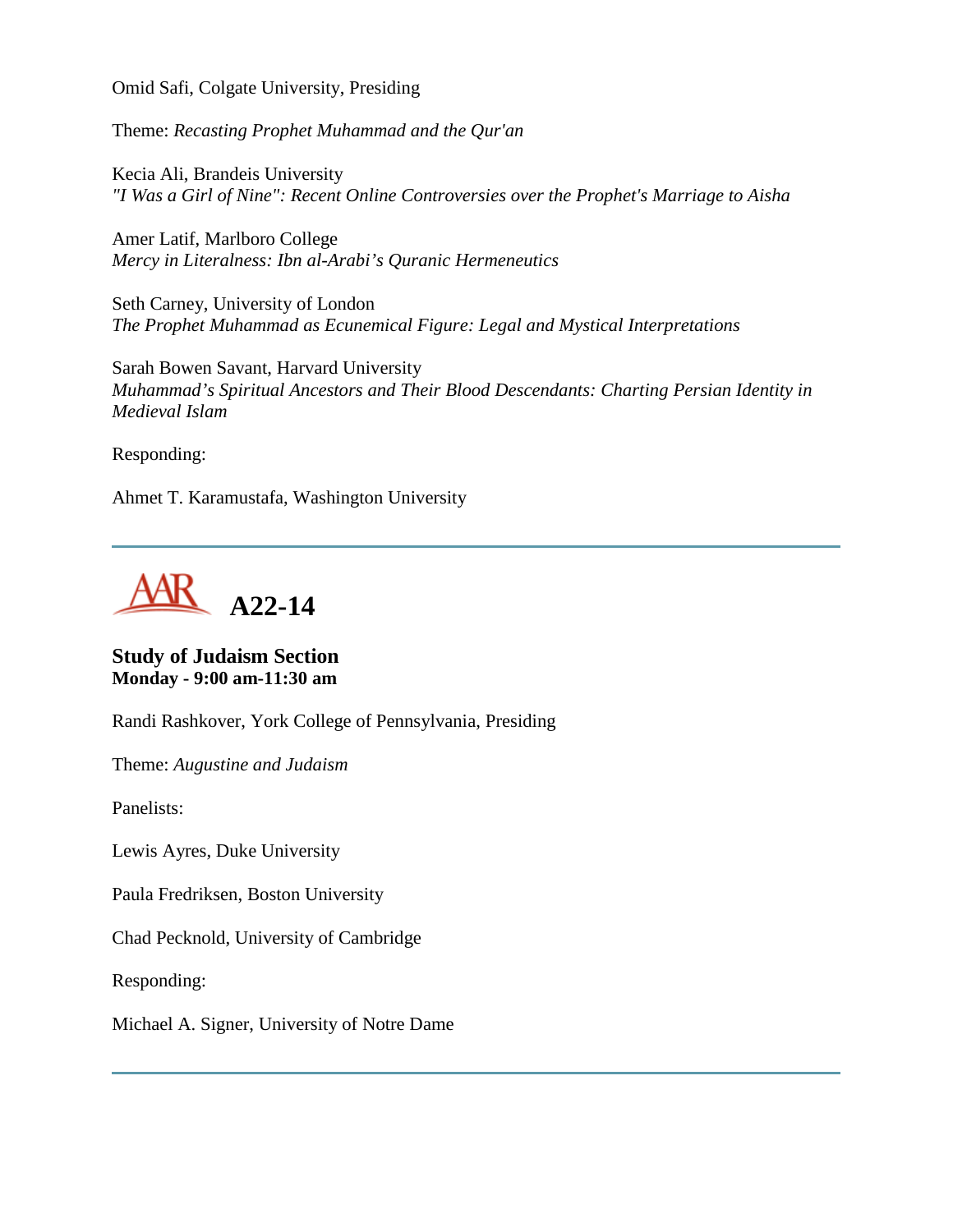Omid Safi, Colgate University, Presiding

Theme: *Recasting Prophet Muhammad and the Qur'an*

Kecia Ali, Brandeis University *"I Was a Girl of Nine": Recent Online Controversies over the Prophet's Marriage to Aisha*

Amer Latif, Marlboro College *Mercy in Literalness: Ibn al-Arabi's Quranic Hermeneutics*

Seth Carney, University of London *The Prophet Muhammad as Ecunemical Figure: Legal and Mystical Interpretations*

Sarah Bowen Savant, Harvard University *Muhammad's Spiritual Ancestors and Their Blood Descendants: Charting Persian Identity in Medieval Islam*

Responding:

Ahmet T. Karamustafa, Washington University



#### **Study of Judaism Section Monday - 9:00 am-11:30 am**

Randi Rashkover, York College of Pennsylvania, Presiding

Theme: *Augustine and Judaism*

Panelists:

Lewis Ayres, Duke University

Paula Fredriksen, Boston University

Chad Pecknold, University of Cambridge

Responding:

Michael A. Signer, University of Notre Dame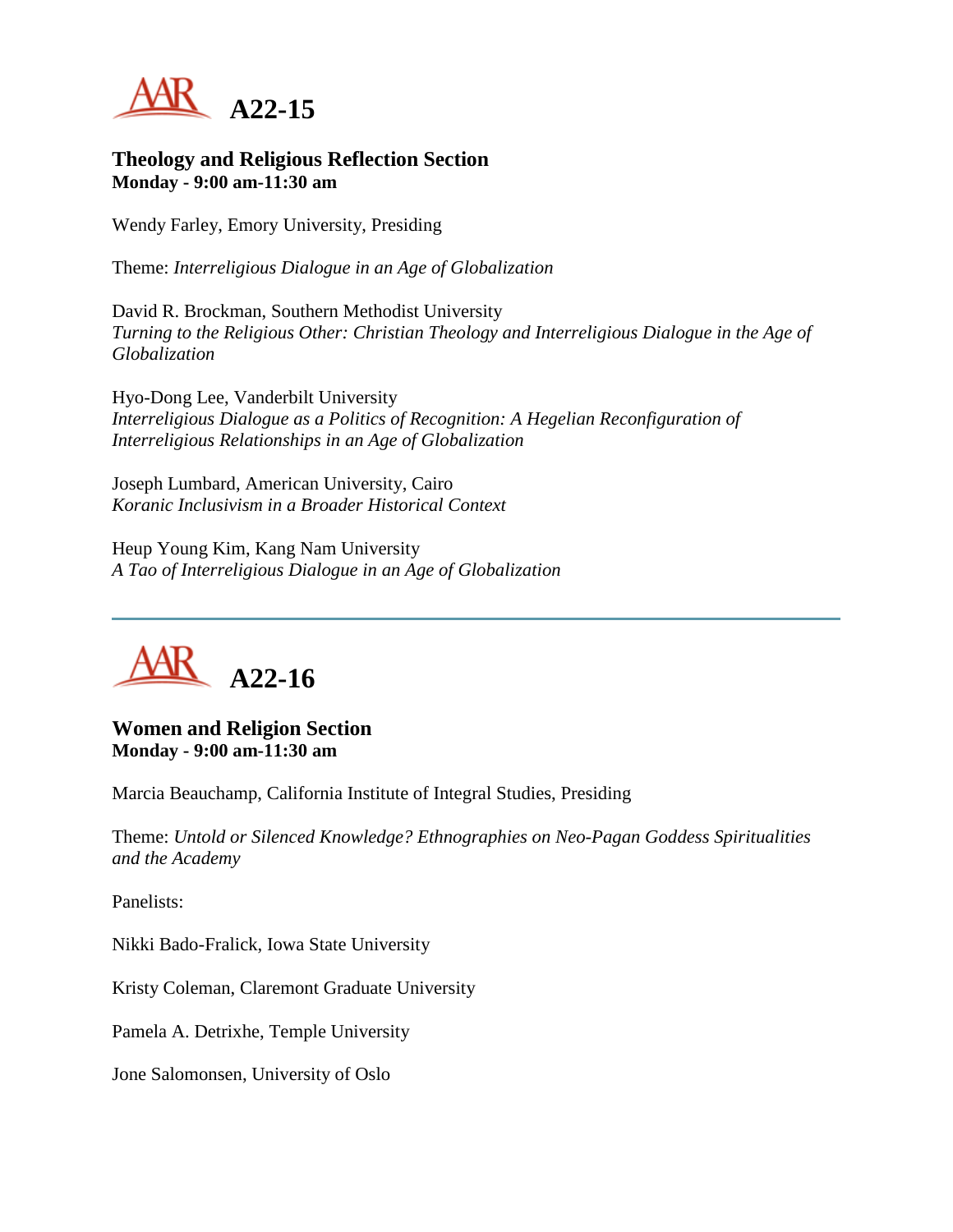

#### **Theology and Religious Reflection Section Monday - 9:00 am-11:30 am**

Wendy Farley, Emory University, Presiding

Theme: *Interreligious Dialogue in an Age of Globalization*

David R. Brockman, Southern Methodist University *Turning to the Religious Other: Christian Theology and Interreligious Dialogue in the Age of Globalization*

Hyo-Dong Lee, Vanderbilt University *Interreligious Dialogue as a Politics of Recognition: A Hegelian Reconfiguration of Interreligious Relationships in an Age of Globalization*

Joseph Lumbard, American University, Cairo *Koranic Inclusivism in a Broader Historical Context*

Heup Young Kim, Kang Nam University *A Tao of Interreligious Dialogue in an Age of Globalization*



**Women and Religion Section Monday - 9:00 am-11:30 am**

Marcia Beauchamp, California Institute of Integral Studies, Presiding

Theme: *Untold or Silenced Knowledge? Ethnographies on Neo-Pagan Goddess Spiritualities and the Academy*

Panelists:

Nikki Bado-Fralick, Iowa State University

Kristy Coleman, Claremont Graduate University

Pamela A. Detrixhe, Temple University

Jone Salomonsen, University of Oslo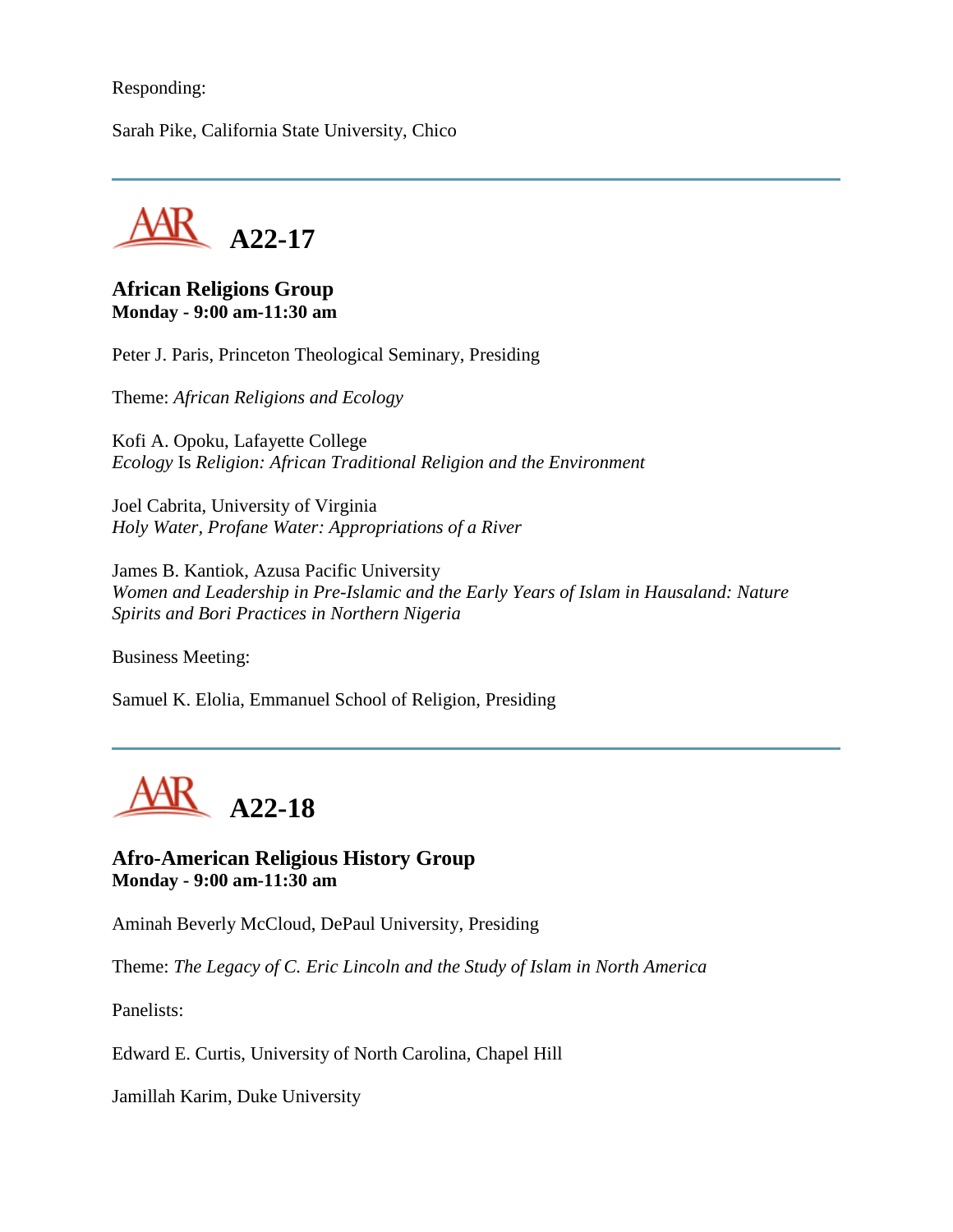#### Responding:

Sarah Pike, California State University, Chico



#### **African Religions Group Monday - 9:00 am-11:30 am**

Peter J. Paris, Princeton Theological Seminary, Presiding

Theme: *African Religions and Ecology*

Kofi A. Opoku, Lafayette College *Ecology* Is *Religion: African Traditional Religion and the Environment*

Joel Cabrita, University of Virginia *Holy Water, Profane Water: Appropriations of a River*

James B. Kantiok, Azusa Pacific University *Women and Leadership in Pre-Islamic and the Early Years of Islam in Hausaland: Nature Spirits and Bori Practices in Northern Nigeria*

Business Meeting:

Samuel K. Elolia, Emmanuel School of Religion, Presiding



**Afro-American Religious History Group Monday - 9:00 am-11:30 am**

Aminah Beverly McCloud, DePaul University, Presiding

Theme: *The Legacy of C. Eric Lincoln and the Study of Islam in North America*

Panelists:

Edward E. Curtis, University of North Carolina, Chapel Hill

Jamillah Karim, Duke University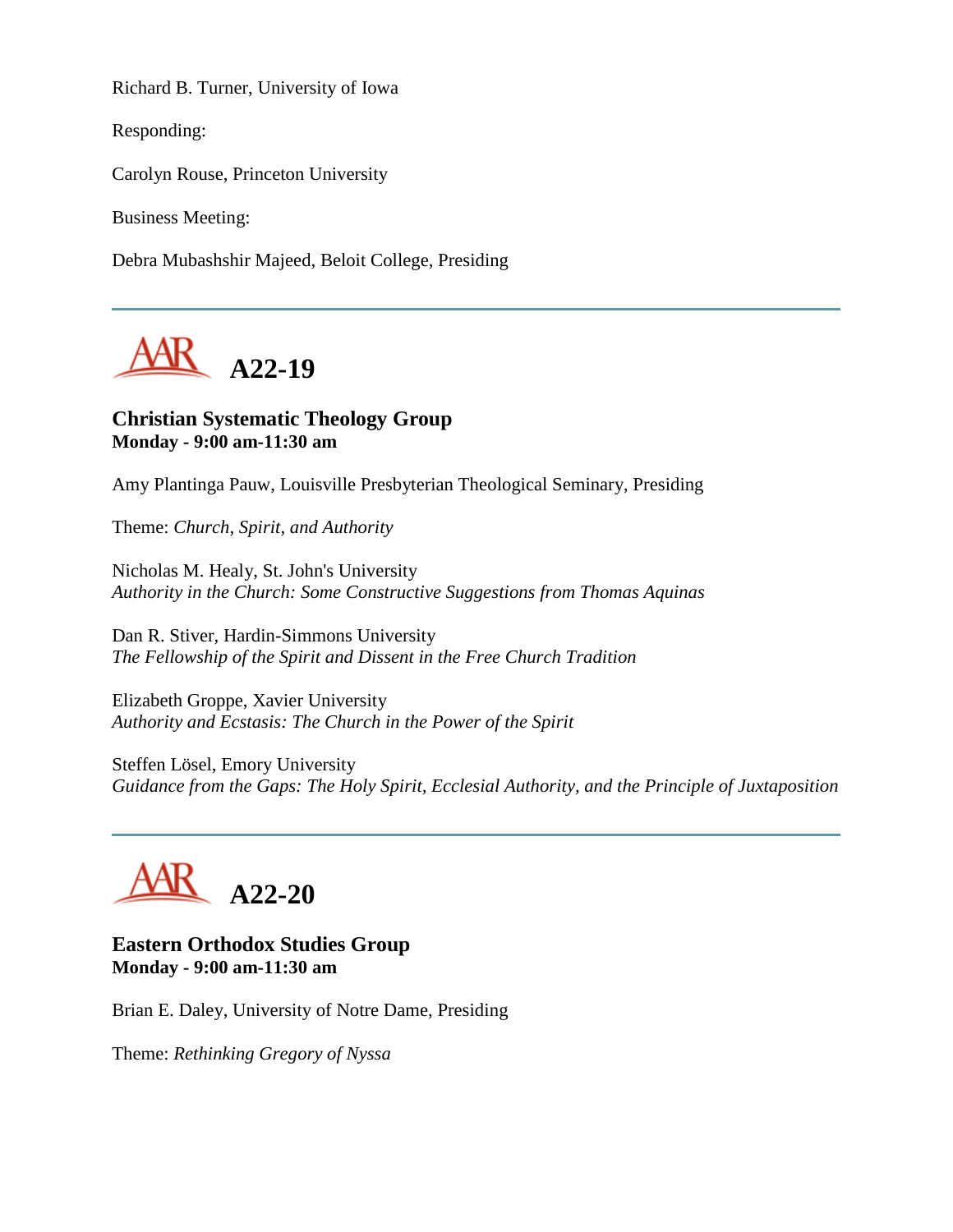Richard B. Turner, University of Iowa

Responding:

Carolyn Rouse, Princeton University

Business Meeting:

Debra Mubashshir Majeed, Beloit College, Presiding



# **Christian Systematic Theology Group Monday - 9:00 am-11:30 am**

Amy Plantinga Pauw, Louisville Presbyterian Theological Seminary, Presiding

Theme: *Church, Spirit, and Authority*

Nicholas M. Healy, St. John's University *Authority in the Church: Some Constructive Suggestions from Thomas Aquinas*

Dan R. Stiver, Hardin-Simmons University *The Fellowship of the Spirit and Dissent in the Free Church Tradition*

Elizabeth Groppe, Xavier University *Authority and Ecstasis: The Church in the Power of the Spirit*

Steffen Lösel, Emory University *Guidance from the Gaps: The Holy Spirit, Ecclesial Authority, and the Principle of Juxtaposition*



#### **Eastern Orthodox Studies Group Monday - 9:00 am-11:30 am**

Brian E. Daley, University of Notre Dame, Presiding

Theme: *Rethinking Gregory of Nyssa*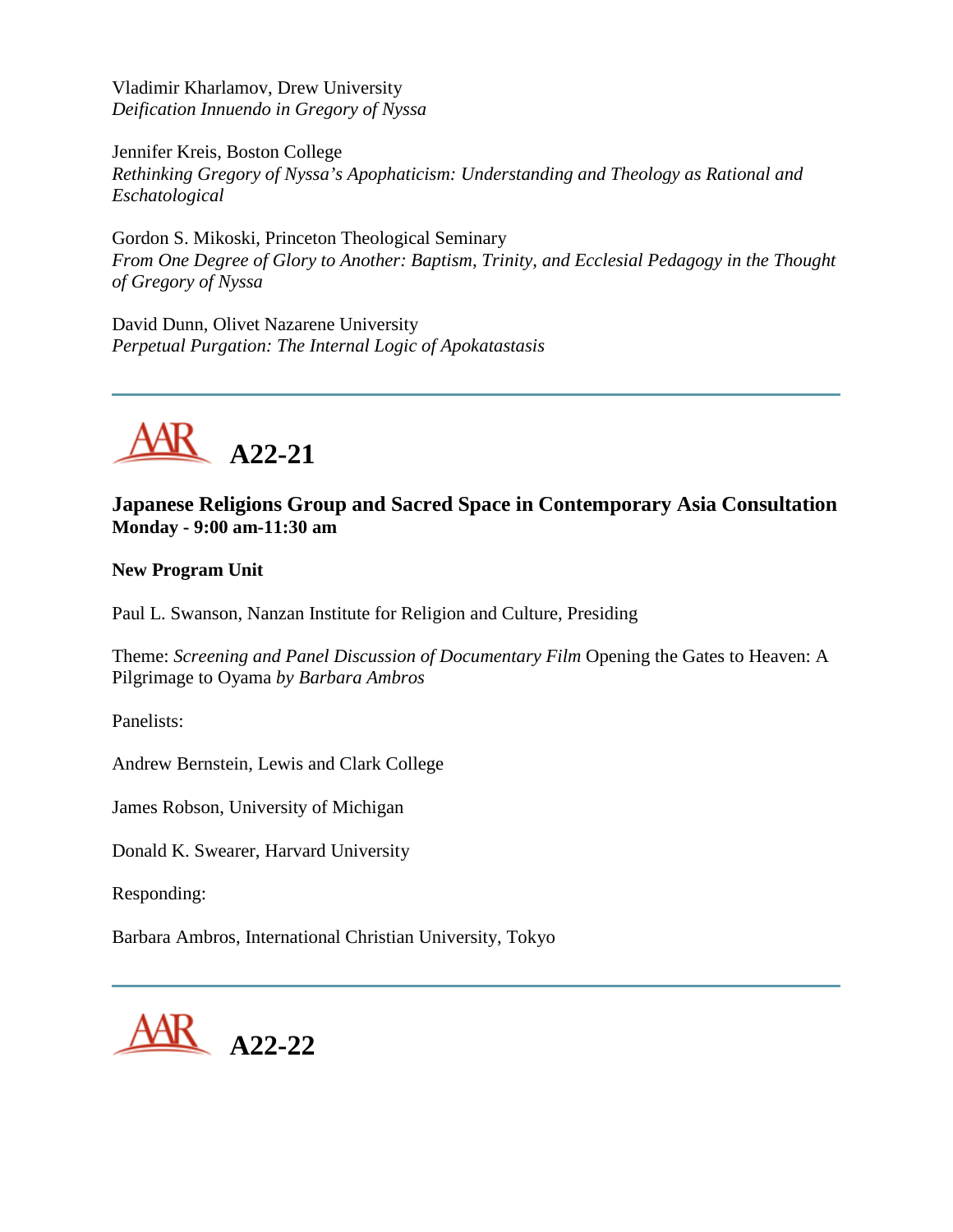Vladimir Kharlamov, Drew University *Deification Innuendo in Gregory of Nyssa*

Jennifer Kreis, Boston College *Rethinking Gregory of Nyssa's Apophaticism: Understanding and Theology as Rational and Eschatological*

Gordon S. Mikoski, Princeton Theological Seminary *From One Degree of Glory to Another: Baptism, Trinity, and Ecclesial Pedagogy in the Thought of Gregory of Nyssa*

David Dunn, Olivet Nazarene University *Perpetual Purgation: The Internal Logic of Apokatastasis*



# **Japanese Religions Group and Sacred Space in Contemporary Asia Consultation Monday - 9:00 am-11:30 am**

**New Program Unit**

Paul L. Swanson, Nanzan Institute for Religion and Culture, Presiding

Theme: *Screening and Panel Discussion of Documentary Film* Opening the Gates to Heaven: A Pilgrimage to Oyama *by Barbara Ambros*

Panelists:

Andrew Bernstein, Lewis and Clark College

James Robson, University of Michigan

Donald K. Swearer, Harvard University

Responding:

Barbara Ambros, International Christian University, Tokyo

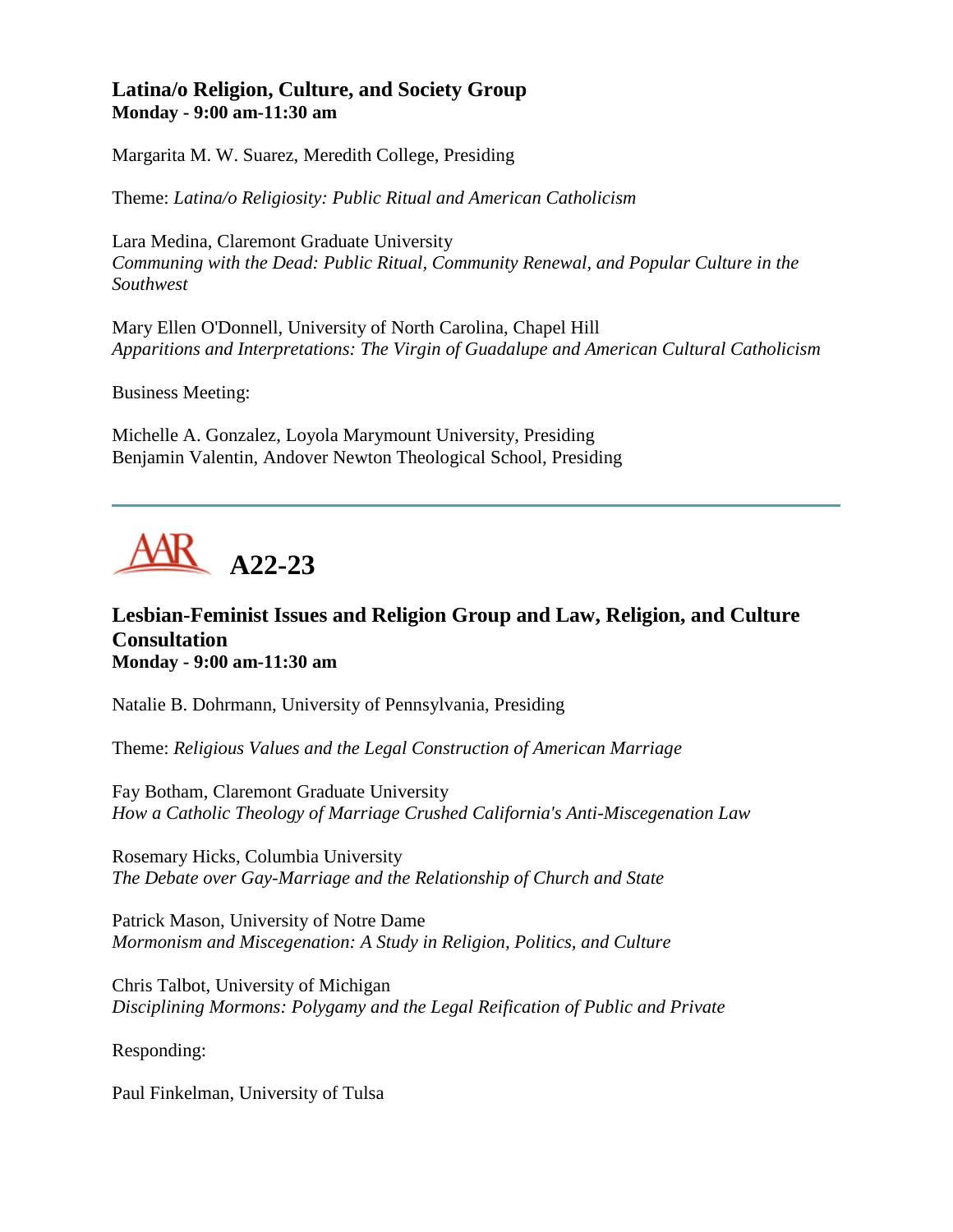# **Latina/o Religion, Culture, and Society Group Monday - 9:00 am-11:30 am**

Margarita M. W. Suarez, Meredith College, Presiding

Theme: *Latina/o Religiosity: Public Ritual and American Catholicism*

Lara Medina, Claremont Graduate University *Communing with the Dead: Public Ritual, Community Renewal, and Popular Culture in the Southwest*

Mary Ellen O'Donnell, University of North Carolina, Chapel Hill *Apparitions and Interpretations: The Virgin of Guadalupe and American Cultural Catholicism*

Business Meeting:

Michelle A. Gonzalez, Loyola Marymount University, Presiding Benjamin Valentin, Andover Newton Theological School, Presiding



# **Lesbian-Feminist Issues and Religion Group and Law, Religion, and Culture Consultation Monday - 9:00 am-11:30 am**

Natalie B. Dohrmann, University of Pennsylvania, Presiding

Theme: *Religious Values and the Legal Construction of American Marriage*

Fay Botham, Claremont Graduate University *How a Catholic Theology of Marriage Crushed California's Anti-Miscegenation Law*

Rosemary Hicks, Columbia University *The Debate over Gay-Marriage and the Relationship of Church and State*

Patrick Mason, University of Notre Dame *Mormonism and Miscegenation: A Study in Religion, Politics, and Culture*

Chris Talbot, University of Michigan *Disciplining Mormons: Polygamy and the Legal Reification of Public and Private*

Responding:

Paul Finkelman, University of Tulsa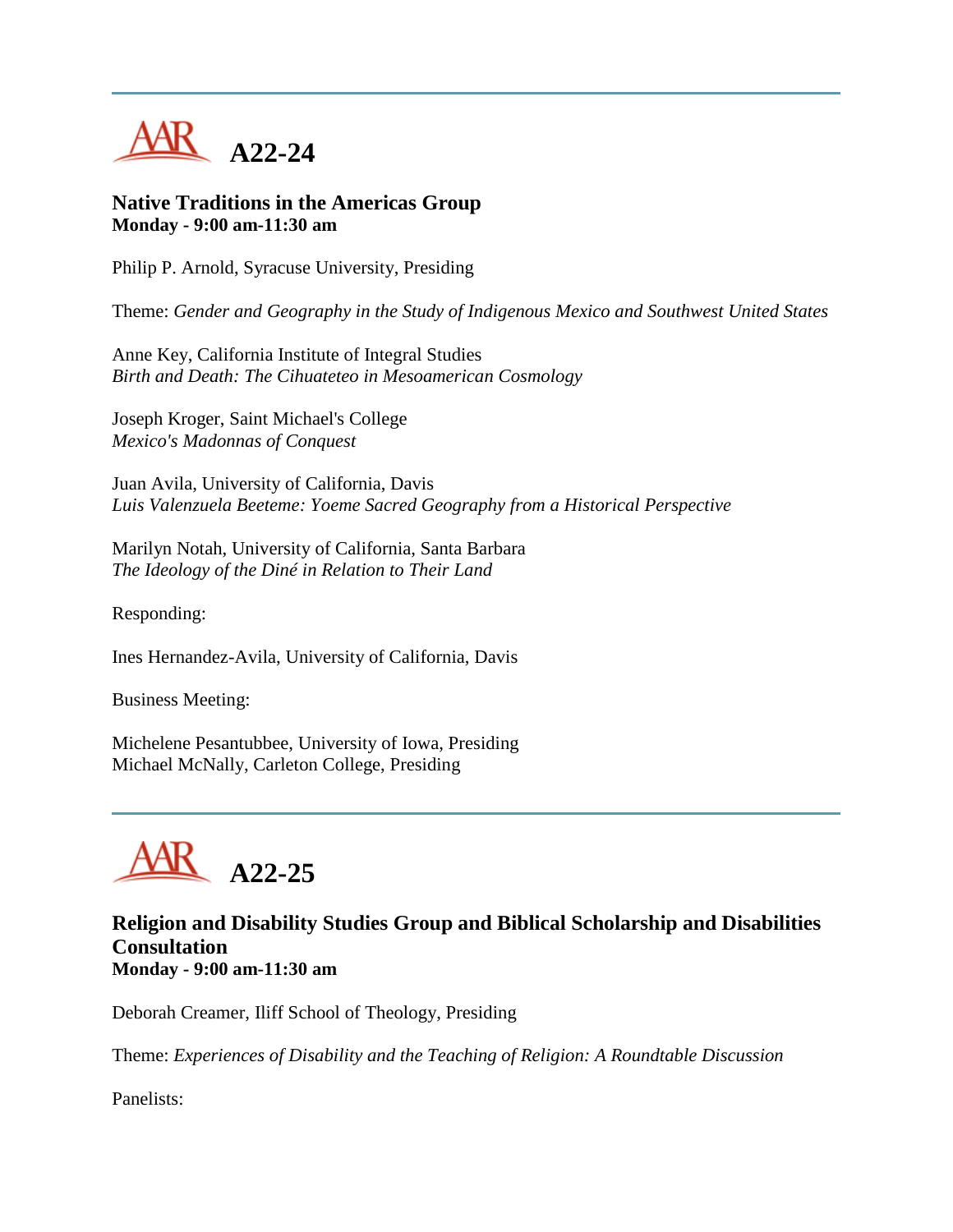

#### **Native Traditions in the Americas Group Monday - 9:00 am-11:30 am**

Philip P. Arnold, Syracuse University, Presiding

Theme: *Gender and Geography in the Study of Indigenous Mexico and Southwest United States*

Anne Key, California Institute of Integral Studies *Birth and Death: The Cihuateteo in Mesoamerican Cosmology*

Joseph Kroger, Saint Michael's College *Mexico's Madonnas of Conquest*

Juan Avila, University of California, Davis *Luis Valenzuela Beeteme: Yoeme Sacred Geography from a Historical Perspective*

Marilyn Notah, University of California, Santa Barbara *The Ideology of the Diné in Relation to Their Land*

Responding:

Ines Hernandez-Avila, University of California, Davis

Business Meeting:

Michelene Pesantubbee, University of Iowa, Presiding Michael McNally, Carleton College, Presiding



# **Religion and Disability Studies Group and Biblical Scholarship and Disabilities Consultation Monday - 9:00 am-11:30 am**

Deborah Creamer, Iliff School of Theology, Presiding

Theme: *Experiences of Disability and the Teaching of Religion: A Roundtable Discussion*

Panelists: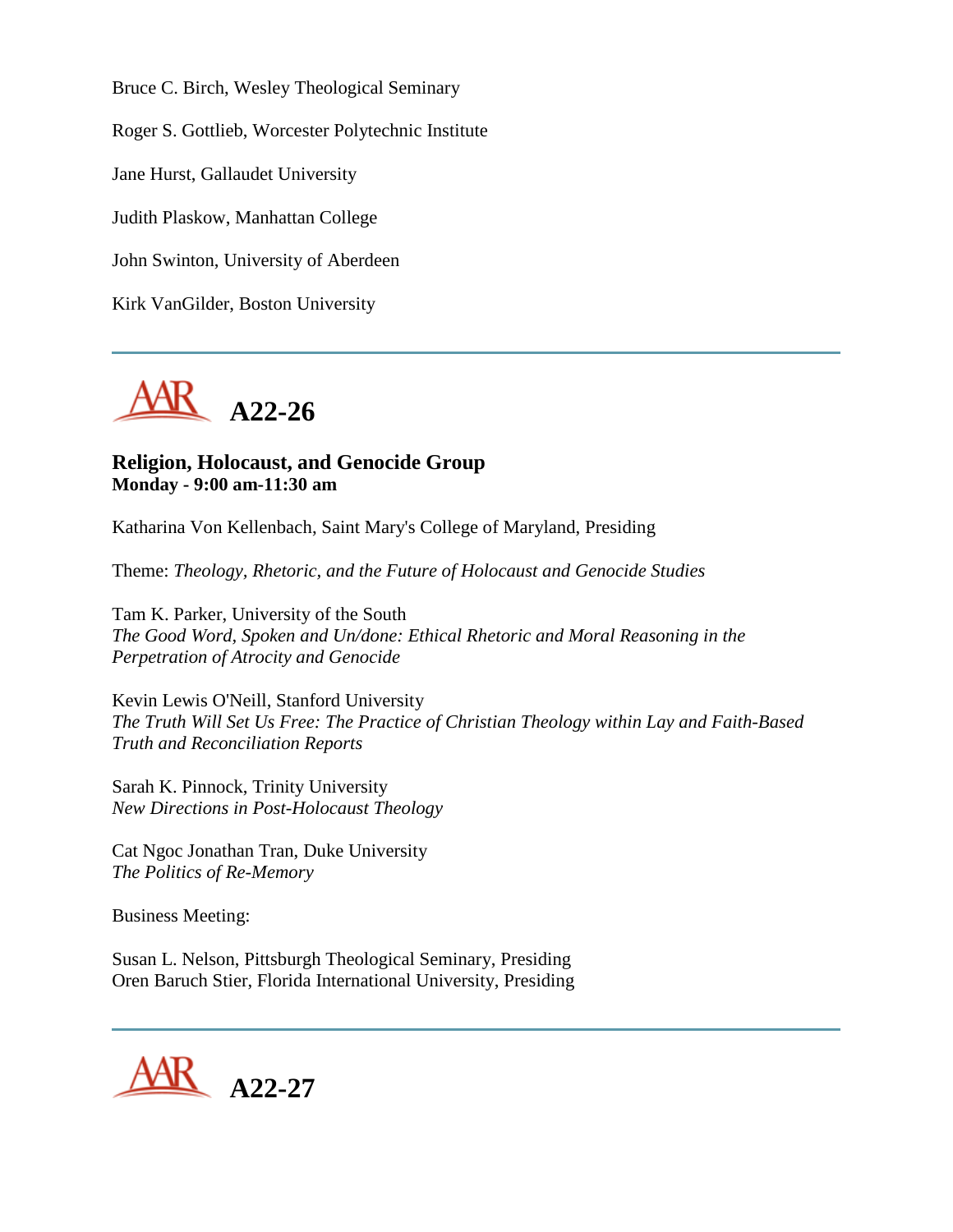Bruce C. Birch, Wesley Theological Seminary

Roger S. Gottlieb, Worcester Polytechnic Institute

Jane Hurst, Gallaudet University

Judith Plaskow, Manhattan College

John Swinton, University of Aberdeen

Kirk VanGilder, Boston University



#### **Religion, Holocaust, and Genocide Group Monday - 9:00 am-11:30 am**

Katharina Von Kellenbach, Saint Mary's College of Maryland, Presiding

Theme: *Theology, Rhetoric, and the Future of Holocaust and Genocide Studies*

Tam K. Parker, University of the South *The Good Word, Spoken and Un/done: Ethical Rhetoric and Moral Reasoning in the Perpetration of Atrocity and Genocide*

Kevin Lewis O'Neill, Stanford University *The Truth Will Set Us Free: The Practice of Christian Theology within Lay and Faith-Based Truth and Reconciliation Reports*

Sarah K. Pinnock, Trinity University *New Directions in Post-Holocaust Theology*

Cat Ngoc Jonathan Tran, Duke University *The Politics of Re-Memory*

Business Meeting:

Susan L. Nelson, Pittsburgh Theological Seminary, Presiding Oren Baruch Stier, Florida International University, Presiding

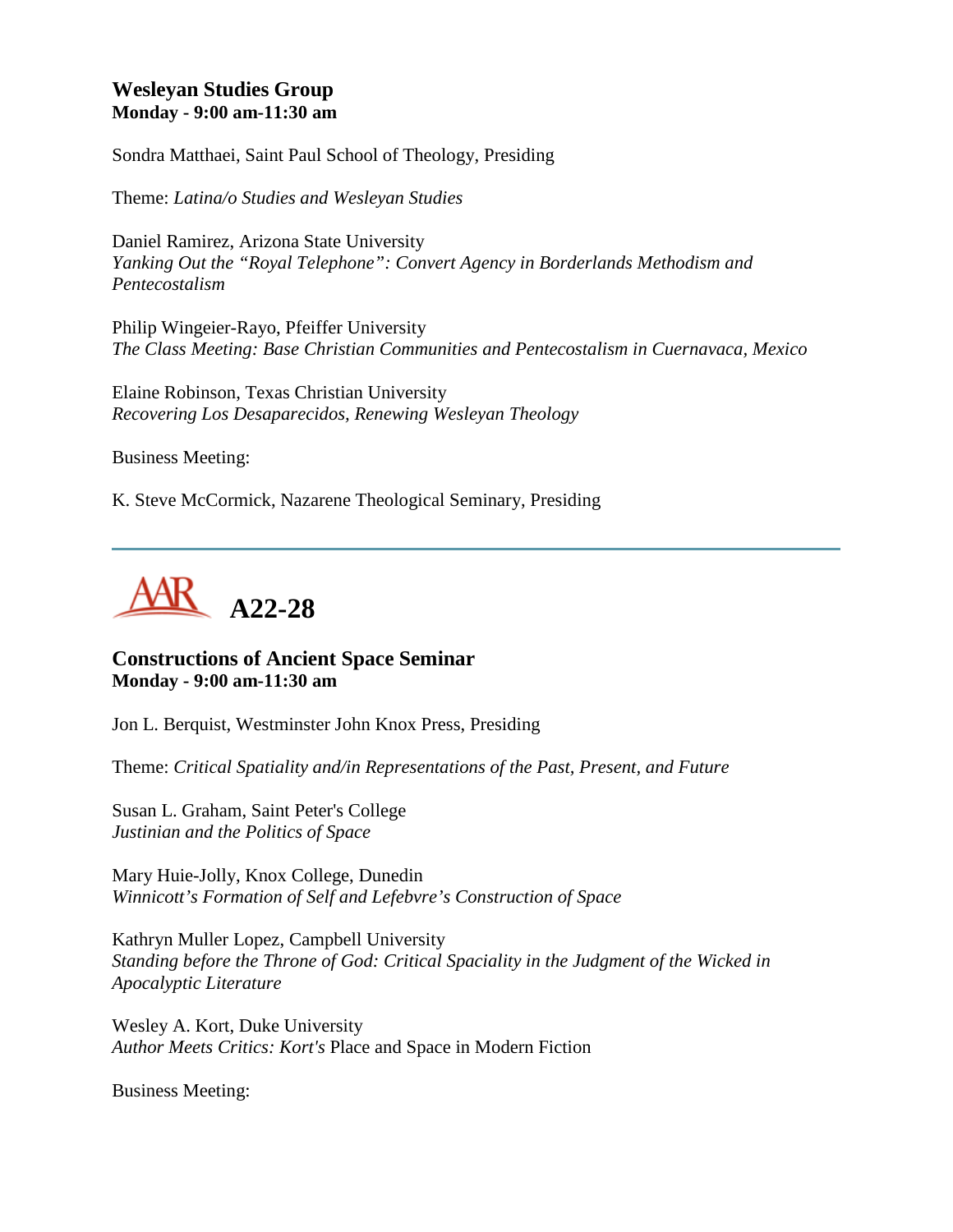# **Wesleyan Studies Group Monday - 9:00 am-11:30 am**

Sondra Matthaei, Saint Paul School of Theology, Presiding

Theme: *Latina/o Studies and Wesleyan Studies*

Daniel Ramirez, Arizona State University *Yanking Out the "Royal Telephone": Convert Agency in Borderlands Methodism and Pentecostalism*

Philip Wingeier-Rayo, Pfeiffer University *The Class Meeting: Base Christian Communities and Pentecostalism in Cuernavaca, Mexico*

Elaine Robinson, Texas Christian University *Recovering Los Desaparecidos, Renewing Wesleyan Theology*

Business Meeting:

K. Steve McCormick, Nazarene Theological Seminary, Presiding



**Constructions of Ancient Space Seminar Monday - 9:00 am-11:30 am**

Jon L. Berquist, Westminster John Knox Press, Presiding

Theme: *Critical Spatiality and/in Representations of the Past, Present, and Future*

Susan L. Graham, Saint Peter's College *Justinian and the Politics of Space*

Mary Huie-Jolly, Knox College, Dunedin *Winnicott's Formation of Self and Lefebvre's Construction of Space*

Kathryn Muller Lopez, Campbell University *Standing before the Throne of God: Critical Spaciality in the Judgment of the Wicked in Apocalyptic Literature*

Wesley A. Kort, Duke University *Author Meets Critics: Kort's* Place and Space in Modern Fiction

Business Meeting: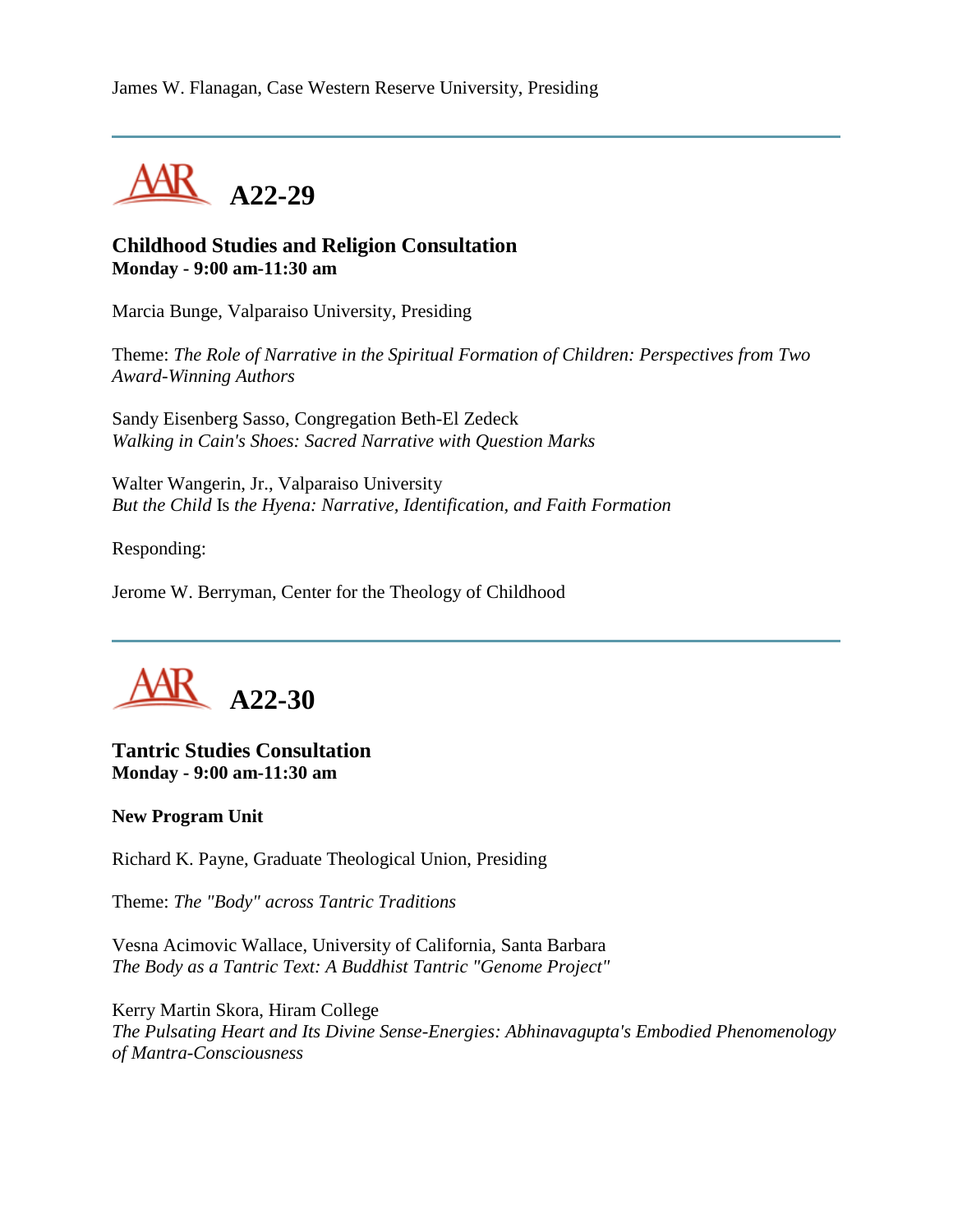

#### **Childhood Studies and Religion Consultation Monday - 9:00 am-11:30 am**

Marcia Bunge, Valparaiso University, Presiding

Theme: *The Role of Narrative in the Spiritual Formation of Children: Perspectives from Two Award-Winning Authors*

Sandy Eisenberg Sasso, Congregation Beth-El Zedeck *Walking in Cain's Shoes: Sacred Narrative with Question Marks*

Walter Wangerin, Jr., Valparaiso University *But the Child* Is *the Hyena: Narrative, Identification, and Faith Formation*

Responding:

Jerome W. Berryman, Center for the Theology of Childhood



#### **Tantric Studies Consultation Monday - 9:00 am-11:30 am**

#### **New Program Unit**

Richard K. Payne, Graduate Theological Union, Presiding

Theme: *The "Body" across Tantric Traditions*

Vesna Acimovic Wallace, University of California, Santa Barbara *The Body as a Tantric Text: A Buddhist Tantric "Genome Project"*

Kerry Martin Skora, Hiram College *The Pulsating Heart and Its Divine Sense-Energies: Abhinavagupta's Embodied Phenomenology of Mantra-Consciousness*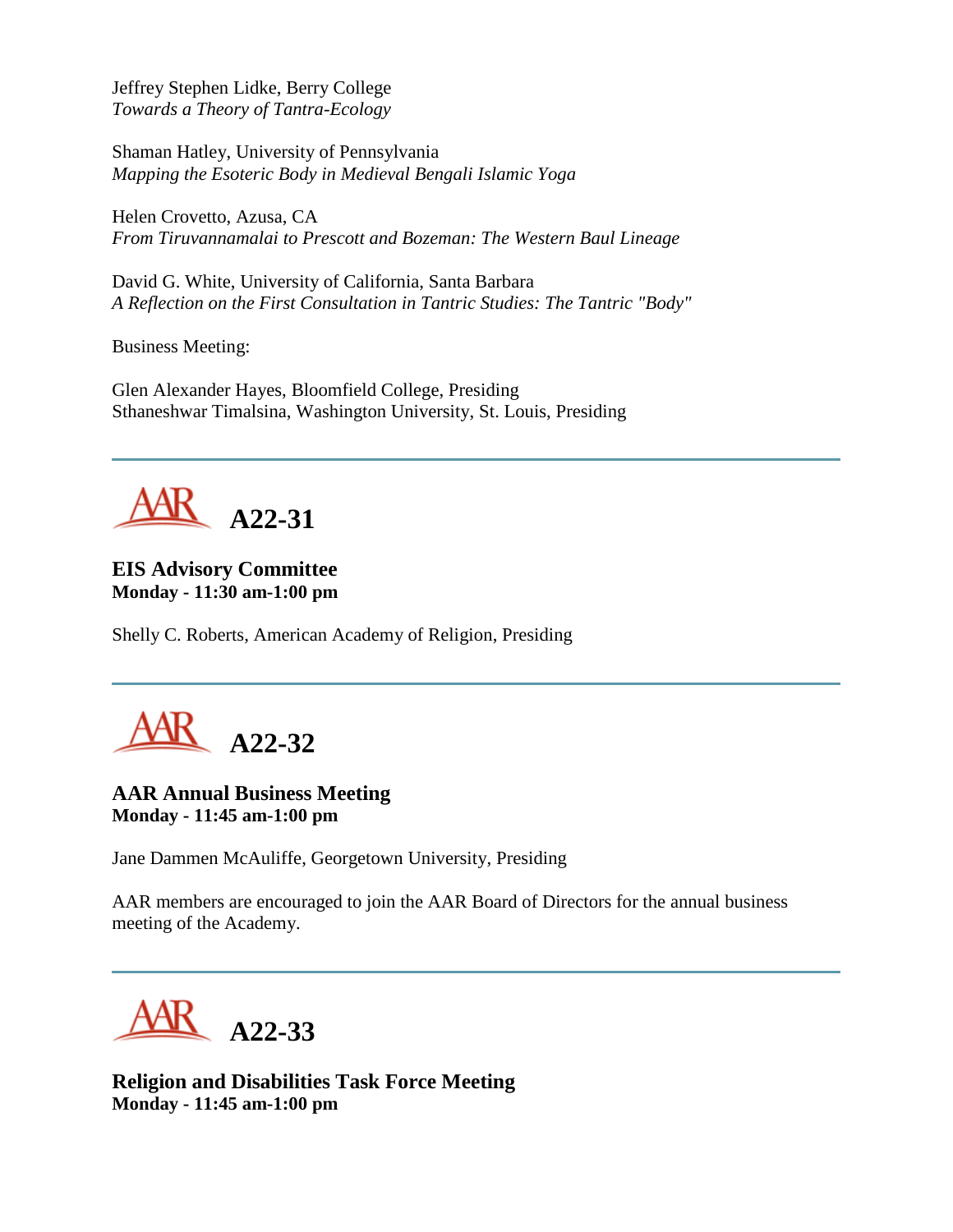Jeffrey Stephen Lidke, Berry College *Towards a Theory of Tantra-Ecology*

Shaman Hatley, University of Pennsylvania *Mapping the Esoteric Body in Medieval Bengali Islamic Yoga*

Helen Crovetto, Azusa, CA *From Tiruvannamalai to Prescott and Bozeman: The Western Baul Lineage*

David G. White, University of California, Santa Barbara *A Reflection on the First Consultation in Tantric Studies: The Tantric "Body"*

Business Meeting:

Glen Alexander Hayes, Bloomfield College, Presiding Sthaneshwar Timalsina, Washington University, St. Louis, Presiding



**EIS Advisory Committee Monday - 11:30 am-1:00 pm**

Shelly C. Roberts, American Academy of Religion, Presiding



# **AAR Annual Business Meeting Monday - 11:45 am-1:00 pm**

Jane Dammen McAuliffe, Georgetown University, Presiding

AAR members are encouraged to join the AAR Board of Directors for the annual business meeting of the Academy.

**A22-33**

**Religion and Disabilities Task Force Meeting Monday - 11:45 am-1:00 pm**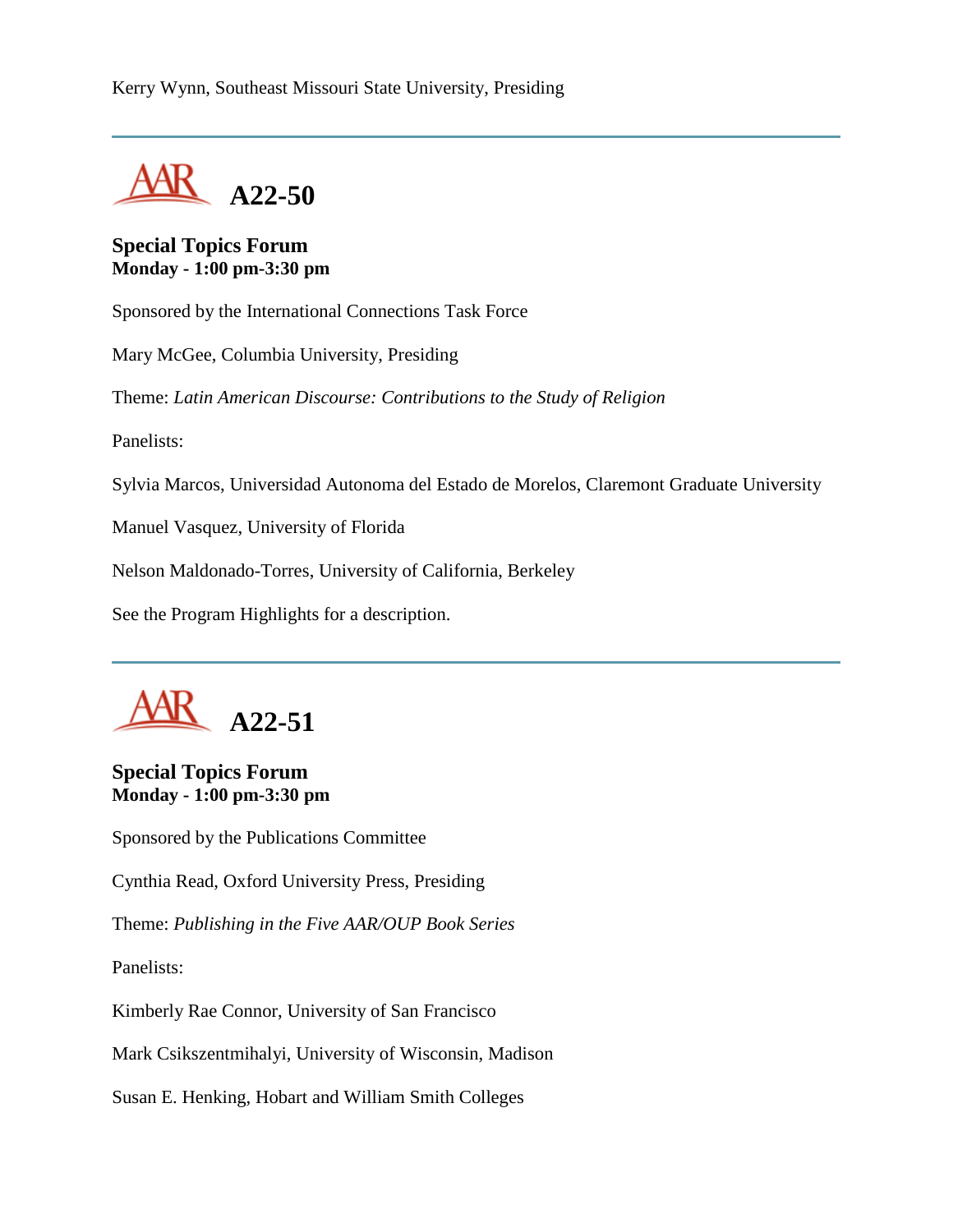

#### **Special Topics Forum Monday - 1:00 pm-3:30 pm**

Sponsored by the International Connections Task Force

Mary McGee, Columbia University, Presiding

Theme: *Latin American Discourse: Contributions to the Study of Religion*

Panelists:

Sylvia Marcos, Universidad Autonoma del Estado de Morelos, Claremont Graduate University

Manuel Vasquez, University of Florida

Nelson Maldonado-Torres, University of California, Berkeley

See the Program Highlights for a description.



#### **Special Topics Forum Monday - 1:00 pm-3:30 pm**

Sponsored by the Publications Committee

Cynthia Read, Oxford University Press, Presiding

Theme: *Publishing in the Five AAR/OUP Book Series*

Panelists:

Kimberly Rae Connor, University of San Francisco

Mark Csikszentmihalyi, University of Wisconsin, Madison

Susan E. Henking, Hobart and William Smith Colleges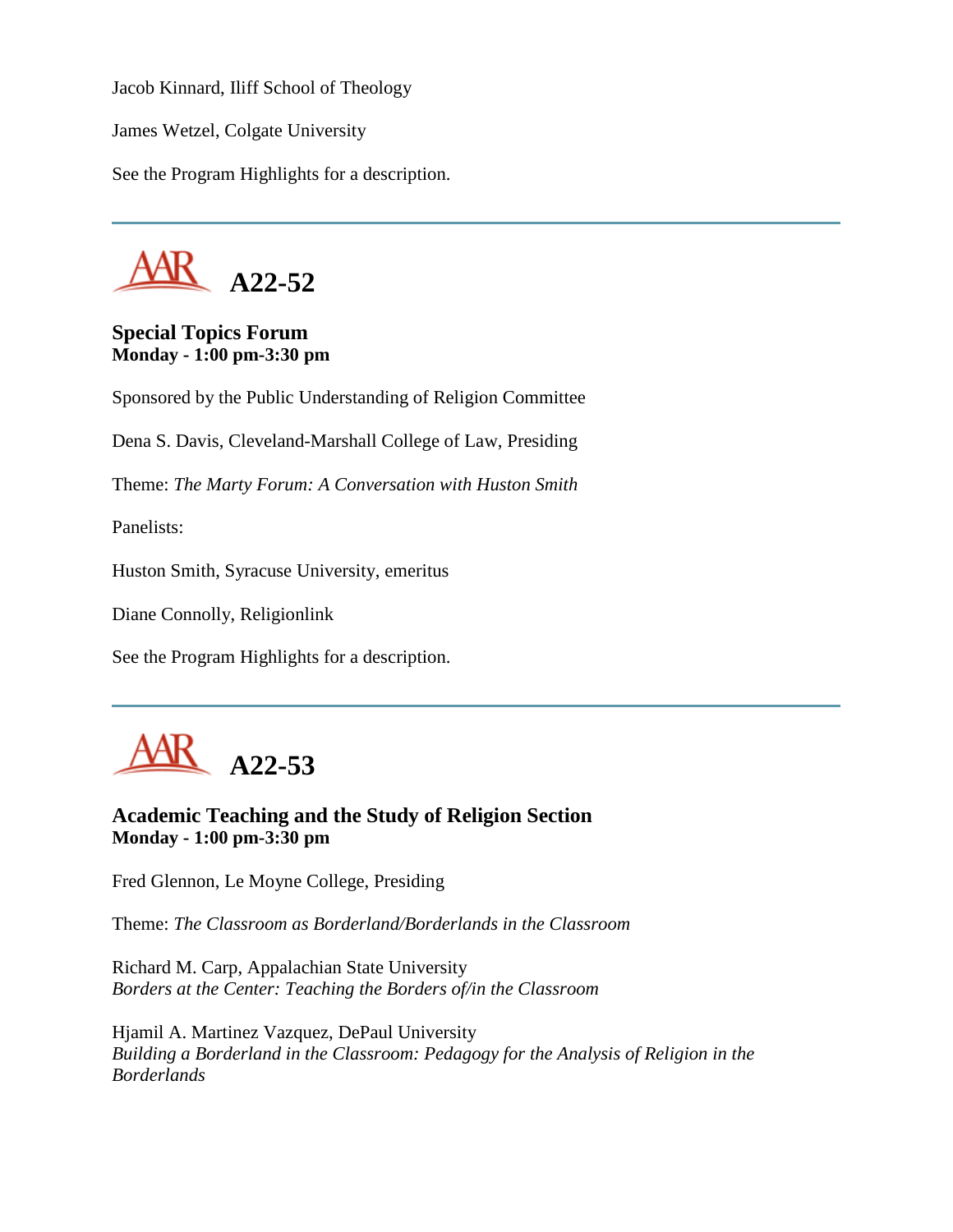Jacob Kinnard, Iliff School of Theology

James Wetzel, Colgate University

See the Program Highlights for a description.



# **Special Topics Forum Monday - 1:00 pm-3:30 pm**

Sponsored by the Public Understanding of Religion Committee

Dena S. Davis, Cleveland-Marshall College of Law, Presiding

Theme: *The Marty Forum: A Conversation with Huston Smith*

Panelists:

Huston Smith, Syracuse University, emeritus

Diane Connolly, Religionlink

See the Program Highlights for a description.



# **Academic Teaching and the Study of Religion Section Monday - 1:00 pm-3:30 pm**

Fred Glennon, Le Moyne College, Presiding

Theme: *The Classroom as Borderland/Borderlands in the Classroom*

Richard M. Carp, Appalachian State University *Borders at the Center: Teaching the Borders of/in the Classroom*

Hjamil A. Martinez Vazquez, DePaul University *Building a Borderland in the Classroom: Pedagogy for the Analysis of Religion in the Borderlands*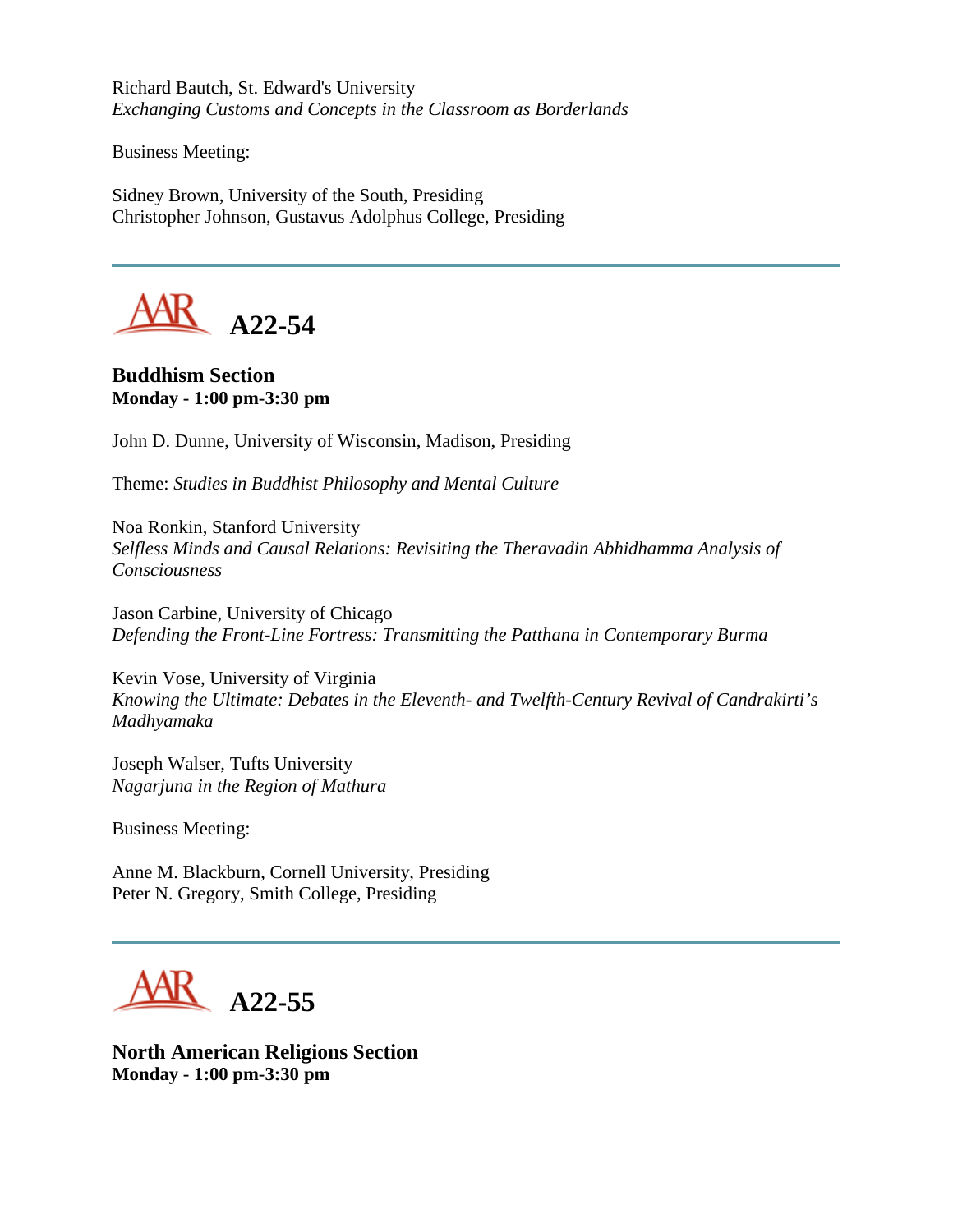Richard Bautch, St. Edward's University *Exchanging Customs and Concepts in the Classroom as Borderlands*

Business Meeting:

Sidney Brown, University of the South, Presiding Christopher Johnson, Gustavus Adolphus College, Presiding



**Buddhism Section Monday - 1:00 pm-3:30 pm**

John D. Dunne, University of Wisconsin, Madison, Presiding

Theme: *Studies in Buddhist Philosophy and Mental Culture*

Noa Ronkin, Stanford University *Selfless Minds and Causal Relations: Revisiting the Theravadin Abhidhamma Analysis of Consciousness*

Jason Carbine, University of Chicago *Defending the Front-Line Fortress: Transmitting the Patthana in Contemporary Burma*

Kevin Vose, University of Virginia *Knowing the Ultimate: Debates in the Eleventh- and Twelfth-Century Revival of Candrakirti's Madhyamaka*

Joseph Walser, Tufts University *Nagarjuna in the Region of Mathura*

Business Meeting:

Anne M. Blackburn, Cornell University, Presiding Peter N. Gregory, Smith College, Presiding



**North American Religions Section Monday - 1:00 pm-3:30 pm**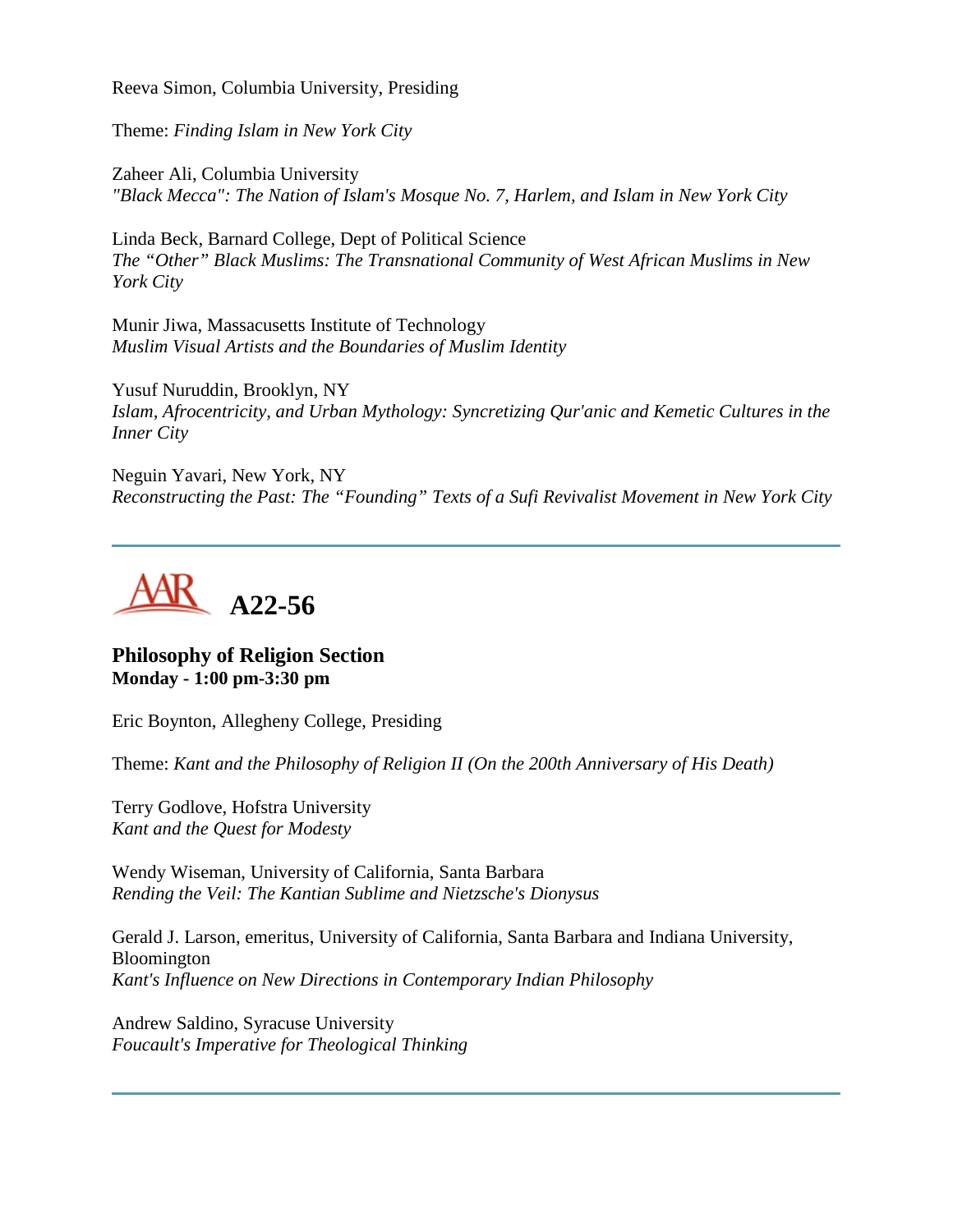Reeva Simon, Columbia University, Presiding

Theme: *Finding Islam in New York City*

Zaheer Ali, Columbia University *"Black Mecca": The Nation of Islam's Mosque No. 7, Harlem, and Islam in New York City*

Linda Beck, Barnard College, Dept of Political Science *The "Other" Black Muslims: The Transnational Community of West African Muslims in New York City*

Munir Jiwa, Massacusetts Institute of Technology *Muslim Visual Artists and the Boundaries of Muslim Identity*

Yusuf Nuruddin, Brooklyn, NY *Islam, Afrocentricity, and Urban Mythology: Syncretizing Qur'anic and Kemetic Cultures in the Inner City*

Neguin Yavari, New York, NY *Reconstructing the Past: The "Founding" Texts of a Sufi Revivalist Movement in New York City*



# **Philosophy of Religion Section Monday - 1:00 pm-3:30 pm**

Eric Boynton, Allegheny College, Presiding

Theme: *Kant and the Philosophy of Religion II (On the 200th Anniversary of His Death)*

Terry Godlove, Hofstra University *Kant and the Quest for Modesty*

Wendy Wiseman, University of California, Santa Barbara *Rending the Veil: The Kantian Sublime and Nietzsche's Dionysus*

Gerald J. Larson, emeritus, University of California, Santa Barbara and Indiana University, Bloomington *Kant's Influence on New Directions in Contemporary Indian Philosophy*

Andrew Saldino, Syracuse University *Foucault's Imperative for Theological Thinking*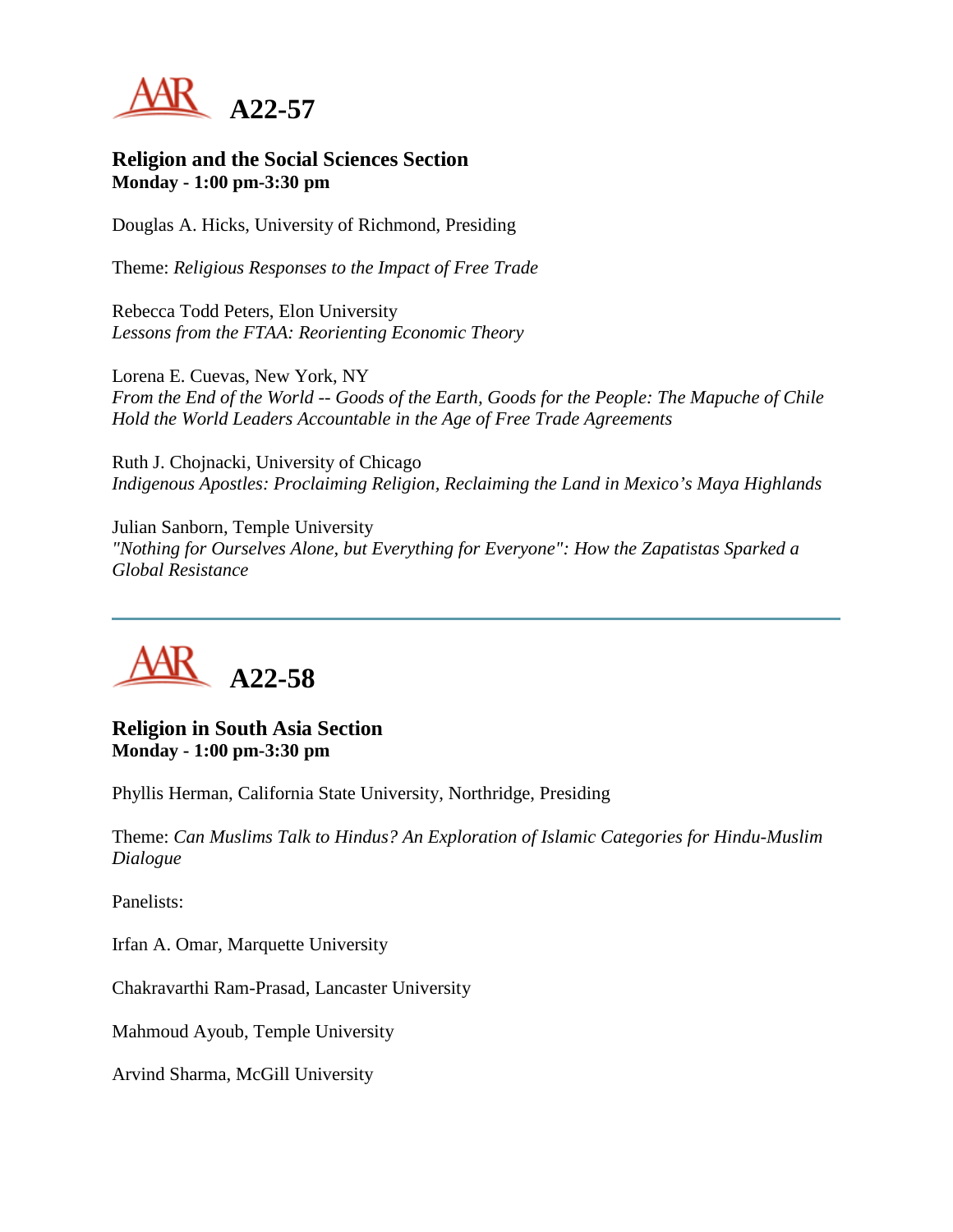

#### **Religion and the Social Sciences Section Monday - 1:00 pm-3:30 pm**

Douglas A. Hicks, University of Richmond, Presiding

Theme: *Religious Responses to the Impact of Free Trade*

Rebecca Todd Peters, Elon University *Lessons from the FTAA: Reorienting Economic Theory*

Lorena E. Cuevas, New York, NY *From the End of the World -- Goods of the Earth, Goods for the People: The Mapuche of Chile Hold the World Leaders Accountable in the Age of Free Trade Agreements*

Ruth J. Chojnacki, University of Chicago *Indigenous Apostles: Proclaiming Religion, Reclaiming the Land in Mexico's Maya Highlands*

Julian Sanborn, Temple University *"Nothing for Ourselves Alone, but Everything for Everyone": How the Zapatistas Sparked a Global Resistance*



**Religion in South Asia Section Monday - 1:00 pm-3:30 pm**

Phyllis Herman, California State University, Northridge, Presiding

Theme: *Can Muslims Talk to Hindus? An Exploration of Islamic Categories for Hindu-Muslim Dialogue*

Panelists:

Irfan A. Omar, Marquette University

Chakravarthi Ram-Prasad, Lancaster University

Mahmoud Ayoub, Temple University

Arvind Sharma, McGill University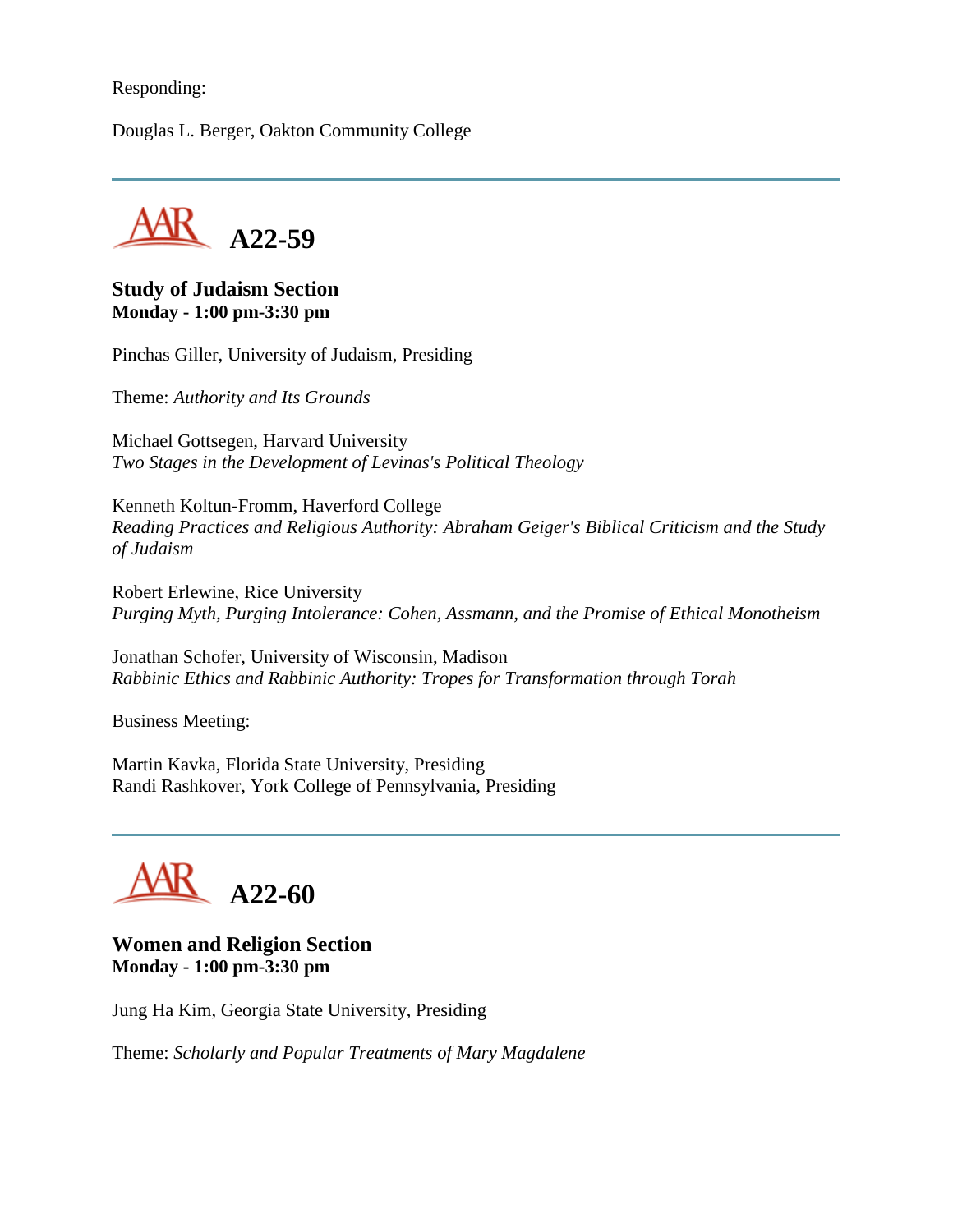#### Responding:

Douglas L. Berger, Oakton Community College



#### **Study of Judaism Section Monday - 1:00 pm-3:30 pm**

Pinchas Giller, University of Judaism, Presiding

Theme: *Authority and Its Grounds*

Michael Gottsegen, Harvard University *Two Stages in the Development of Levinas's Political Theology*

Kenneth Koltun-Fromm, Haverford College *Reading Practices and Religious Authority: Abraham Geiger's Biblical Criticism and the Study of Judaism*

Robert Erlewine, Rice University *Purging Myth, Purging Intolerance: Cohen, Assmann, and the Promise of Ethical Monotheism*

Jonathan Schofer, University of Wisconsin, Madison *Rabbinic Ethics and Rabbinic Authority: Tropes for Transformation through Torah*

Business Meeting:

Martin Kavka, Florida State University, Presiding Randi Rashkover, York College of Pennsylvania, Presiding

# **A22-60**

#### **Women and Religion Section Monday - 1:00 pm-3:30 pm**

Jung Ha Kim, Georgia State University, Presiding

Theme: *Scholarly and Popular Treatments of Mary Magdalene*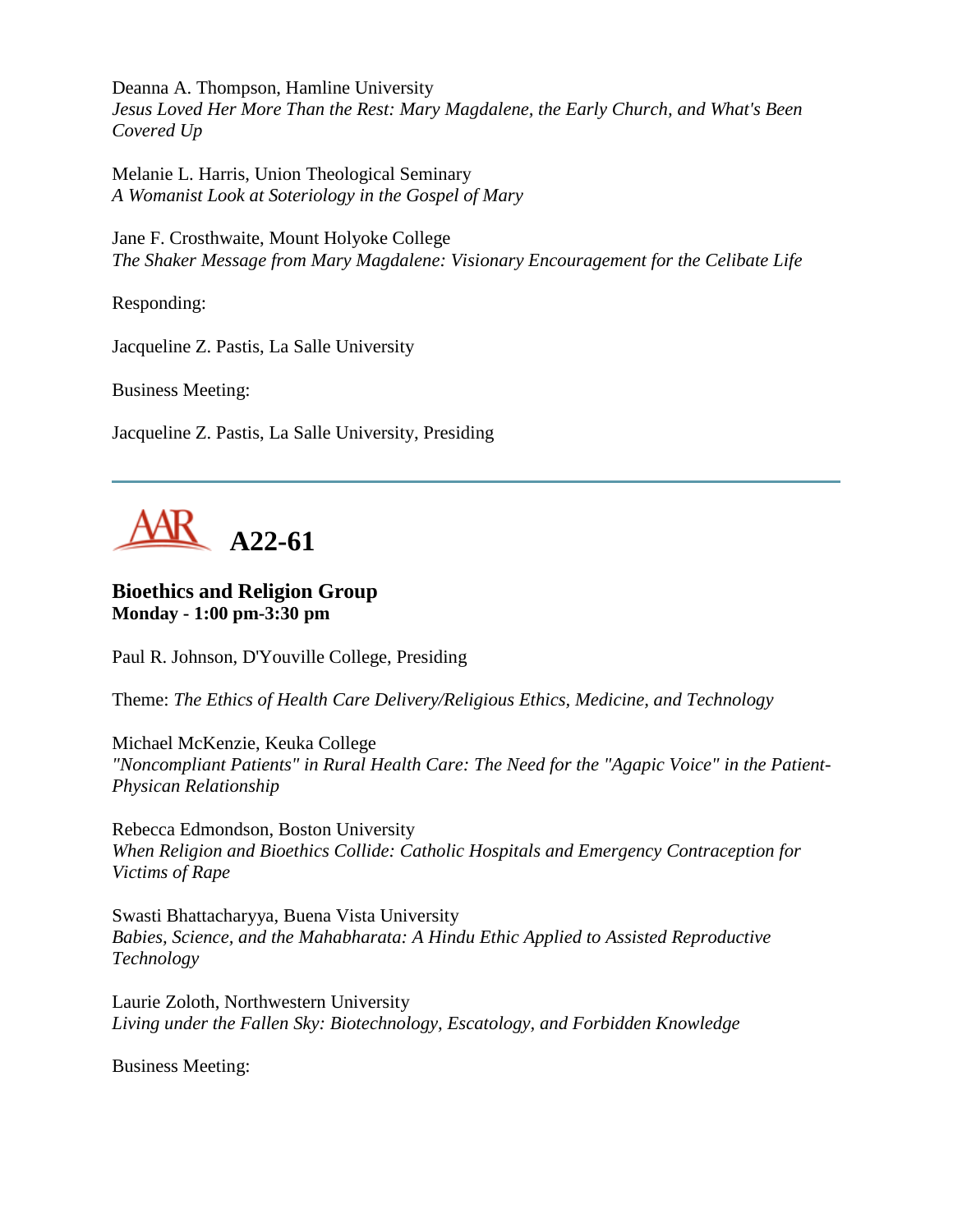Deanna A. Thompson, Hamline University *Jesus Loved Her More Than the Rest: Mary Magdalene, the Early Church, and What's Been Covered Up*

Melanie L. Harris, Union Theological Seminary *A Womanist Look at Soteriology in the Gospel of Mary*

Jane F. Crosthwaite, Mount Holyoke College *The Shaker Message from Mary Magdalene: Visionary Encouragement for the Celibate Life*

Responding:

Jacqueline Z. Pastis, La Salle University

Business Meeting:

Jacqueline Z. Pastis, La Salle University, Presiding



#### **Bioethics and Religion Group Monday - 1:00 pm-3:30 pm**

Paul R. Johnson, D'Youville College, Presiding

Theme: *The Ethics of Health Care Delivery/Religious Ethics, Medicine, and Technology*

Michael McKenzie, Keuka College *"Noncompliant Patients" in Rural Health Care: The Need for the "Agapic Voice" in the Patient-Physican Relationship*

Rebecca Edmondson, Boston University *When Religion and Bioethics Collide: Catholic Hospitals and Emergency Contraception for Victims of Rape*

Swasti Bhattacharyya, Buena Vista University *Babies, Science, and the Mahabharata: A Hindu Ethic Applied to Assisted Reproductive Technology*

Laurie Zoloth, Northwestern University *Living under the Fallen Sky: Biotechnology, Escatology, and Forbidden Knowledge*

Business Meeting: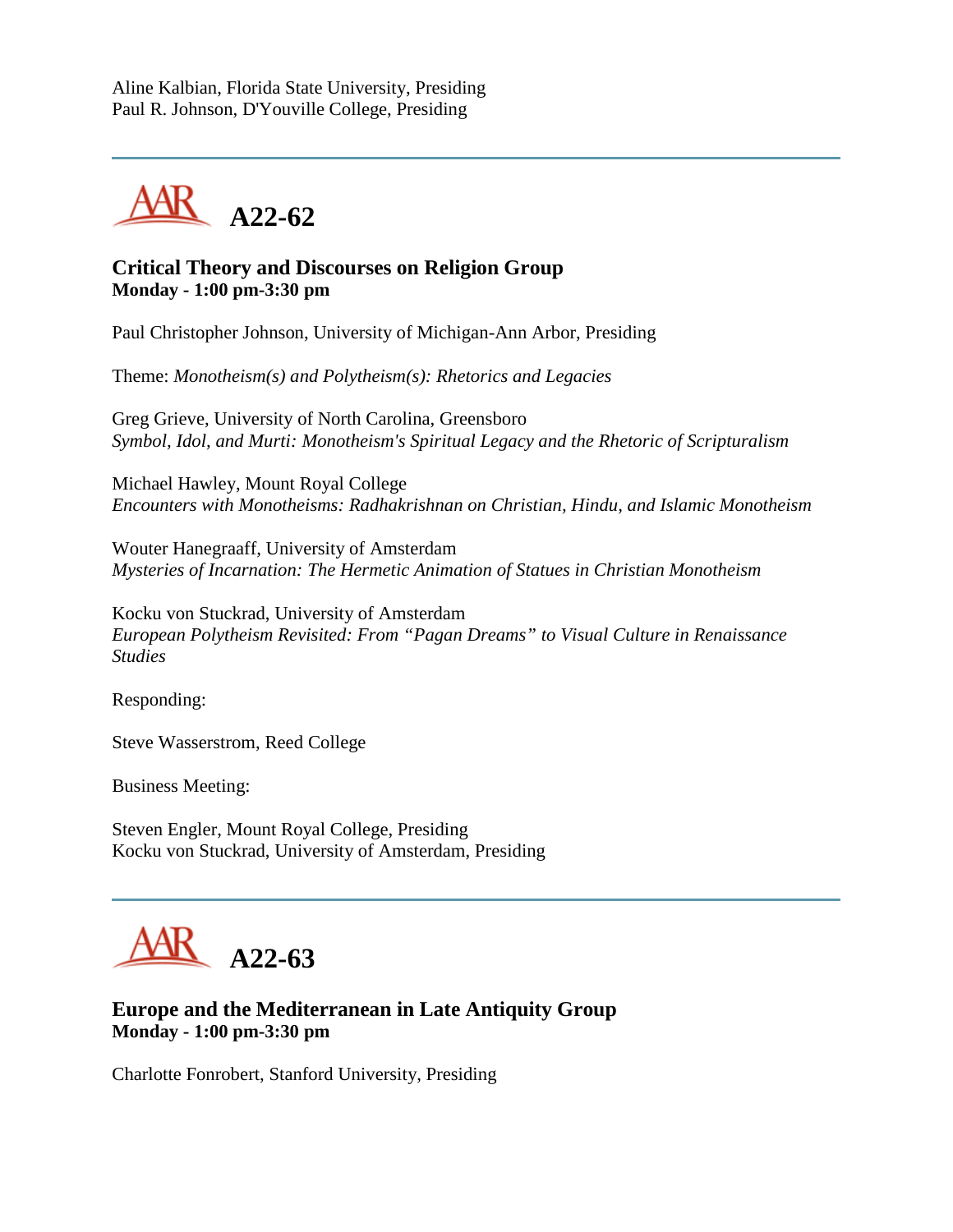Aline Kalbian, Florida State University, Presiding Paul R. Johnson, D'Youville College, Presiding



# **Critical Theory and Discourses on Religion Group Monday - 1:00 pm-3:30 pm**

Paul Christopher Johnson, University of Michigan-Ann Arbor, Presiding

Theme: *Monotheism(s) and Polytheism(s): Rhetorics and Legacies*

Greg Grieve, University of North Carolina, Greensboro *Symbol, Idol, and Murti: Monotheism's Spiritual Legacy and the Rhetoric of Scripturalism*

Michael Hawley, Mount Royal College *Encounters with Monotheisms: Radhakrishnan on Christian, Hindu, and Islamic Monotheism*

Wouter Hanegraaff, University of Amsterdam *Mysteries of Incarnation: The Hermetic Animation of Statues in Christian Monotheism*

Kocku von Stuckrad, University of Amsterdam *European Polytheism Revisited: From "Pagan Dreams" to Visual Culture in Renaissance Studies*

Responding:

Steve Wasserstrom, Reed College

Business Meeting:

Steven Engler, Mount Royal College, Presiding Kocku von Stuckrad, University of Amsterdam, Presiding



# **Europe and the Mediterranean in Late Antiquity Group Monday - 1:00 pm-3:30 pm**

Charlotte Fonrobert, Stanford University, Presiding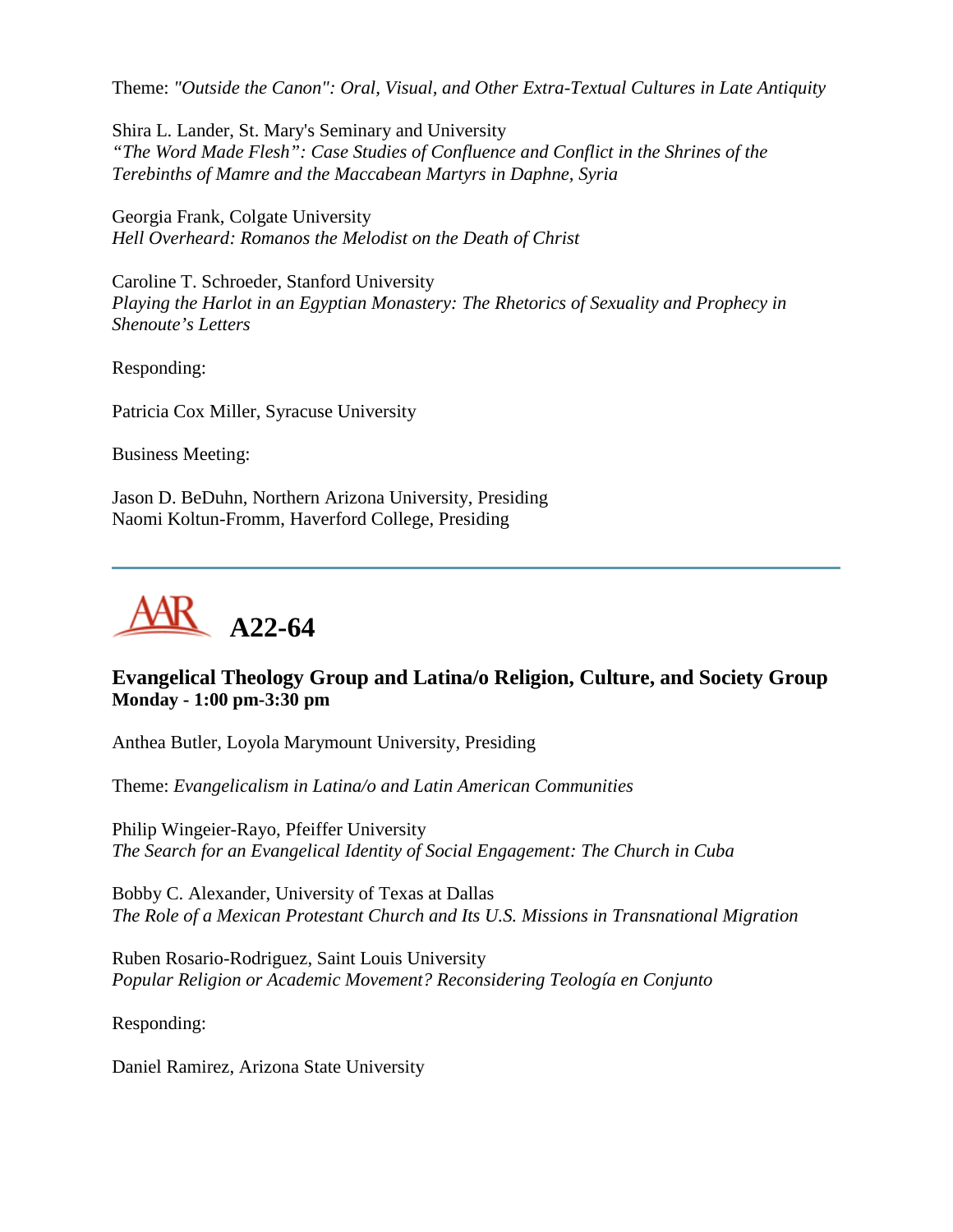Theme: *"Outside the Canon": Oral, Visual, and Other Extra-Textual Cultures in Late Antiquity*

Shira L. Lander, St. Mary's Seminary and University *"The Word Made Flesh": Case Studies of Confluence and Conflict in the Shrines of the Terebinths of Mamre and the Maccabean Martyrs in Daphne, Syria*

Georgia Frank, Colgate University *Hell Overheard: Romanos the Melodist on the Death of Christ*

Caroline T. Schroeder, Stanford University *Playing the Harlot in an Egyptian Monastery: The Rhetorics of Sexuality and Prophecy in Shenoute's Letters*

Responding:

Patricia Cox Miller, Syracuse University

Business Meeting:

Jason D. BeDuhn, Northern Arizona University, Presiding Naomi Koltun-Fromm, Haverford College, Presiding



# **Evangelical Theology Group and Latina/o Religion, Culture, and Society Group Monday - 1:00 pm-3:30 pm**

Anthea Butler, Loyola Marymount University, Presiding

Theme: *Evangelicalism in Latina/o and Latin American Communities*

Philip Wingeier-Rayo, Pfeiffer University *The Search for an Evangelical Identity of Social Engagement: The Church in Cuba*

Bobby C. Alexander, University of Texas at Dallas *The Role of a Mexican Protestant Church and Its U.S. Missions in Transnational Migration*

Ruben Rosario-Rodriguez, Saint Louis University *Popular Religion or Academic Movement? Reconsidering Teología en Conjunto*

Responding:

Daniel Ramirez, Arizona State University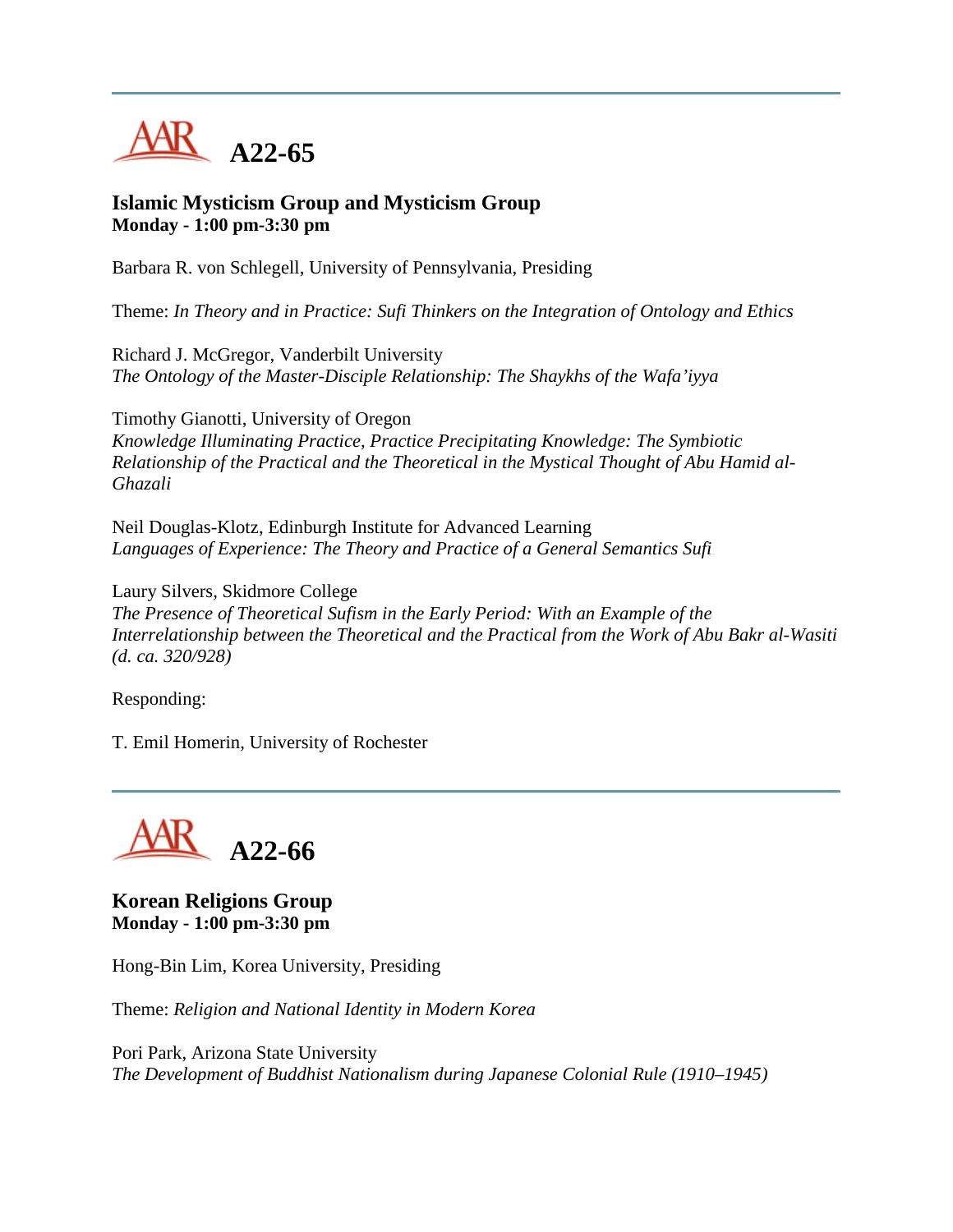

#### **Islamic Mysticism Group and Mysticism Group Monday - 1:00 pm-3:30 pm**

Barbara R. von Schlegell, University of Pennsylvania, Presiding

Theme: *In Theory and in Practice: Sufi Thinkers on the Integration of Ontology and Ethics*

Richard J. McGregor, Vanderbilt University *The Ontology of the Master-Disciple Relationship: The Shaykhs of the Wafa'iyya*

Timothy Gianotti, University of Oregon *Knowledge Illuminating Practice, Practice Precipitating Knowledge: The Symbiotic Relationship of the Practical and the Theoretical in the Mystical Thought of Abu Hamid al-Ghazali*

Neil Douglas-Klotz, Edinburgh Institute for Advanced Learning *Languages of Experience: The Theory and Practice of a General Semantics Sufi*

Laury Silvers, Skidmore College *The Presence of Theoretical Sufism in the Early Period: With an Example of the Interrelationship between the Theoretical and the Practical from the Work of Abu Bakr al-Wasiti (d. ca. 320/928)*

Responding:

T. Emil Homerin, University of Rochester



**Korean Religions Group Monday - 1:00 pm-3:30 pm**

Hong-Bin Lim, Korea University, Presiding

Theme: *Religion and National Identity in Modern Korea*

Pori Park, Arizona State University *The Development of Buddhist Nationalism during Japanese Colonial Rule (1910–1945)*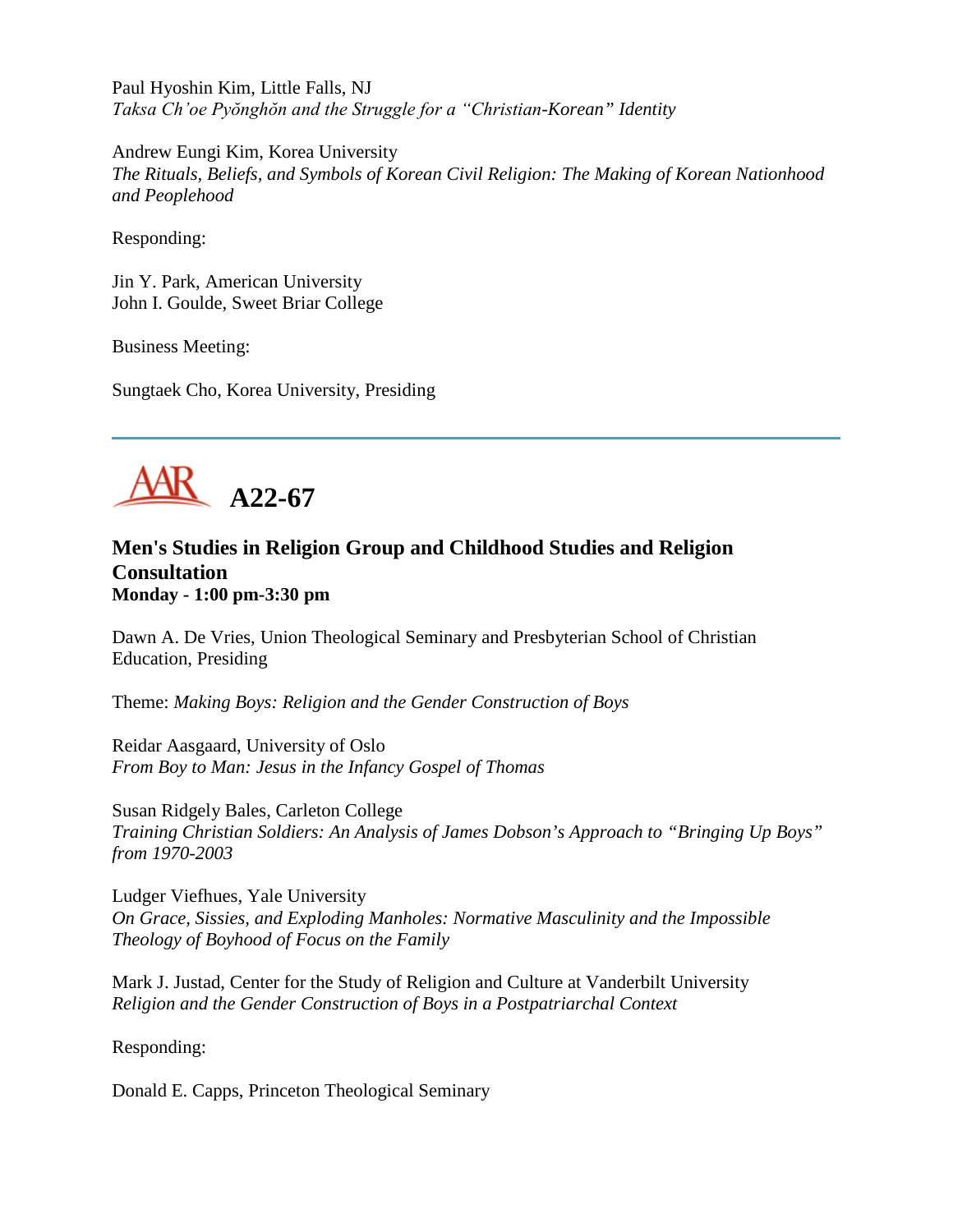Paul Hyoshin Kim, Little Falls, NJ *Taksa Ch'oe Pyŏnghŏn and the Struggle for a "Christian-Korean" Identity*

Andrew Eungi Kim, Korea University *The Rituals, Beliefs, and Symbols of Korean Civil Religion: The Making of Korean Nationhood and Peoplehood*

Responding:

Jin Y. Park, American University John I. Goulde, Sweet Briar College

Business Meeting:

Sungtaek Cho, Korea University, Presiding



#### **Men's Studies in Religion Group and Childhood Studies and Religion Consultation Monday - 1:00 pm-3:30 pm**

Dawn A. De Vries, Union Theological Seminary and Presbyterian School of Christian Education, Presiding

Theme: *Making Boys: Religion and the Gender Construction of Boys*

Reidar Aasgaard, University of Oslo *From Boy to Man: Jesus in the Infancy Gospel of Thomas*

Susan Ridgely Bales, Carleton College *Training Christian Soldiers: An Analysis of James Dobson's Approach to "Bringing Up Boys" from 1970-2003*

Ludger Viefhues, Yale University *On Grace, Sissies, and Exploding Manholes: Normative Masculinity and the Impossible Theology of Boyhood of Focus on the Family*

Mark J. Justad, Center for the Study of Religion and Culture at Vanderbilt University *Religion and the Gender Construction of Boys in a Postpatriarchal Context*

Responding:

Donald E. Capps, Princeton Theological Seminary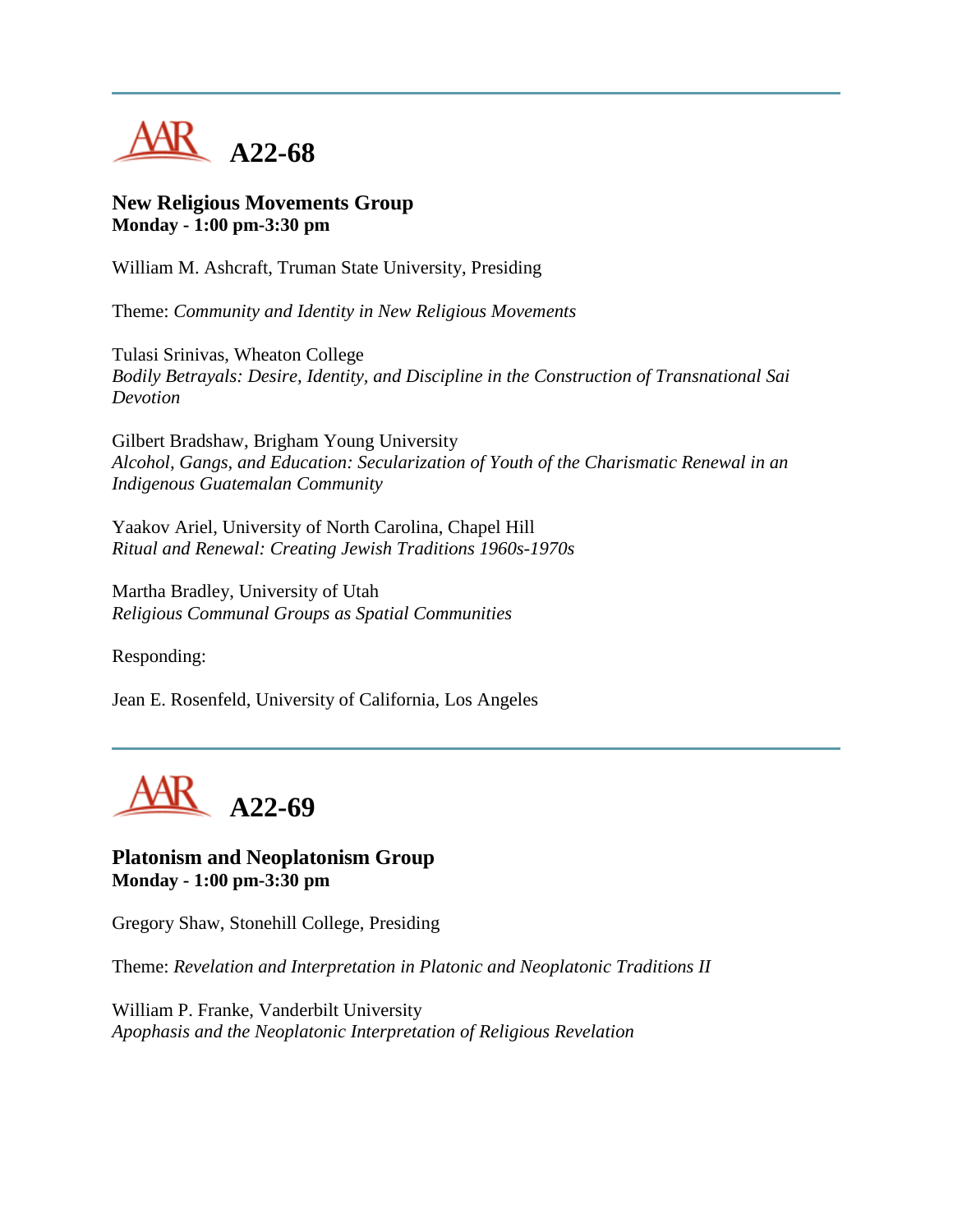

#### **New Religious Movements Group Monday - 1:00 pm-3:30 pm**

William M. Ashcraft, Truman State University, Presiding

Theme: *Community and Identity in New Religious Movements*

Tulasi Srinivas, Wheaton College *Bodily Betrayals: Desire, Identity, and Discipline in the Construction of Transnational Sai Devotion*

Gilbert Bradshaw, Brigham Young University *Alcohol, Gangs, and Education: Secularization of Youth of the Charismatic Renewal in an Indigenous Guatemalan Community*

Yaakov Ariel, University of North Carolina, Chapel Hill *Ritual and Renewal: Creating Jewish Traditions 1960s-1970s*

Martha Bradley, University of Utah *Religious Communal Groups as Spatial Communities*

Responding:

Jean E. Rosenfeld, University of California, Los Angeles



**Platonism and Neoplatonism Group Monday - 1:00 pm-3:30 pm**

Gregory Shaw, Stonehill College, Presiding

Theme: *Revelation and Interpretation in Platonic and Neoplatonic Traditions II*

William P. Franke, Vanderbilt University *Apophasis and the Neoplatonic Interpretation of Religious Revelation*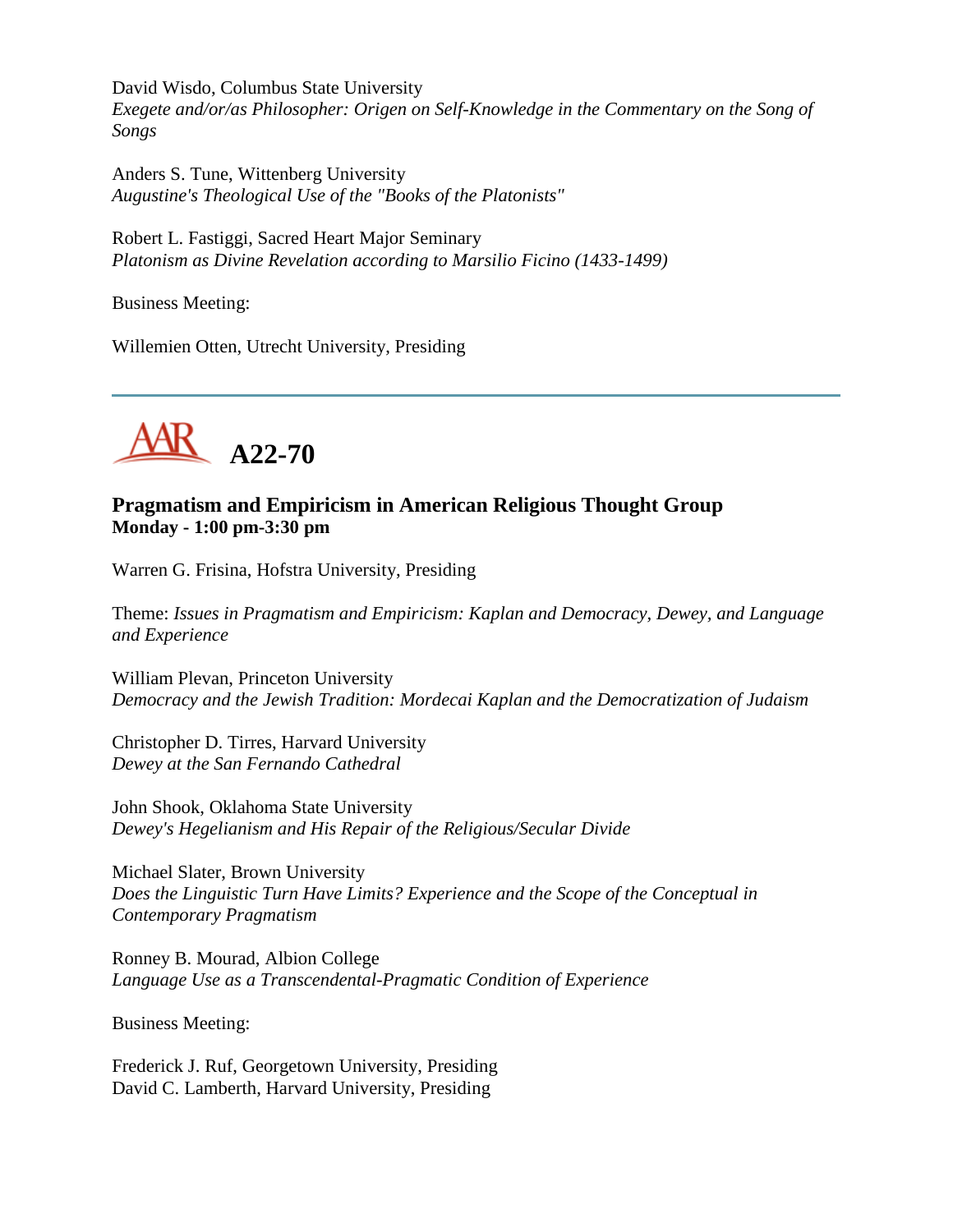David Wisdo, Columbus State University *Exegete and/or/as Philosopher: Origen on Self-Knowledge in the Commentary on the Song of Songs*

Anders S. Tune, Wittenberg University *Augustine's Theological Use of the "Books of the Platonists"*

Robert L. Fastiggi, Sacred Heart Major Seminary *Platonism as Divine Revelation according to Marsilio Ficino (1433-1499)*

Business Meeting:

Willemien Otten, Utrecht University, Presiding



# **Pragmatism and Empiricism in American Religious Thought Group Monday - 1:00 pm-3:30 pm**

Warren G. Frisina, Hofstra University, Presiding

Theme: *Issues in Pragmatism and Empiricism: Kaplan and Democracy, Dewey, and Language and Experience*

William Plevan, Princeton University *Democracy and the Jewish Tradition: Mordecai Kaplan and the Democratization of Judaism*

Christopher D. Tirres, Harvard University *Dewey at the San Fernando Cathedral*

John Shook, Oklahoma State University *Dewey's Hegelianism and His Repair of the Religious/Secular Divide*

Michael Slater, Brown University *Does the Linguistic Turn Have Limits? Experience and the Scope of the Conceptual in Contemporary Pragmatism*

Ronney B. Mourad, Albion College *Language Use as a Transcendental-Pragmatic Condition of Experience*

Business Meeting:

Frederick J. Ruf, Georgetown University, Presiding David C. Lamberth, Harvard University, Presiding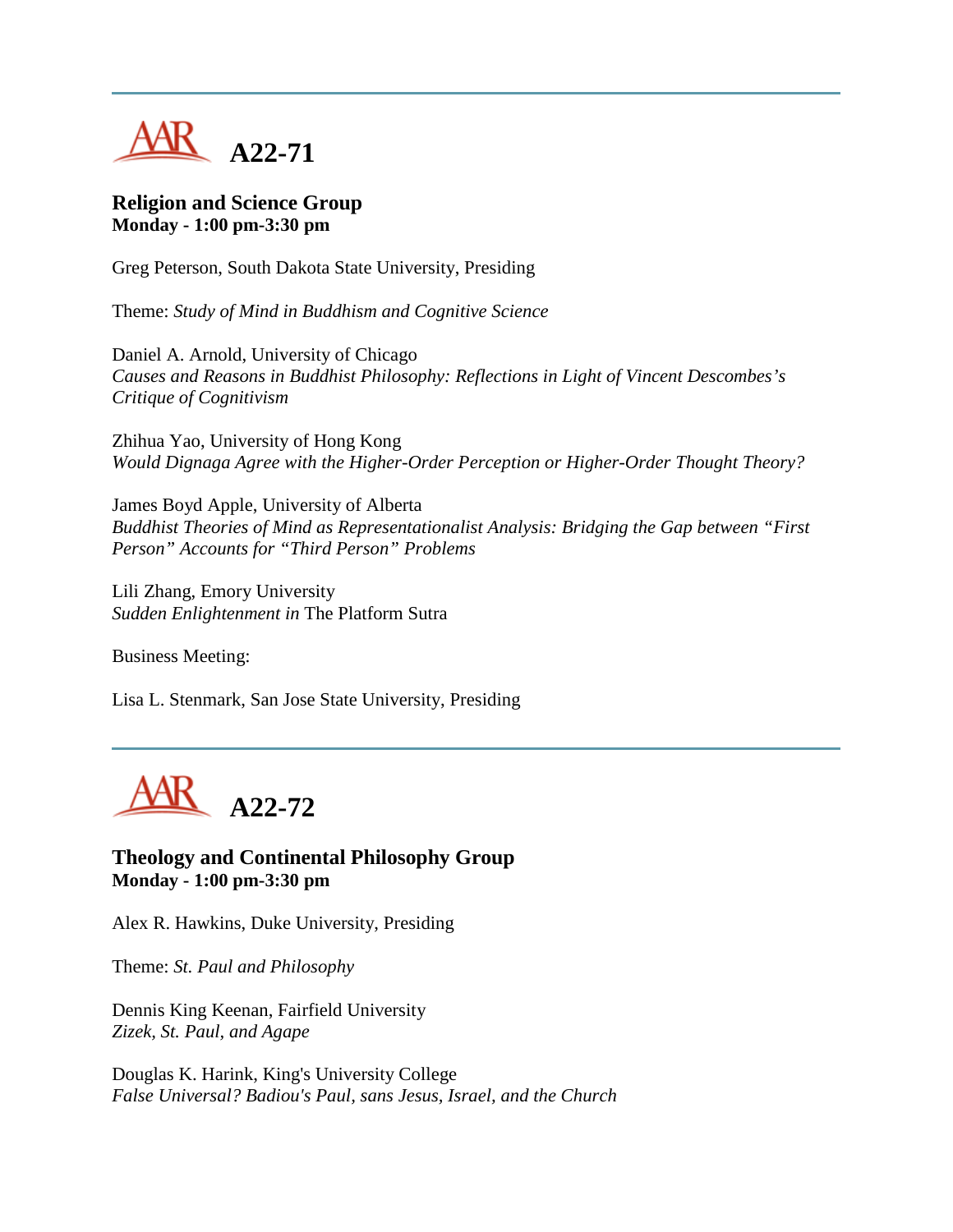

#### **Religion and Science Group Monday - 1:00 pm-3:30 pm**

Greg Peterson, South Dakota State University, Presiding

Theme: *Study of Mind in Buddhism and Cognitive Science*

Daniel A. Arnold, University of Chicago *Causes and Reasons in Buddhist Philosophy: Reflections in Light of Vincent Descombes's Critique of Cognitivism*

Zhihua Yao, University of Hong Kong *Would Dignaga Agree with the Higher-Order Perception or Higher-Order Thought Theory?*

James Boyd Apple, University of Alberta *Buddhist Theories of Mind as Representationalist Analysis: Bridging the Gap between "First Person" Accounts for "Third Person" Problems*

Lili Zhang, Emory University *Sudden Enlightenment in* The Platform Sutra

Business Meeting:

Lisa L. Stenmark, San Jose State University, Presiding



**Theology and Continental Philosophy Group Monday - 1:00 pm-3:30 pm**

Alex R. Hawkins, Duke University, Presiding

Theme: *St. Paul and Philosophy*

Dennis King Keenan, Fairfield University *Zizek, St. Paul, and Agape*

Douglas K. Harink, King's University College *False Universal? Badiou's Paul, sans Jesus, Israel, and the Church*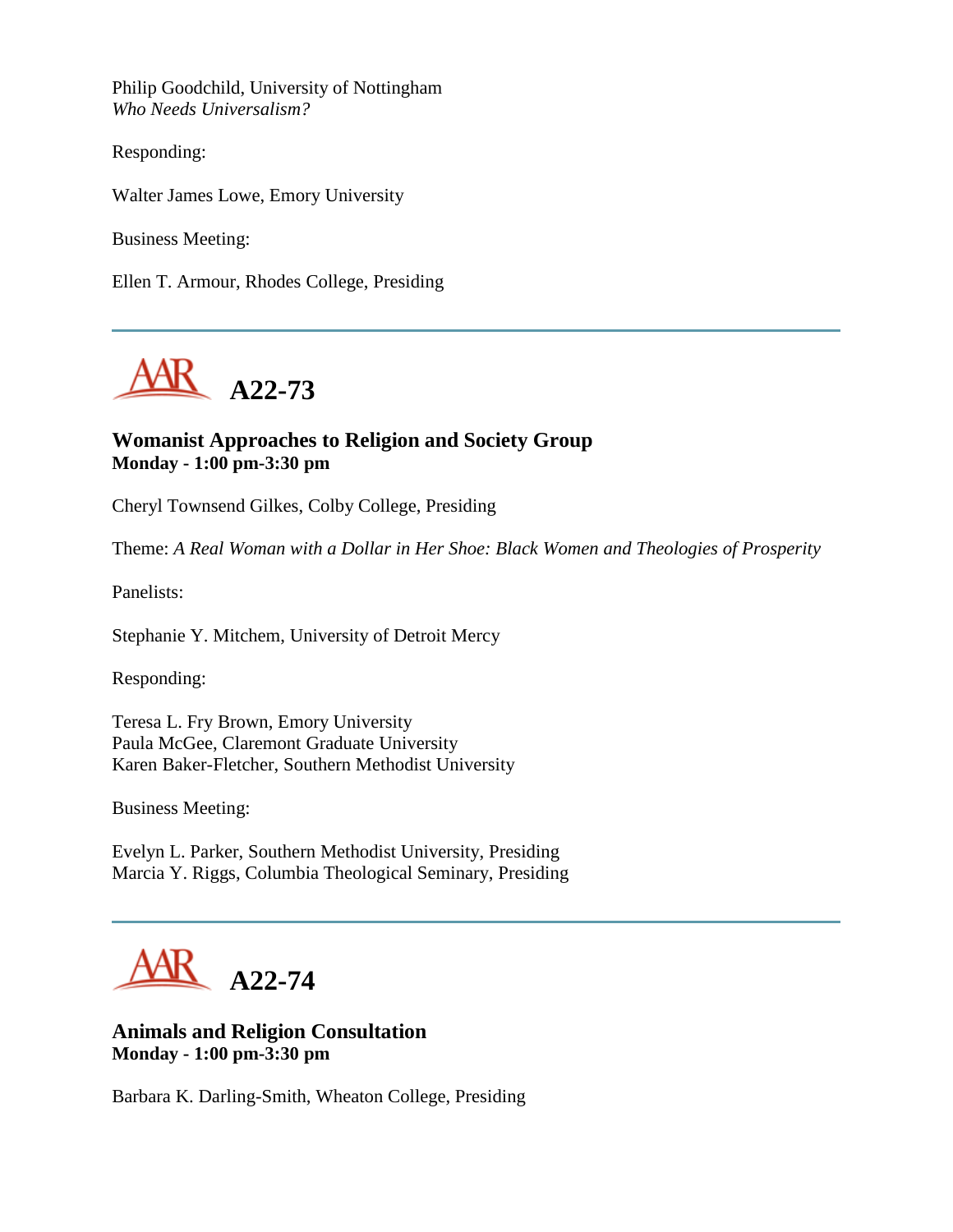Philip Goodchild, University of Nottingham *Who Needs Universalism?*

Responding:

Walter James Lowe, Emory University

Business Meeting:

Ellen T. Armour, Rhodes College, Presiding



#### **Womanist Approaches to Religion and Society Group Monday - 1:00 pm-3:30 pm**

Cheryl Townsend Gilkes, Colby College, Presiding

Theme: *A Real Woman with a Dollar in Her Shoe: Black Women and Theologies of Prosperity*

Panelists:

Stephanie Y. Mitchem, University of Detroit Mercy

Responding:

Teresa L. Fry Brown, Emory University Paula McGee, Claremont Graduate University Karen Baker-Fletcher, Southern Methodist University

Business Meeting:

Evelyn L. Parker, Southern Methodist University, Presiding Marcia Y. Riggs, Columbia Theological Seminary, Presiding

**A22-74**

#### **Animals and Religion Consultation Monday - 1:00 pm-3:30 pm**

Barbara K. Darling-Smith, Wheaton College, Presiding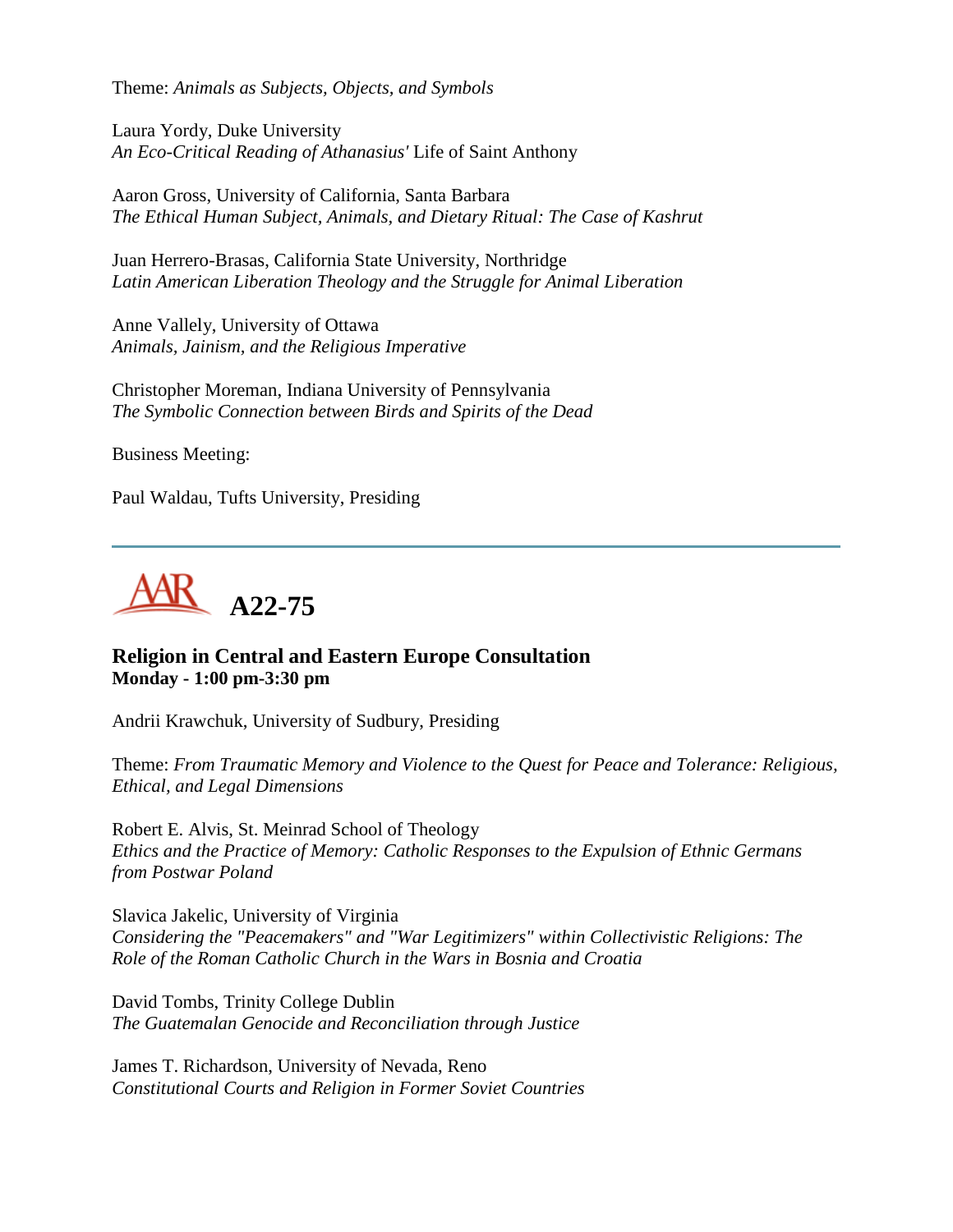Theme: *Animals as Subjects, Objects, and Symbols*

Laura Yordy, Duke University *An Eco-Critical Reading of Athanasius'* Life of Saint Anthony

Aaron Gross, University of California, Santa Barbara *The Ethical Human Subject, Animals, and Dietary Ritual: The Case of Kashrut*

Juan Herrero-Brasas, California State University, Northridge *Latin American Liberation Theology and the Struggle for Animal Liberation*

Anne Vallely, University of Ottawa *Animals, Jainism, and the Religious Imperative*

Christopher Moreman, Indiana University of Pennsylvania *The Symbolic Connection between Birds and Spirits of the Dead*

Business Meeting:

Paul Waldau, Tufts University, Presiding



# **Religion in Central and Eastern Europe Consultation Monday - 1:00 pm-3:30 pm**

Andrii Krawchuk, University of Sudbury, Presiding

Theme: *From Traumatic Memory and Violence to the Quest for Peace and Tolerance: Religious, Ethical, and Legal Dimensions*

Robert E. Alvis, St. Meinrad School of Theology *Ethics and the Practice of Memory: Catholic Responses to the Expulsion of Ethnic Germans from Postwar Poland*

Slavica Jakelic, University of Virginia *Considering the "Peacemakers" and "War Legitimizers" within Collectivistic Religions: The Role of the Roman Catholic Church in the Wars in Bosnia and Croatia*

David Tombs, Trinity College Dublin *The Guatemalan Genocide and Reconciliation through Justice*

James T. Richardson, University of Nevada, Reno *Constitutional Courts and Religion in Former Soviet Countries*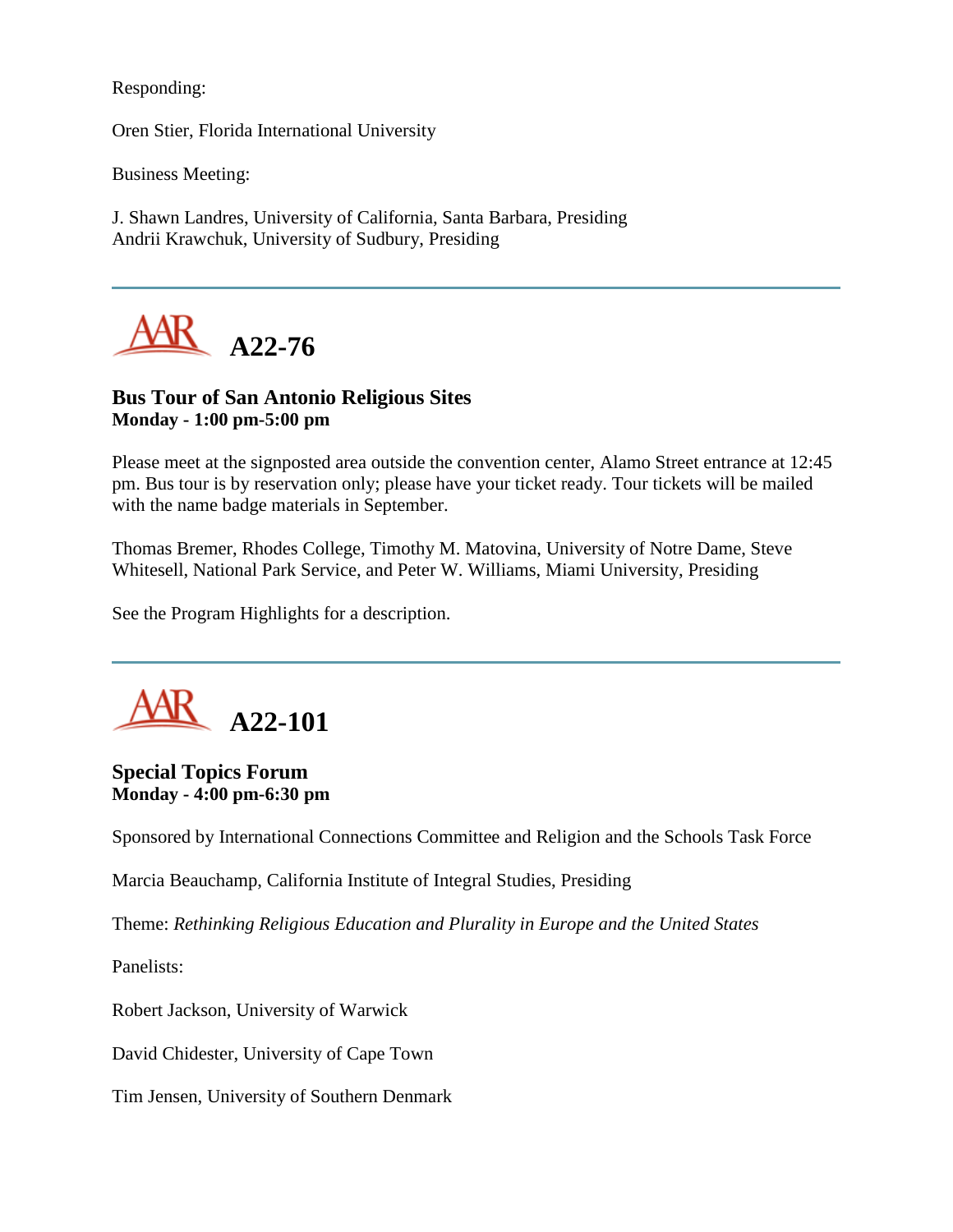Responding:

Oren Stier, Florida International University

Business Meeting:

J. Shawn Landres, University of California, Santa Barbara, Presiding Andrii Krawchuk, University of Sudbury, Presiding



# **Bus Tour of San Antonio Religious Sites Monday - 1:00 pm-5:00 pm**

Please meet at the signposted area outside the convention center, Alamo Street entrance at 12:45 pm. Bus tour is by reservation only; please have your ticket ready. Tour tickets will be mailed with the name badge materials in September.

Thomas Bremer, Rhodes College, Timothy M. Matovina, University of Notre Dame, Steve Whitesell, National Park Service, and Peter W. Williams, Miami University, Presiding

See the Program Highlights for a description.



#### **Special Topics Forum Monday - 4:00 pm-6:30 pm**

Sponsored by International Connections Committee and Religion and the Schools Task Force

Marcia Beauchamp, California Institute of Integral Studies, Presiding

Theme: *Rethinking Religious Education and Plurality in Europe and the United States*

Panelists:

Robert Jackson, University of Warwick

David Chidester, University of Cape Town

Tim Jensen, University of Southern Denmark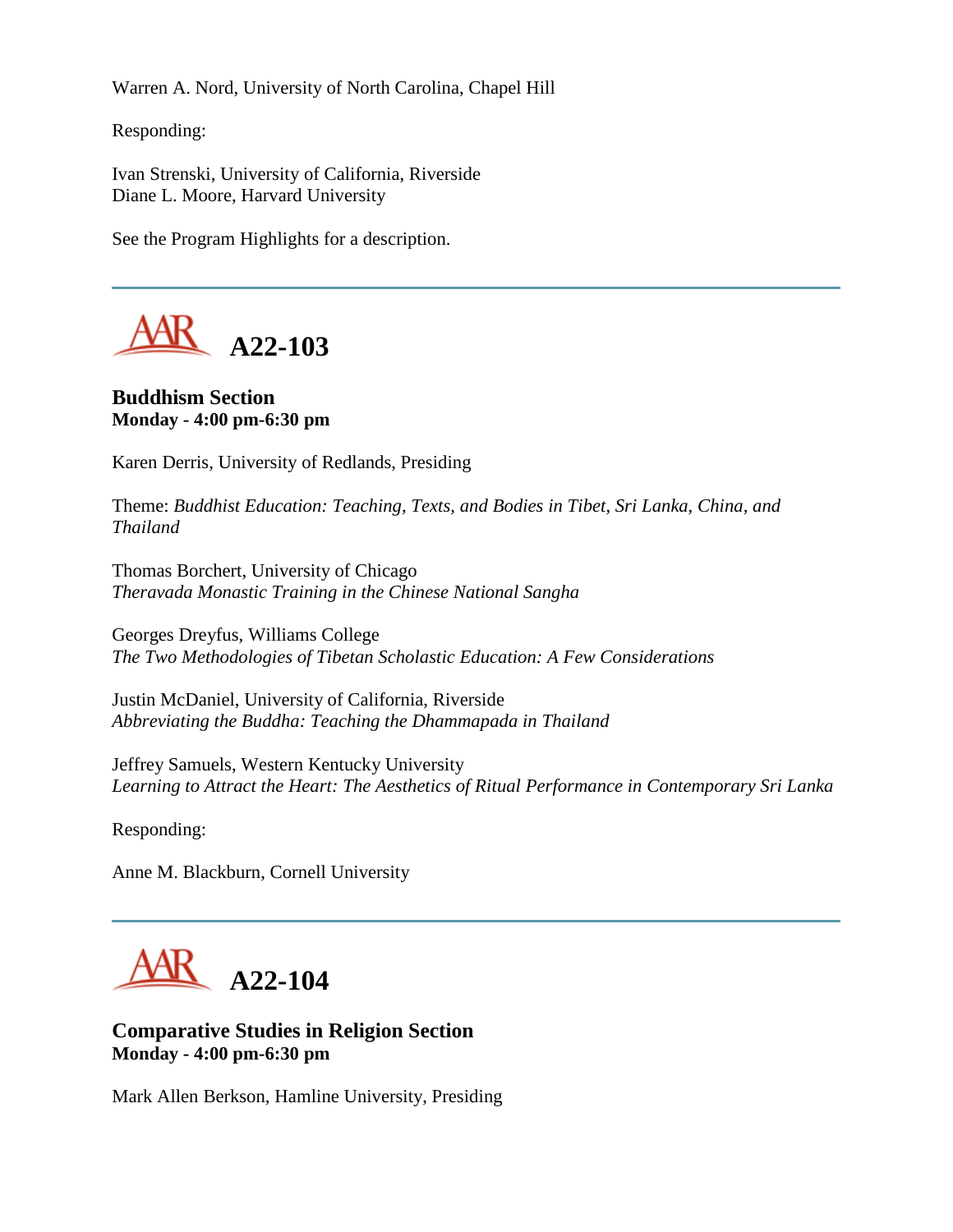Warren A. Nord, University of North Carolina, Chapel Hill

Responding:

Ivan Strenski, University of California, Riverside Diane L. Moore, Harvard University

See the Program Highlights for a description.



**Buddhism Section Monday - 4:00 pm-6:30 pm**

Karen Derris, University of Redlands, Presiding

Theme: *Buddhist Education: Teaching, Texts, and Bodies in Tibet, Sri Lanka, China, and Thailand*

Thomas Borchert, University of Chicago *Theravada Monastic Training in the Chinese National Sangha*

Georges Dreyfus, Williams College *The Two Methodologies of Tibetan Scholastic Education: A Few Considerations*

Justin McDaniel, University of California, Riverside *Abbreviating the Buddha: Teaching the Dhammapada in Thailand*

Jeffrey Samuels, Western Kentucky University *Learning to Attract the Heart: The Aesthetics of Ritual Performance in Contemporary Sri Lanka*

Responding:

Anne M. Blackburn, Cornell University



**Comparative Studies in Religion Section Monday - 4:00 pm-6:30 pm**

Mark Allen Berkson, Hamline University, Presiding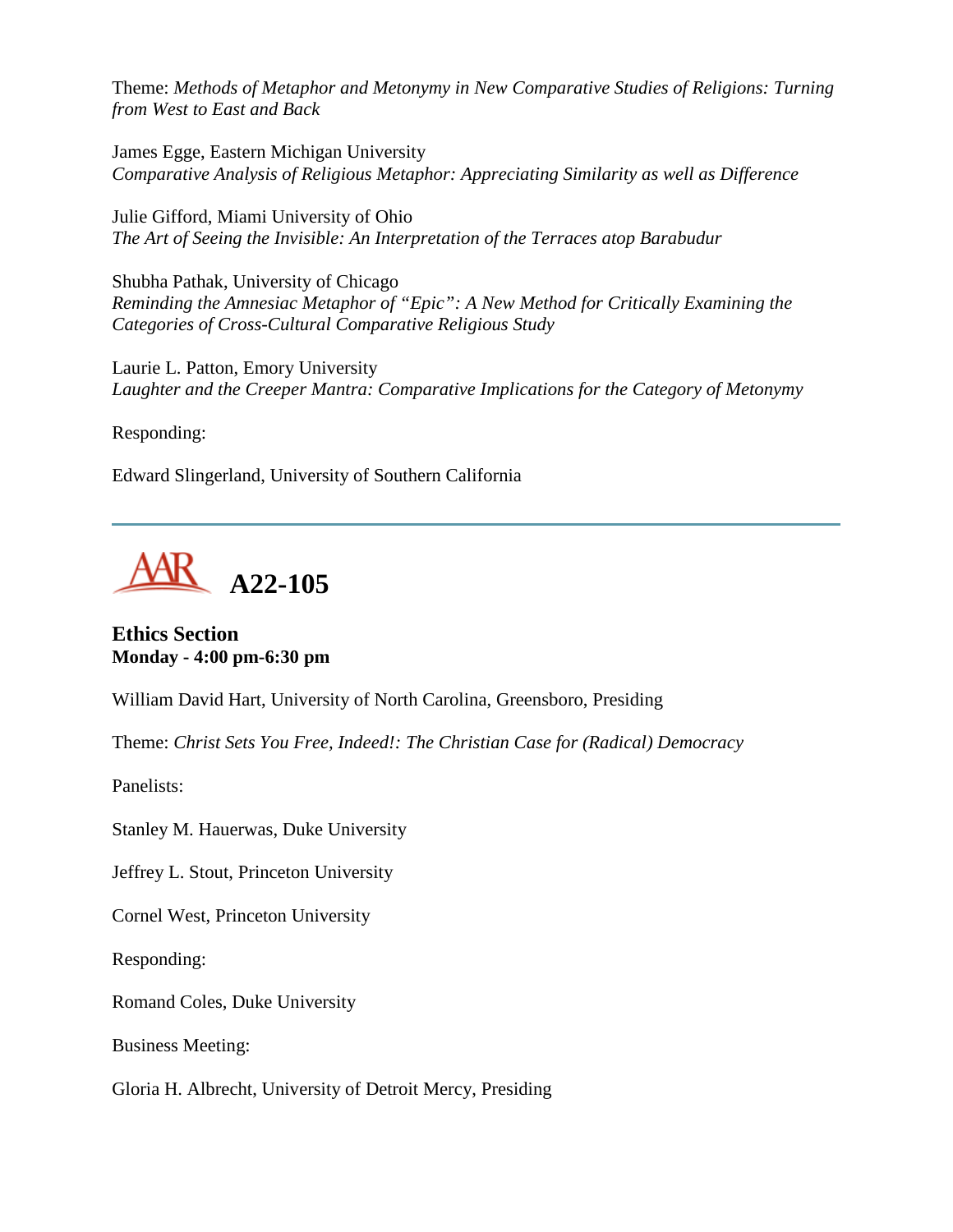Theme: *Methods of Metaphor and Metonymy in New Comparative Studies of Religions: Turning from West to East and Back*

James Egge, Eastern Michigan University *Comparative Analysis of Religious Metaphor: Appreciating Similarity as well as Difference*

Julie Gifford, Miami University of Ohio *The Art of Seeing the Invisible: An Interpretation of the Terraces atop Barabudur*

Shubha Pathak, University of Chicago *Reminding the Amnesiac Metaphor of "Epic": A New Method for Critically Examining the Categories of Cross-Cultural Comparative Religious Study*

Laurie L. Patton, Emory University *Laughter and the Creeper Mantra: Comparative Implications for the Category of Metonymy*

Responding:

Edward Slingerland, University of Southern California



**Ethics Section Monday - 4:00 pm-6:30 pm**

William David Hart, University of North Carolina, Greensboro, Presiding

Theme: *Christ Sets You Free, Indeed!: The Christian Case for (Radical) Democracy*

Panelists:

Stanley M. Hauerwas, Duke University

Jeffrey L. Stout, Princeton University

Cornel West, Princeton University

Responding:

Romand Coles, Duke University

Business Meeting:

Gloria H. Albrecht, University of Detroit Mercy, Presiding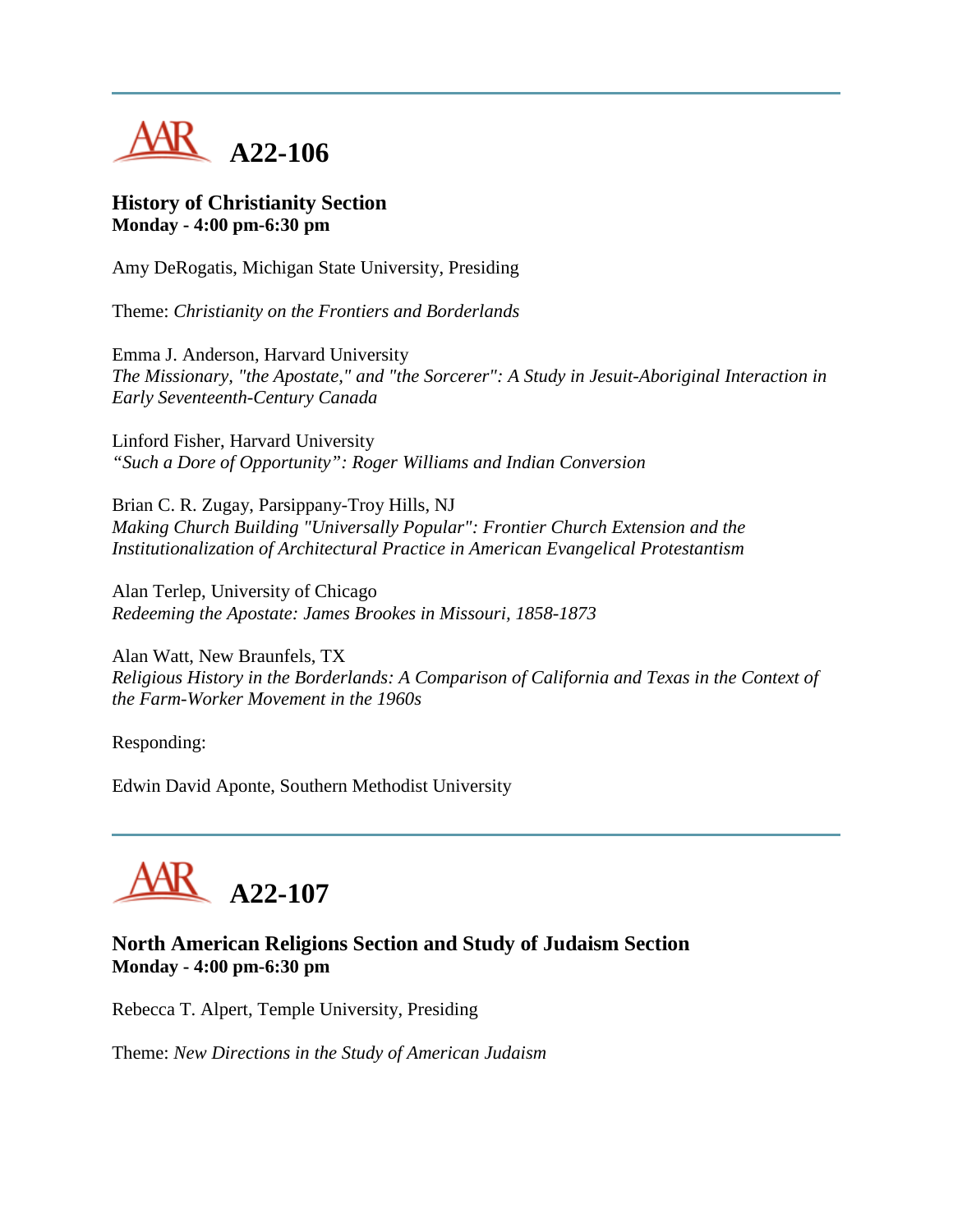

#### **History of Christianity Section Monday - 4:00 pm-6:30 pm**

Amy DeRogatis, Michigan State University, Presiding

Theme: *Christianity on the Frontiers and Borderlands*

Emma J. Anderson, Harvard University *The Missionary, "the Apostate," and "the Sorcerer": A Study in Jesuit-Aboriginal Interaction in Early Seventeenth-Century Canada*

Linford Fisher, Harvard University *"Such a Dore of Opportunity": Roger Williams and Indian Conversion*

Brian C. R. Zugay, Parsippany-Troy Hills, NJ *Making Church Building "Universally Popular": Frontier Church Extension and the Institutionalization of Architectural Practice in American Evangelical Protestantism*

Alan Terlep, University of Chicago *Redeeming the Apostate: James Brookes in Missouri, 1858-1873*

Alan Watt, New Braunfels, TX *Religious History in the Borderlands: A Comparison of California and Texas in the Context of the Farm-Worker Movement in the 1960s*

Responding:

Edwin David Aponte, Southern Methodist University



# **North American Religions Section and Study of Judaism Section Monday - 4:00 pm-6:30 pm**

Rebecca T. Alpert, Temple University, Presiding

Theme: *New Directions in the Study of American Judaism*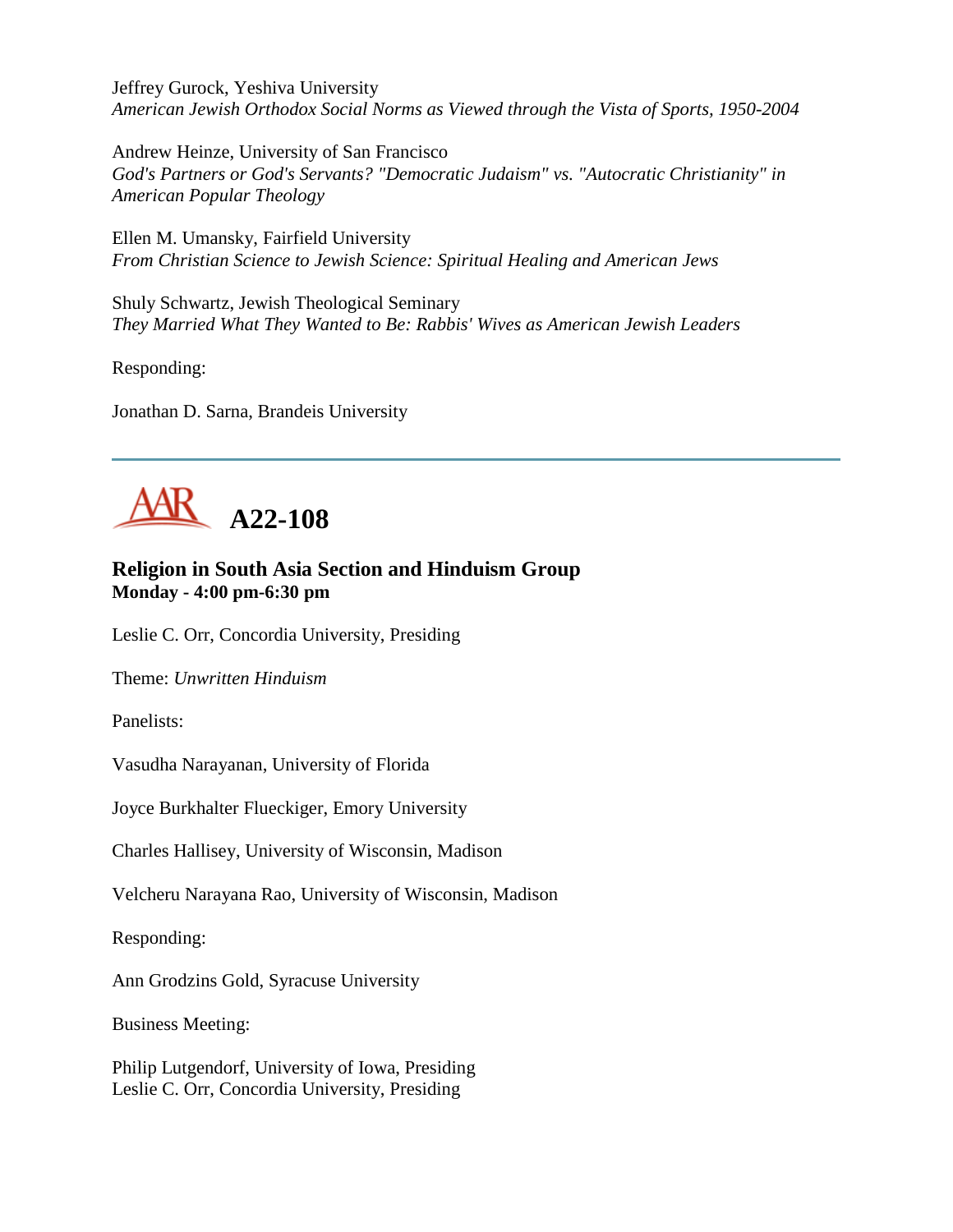Jeffrey Gurock, Yeshiva University *American Jewish Orthodox Social Norms as Viewed through the Vista of Sports, 1950-2004*

Andrew Heinze, University of San Francisco *God's Partners or God's Servants? "Democratic Judaism" vs. "Autocratic Christianity" in American Popular Theology*

Ellen M. Umansky, Fairfield University *From Christian Science to Jewish Science: Spiritual Healing and American Jews*

Shuly Schwartz, Jewish Theological Seminary *They Married What They Wanted to Be: Rabbis' Wives as American Jewish Leaders*

Responding:

Jonathan D. Sarna, Brandeis University



# **Religion in South Asia Section and Hinduism Group Monday - 4:00 pm-6:30 pm**

Leslie C. Orr, Concordia University, Presiding

Theme: *Unwritten Hinduism*

Panelists:

Vasudha Narayanan, University of Florida

Joyce Burkhalter Flueckiger, Emory University

Charles Hallisey, University of Wisconsin, Madison

Velcheru Narayana Rao, University of Wisconsin, Madison

Responding:

Ann Grodzins Gold, Syracuse University

Business Meeting:

Philip Lutgendorf, University of Iowa, Presiding Leslie C. Orr, Concordia University, Presiding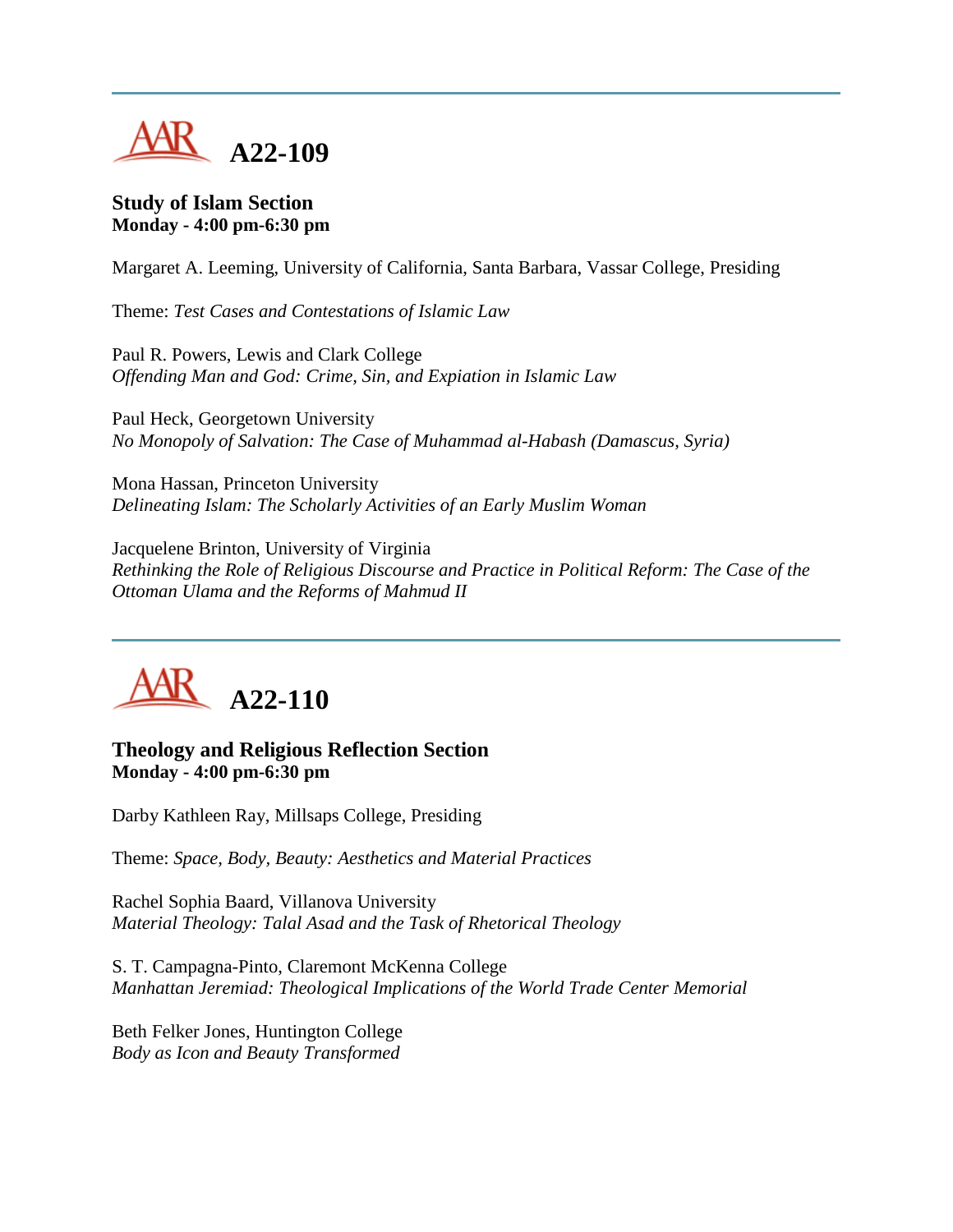

#### **Study of Islam Section Monday - 4:00 pm-6:30 pm**

Margaret A. Leeming, University of California, Santa Barbara, Vassar College, Presiding

Theme: *Test Cases and Contestations of Islamic Law*

Paul R. Powers, Lewis and Clark College *Offending Man and God: Crime, Sin, and Expiation in Islamic Law*

Paul Heck, Georgetown University *No Monopoly of Salvation: The Case of Muhammad al-Habash (Damascus, Syria)*

Mona Hassan, Princeton University *Delineating Islam: The Scholarly Activities of an Early Muslim Woman*

Jacquelene Brinton, University of Virginia *Rethinking the Role of Religious Discourse and Practice in Political Reform: The Case of the Ottoman Ulama and the Reforms of Mahmud II*



#### **Theology and Religious Reflection Section Monday - 4:00 pm-6:30 pm**

Darby Kathleen Ray, Millsaps College, Presiding

Theme: *Space, Body, Beauty: Aesthetics and Material Practices*

Rachel Sophia Baard, Villanova University *Material Theology: Talal Asad and the Task of Rhetorical Theology*

S. T. Campagna-Pinto, Claremont McKenna College *Manhattan Jeremiad: Theological Implications of the World Trade Center Memorial*

Beth Felker Jones, Huntington College *Body as Icon and Beauty Transformed*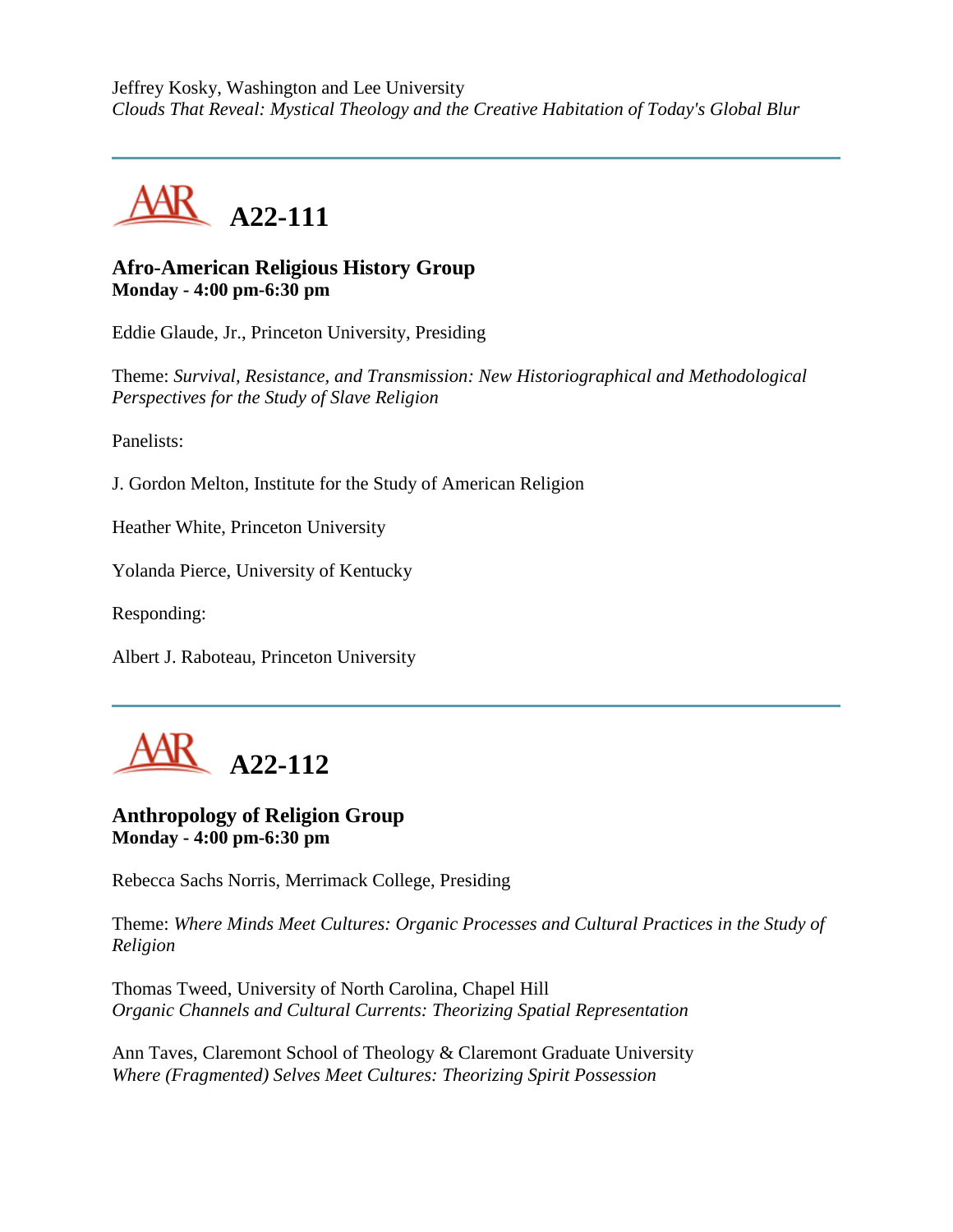Jeffrey Kosky, Washington and Lee University *Clouds That Reveal: Mystical Theology and the Creative Habitation of Today's Global Blur*



#### **Afro-American Religious History Group Monday - 4:00 pm-6:30 pm**

Eddie Glaude, Jr., Princeton University, Presiding

Theme: *Survival, Resistance, and Transmission: New Historiographical and Methodological Perspectives for the Study of Slave Religion*

Panelists:

J. Gordon Melton, Institute for the Study of American Religion

Heather White, Princeton University

Yolanda Pierce, University of Kentucky

Responding:

Albert J. Raboteau, Princeton University



#### **Anthropology of Religion Group Monday - 4:00 pm-6:30 pm**

Rebecca Sachs Norris, Merrimack College, Presiding

Theme: *Where Minds Meet Cultures: Organic Processes and Cultural Practices in the Study of Religion*

Thomas Tweed, University of North Carolina, Chapel Hill *Organic Channels and Cultural Currents: Theorizing Spatial Representation*

Ann Taves, Claremont School of Theology & Claremont Graduate University *Where (Fragmented) Selves Meet Cultures: Theorizing Spirit Possession*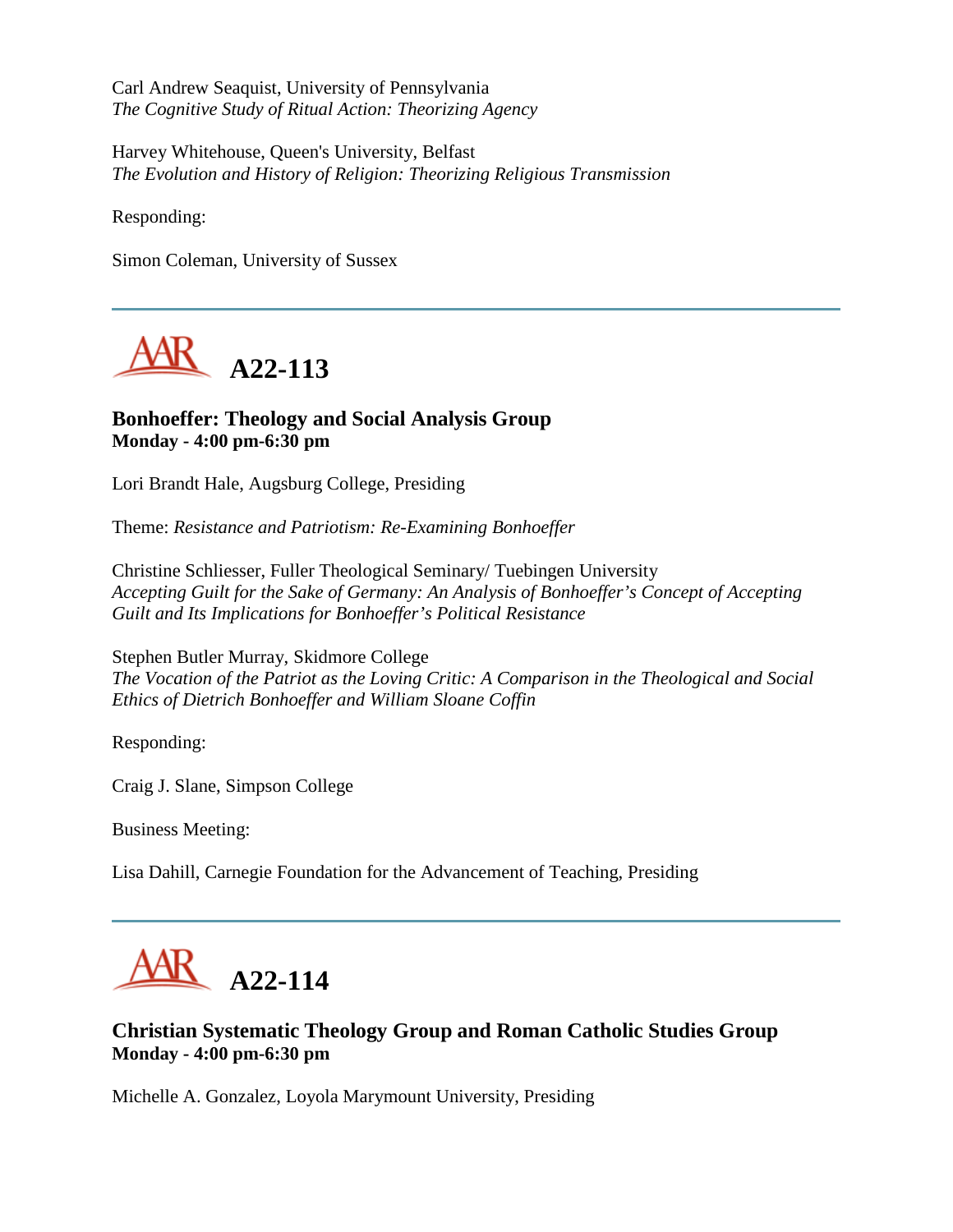Carl Andrew Seaquist, University of Pennsylvania *The Cognitive Study of Ritual Action: Theorizing Agency*

Harvey Whitehouse, Queen's University, Belfast *The Evolution and History of Religion: Theorizing Religious Transmission*

Responding:

Simon Coleman, University of Sussex



# **Bonhoeffer: Theology and Social Analysis Group Monday - 4:00 pm-6:30 pm**

Lori Brandt Hale, Augsburg College, Presiding

Theme: *Resistance and Patriotism: Re-Examining Bonhoeffer*

Christine Schliesser, Fuller Theological Seminary/ Tuebingen University *Accepting Guilt for the Sake of Germany: An Analysis of Bonhoeffer's Concept of Accepting Guilt and Its Implications for Bonhoeffer's Political Resistance*

Stephen Butler Murray, Skidmore College *The Vocation of the Patriot as the Loving Critic: A Comparison in the Theological and Social Ethics of Dietrich Bonhoeffer and William Sloane Coffin*

Responding:

Craig J. Slane, Simpson College

Business Meeting:

Lisa Dahill, Carnegie Foundation for the Advancement of Teaching, Presiding



# **Christian Systematic Theology Group and Roman Catholic Studies Group Monday - 4:00 pm-6:30 pm**

Michelle A. Gonzalez, Loyola Marymount University, Presiding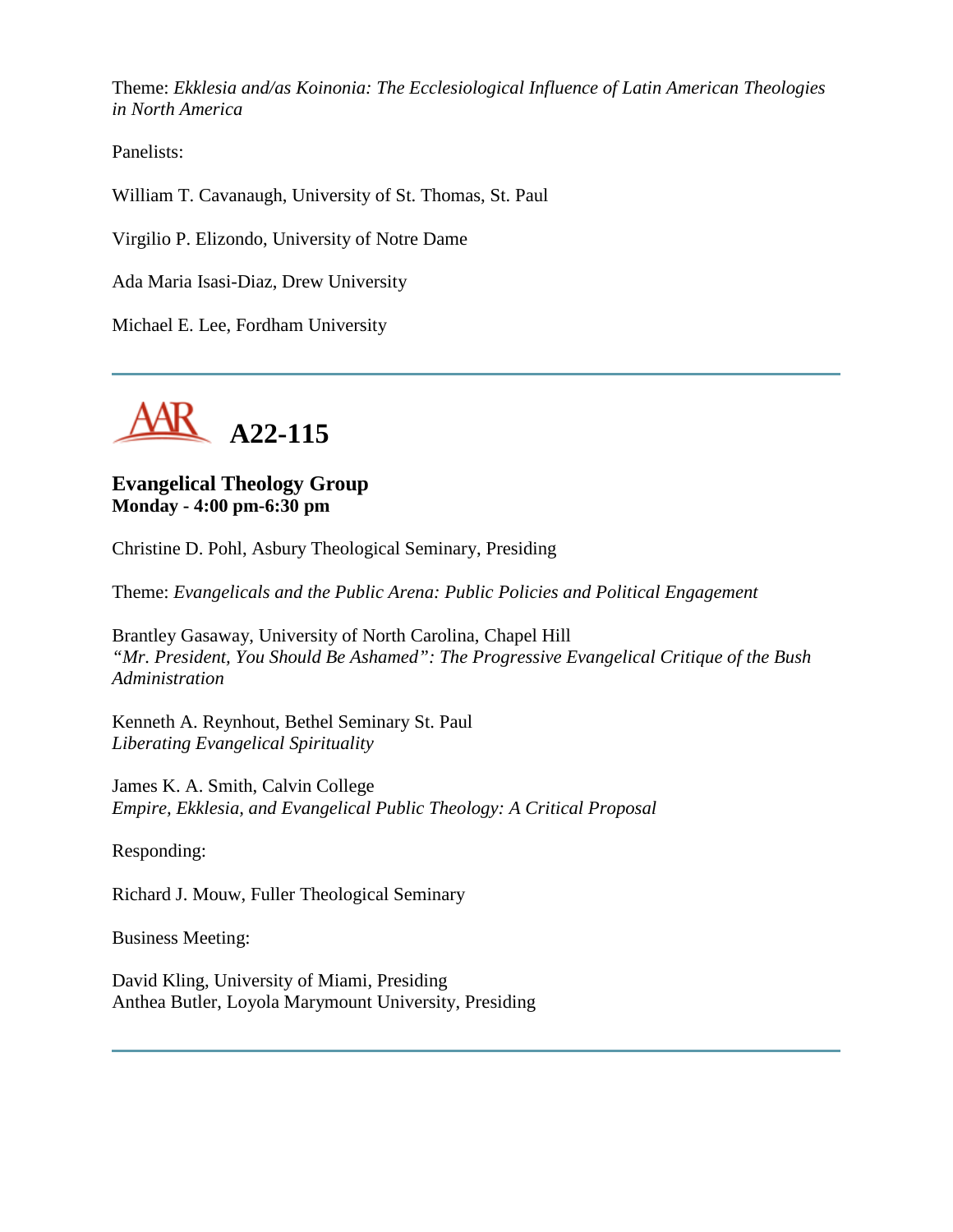Theme: *Ekklesia and/as Koinonia: The Ecclesiological Influence of Latin American Theologies in North America*

Panelists:

William T. Cavanaugh, University of St. Thomas, St. Paul

Virgilio P. Elizondo, University of Notre Dame

Ada Maria Isasi-Diaz, Drew University

Michael E. Lee, Fordham University



# **Evangelical Theology Group Monday - 4:00 pm-6:30 pm**

Christine D. Pohl, Asbury Theological Seminary, Presiding

Theme: *Evangelicals and the Public Arena: Public Policies and Political Engagement*

Brantley Gasaway, University of North Carolina, Chapel Hill *"Mr. President, You Should Be Ashamed": The Progressive Evangelical Critique of the Bush Administration*

Kenneth A. Reynhout, Bethel Seminary St. Paul *Liberating Evangelical Spirituality*

James K. A. Smith, Calvin College *Empire, Ekklesia, and Evangelical Public Theology: A Critical Proposal*

Responding:

Richard J. Mouw, Fuller Theological Seminary

Business Meeting:

David Kling, University of Miami, Presiding Anthea Butler, Loyola Marymount University, Presiding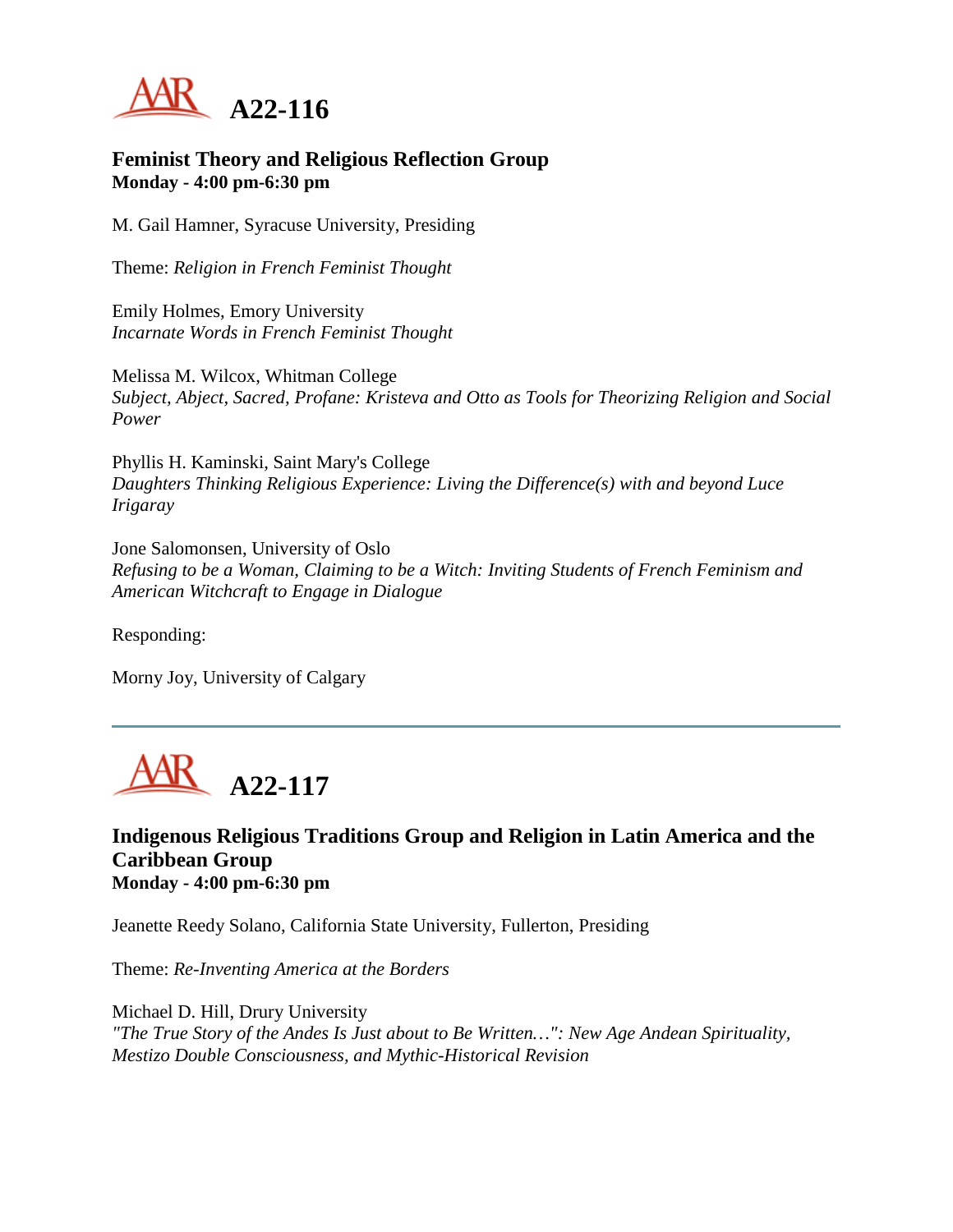

#### **Feminist Theory and Religious Reflection Group Monday - 4:00 pm-6:30 pm**

M. Gail Hamner, Syracuse University, Presiding

Theme: *Religion in French Feminist Thought*

Emily Holmes, Emory University *Incarnate Words in French Feminist Thought*

Melissa M. Wilcox, Whitman College *Subject, Abject, Sacred, Profane: Kristeva and Otto as Tools for Theorizing Religion and Social Power*

Phyllis H. Kaminski, Saint Mary's College *Daughters Thinking Religious Experience: Living the Difference(s) with and beyond Luce Irigaray*

Jone Salomonsen, University of Oslo *Refusing to be a Woman, Claiming to be a Witch: Inviting Students of French Feminism and American Witchcraft to Engage in Dialogue*

Responding:

Morny Joy, University of Calgary



#### **Indigenous Religious Traditions Group and Religion in Latin America and the Caribbean Group Monday - 4:00 pm-6:30 pm**

Jeanette Reedy Solano, California State University, Fullerton, Presiding

Theme: *Re-Inventing America at the Borders*

Michael D. Hill, Drury University *"The True Story of the Andes Is Just about to Be Written…": New Age Andean Spirituality, Mestizo Double Consciousness, and Mythic-Historical Revision*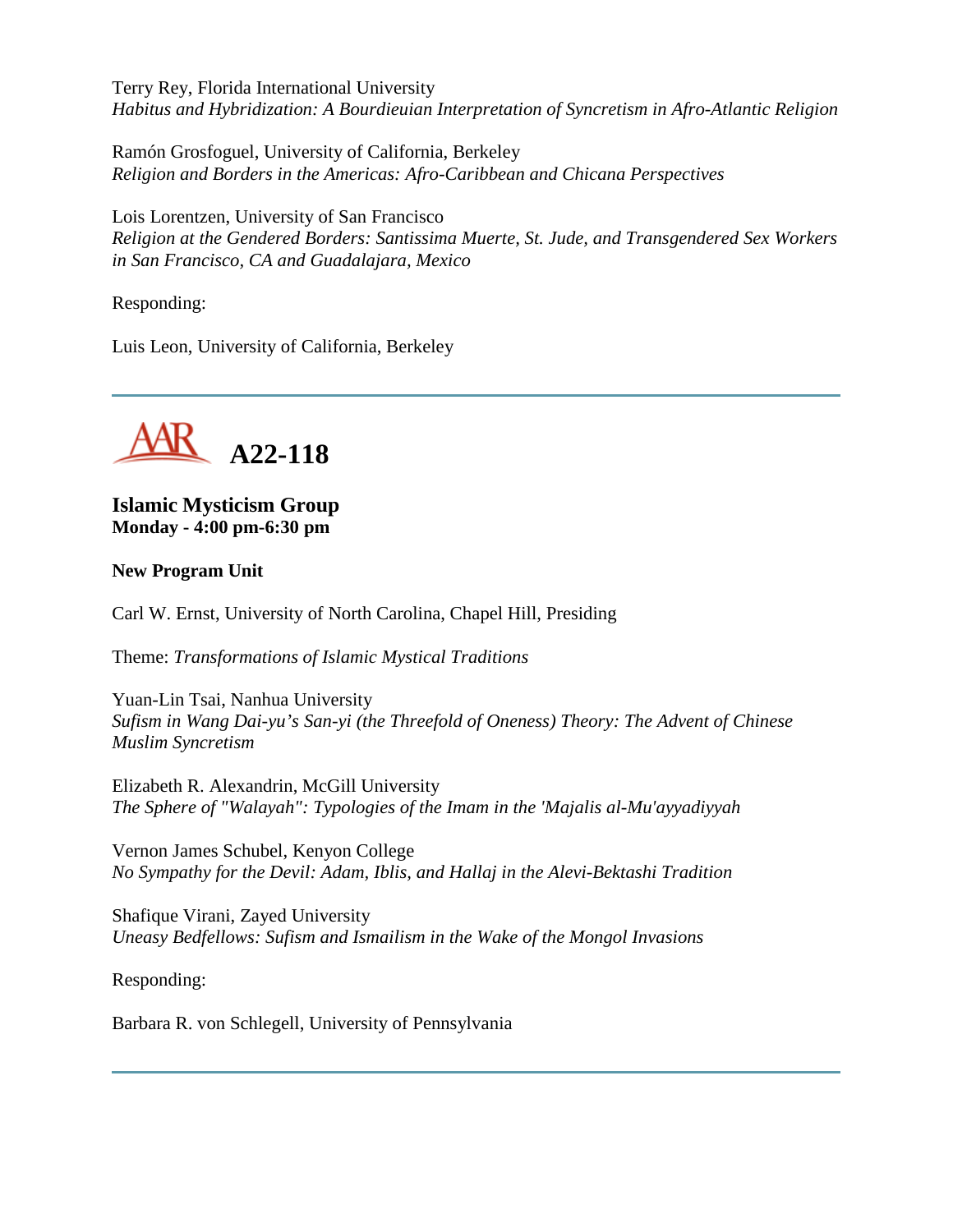Terry Rey, Florida International University *Habitus and Hybridization: A Bourdieuian Interpretation of Syncretism in Afro-Atlantic Religion*

Ramón Grosfoguel, University of California, Berkeley *Religion and Borders in the Americas: Afro-Caribbean and Chicana Perspectives*

Lois Lorentzen, University of San Francisco *Religion at the Gendered Borders: Santissima Muerte, St. Jude, and Transgendered Sex Workers in San Francisco, CA and Guadalajara, Mexico*

Responding:

Luis Leon, University of California, Berkeley



**Islamic Mysticism Group Monday - 4:00 pm-6:30 pm**

#### **New Program Unit**

Carl W. Ernst, University of North Carolina, Chapel Hill, Presiding

Theme: *Transformations of Islamic Mystical Traditions*

Yuan-Lin Tsai, Nanhua University *Sufism in Wang Dai-yu's San-yi (the Threefold of Oneness) Theory: The Advent of Chinese Muslim Syncretism*

Elizabeth R. Alexandrin, McGill University *The Sphere of "Walayah": Typologies of the Imam in the 'Majalis al-Mu'ayyadiyyah*

Vernon James Schubel, Kenyon College *No Sympathy for the Devil: Adam, Iblis, and Hallaj in the Alevi-Bektashi Tradition*

Shafique Virani, Zayed University *Uneasy Bedfellows: Sufism and Ismailism in the Wake of the Mongol Invasions*

Responding:

Barbara R. von Schlegell, University of Pennsylvania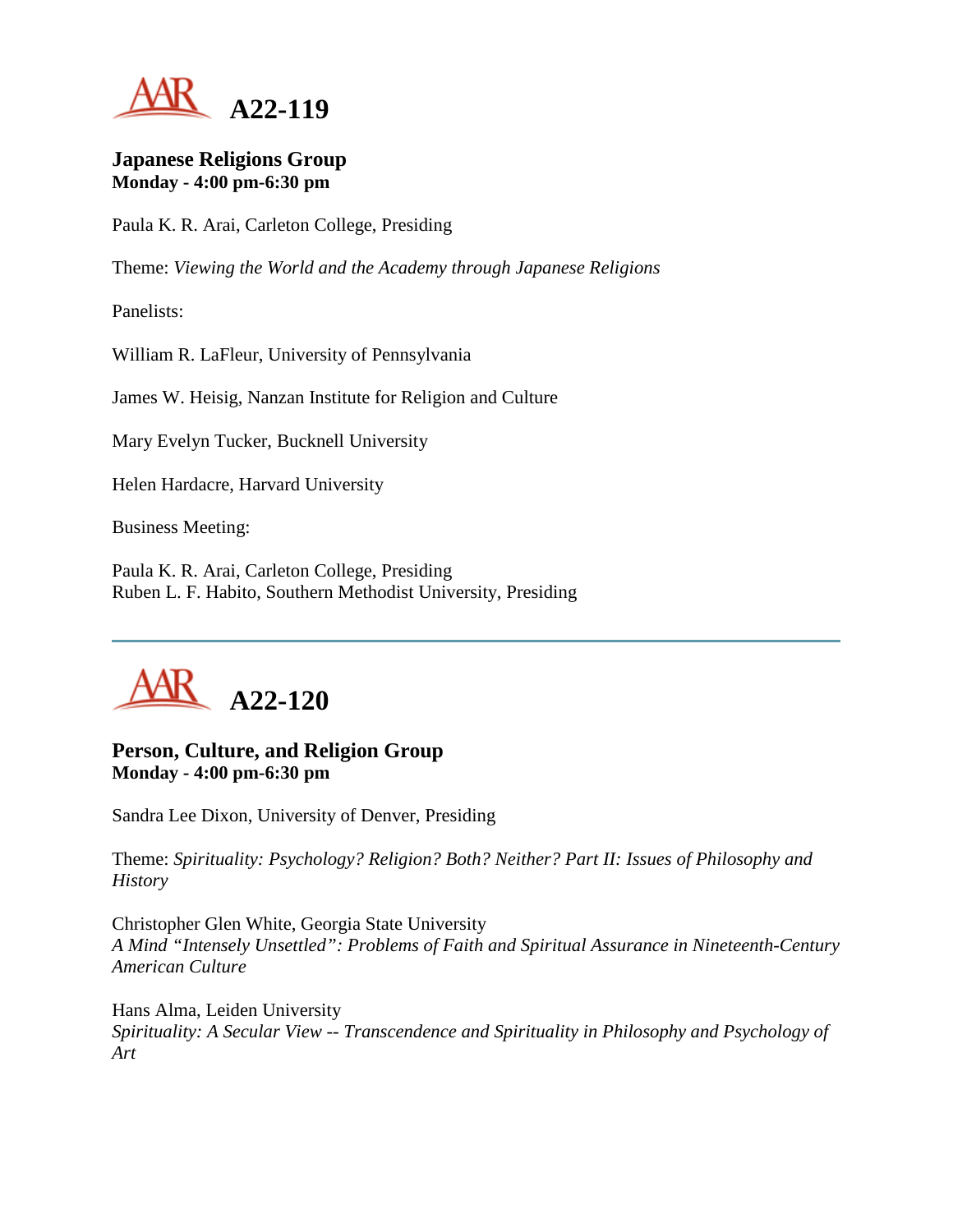

#### **Japanese Religions Group Monday - 4:00 pm-6:30 pm**

Paula K. R. Arai, Carleton College, Presiding

Theme: *Viewing the World and the Academy through Japanese Religions*

Panelists:

William R. LaFleur, University of Pennsylvania

James W. Heisig, Nanzan Institute for Religion and Culture

Mary Evelyn Tucker, Bucknell University

Helen Hardacre, Harvard University

Business Meeting:

Paula K. R. Arai, Carleton College, Presiding Ruben L. F. Habito, Southern Methodist University, Presiding



# **Person, Culture, and Religion Group Monday - 4:00 pm-6:30 pm**

Sandra Lee Dixon, University of Denver, Presiding

Theme: *Spirituality: Psychology? Religion? Both? Neither? Part II: Issues of Philosophy and History*

Christopher Glen White, Georgia State University *A Mind "Intensely Unsettled": Problems of Faith and Spiritual Assurance in Nineteenth-Century American Culture*

Hans Alma, Leiden University *Spirituality: A Secular View -- Transcendence and Spirituality in Philosophy and Psychology of Art*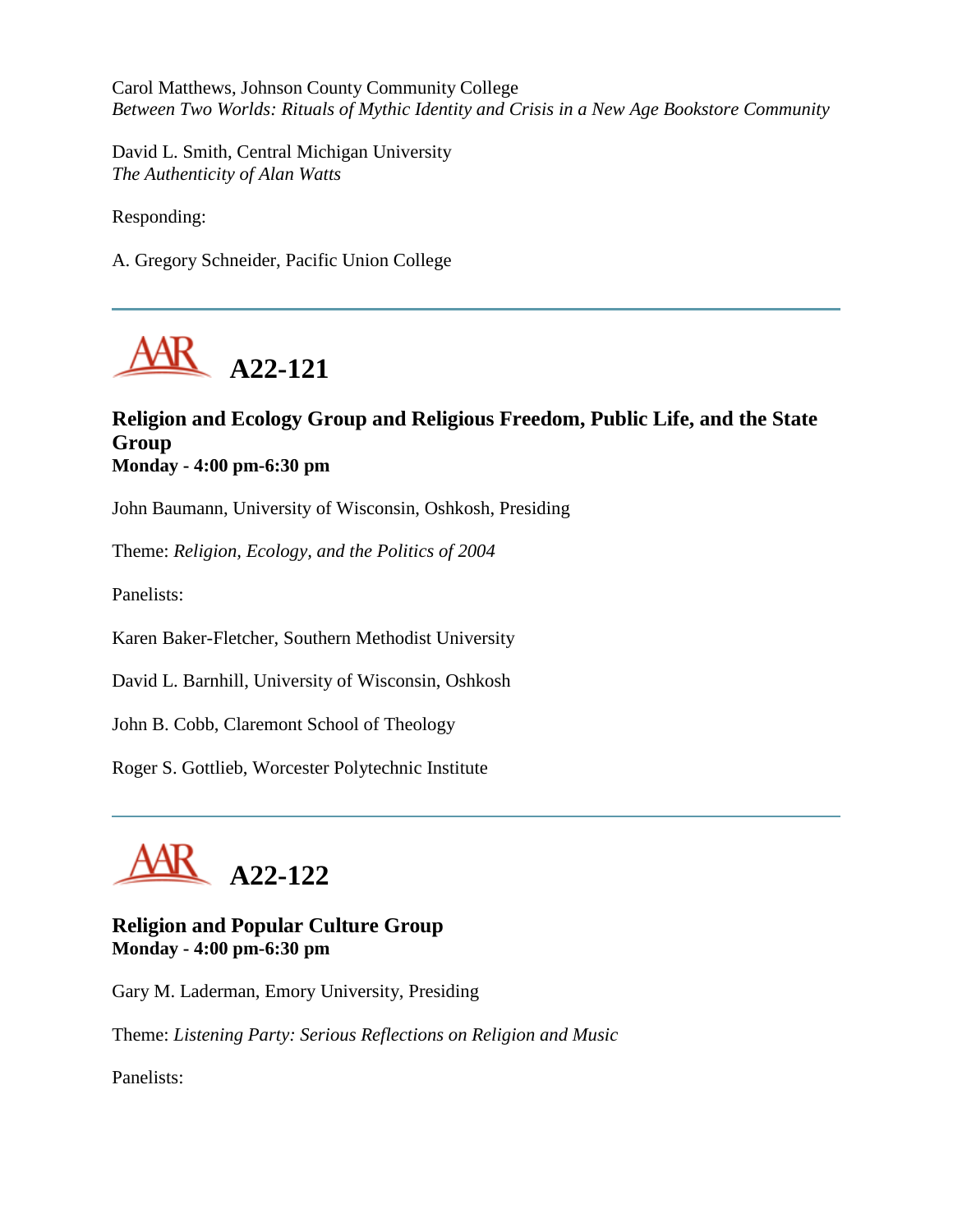Carol Matthews, Johnson County Community College *Between Two Worlds: Rituals of Mythic Identity and Crisis in a New Age Bookstore Community*

David L. Smith, Central Michigan University *The Authenticity of Alan Watts*

Responding:

A. Gregory Schneider, Pacific Union College



# **Religion and Ecology Group and Religious Freedom, Public Life, and the State Group Monday - 4:00 pm-6:30 pm**

John Baumann, University of Wisconsin, Oshkosh, Presiding

Theme: *Religion, Ecology, and the Politics of 2004*

Panelists:

Karen Baker-Fletcher, Southern Methodist University

David L. Barnhill, University of Wisconsin, Oshkosh

John B. Cobb, Claremont School of Theology

Roger S. Gottlieb, Worcester Polytechnic Institute



**Religion and Popular Culture Group Monday - 4:00 pm-6:30 pm**

Gary M. Laderman, Emory University, Presiding

Theme: *Listening Party: Serious Reflections on Religion and Music*

Panelists: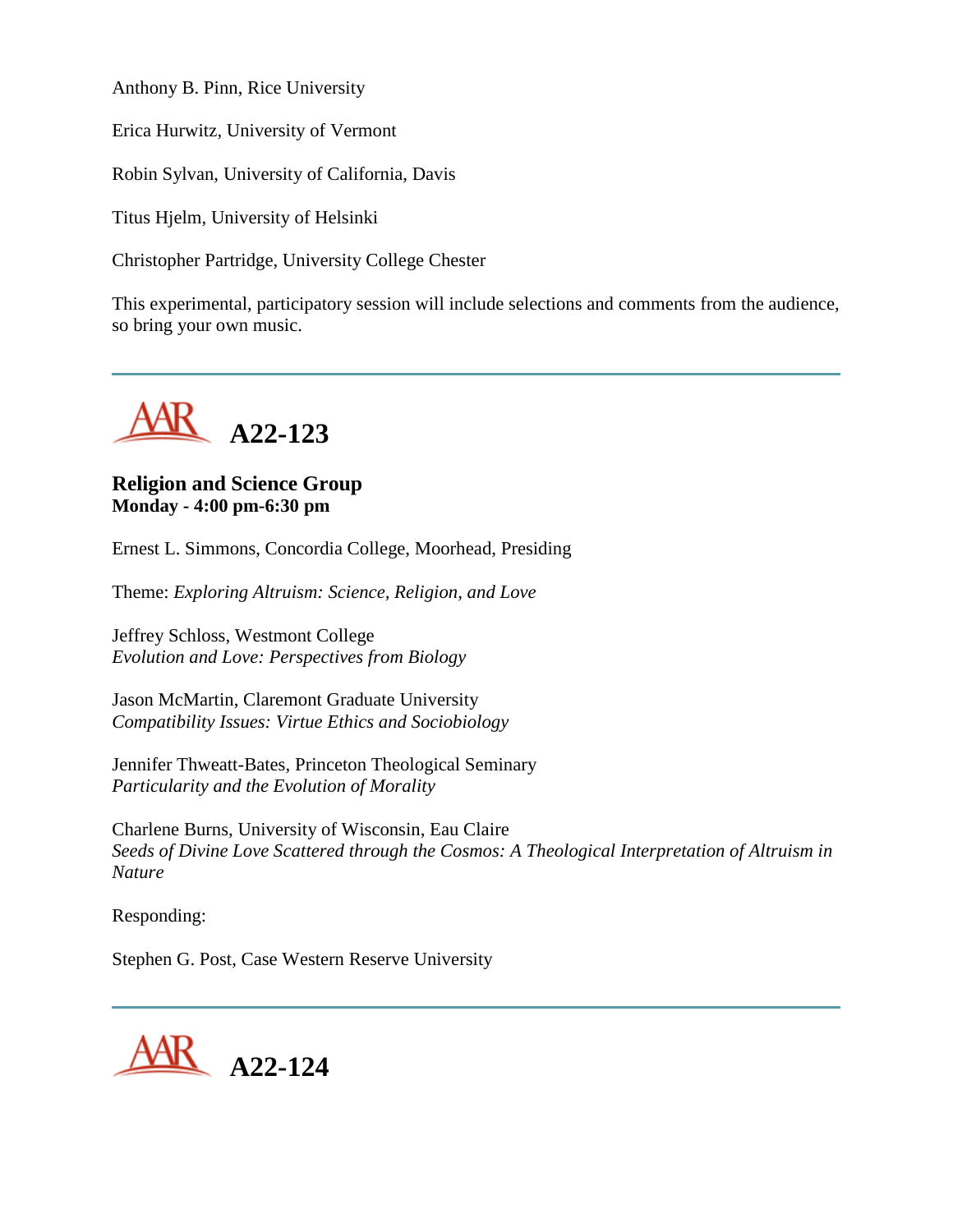Anthony B. Pinn, Rice University

Erica Hurwitz, University of Vermont

Robin Sylvan, University of California, Davis

Titus Hjelm, University of Helsinki

Christopher Partridge, University College Chester

This experimental, participatory session will include selections and comments from the audience, so bring your own music.



# **Religion and Science Group Monday - 4:00 pm-6:30 pm**

Ernest L. Simmons, Concordia College, Moorhead, Presiding

Theme: *Exploring Altruism: Science, Religion, and Love*

Jeffrey Schloss, Westmont College *Evolution and Love: Perspectives from Biology*

Jason McMartin, Claremont Graduate University *Compatibility Issues: Virtue Ethics and Sociobiology*

Jennifer Thweatt-Bates, Princeton Theological Seminary *Particularity and the Evolution of Morality*

Charlene Burns, University of Wisconsin, Eau Claire *Seeds of Divine Love Scattered through the Cosmos: A Theological Interpretation of Altruism in Nature*

Responding:

Stephen G. Post, Case Western Reserve University

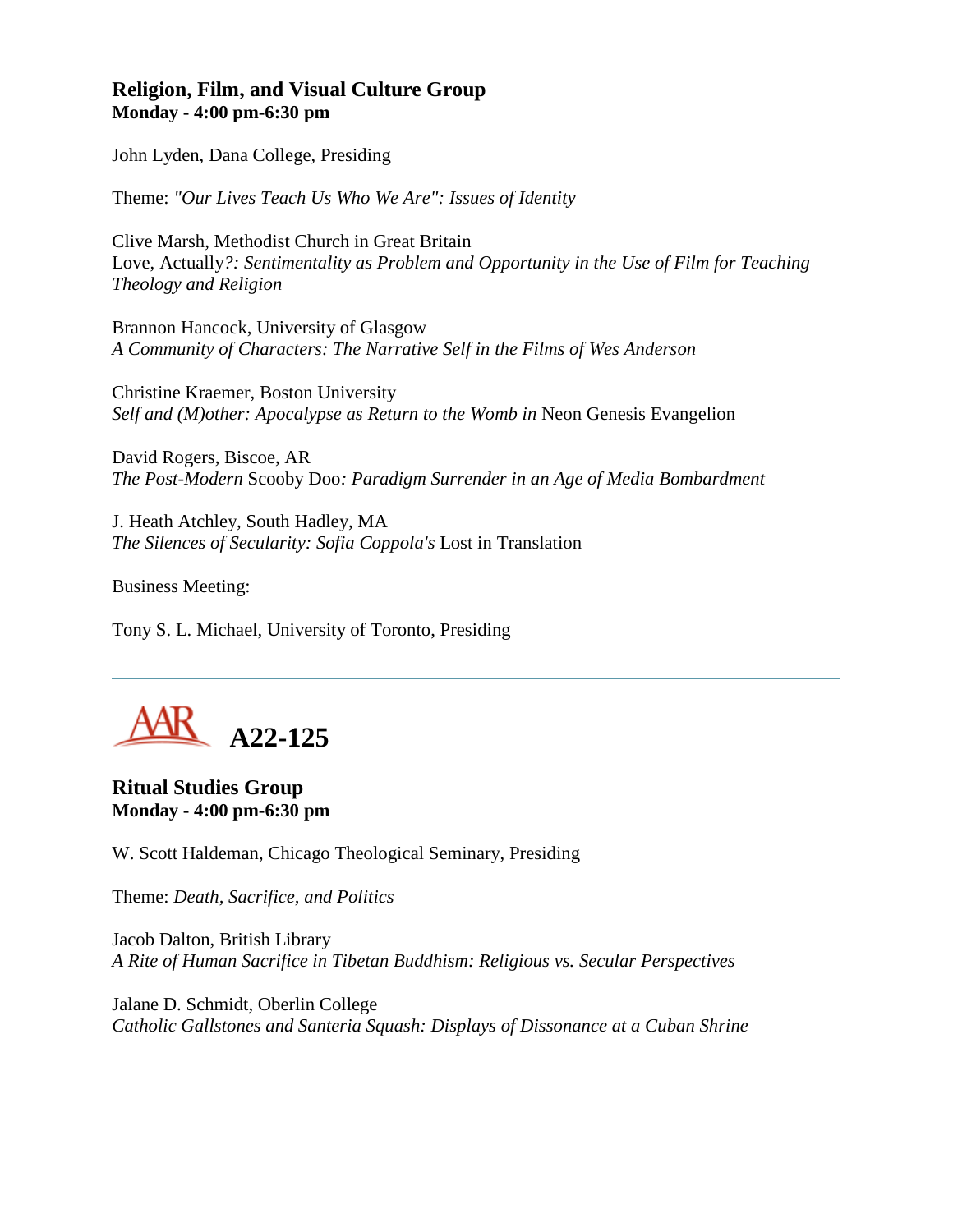### **Religion, Film, and Visual Culture Group Monday - 4:00 pm-6:30 pm**

John Lyden, Dana College, Presiding

Theme: *"Our Lives Teach Us Who We Are": Issues of Identity*

Clive Marsh, Methodist Church in Great Britain Love, Actually*?: Sentimentality as Problem and Opportunity in the Use of Film for Teaching Theology and Religion*

Brannon Hancock, University of Glasgow *A Community of Characters: The Narrative Self in the Films of Wes Anderson*

Christine Kraemer, Boston University *Self and (M)other: Apocalypse as Return to the Womb in Neon Genesis Evangelion* 

David Rogers, Biscoe, AR *The Post-Modern* Scooby Doo*: Paradigm Surrender in an Age of Media Bombardment*

J. Heath Atchley, South Hadley, MA *The Silences of Secularity: Sofia Coppola's* Lost in Translation

Business Meeting:

Tony S. L. Michael, University of Toronto, Presiding



**Ritual Studies Group Monday - 4:00 pm-6:30 pm**

W. Scott Haldeman, Chicago Theological Seminary, Presiding

Theme: *Death, Sacrifice, and Politics*

Jacob Dalton, British Library *A Rite of Human Sacrifice in Tibetan Buddhism: Religious vs. Secular Perspectives*

Jalane D. Schmidt, Oberlin College *Catholic Gallstones and Santeria Squash: Displays of Dissonance at a Cuban Shrine*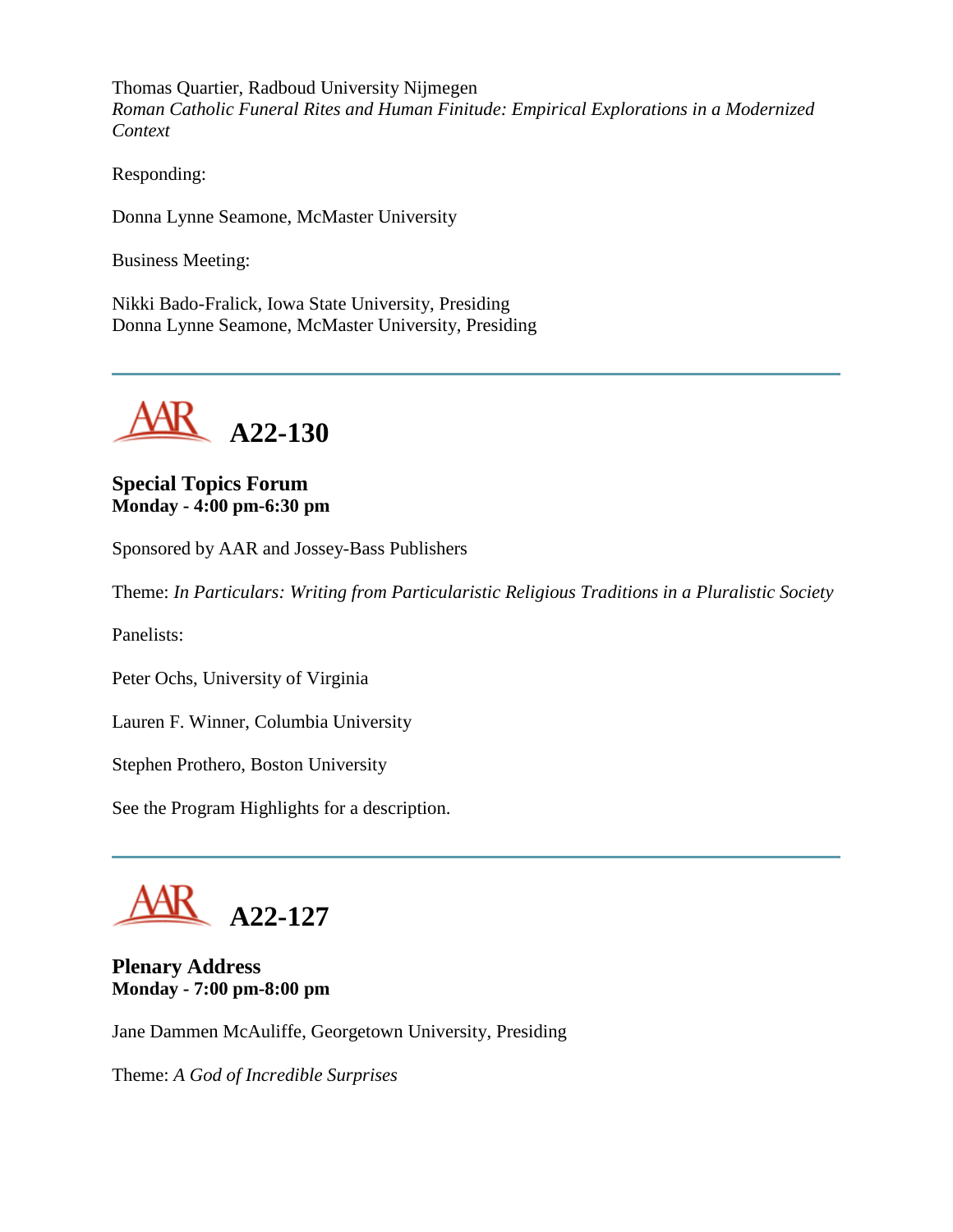Thomas Quartier, Radboud University Nijmegen *Roman Catholic Funeral Rites and Human Finitude: Empirical Explorations in a Modernized Context*

Responding:

Donna Lynne Seamone, McMaster University

Business Meeting:

Nikki Bado-Fralick, Iowa State University, Presiding Donna Lynne Seamone, McMaster University, Presiding



**Special Topics Forum Monday - 4:00 pm-6:30 pm**

Sponsored by AAR and Jossey-Bass Publishers

Theme: *In Particulars: Writing from Particularistic Religious Traditions in a Pluralistic Society*

Panelists:

Peter Ochs, University of Virginia

Lauren F. Winner, Columbia University

Stephen Prothero, Boston University

See the Program Highlights for a description.



# **Plenary Address Monday - 7:00 pm-8:00 pm**

Jane Dammen McAuliffe, Georgetown University, Presiding

Theme: *A God of Incredible Surprises*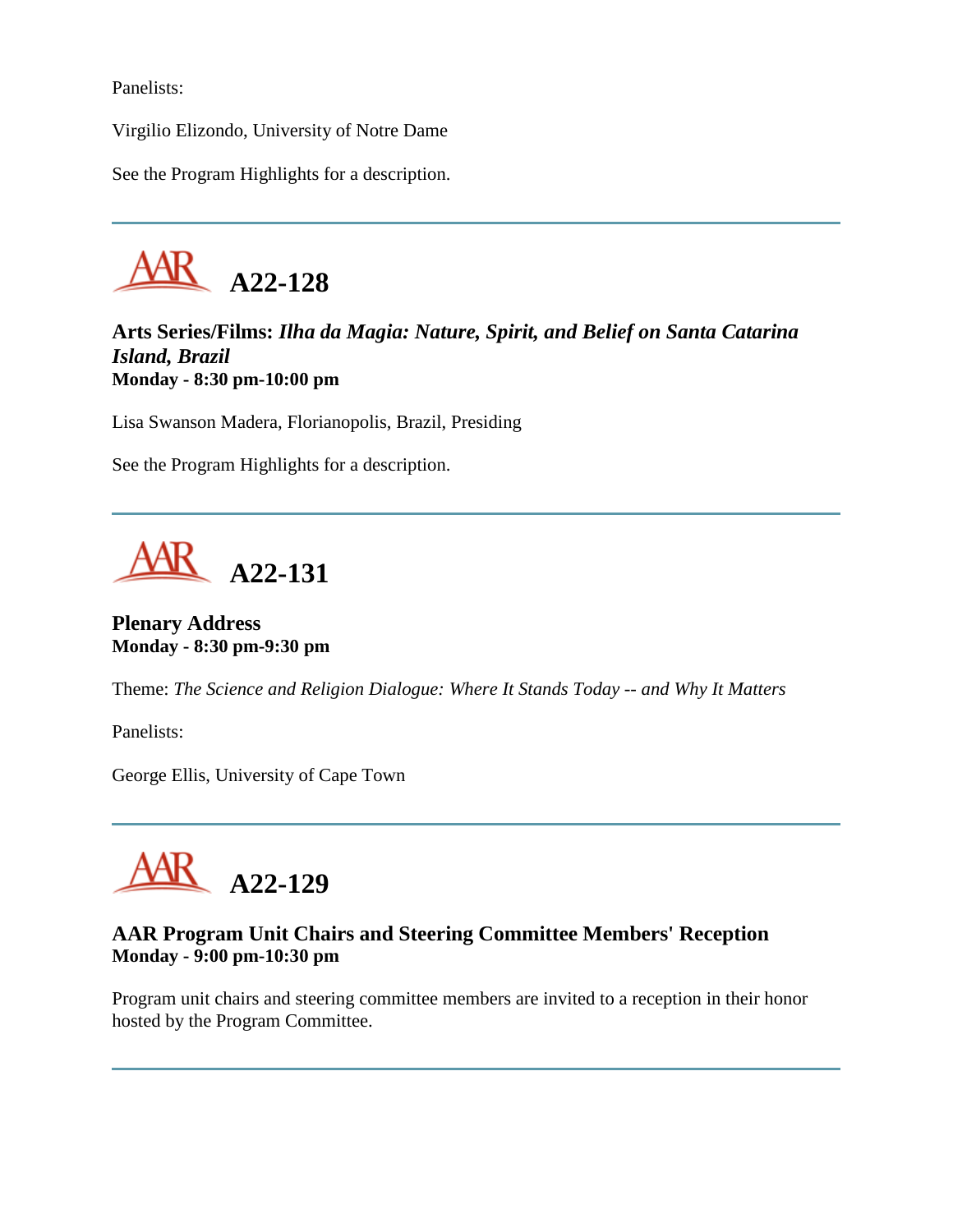Panelists:

Virgilio Elizondo, University of Notre Dame

See the Program Highlights for a description.



**Arts Series/Films:** *Ilha da Magia: Nature, Spirit, and Belief on Santa Catarina Island, Brazil* **Monday - 8:30 pm-10:00 pm**

Lisa Swanson Madera, Florianopolis, Brazil, Presiding

See the Program Highlights for a description.



# **Plenary Address Monday - 8:30 pm-9:30 pm**

Theme: *The Science and Religion Dialogue: Where It Stands Today -- and Why It Matters*

Panelists:

George Ellis, University of Cape Town



# **AAR Program Unit Chairs and Steering Committee Members' Reception Monday - 9:00 pm-10:30 pm**

Program unit chairs and steering committee members are invited to a reception in their honor hosted by the Program Committee.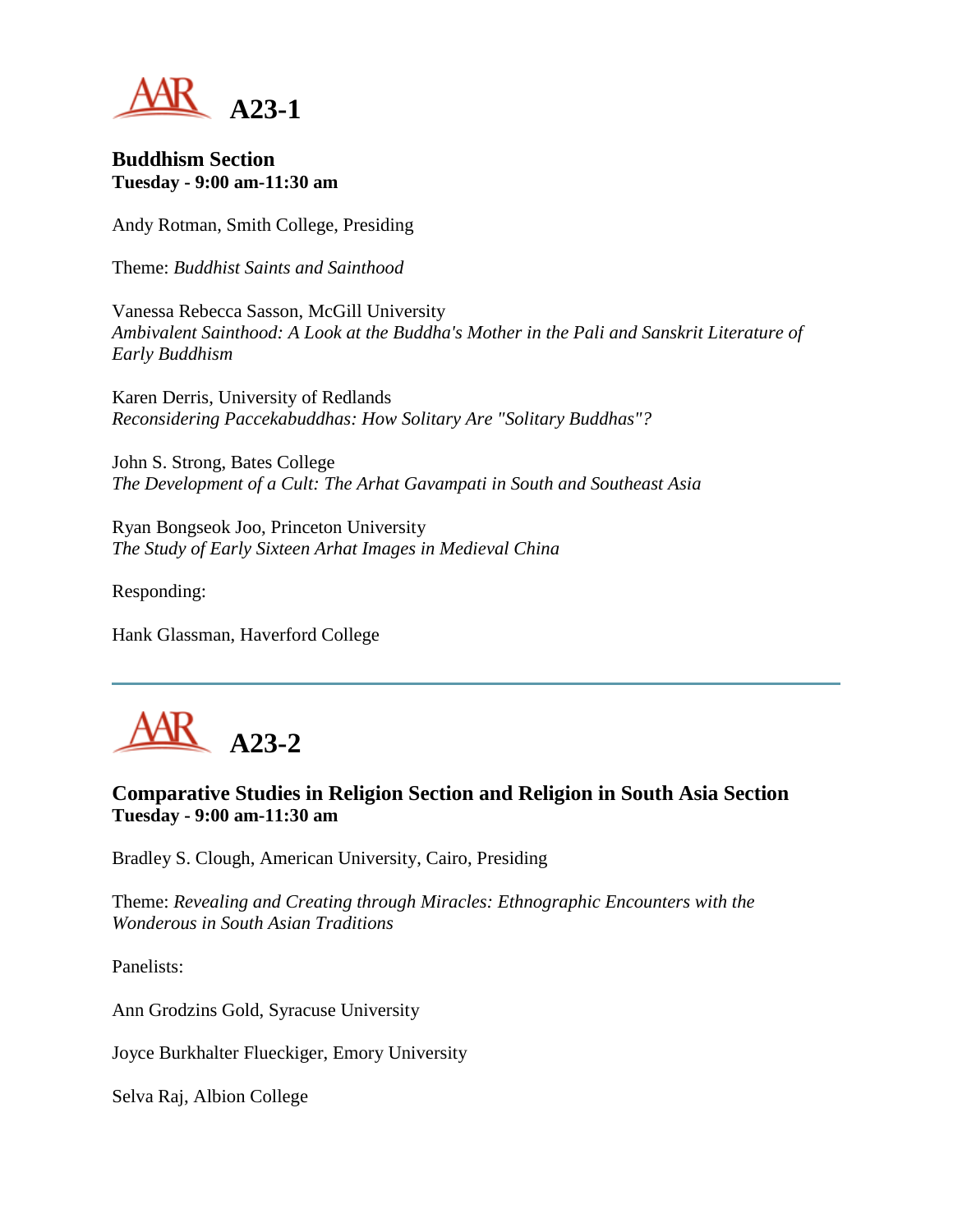

#### **Buddhism Section Tuesday - 9:00 am-11:30 am**

Andy Rotman, Smith College, Presiding

Theme: *Buddhist Saints and Sainthood*

Vanessa Rebecca Sasson, McGill University *Ambivalent Sainthood: A Look at the Buddha's Mother in the Pali and Sanskrit Literature of Early Buddhism*

Karen Derris, University of Redlands *Reconsidering Paccekabuddhas: How Solitary Are "Solitary Buddhas"?*

John S. Strong, Bates College *The Development of a Cult: The Arhat Gavampati in South and Southeast Asia*

Ryan Bongseok Joo, Princeton University *The Study of Early Sixteen Arhat Images in Medieval China*

Responding:

Hank Glassman, Haverford College



# **Comparative Studies in Religion Section and Religion in South Asia Section Tuesday - 9:00 am-11:30 am**

Bradley S. Clough, American University, Cairo, Presiding

Theme: *Revealing and Creating through Miracles: Ethnographic Encounters with the Wonderous in South Asian Traditions*

Panelists:

Ann Grodzins Gold, Syracuse University

Joyce Burkhalter Flueckiger, Emory University

Selva Raj, Albion College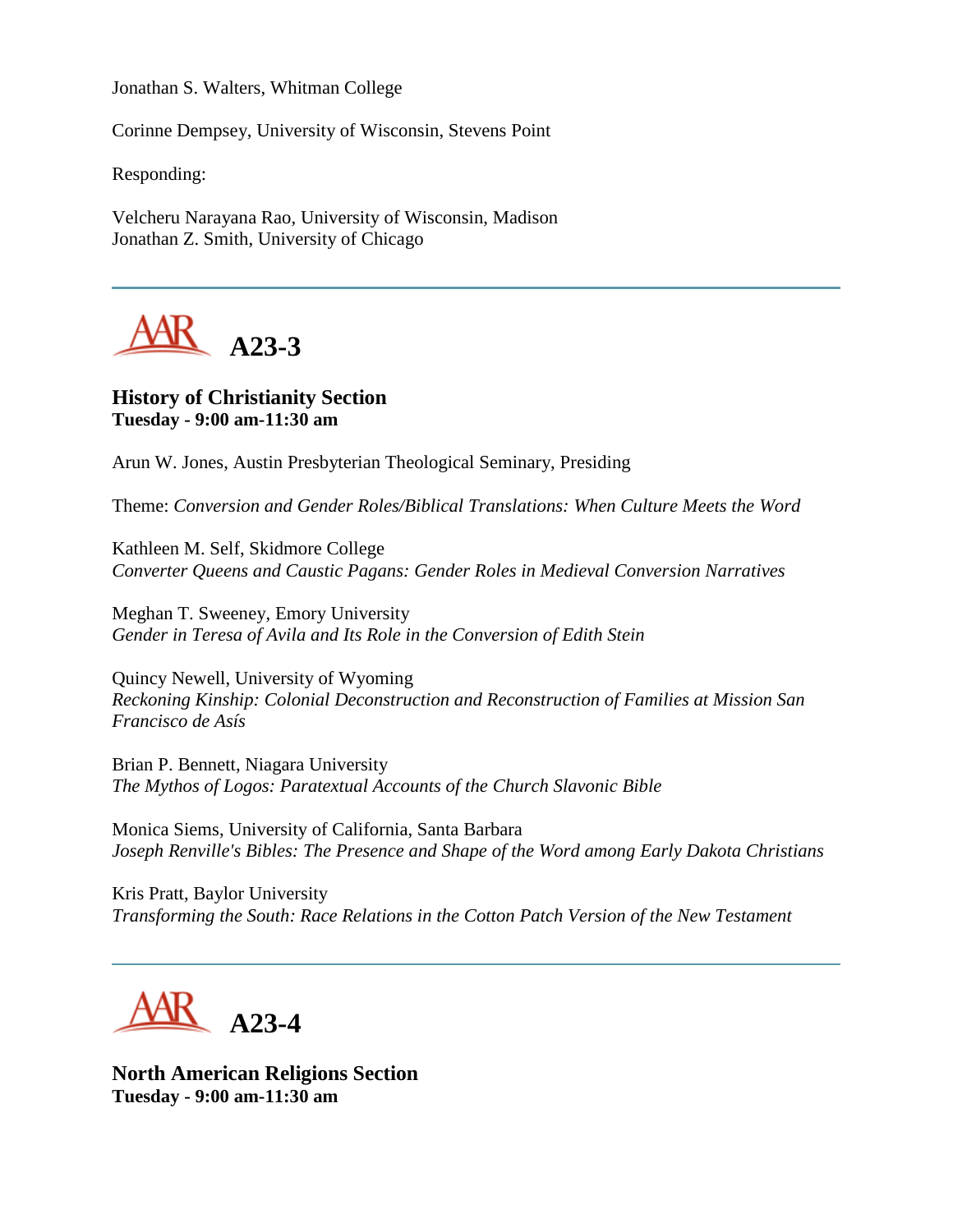Jonathan S. Walters, Whitman College

Corinne Dempsey, University of Wisconsin, Stevens Point

Responding:

Velcheru Narayana Rao, University of Wisconsin, Madison Jonathan Z. Smith, University of Chicago



### **History of Christianity Section Tuesday - 9:00 am-11:30 am**

Arun W. Jones, Austin Presbyterian Theological Seminary, Presiding

Theme: *Conversion and Gender Roles/Biblical Translations: When Culture Meets the Word*

Kathleen M. Self, Skidmore College *Converter Queens and Caustic Pagans: Gender Roles in Medieval Conversion Narratives*

Meghan T. Sweeney, Emory University *Gender in Teresa of Avila and Its Role in the Conversion of Edith Stein*

Quincy Newell, University of Wyoming *Reckoning Kinship: Colonial Deconstruction and Reconstruction of Families at Mission San Francisco de Asís*

Brian P. Bennett, Niagara University *The Mythos of Logos: Paratextual Accounts of the Church Slavonic Bible*

Monica Siems, University of California, Santa Barbara *Joseph Renville's Bibles: The Presence and Shape of the Word among Early Dakota Christians*

Kris Pratt, Baylor University *Transforming the South: Race Relations in the Cotton Patch Version of the New Testament*

**A23-4**

**North American Religions Section Tuesday - 9:00 am-11:30 am**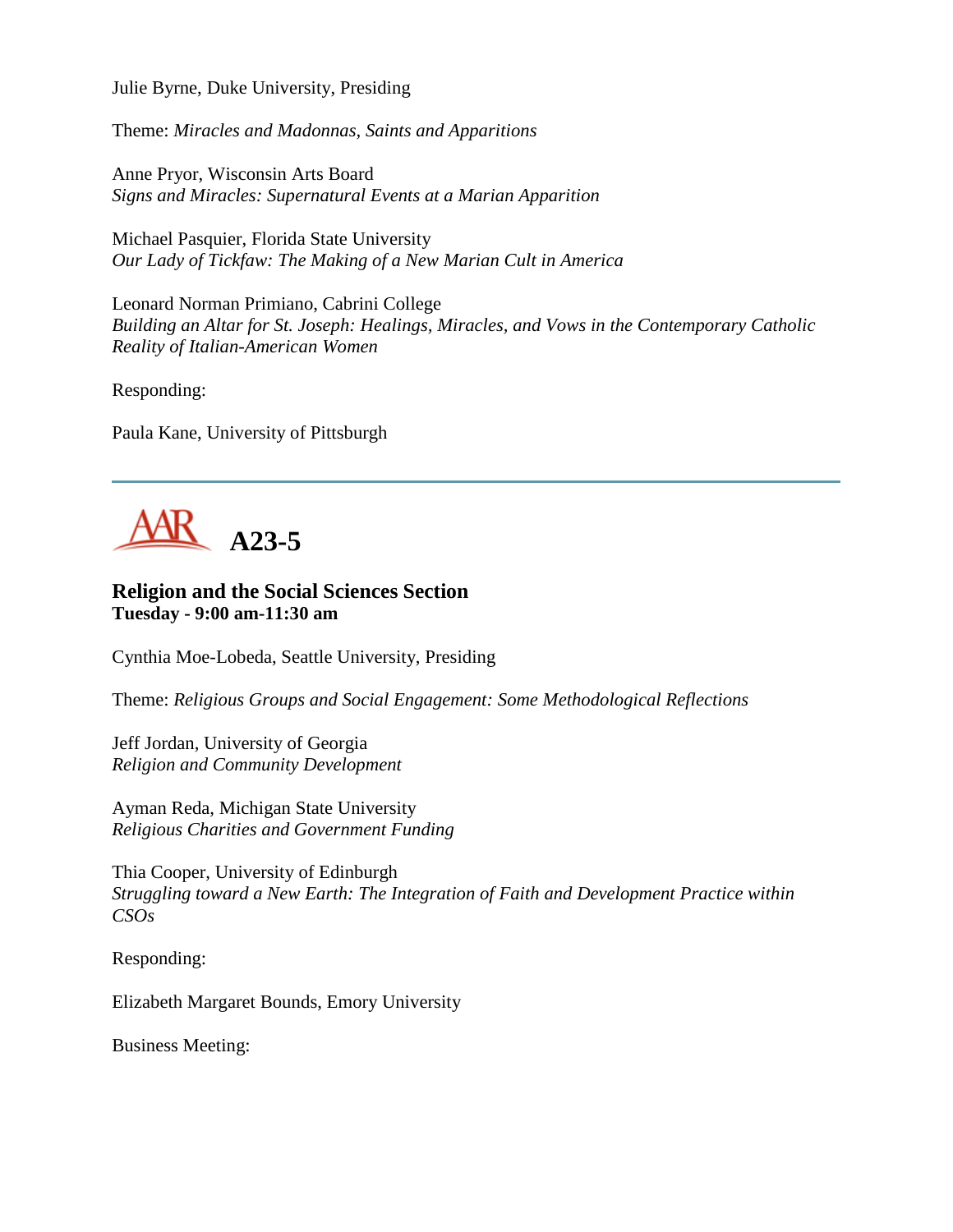Julie Byrne, Duke University, Presiding

Theme: *Miracles and Madonnas, Saints and Apparitions*

Anne Pryor, Wisconsin Arts Board *Signs and Miracles: Supernatural Events at a Marian Apparition*

Michael Pasquier, Florida State University *Our Lady of Tickfaw: The Making of a New Marian Cult in America*

Leonard Norman Primiano, Cabrini College *Building an Altar for St. Joseph: Healings, Miracles, and Vows in the Contemporary Catholic Reality of Italian-American Women*

Responding:

Paula Kane, University of Pittsburgh



#### **Religion and the Social Sciences Section Tuesday - 9:00 am-11:30 am**

Cynthia Moe-Lobeda, Seattle University, Presiding

Theme: *Religious Groups and Social Engagement: Some Methodological Reflections*

Jeff Jordan, University of Georgia *Religion and Community Development*

Ayman Reda, Michigan State University *Religious Charities and Government Funding*

Thia Cooper, University of Edinburgh *Struggling toward a New Earth: The Integration of Faith and Development Practice within CSOs*

Responding:

Elizabeth Margaret Bounds, Emory University

Business Meeting: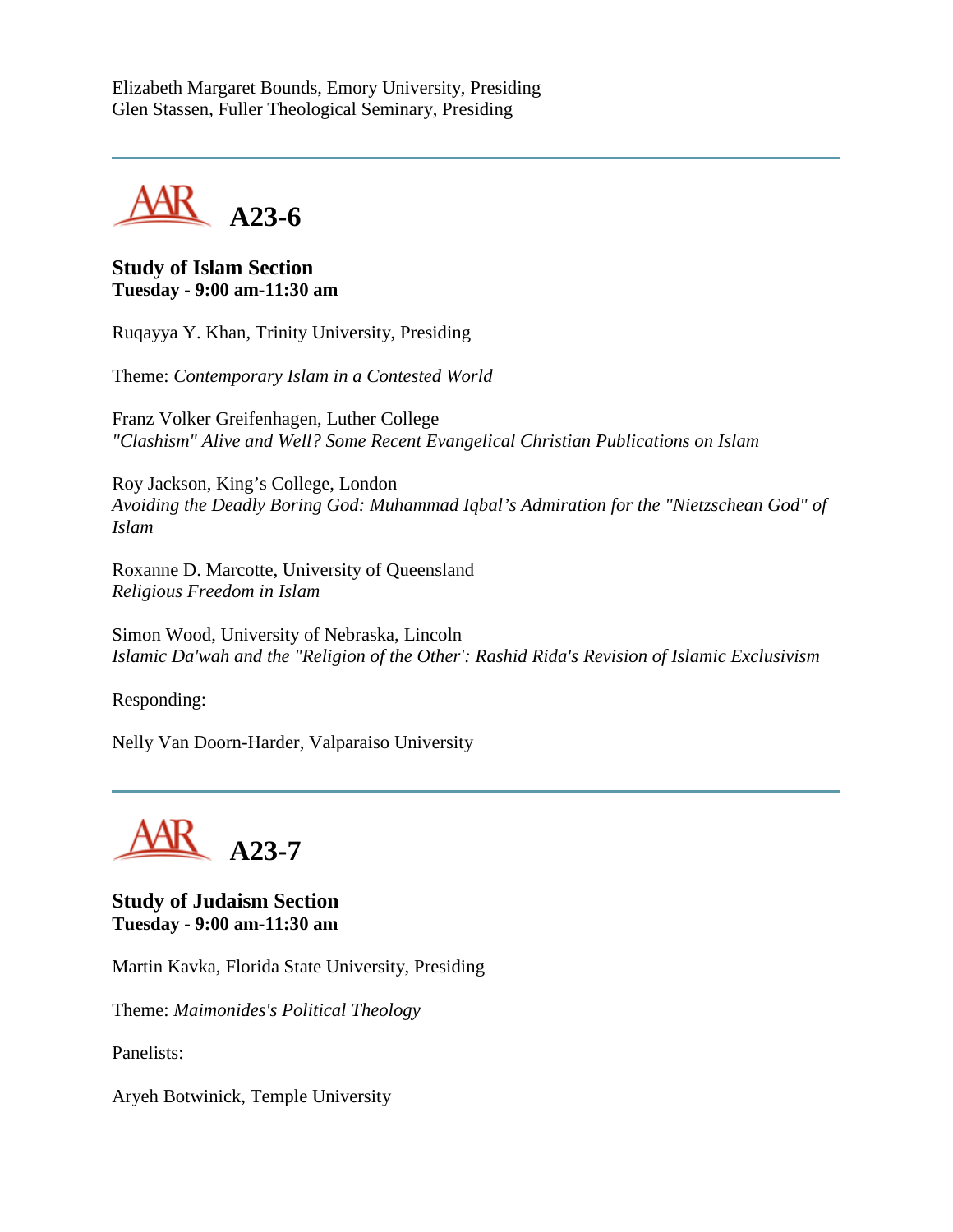Elizabeth Margaret Bounds, Emory University, Presiding Glen Stassen, Fuller Theological Seminary, Presiding



**Study of Islam Section Tuesday - 9:00 am-11:30 am**

Ruqayya Y. Khan, Trinity University, Presiding

Theme: *Contemporary Islam in a Contested World*

Franz Volker Greifenhagen, Luther College *"Clashism" Alive and Well? Some Recent Evangelical Christian Publications on Islam*

Roy Jackson, King's College, London *Avoiding the Deadly Boring God: Muhammad Iqbal's Admiration for the "Nietzschean God" of Islam*

Roxanne D. Marcotte, University of Queensland *Religious Freedom in Islam*

Simon Wood, University of Nebraska, Lincoln *Islamic Da'wah and the "Religion of the Other': Rashid Rida's Revision of Islamic Exclusivism*

Responding:

Nelly Van Doorn-Harder, Valparaiso University

**A23-7**

**Study of Judaism Section Tuesday - 9:00 am-11:30 am**

Martin Kavka, Florida State University, Presiding

Theme: *Maimonides's Political Theology*

Panelists:

Aryeh Botwinick, Temple University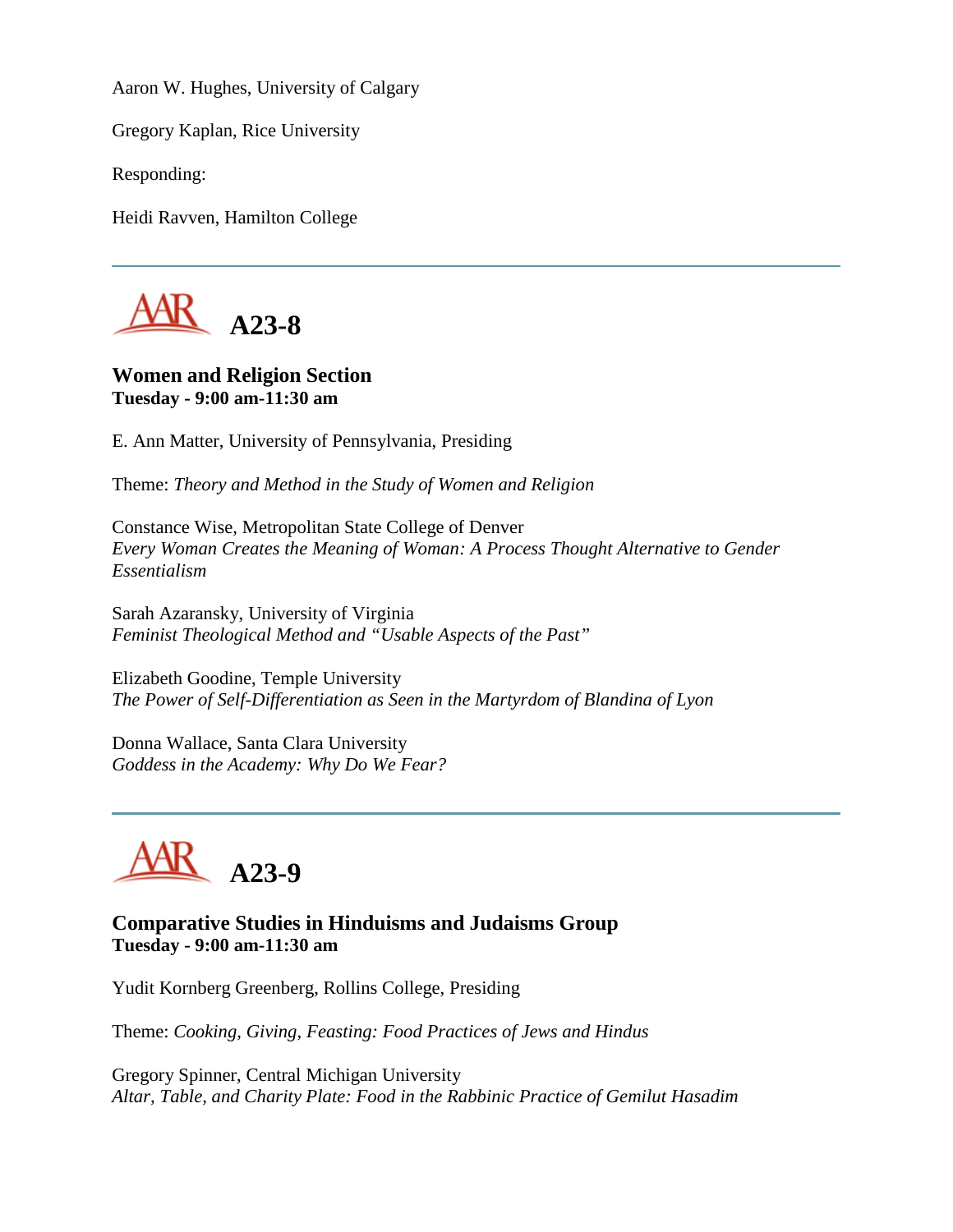Aaron W. Hughes, University of Calgary

Gregory Kaplan, Rice University

Responding:

Heidi Ravven, Hamilton College



# **Women and Religion Section Tuesday - 9:00 am-11:30 am**

E. Ann Matter, University of Pennsylvania, Presiding

Theme: *Theory and Method in the Study of Women and Religion*

Constance Wise, Metropolitan State College of Denver *Every Woman Creates the Meaning of Woman: A Process Thought Alternative to Gender Essentialism*

Sarah Azaransky, University of Virginia *Feminist Theological Method and "Usable Aspects of the Past"*

Elizabeth Goodine, Temple University *The Power of Self-Differentiation as Seen in the Martyrdom of Blandina of Lyon*

Donna Wallace, Santa Clara University *Goddess in the Academy: Why Do We Fear?*

**A23-9**

### **Comparative Studies in Hinduisms and Judaisms Group Tuesday - 9:00 am-11:30 am**

Yudit Kornberg Greenberg, Rollins College, Presiding

Theme: *Cooking, Giving, Feasting: Food Practices of Jews and Hindus* 

Gregory Spinner, Central Michigan University *Altar, Table, and Charity Plate: Food in the Rabbinic Practice of Gemilut Hasadim*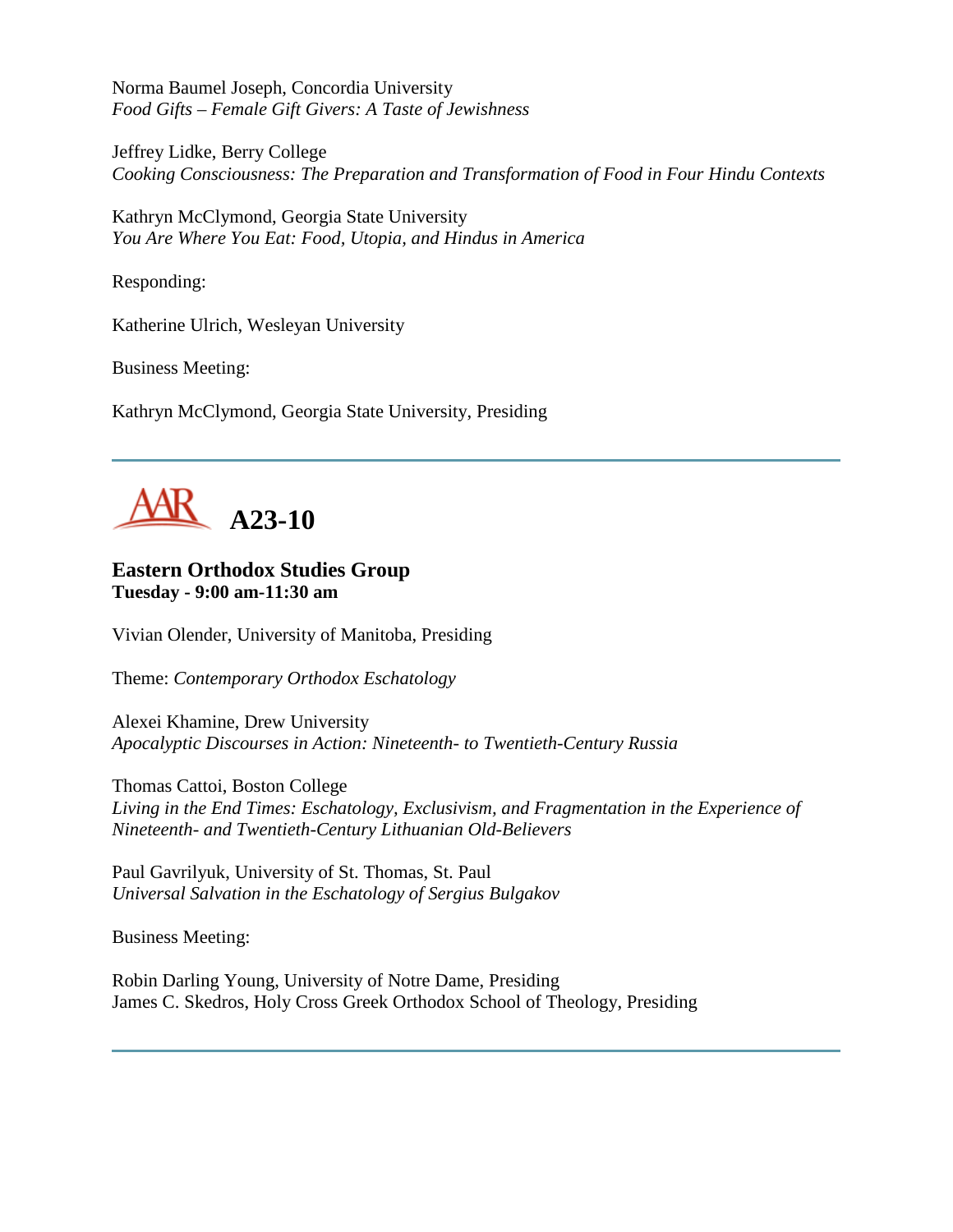Norma Baumel Joseph, Concordia University *Food Gifts – Female Gift Givers: A Taste of Jewishness*

Jeffrey Lidke, Berry College *Cooking Consciousness: The Preparation and Transformation of Food in Four Hindu Contexts*

Kathryn McClymond, Georgia State University *You Are Where You Eat: Food, Utopia, and Hindus in America*

Responding:

Katherine Ulrich, Wesleyan University

Business Meeting:

Kathryn McClymond, Georgia State University, Presiding



# **Eastern Orthodox Studies Group Tuesday - 9:00 am-11:30 am**

Vivian Olender, University of Manitoba, Presiding

Theme: *Contemporary Orthodox Eschatology*

Alexei Khamine, Drew University *Apocalyptic Discourses in Action: Nineteenth- to Twentieth-Century Russia*

Thomas Cattoi, Boston College *Living in the End Times: Eschatology, Exclusivism, and Fragmentation in the Experience of Nineteenth- and Twentieth-Century Lithuanian Old-Believers*

Paul Gavrilyuk, University of St. Thomas, St. Paul *Universal Salvation in the Eschatology of Sergius Bulgakov*

Business Meeting:

Robin Darling Young, University of Notre Dame, Presiding James C. Skedros, Holy Cross Greek Orthodox School of Theology, Presiding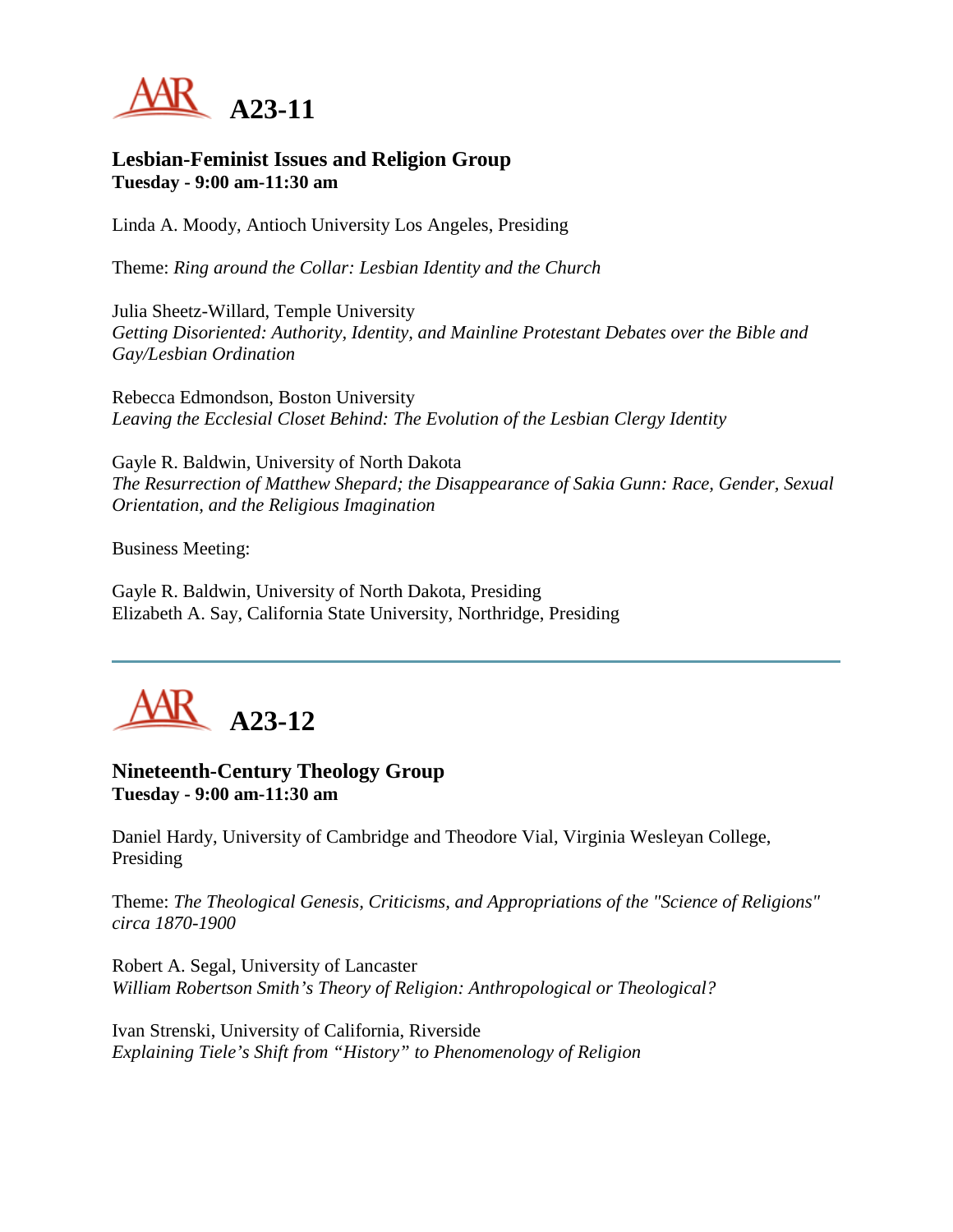

#### **Lesbian-Feminist Issues and Religion Group Tuesday - 9:00 am-11:30 am**

Linda A. Moody, Antioch University Los Angeles, Presiding

Theme: *Ring around the Collar: Lesbian Identity and the Church*

Julia Sheetz-Willard, Temple University *Getting Disoriented: Authority, Identity, and Mainline Protestant Debates over the Bible and Gay/Lesbian Ordination*

Rebecca Edmondson, Boston University *Leaving the Ecclesial Closet Behind: The Evolution of the Lesbian Clergy Identity*

Gayle R. Baldwin, University of North Dakota *The Resurrection of Matthew Shepard; the Disappearance of Sakia Gunn: Race, Gender, Sexual Orientation, and the Religious Imagination*

Business Meeting:

Gayle R. Baldwin, University of North Dakota, Presiding Elizabeth A. Say, California State University, Northridge, Presiding



# **Nineteenth-Century Theology Group Tuesday - 9:00 am-11:30 am**

Daniel Hardy, University of Cambridge and Theodore Vial, Virginia Wesleyan College, Presiding

Theme: *The Theological Genesis, Criticisms, and Appropriations of the "Science of Religions" circa 1870-1900*

Robert A. Segal, University of Lancaster *William Robertson Smith's Theory of Religion: Anthropological or Theological?*

Ivan Strenski, University of California, Riverside *Explaining Tiele's Shift from "History" to Phenomenology of Religion*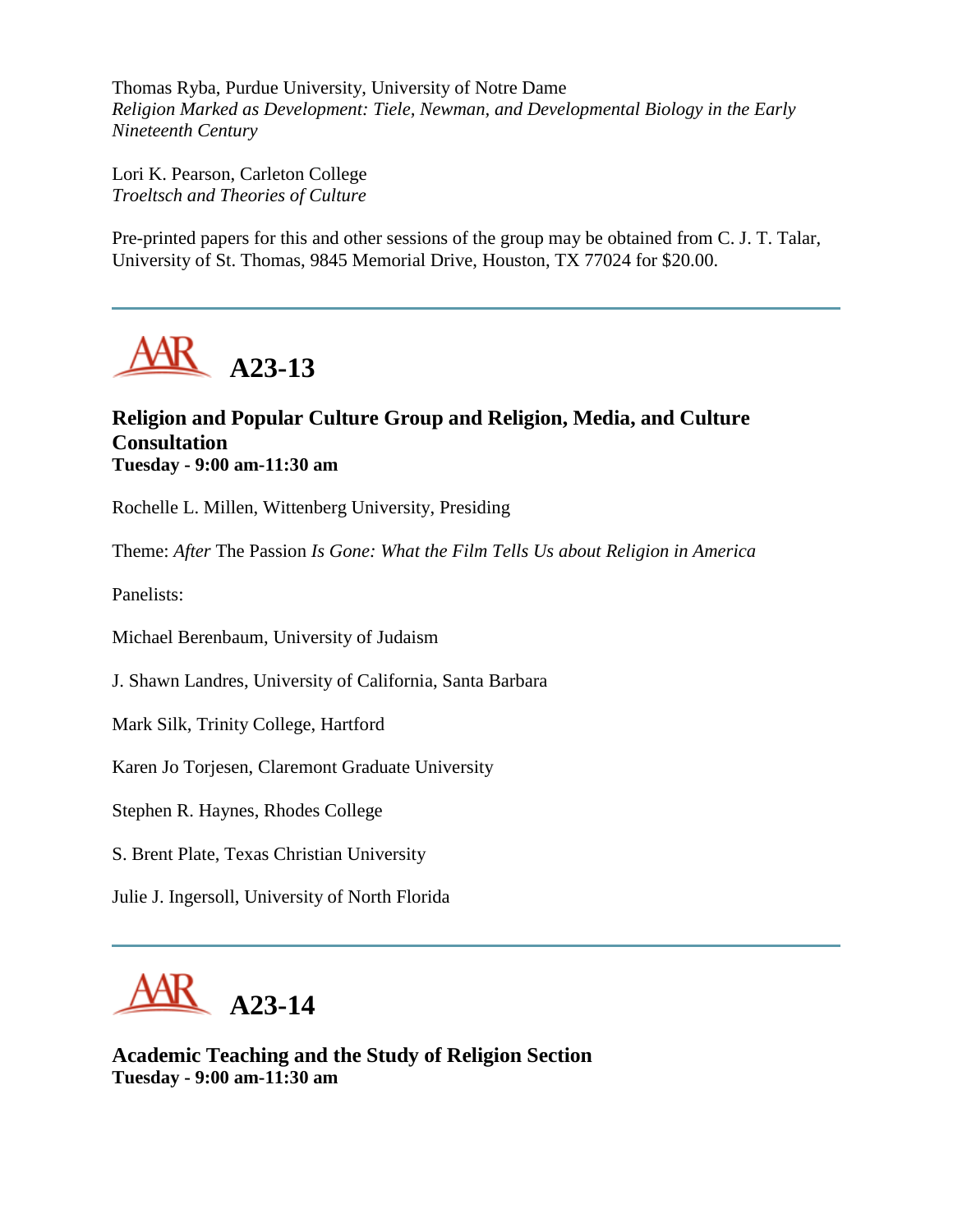Thomas Ryba, Purdue University, University of Notre Dame *Religion Marked as Development: Tiele, Newman, and Developmental Biology in the Early Nineteenth Century*

Lori K. Pearson, Carleton College *Troeltsch and Theories of Culture*

Pre-printed papers for this and other sessions of the group may be obtained from C. J. T. Talar, University of St. Thomas, 9845 Memorial Drive, Houston, TX 77024 for \$20.00.



# **Religion and Popular Culture Group and Religion, Media, and Culture Consultation Tuesday - 9:00 am-11:30 am**

Rochelle L. Millen, Wittenberg University, Presiding

Theme: *After* The Passion *Is Gone: What the Film Tells Us about Religion in America*

Panelists:

Michael Berenbaum, University of Judaism

J. Shawn Landres, University of California, Santa Barbara

Mark Silk, Trinity College, Hartford

Karen Jo Torjesen, Claremont Graduate University

Stephen R. Haynes, Rhodes College

S. Brent Plate, Texas Christian University

Julie J. Ingersoll, University of North Florida



**Academic Teaching and the Study of Religion Section Tuesday - 9:00 am-11:30 am**